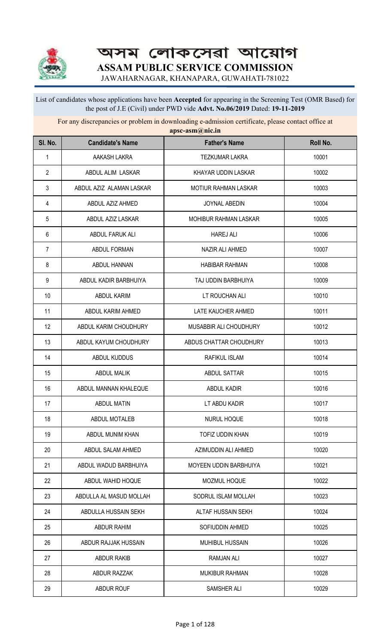

অসম লোকসেৱা আয়োগ **ASSAM PUBLIC SERVICE COMMISSION**

JAWAHARNAGAR, KHANAPARA, GUWAHATI-781022

## List of candidates whose applications have been **Accepted** for appearing in the Screening Test (OMR Based) for the post of J.E (Civil) under PWD vide **Advt. No.06/2019** Dated: **19-11-2019**

For any discrepancies or problem in downloading e-admission certificate, please contact office at **apsc-asm@nic.in**

| SI. No.        | <b>Candidate's Name</b>  | <b>Father's Name</b>         | Roll No. |
|----------------|--------------------------|------------------------------|----------|
| 1              | AAKASH LAKRA             | <b>TEZKUMAR LAKRA</b>        | 10001    |
| $\overline{2}$ | ABDUL ALIM LASKAR        | KHAYAR UDDIN LASKAR          | 10002    |
| 3              | ABDUL AZIZ ALAMAN LASKAR | <b>MOTIUR RAHMAN LASKAR</b>  | 10003    |
| 4              | ABDUL AZIZ AHMED         | <b>JOYNAL ABEDIN</b>         | 10004    |
| 5              | ABDUL AZIZ LASKAR        | <b>MOHIBUR RAHMAN LASKAR</b> | 10005    |
| 6              | ABDUL FARUK ALI          | <b>HAREJ ALI</b>             | 10006    |
| 7              | ABDUL FORMAN             | NAZIR ALI AHMED              | 10007    |
| 8              | ABDUL HANNAN             | <b>HABIBAR RAHMAN</b>        | 10008    |
| 9              | ABDUL KADIR BARBHUIYA    | TAJ UDDIN BARBHUIYA          | 10009    |
| 10             | <b>ABDUL KARIM</b>       | LT ROUCHAN ALI               | 10010    |
| 11             | ABDUL KARIM AHMED        | LATE KAUCHER AHMED           | 10011    |
| 12             | ABDUL KARIM CHOUDHURY    | MUSABBIR ALI CHOUDHURY       | 10012    |
| 13             | ABDUL KAYUM CHOUDHURY    | ABDUS CHATTAR CHOUDHURY      | 10013    |
| 14             | ABDUL KUDDUS             | RAFIKUL ISLAM                | 10014    |
| 15             | <b>ABDUL MALIK</b>       | ABDUL SATTAR                 | 10015    |
| 16             | ABDUL MANNAN KHALEQUE    | ABDUL KADIR                  | 10016    |
| 17             | <b>ABDUL MATIN</b>       | LT ABDU KADIR                | 10017    |
| 18             | ABDUL MOTALEB            | NURUL HOQUE                  | 10018    |
| 19             | ABDUL MUNIM KHAN         | TOFIZ UDDIN KHAN             | 10019    |
| 20             | ABDUL SALAM AHMED        | AZIMUDDIN ALI AHMED          | 10020    |
| 21             | ABDUL WADUD BARBHUIYA    | MOYEEN UDDIN BARBHUIYA       | 10021    |
| 22             | ABDUL WAHID HOQUE        | MOZMUL HOQUE                 | 10022    |
| 23             | ABDULLA AL MASUD MOLLAH  | SODRUL ISLAM MOLLAH          | 10023    |
| 24             | ABDULLA HUSSAIN SEKH     | ALTAF HUSSAIN SEKH           | 10024    |
| 25             | ABDUR RAHIM              | SOFIUDDIN AHMED              | 10025    |
| 26             | ABDUR RAJJAK HUSSAIN     | MUHIBUL HUSSAIN              | 10026    |
| 27             | <b>ABDUR RAKIB</b>       | <b>RAMJAN ALI</b>            | 10027    |
| 28             | ABDUR RAZZAK             | <b>MUKIBUR RAHMAN</b>        | 10028    |
| 29             | ABDUR ROUF               | SAMSHER ALI                  | 10029    |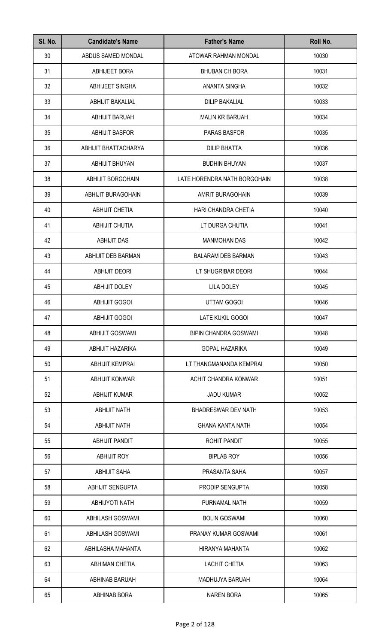| SI. No. | <b>Candidate's Name</b>   | <b>Father's Name</b>         | Roll No. |
|---------|---------------------------|------------------------------|----------|
| 30      | ABDUS SAMED MONDAL        | ATOWAR RAHMAN MONDAL         | 10030    |
| 31      | ABHIJEET BORA             | <b>BHUBAN CH BORA</b>        | 10031    |
| 32      | ABHIJEET SINGHA           | ANANTA SINGHA                | 10032    |
| 33      | <b>ABHIJIT BAKALIAL</b>   | <b>DILIP BAKALIAL</b>        | 10033    |
| 34      | <b>ABHIJIT BARUAH</b>     | <b>MALIN KR BARUAH</b>       | 10034    |
| 35      | <b>ABHIJIT BASFOR</b>     | PARAS BASFOR                 | 10035    |
| 36      | ABHIJIT BHATTACHARYA      | <b>DILIP BHATTA</b>          | 10036    |
| 37      | <b>ABHIJIT BHUYAN</b>     | <b>BUDHIN BHUYAN</b>         | 10037    |
| 38      | <b>ABHIJIT BORGOHAIN</b>  | LATE HORENDRA NATH BORGOHAIN | 10038    |
| 39      | <b>ABHIJIT BURAGOHAIN</b> | AMRIT BURAGOHAIN             | 10039    |
| 40      | <b>ABHIJIT CHETIA</b>     | HARI CHANDRA CHETIA          | 10040    |
| 41      | <b>ABHIJIT CHUTIA</b>     | LT DURGA CHUTIA              | 10041    |
| 42      | ABHIJIT DAS               | <b>MANMOHAN DAS</b>          | 10042    |
| 43      | ABHIJIT DEB BARMAN        | <b>BALARAM DEB BARMAN</b>    | 10043    |
| 44      | <b>ABHIJIT DEORI</b>      | LT SHUGRIBAR DEORI           | 10044    |
| 45      | <b>ABHIJIT DOLEY</b>      | <b>LILA DOLEY</b>            | 10045    |
| 46      | <b>ABHIJIT GOGOI</b>      | <b>UTTAM GOGOI</b>           | 10046    |
| 47      | <b>ABHIJIT GOGOI</b>      | LATE KUKIL GOGOI             | 10047    |
| 48      | <b>ABHIJIT GOSWAMI</b>    | <b>BIPIN CHANDRA GOSWAMI</b> | 10048    |
| 49      | ABHIJIT HAZARIKA          | <b>GOPAL HAZARIKA</b>        | 10049    |
| 50      | ABHIJIT KEMPRAI           | LT THANGMANANDA KEMPRAI      | 10050    |
| 51      | <b>ABHIJIT KONWAR</b>     | ACHIT CHANDRA KONWAR         | 10051    |
| 52      | <b>ABHIJIT KUMAR</b>      | JADU KUMAR                   | 10052    |
| 53      | <b>ABHIJIT NATH</b>       | <b>BHADRESWAR DEV NATH</b>   | 10053    |
| 54      | <b>ABHIJIT NATH</b>       | <b>GHANA KANTA NATH</b>      | 10054    |
| 55      | ABHIJIT PANDIT            | ROHIT PANDIT                 | 10055    |
| 56      | ABHIJIT ROY               | <b>BIPLAB ROY</b>            | 10056    |
| 57      | <b>ABHIJIT SAHA</b>       | PRASANTA SAHA                | 10057    |
| 58      | <b>ABHIJIT SENGUPTA</b>   | <b>PRODIP SENGUPTA</b>       | 10058    |
| 59      | <b>ABHIJYOTI NATH</b>     | PURNAMAL NATH                | 10059    |
| 60      | <b>ABHILASH GOSWAMI</b>   | <b>BOLIN GOSWAMI</b>         | 10060    |
| 61      | <b>ABHILASH GOSWAMI</b>   | PRANAY KUMAR GOSWAMI         | 10061    |
| 62      | ABHILASHA MAHANTA         | HIRANYA MAHANTA              | 10062    |
| 63      | <b>ABHIMAN CHETIA</b>     | <b>LACHIT CHETIA</b>         | 10063    |
| 64      | <b>ABHINAB BARUAH</b>     | MADHUJYA BARUAH              | 10064    |
| 65      | <b>ABHINAB BORA</b>       | <b>NAREN BORA</b>            | 10065    |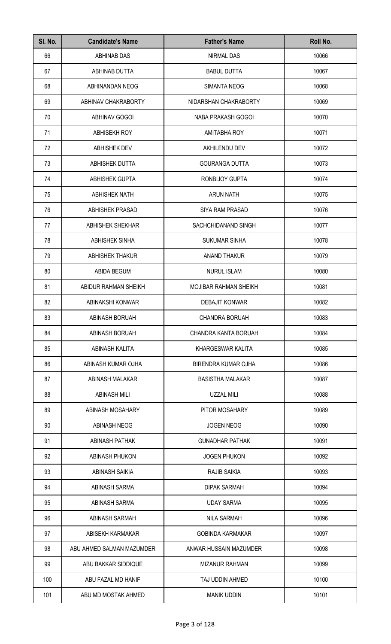| SI. No. | <b>Candidate's Name</b>   | <b>Father's Name</b>       | Roll No. |
|---------|---------------------------|----------------------------|----------|
| 66      | ABHINAB DAS               | <b>NIRMAL DAS</b>          | 10066    |
| 67      | ABHINAB DUTTA             | <b>BABUL DUTTA</b>         | 10067    |
| 68      | ABHINANDAN NEOG           | <b>SIMANTA NEOG</b>        | 10068    |
| 69      | ABHINAV CHAKRABORTY       | NIDARSHAN CHAKRABORTY      | 10069    |
| 70      | <b>ABHINAV GOGOI</b>      | NABA PRAKASH GOGOI         | 10070    |
| 71      | <b>ABHISEKH ROY</b>       | AMITABHA ROY               | 10071    |
| 72      | ABHISHEK DEV              | <b>AKHILENDU DEV</b>       | 10072    |
| 73      | ABHISHEK DUTTA            | <b>GOURANGA DUTTA</b>      | 10073    |
| 74      | <b>ABHISHEK GUPTA</b>     | <b>RONBIJOY GUPTA</b>      | 10074    |
| 75      | <b>ABHISHEK NATH</b>      | <b>ARUN NATH</b>           | 10075    |
| 76      | ABHISHEK PRASAD           | <b>SIYA RAM PRASAD</b>     | 10076    |
| 77      | <b>ABHISHEK SHEKHAR</b>   | SACHCHIDANAND SINGH        | 10077    |
| 78      | <b>ABHISHEK SINHA</b>     | <b>SUKUMAR SINHA</b>       | 10078    |
| 79      | <b>ABHISHEK THAKUR</b>    | ANAND THAKUR               | 10079    |
| 80      | ABIDA BEGUM               | <b>NURUL ISLAM</b>         | 10080    |
| 81      | ABIDUR RAHMAN SHEIKH      | MOJIBAR RAHMAN SHEIKH      | 10081    |
| 82      | ABINAKSHI KONWAR          | <b>DEBAJIT KONWAR</b>      | 10082    |
| 83      | ABINASH BORUAH            | <b>CHANDRA BORUAH</b>      | 10083    |
| 84      | ABINASH BORUAH            | CHANDRA KANTA BORUAH       | 10084    |
| 85      | ABINASH KALITA            | KHARGESWAR KALITA          | 10085    |
| 86      | ABINASH KUMAR OJHA        | <b>BIRENDRA KUMAR OJHA</b> | 10086    |
| 87      | ABINASH MALAKAR           | <b>BASISTHA MALAKAR</b>    | 10087    |
| 88      | <b>ABINASH MILI</b>       | <b>UZZAL MILI</b>          | 10088    |
| 89      | ABINASH MOSAHARY          | PITOR MOSAHARY             | 10089    |
| 90      | ABINASH NEOG              | <b>JOGEN NEOG</b>          | 10090    |
| 91      | ABINASH PATHAK            | <b>GUNADHAR PATHAK</b>     | 10091    |
| 92      | ABINASH PHUKON            | <b>JOGEN PHUKON</b>        | 10092    |
| 93      | <b>ABINASH SAIKIA</b>     | <b>RAJIB SAIKIA</b>        | 10093    |
| 94      | ABINASH SARMA             | <b>DIPAK SARMAH</b>        | 10094    |
| 95      | ABINASH SARMA             | <b>UDAY SARMA</b>          | 10095    |
| 96      | ABINASH SARMAH            | <b>NILA SARMAH</b>         | 10096    |
| 97      | ABISEKH KARMAKAR          | <b>GOBINDA KARMAKAR</b>    | 10097    |
| 98      | ABU AHMED SALMAN MAZUMDER | ANWAR HUSSAIN MAZUMDER     | 10098    |
| 99      | ABU BAKKAR SIDDIQUE       | <b>MIZANUR RAHMAN</b>      | 10099    |
| 100     | ABU FAZAL MD HANIF        | TAJ UDDIN AHMED            | 10100    |
| 101     | ABU MD MOSTAK AHMED       | <b>MANIK UDDIN</b>         | 10101    |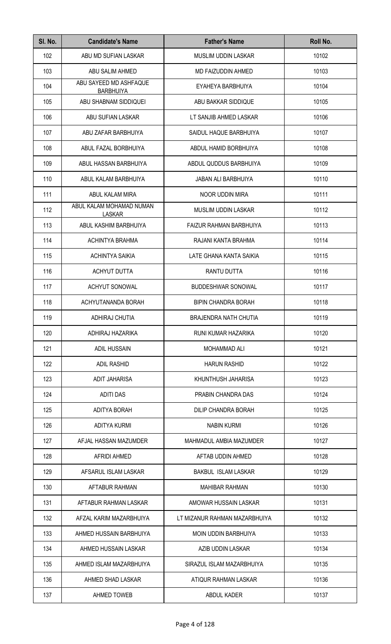| SI. No. | <b>Candidate's Name</b>                    | <b>Father's Name</b>           | Roll No. |
|---------|--------------------------------------------|--------------------------------|----------|
| 102     | ABU MD SUFIAN LASKAR                       | MUSLIM UDDIN LASKAR            | 10102    |
| 103     | ABU SALIM AHMED                            | MD FAIZUDDIN AHMED             | 10103    |
| 104     | ABU SAYEED MD ASHFAQUE<br><b>BARBHUIYA</b> | EYAHEYA BARBHUIYA              | 10104    |
| 105     | ABU SHABNAM SIDDIQUEI                      | ABU BAKKAR SIDDIQUE            | 10105    |
| 106     | ABU SUFIAN LASKAR                          | LT SANJIB AHMED LASKAR         | 10106    |
| 107     | ABU ZAFAR BARBHUIYA                        | SAIDUL HAQUE BARBHUIYA         | 10107    |
| 108     | ABUL FAZAL BORBHUIYA                       | ABDUL HAMID BORBHUIYA          | 10108    |
| 109     | ABUL HASSAN BARBHUIYA                      | ABDUL QUDDUS BARBHUIYA         | 10109    |
| 110     | ABUL KALAM BARBHUIYA                       | <b>JABAN ALI BARBHUIYA</b>     | 10110    |
| 111     | ABUL KALAM MIRA                            | NOOR UDDIN MIRA                | 10111    |
| 112     | ABUL KALAM MOHAMAD NUMAN<br><b>LASKAR</b>  | <b>MUSLIM UDDIN LASKAR</b>     | 10112    |
| 113     | ABUL KASHIM BARBHUIYA                      | <b>FAIZUR RAHMAN BARBHUIYA</b> | 10113    |
| 114     | ACHINTYA BRAHMA                            | RAJANI KANTA BRAHMA            | 10114    |
| 115     | ACHINTYA SAIKIA                            | LATE GHANA KANTA SAIKIA        | 10115    |
| 116     | <b>ACHYUT DUTTA</b>                        | RANTU DUTTA                    | 10116    |
| 117     | ACHYUT SONOWAL                             | <b>BUDDESHWAR SONOWAL</b>      | 10117    |
| 118     | ACHYUTANANDA BORAH                         | <b>BIPIN CHANDRA BORAH</b>     | 10118    |
| 119     | ADHIRAJ CHUTIA                             | <b>BRAJENDRA NATH CHUTIA</b>   | 10119    |
| 120     | ADHIRAJ HAZARIKA                           | RUNI KUMAR HAZARIKA            | 10120    |
| 121     | <b>ADIL HUSSAIN</b>                        | MOHAMMAD ALI                   | 10121    |
| 122     | <b>ADIL RASHID</b>                         | <b>HARUN RASHID</b>            | 10122    |
| 123     | <b>ADIT JAHARISA</b>                       | KHUNTHUSH JAHARISA             | 10123    |
| 124     | <b>ADITI DAS</b>                           | PRABIN CHANDRA DAS             | 10124    |
| 125     | ADITYA BORAH                               | DILIP CHANDRA BORAH            | 10125    |
| 126     | <b>ADITYA KURMI</b>                        | <b>NABIN KURMI</b>             | 10126    |
| 127     | AFJAL HASSAN MAZUMDER                      | MAHMADUL AMBIA MAZUMDER        | 10127    |
| 128     | AFRIDI AHMED                               | AFTAB UDDIN AHMED              | 10128    |
| 129     | AFSARUL ISLAM LASKAR                       | BAKBUL ISLAM LASKAR            | 10129    |
| 130     | AFTABUR RAHMAN                             | <b>MAHIBAR RAHMAN</b>          | 10130    |
| 131     | AFTABUR RAHMAN LASKAR                      | AMOWAR HUSSAIN LASKAR          | 10131    |
| 132     | AFZAL KARIM MAZARBHUIYA                    | LT MIZANUR RAHMAN MAZARBHUIYA  | 10132    |
| 133     | AHMED HUSSAIN BARBHUIYA                    | MOIN UDDIN BARBHUIYA           | 10133    |
| 134     | AHMED HUSSAIN LASKAR                       | AZIB UDDIN LASKAR              | 10134    |
| 135     | AHMED ISLAM MAZARBHUIYA                    | SIRAZUL ISLAM MAZARBHUIYA      | 10135    |
| 136     | AHMED SHAD LASKAR                          | ATIQUR RAHMAN LASKAR           | 10136    |
| 137     | <b>AHMED TOWEB</b>                         | ABDUL KADER                    | 10137    |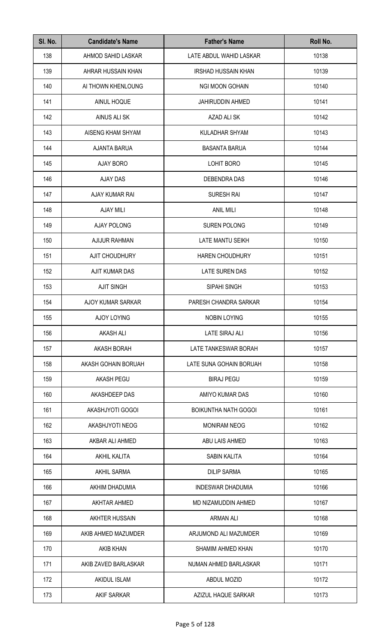| SI. No. | <b>Candidate's Name</b> | <b>Father's Name</b>        | Roll No. |
|---------|-------------------------|-----------------------------|----------|
| 138     | AHMOD SAHID LASKAR      | LATE ABDUL WAHID LASKAR     | 10138    |
| 139     | AHRAR HUSSAIN KHAN      | <b>IRSHAD HUSSAIN KHAN</b>  | 10139    |
| 140     | AI THOWN KHENLOUNG      | NGI MOON GOHAIN             | 10140    |
| 141     | AINUL HOQUE             | <b>JAHIRUDDIN AHMED</b>     | 10141    |
| 142     | AINUS ALI SK            | AZAD ALI SK                 | 10142    |
| 143     | AISENG KHAM SHYAM       | KULADHAR SHYAM              | 10143    |
| 144     | <b>AJANTA BARUA</b>     | <b>BASANTA BARUA</b>        | 10144    |
| 145     | AJAY BORO               | LOHIT BORO                  | 10145    |
| 146     | <b>AJAY DAS</b>         | <b>DEBENDRA DAS</b>         | 10146    |
| 147     | AJAY KUMAR RAI          | <b>SURESH RAI</b>           | 10147    |
| 148     | <b>AJAY MILI</b>        | <b>ANIL MILI</b>            | 10148    |
| 149     | <b>AJAY POLONG</b>      | <b>SUREN POLONG</b>         | 10149    |
| 150     | <b>AJIJUR RAHMAN</b>    | LATE MANTU SEIKH            | 10150    |
| 151     | <b>AJIT CHOUDHURY</b>   | <b>HAREN CHOUDHURY</b>      | 10151    |
| 152     | AJIT KUMAR DAS          | LATE SUREN DAS              | 10152    |
| 153     | <b>AJIT SINGH</b>       | SIPAHI SINGH                | 10153    |
| 154     | AJOY KUMAR SARKAR       | PARESH CHANDRA SARKAR       | 10154    |
| 155     | AJOY LOYING             | NOBIN LOYING                | 10155    |
| 156     | <b>AKASH ALI</b>        | <b>LATE SIRAJ ALI</b>       | 10156    |
| 157     | <b>AKASH BORAH</b>      | LATE TANKESWAR BORAH        | 10157    |
| 158     | AKASH GOHAIN BORUAH     | LATE SUNA GOHAIN BORUAH     | 10158    |
| 159     | AKASH PEGU              | <b>BIRAJ PEGU</b>           | 10159    |
| 160     | AKASHDEEP DAS           | AMIYO KUMAR DAS             | 10160    |
| 161     | AKASHJYOTI GOGOI        | <b>BOIKUNTHA NATH GOGOI</b> | 10161    |
| 162     | AKASHJYOTI NEOG         | <b>MONIRAM NEOG</b>         | 10162    |
| 163     | AKBAR ALI AHMED         | ABU LAIS AHMED              | 10163    |
| 164     | AKHIL KALITA            | SABIN KALITA                | 10164    |
| 165     | <b>AKHIL SARMA</b>      | <b>DILIP SARMA</b>          | 10165    |
| 166     | AKHIM DHADUMIA          | <b>INDESWAR DHADUMIA</b>    | 10166    |
| 167     | AKHTAR AHMED            | MD NIZAMUDDIN AHMED         | 10167    |
| 168     | AKHTER HUSSAIN          | <b>ARMAN ALI</b>            | 10168    |
| 169     | AKIB AHMED MAZUMDER     | ARJUMOND ALI MAZUMDER       | 10169    |
| 170     | <b>AKIB KHAN</b>        | SHAMIM AHMED KHAN           | 10170    |
| 171     | AKIB ZAVED BARLASKAR    | NUMAN AHMED BARLASKAR       | 10171    |
| 172     | AKIDUL ISLAM            | ABDUL MOZID                 | 10172    |
| 173     | AKIF SARKAR             | AZIZUL HAQUE SARKAR         | 10173    |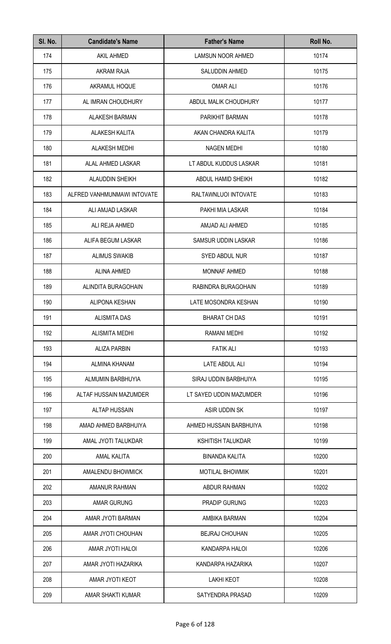| SI. No. | <b>Candidate's Name</b>     | <b>Father's Name</b>     | Roll No. |
|---------|-----------------------------|--------------------------|----------|
| 174     | <b>AKIL AHMED</b>           | <b>LAMSUN NOOR AHMED</b> | 10174    |
| 175     | AKRAM RAJA                  | <b>SALUDDIN AHMED</b>    | 10175    |
| 176     | AKRAMUL HOQUE               | <b>OMAR ALI</b>          | 10176    |
| 177     | AL IMRAN CHOUDHURY          | ABDUL MALIK CHOUDHURY    | 10177    |
| 178     | <b>ALAKESH BARMAN</b>       | PARIKHIT BARMAN          | 10178    |
| 179     | ALAKESH KALITA              | AKAN CHANDRA KALITA      | 10179    |
| 180     | <b>ALAKESH MEDHI</b>        | <b>NAGEN MEDHI</b>       | 10180    |
| 181     | ALAL AHMED LASKAR           | LT ABDUL KUDDUS LASKAR   | 10181    |
| 182     | <b>ALAUDDIN SHEIKH</b>      | ABDUL HAMID SHEIKH       | 10182    |
| 183     | ALFRED VANHMUNMAWI INTOVATE | RALTAWNLUOI INTOVATE     | 10183    |
| 184     | ALI AMJAD LASKAR            | PAKHI MIA LASKAR         | 10184    |
| 185     | ALI REJA AHMED              | AMJAD ALI AHMED          | 10185    |
| 186     | ALIFA BEGUM LASKAR          | SAMSUR UDDIN LASKAR      | 10186    |
| 187     | <b>ALIMUS SWAKIB</b>        | SYED ABDUL NUR           | 10187    |
| 188     | <b>ALINA AHMED</b>          | MONNAF AHMED             | 10188    |
| 189     | ALINDITA BURAGOHAIN         | RABINDRA BURAGOHAIN      | 10189    |
| 190     | <b>ALIPONA KESHAN</b>       | LATE MOSONDRA KESHAN     | 10190    |
| 191     | ALISMITA DAS                | <b>BHARAT CH DAS</b>     | 10191    |
| 192     | <b>ALISMITA MEDHI</b>       | RAMANI MEDHI             | 10192    |
| 193     | <b>ALIZA PARBIN</b>         | <b>FATIK ALI</b>         | 10193    |
| 194     | <b>ALMINA KHANAM</b>        | LATE ABDUL ALI           | 10194    |
| 195     | ALMUMIN BARBHUYIA           | SIRAJ UDDIN BARBHUIYA    | 10195    |
| 196     | ALTAF HUSSAIN MAZUMDER      | LT SAYED UDDIN MAZUMDER  | 10196    |
| 197     | <b>ALTAP HUSSAIN</b>        | ASIR UDDIN SK            | 10197    |
| 198     | AMAD AHMED BARBHUIYA        | AHMED HUSSAIN BARBHUIYA  | 10198    |
| 199     | AMAL JYOTI TALUKDAR         | <b>KSHITISH TALUKDAR</b> | 10199    |
| 200     | <b>AMAL KALITA</b>          | <b>BINANDA KALITA</b>    | 10200    |
| 201     | AMALENDU BHOWMICK           | <b>MOTILAL BHOWMIK</b>   | 10201    |
| 202     | AMANUR RAHMAN               | <b>ABDUR RAHMAN</b>      | 10202    |
| 203     | AMAR GURUNG                 | <b>PRADIP GURUNG</b>     | 10203    |
| 204     | AMAR JYOTI BARMAN           | AMBIKA BARMAN            | 10204    |
| 205     | AMAR JYOTI CHOUHAN          | <b>BEJRAJ CHOUHAN</b>    | 10205    |
| 206     | AMAR JYOTI HALOI            | KANDARPA HALOI           | 10206    |
| 207     | AMAR JYOTI HAZARIKA         | KANDARPA HAZARIKA        | 10207    |
| 208     | AMAR JYOTI KEOT             | <b>LAKHI KEOT</b>        | 10208    |
| 209     | AMAR SHAKTI KUMAR           | SATYENDRA PRASAD         | 10209    |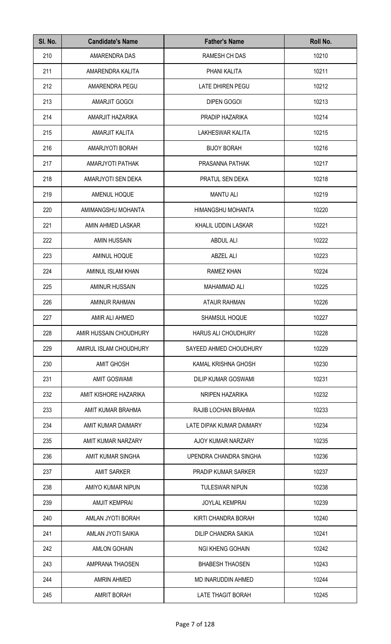| SI. No. | <b>Candidate's Name</b> | <b>Father's Name</b>        | Roll No. |
|---------|-------------------------|-----------------------------|----------|
| 210     | AMARENDRA DAS           | RAMESH CH DAS               | 10210    |
| 211     | AMARENDRA KALITA        | PHANI KALITA                | 10211    |
| 212     | AMARENDRA PEGU          | LATE DHIREN PEGU            | 10212    |
| 213     | AMARJIT GOGOI           | <b>DIPEN GOGOI</b>          | 10213    |
| 214     | AMARJIT HAZARIKA        | PRADIP HAZARIKA             | 10214    |
| 215     | AMARJIT KALITA          | LAKHESWAR KALITA            | 10215    |
| 216     | AMARJYOTI BORAH         | <b>BIJOY BORAH</b>          | 10216    |
| 217     | AMARJYOTI PATHAK        | PRASANNA PATHAK             | 10217    |
| 218     | AMARJYOTI SEN DEKA      | PRATUL SEN DEKA             | 10218    |
| 219     | AMENUL HOQUE            | <b>MANTU ALI</b>            | 10219    |
| 220     | AMIMANGSHU MOHANTA      | HIMANGSHU MOHANTA           | 10220    |
| 221     | AMIN AHMED LASKAR       | KHALIL UDDIN LASKAR         | 10221    |
| 222     | <b>AMIN HUSSAIN</b>     | <b>ABDUL ALI</b>            | 10222    |
| 223     | AMINUL HOQUE            | <b>ABZEL ALI</b>            | 10223    |
| 224     | AMINUL ISLAM KHAN       | RAMEZ KHAN                  | 10224    |
| 225     | <b>AMINUR HUSSAIN</b>   | <b>MAHAMMAD ALI</b>         | 10225    |
| 226     | AMINUR RAHMAN           | <b>ATAUR RAHMAN</b>         | 10226    |
| 227     | AMIR ALI AHMED          | SHAMSUL HOQUE               | 10227    |
| 228     | AMIR HUSSAIN CHOUDHURY  | HARUS ALI CHOUDHURY         | 10228    |
| 229     | AMIRUL ISLAM CHOUDHURY  | SAYEED AHMED CHOUDHURY      | 10229    |
| 230     | <b>AMIT GHOSH</b>       | KAMAL KRISHNA GHOSH         | 10230    |
| 231     | <b>AMIT GOSWAMI</b>     | <b>DILIP KUMAR GOSWAMI</b>  | 10231    |
| 232     | AMIT KISHORE HAZARIKA   | NRIPEN HAZARIKA             | 10232    |
| 233     | AMIT KUMAR BRAHMA       | RAJIB LOCHAN BRAHMA         | 10233    |
| 234     | AMIT KUMAR DAIMARY      | LATE DIPAK KUMAR DAIMARY    | 10234    |
| 235     | AMIT KUMAR NARZARY      | AJOY KUMAR NARZARY          | 10235    |
| 236     | AMIT KUMAR SINGHA       | UPENDRA CHANDRA SINGHA      | 10236    |
| 237     | <b>AMIT SARKER</b>      | <b>PRADIP KUMAR SARKER</b>  | 10237    |
| 238     | AMIYO KUMAR NIPUN       | <b>TULESWAR NIPUN</b>       | 10238    |
| 239     | <b>AMJIT KEMPRAI</b>    | <b>JOYLAL KEMPRAI</b>       | 10239    |
| 240     | AMLAN JYOTI BORAH       | KIRTI CHANDRA BORAH         | 10240    |
| 241     | AMLAN JYOTI SAIKIA      | <b>DILIP CHANDRA SAIKIA</b> | 10241    |
| 242     | <b>AMLON GOHAIN</b>     | <b>NGI KHENG GOHAIN</b>     | 10242    |
| 243     | AMPRANA THAOSEN         | <b>BHABESH THAOSEN</b>      | 10243    |
| 244     | <b>AMRIN AHMED</b>      | MD INARUDDIN AHMED          | 10244    |
| 245     | <b>AMRIT BORAH</b>      | <b>LATE THAGIT BORAH</b>    | 10245    |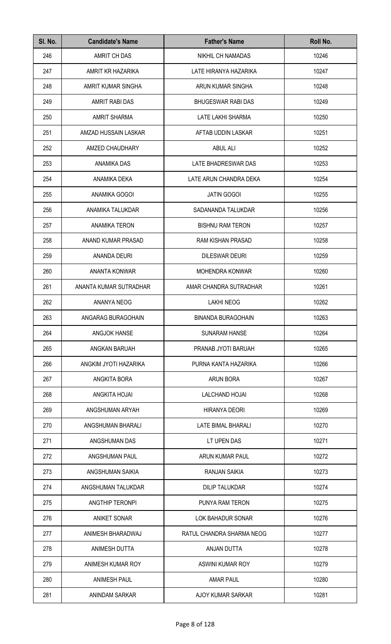| SI. No. | <b>Candidate's Name</b> | <b>Father's Name</b>      | Roll No. |
|---------|-------------------------|---------------------------|----------|
| 246     | AMRIT CH DAS            | NIKHIL CH NAMADAS         | 10246    |
| 247     | AMRIT KR HAZARIKA       | LATE HIRANYA HAZARIKA     | 10247    |
| 248     | AMRIT KUMAR SINGHA      | ARUN KUMAR SINGHA         | 10248    |
| 249     | AMRIT RABI DAS          | <b>BHUGESWAR RABI DAS</b> | 10249    |
| 250     | <b>AMRIT SHARMA</b>     | LATE LAKHI SHARMA         | 10250    |
| 251     | AMZAD HUSSAIN LASKAR    | AFTAB UDDIN LASKAR        | 10251    |
| 252     | AMZED CHAUDHARY         | <b>ABUL ALI</b>           | 10252    |
| 253     | ANAMIKA DAS             | LATE BHADRESWAR DAS       | 10253    |
| 254     | ANAMIKA DEKA            | LATE ARUN CHANDRA DEKA    | 10254    |
| 255     | ANAMIKA GOGOI           | <b>JATIN GOGOI</b>        | 10255    |
| 256     | ANAMIKA TALUKDAR        | SADANANDA TALUKDAR        | 10256    |
| 257     | <b>ANAMIKA TERON</b>    | <b>BISHNU RAM TERON</b>   | 10257    |
| 258     | ANAND KUMAR PRASAD      | RAM KISHAN PRASAD         | 10258    |
| 259     | ANANDA DEURI            | <b>DILESWAR DEURI</b>     | 10259    |
| 260     | ANANTA KONWAR           | <b>MOHENDRA KONWAR</b>    | 10260    |
| 261     | ANANTA KUMAR SUTRADHAR  | AMAR CHANDRA SUTRADHAR    | 10261    |
| 262     | ANANYA NEOG             | <b>LAKHI NEOG</b>         | 10262    |
| 263     | ANGARAG BURAGOHAIN      | <b>BINANDA BURAGOHAIN</b> | 10263    |
| 264     | <b>ANGJOK HANSE</b>     | <b>SUNARAM HANSE</b>      | 10264    |
| 265     | ANGKAN BARUAH           | PRANAB JYOTI BARUAH       | 10265    |
| 266     | ANGKIM JYOTI HAZARIKA   | PURNA KANTA HAZARIKA      | 10266    |
| 267     | ANGKITA BORA            | <b>ARUN BORA</b>          | 10267    |
| 268     | ANGKITA HOJAI           | <b>LALCHAND HOJAI</b>     | 10268    |
| 269     | ANGSHUMAN ARYAH         | <b>HIRANYA DEORI</b>      | 10269    |
| 270     | ANGSHUMAN BHARALI       | LATE BIMAL BHARALI        | 10270    |
| 271     | ANGSHUMAN DAS           | LT UPEN DAS               | 10271    |
| 272     | ANGSHUMAN PAUL          | ARUN KUMAR PAUL           | 10272    |
| 273     | ANGSHUMAN SAIKIA        | RANJAN SAIKIA             | 10273    |
| 274     | ANGSHUMAN TALUKDAR      | <b>DILIP TALUKDAR</b>     | 10274    |
| 275     | ANGTHIP TERONPI         | PUNYA RAM TERON           | 10275    |
| 276     | <b>ANIKET SONAR</b>     | LOK BAHADUR SONAR         | 10276    |
| 277     | ANIMESH BHARADWAJ       | RATUL CHANDRA SHARMA NEOG | 10277    |
| 278     | ANIMESH DUTTA           | ANJAN DUTTA               | 10278    |
| 279     | ANIMESH KUMAR ROY       | ASWINI KUMAR ROY          | 10279    |
| 280     | <b>ANIMESH PAUL</b>     | <b>AMAR PAUL</b>          | 10280    |
| 281     | ANINDAM SARKAR          | AJOY KUMAR SARKAR         | 10281    |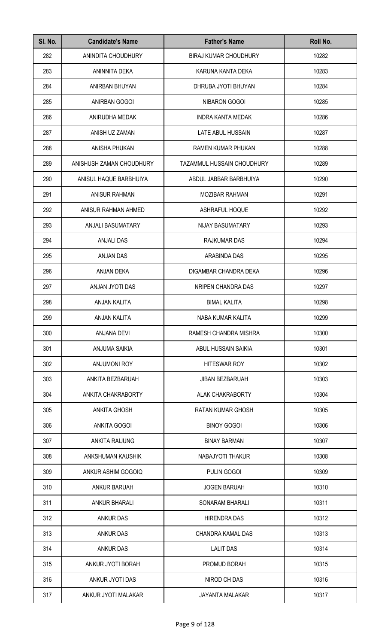| SI. No. | <b>Candidate's Name</b>  | <b>Father's Name</b>       | Roll No. |
|---------|--------------------------|----------------------------|----------|
| 282     | ANINDITA CHOUDHURY       | BIRAJ KUMAR CHOUDHURY      | 10282    |
| 283     | ANINNITA DEKA            | KARUNA KANTA DEKA          | 10283    |
| 284     | ANIRBAN BHUYAN           | DHRUBA JYOTI BHUYAN        | 10284    |
| 285     | ANIRBAN GOGOI            | <b>NIBARON GOGOI</b>       | 10285    |
| 286     | ANIRUDHA MEDAK           | <b>INDRA KANTA MEDAK</b>   | 10286    |
| 287     | ANISH UZ ZAMAN           | LATE ABUL HUSSAIN          | 10287    |
| 288     | ANISHA PHUKAN            | RAMEN KUMAR PHUKAN         | 10288    |
| 289     | ANISHUSH ZAMAN CHOUDHURY | TAZAMMUL HUSSAIN CHOUDHURY | 10289    |
| 290     | ANISUL HAQUE BARBHUIYA   | ABDUL JABBAR BARBHUIYA     | 10290    |
| 291     | <b>ANISUR RAHMAN</b>     | MOZIBAR RAHMAN             | 10291    |
| 292     | ANISUR RAHMAN AHMED      | ASHRAFUL HOQUE             | 10292    |
| 293     | ANJALI BASUMATARY        | NIJAY BASUMATARY           | 10293    |
| 294     | <b>ANJALI DAS</b>        | RAJKUMAR DAS               | 10294    |
| 295     | <b>ANJAN DAS</b>         | ARABINDA DAS               | 10295    |
| 296     | ANJAN DEKA               | DIGAMBAR CHANDRA DEKA      | 10296    |
| 297     | ANJAN JYOTI DAS          | NRIPEN CHANDRA DAS         | 10297    |
| 298     | ANJAN KALITA             | <b>BIMAL KALITA</b>        | 10298    |
| 299     | ANJAN KALITA             | NABA KUMAR KALITA          | 10299    |
| 300     | <b>ANJANA DEVI</b>       | RAMESH CHANDRA MISHRA      | 10300    |
| 301     | <b>ANJUMA SAIKIA</b>     | ABUL HUSSAIN SAIKIA        | 10301    |
| 302     | <b>ANJUMONI ROY</b>      | <b>HITESWAR ROY</b>        | 10302    |
| 303     | ANKITA BEZBARUAH         | <b>JIBAN BEZBARUAH</b>     | 10303    |
| 304     | ANKITA CHAKRABORTY       | <b>ALAK CHAKRABORTY</b>    | 10304    |
| 305     | <b>ANKITA GHOSH</b>      | RATAN KUMAR GHOSH          | 10305    |
| 306     | ANKITA GOGOI             | <b>BINOY GOGOI</b>         | 10306    |
| 307     | <b>ANKITA RAIJUNG</b>    | <b>BINAY BARMAN</b>        | 10307    |
| 308     | ANKSHUMAN KAUSHIK        | NABAJYOTI THAKUR           | 10308    |
| 309     | ANKUR ASHIM GOGOIQ       | PULIN GOGOI                | 10309    |
| 310     | <b>ANKUR BARUAH</b>      | <b>JOGEN BARUAH</b>        | 10310    |
| 311     | <b>ANKUR BHARALI</b>     | SONARAM BHARALI            | 10311    |
| 312     | <b>ANKUR DAS</b>         | <b>HIRENDRA DAS</b>        | 10312    |
| 313     | <b>ANKUR DAS</b>         | CHANDRA KAMAL DAS          | 10313    |
| 314     | <b>ANKUR DAS</b>         | <b>LALIT DAS</b>           | 10314    |
| 315     | ANKUR JYOTI BORAH        | PROMUD BORAH               | 10315    |
| 316     | ANKUR JYOTI DAS          | NIROD CH DAS               | 10316    |
| 317     | ANKUR JYOTI MALAKAR      | JAYANTA MALAKAR            | 10317    |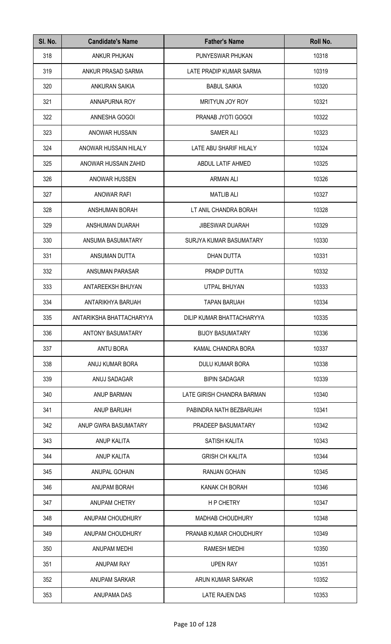| SI. No. | <b>Candidate's Name</b>  | <b>Father's Name</b>       | Roll No. |
|---------|--------------------------|----------------------------|----------|
| 318     | <b>ANKUR PHUKAN</b>      | PUNYESWAR PHUKAN           | 10318    |
| 319     | ANKUR PRASAD SARMA       | LATE PRADIP KUMAR SARMA    | 10319    |
| 320     | <b>ANKURAN SAIKIA</b>    | <b>BABUL SAIKIA</b>        | 10320    |
| 321     | ANNAPURNA ROY            | MRITYUN JOY ROY            | 10321    |
| 322     | ANNESHA GOGOI            | PRANAB JYOTI GOGOI         | 10322    |
| 323     | ANOWAR HUSSAIN           | <b>SAMER ALI</b>           | 10323    |
| 324     | ANOWAR HUSSAIN HILALY    | LATE ABU SHARIF HILALY     | 10324    |
| 325     | ANOWAR HUSSAIN ZAHID     | ABDUL LATIF AHMED          | 10325    |
| 326     | ANOWAR HUSSEN            | <b>ARMAN ALI</b>           | 10326    |
| 327     | <b>ANOWAR RAFI</b>       | <b>MATLIB ALI</b>          | 10327    |
| 328     | ANSHUMAN BORAH           | LT ANIL CHANDRA BORAH      | 10328    |
| 329     | ANSHUMAN DUARAH          | JIBESWAR DUARAH            | 10329    |
| 330     | ANSUMA BASUMATARY        | SURJYA KUMAR BASUMATARY    | 10330    |
| 331     | ANSUMAN DUTTA            | DHAN DUTTA                 | 10331    |
| 332     | ANSUMAN PARASAR          | PRADIP DUTTA               | 10332    |
| 333     | ANTAREEKSH BHUYAN        | UTPAL BHUYAN               | 10333    |
| 334     | ANTARIKHYA BARUAH        | <b>TAPAN BARUAH</b>        | 10334    |
| 335     | ANTARIKSHA BHATTACHARYYA | DILIP KUMAR BHATTACHARYYA  | 10335    |
| 336     | <b>ANTONY BASUMATARY</b> | <b>BIJOY BASUMATARY</b>    | 10336    |
| 337     | <b>ANTU BORA</b>         | KAMAL CHANDRA BORA         | 10337    |
| 338     | ANUJ KUMAR BORA          | <b>DULU KUMAR BORA</b>     | 10338    |
| 339     | ANUJ SADAGAR             | <b>BIPIN SADAGAR</b>       | 10339    |
| 340     | <b>ANUP BARMAN</b>       | LATE GIRISH CHANDRA BARMAN | 10340    |
| 341     | ANUP BARUAH              | PABINDRA NATH BEZBARUAH    | 10341    |
| 342     | ANUP GWRA BASUMATARY     | PRADEEP BASUMATARY         | 10342    |
| 343     | ANUP KALITA              | SATISH KALITA              | 10343    |
| 344     | ANUP KALITA              | <b>GRISH CH KALITA</b>     | 10344    |
| 345     | ANUPAL GOHAIN            | RANJAN GOHAIN              | 10345    |
| 346     | ANUPAM BORAH             | KANAK CH BORAH             | 10346    |
| 347     | ANUPAM CHETRY            | <b>HP CHETRY</b>           | 10347    |
| 348     | ANUPAM CHOUDHURY         | <b>MADHAB CHOUDHURY</b>    | 10348    |
| 349     | ANUPAM CHOUDHURY         | PRANAB KUMAR CHOUDHURY     | 10349    |
| 350     | ANUPAM MEDHI             | RAMESH MEDHI               | 10350    |
| 351     | <b>ANUPAM RAY</b>        | <b>UPEN RAY</b>            | 10351    |
| 352     | ANUPAM SARKAR            | ARUN KUMAR SARKAR          | 10352    |
| 353     | ANUPAMA DAS              | <b>LATE RAJEN DAS</b>      | 10353    |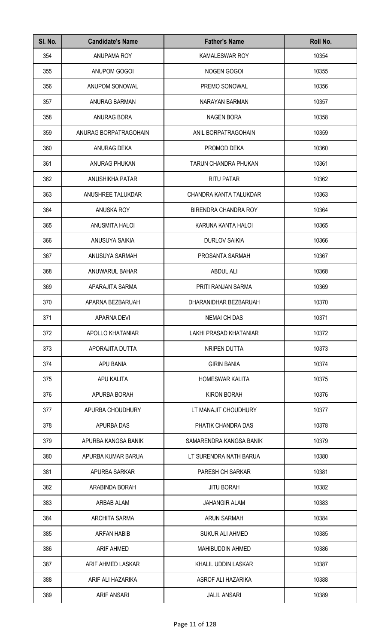| SI. No. | <b>Candidate's Name</b> | <b>Father's Name</b>        | Roll No. |
|---------|-------------------------|-----------------------------|----------|
| 354     | ANUPAMA ROY             | KAMALESWAR ROY              | 10354    |
| 355     | ANUPOM GOGOI            | NOGEN GOGOI                 | 10355    |
| 356     | ANUPOM SONOWAL          | PREMO SONOWAL               | 10356    |
| 357     | <b>ANURAG BARMAN</b>    | NARAYAN BARMAN              | 10357    |
| 358     | ANURAG BORA             | <b>NAGEN BORA</b>           | 10358    |
| 359     | ANURAG BORPATRAGOHAIN   | ANIL BORPATRAGOHAIN         | 10359    |
| 360     | ANURAG DEKA             | PROMOD DEKA                 | 10360    |
| 361     | ANURAG PHUKAN           | TARUN CHANDRA PHUKAN        | 10361    |
| 362     | <b>ANUSHIKHA PATAR</b>  | <b>RITU PATAR</b>           | 10362    |
| 363     | ANUSHREE TALUKDAR       | CHANDRA KANTA TALUKDAR      | 10363    |
| 364     | ANUSKA ROY              | <b>BIRENDRA CHANDRA ROY</b> | 10364    |
| 365     | ANUSMITA HALOI          | KARUNA KANTA HALOI          | 10365    |
| 366     | ANUSUYA SAIKIA          | <b>DURLOV SAIKIA</b>        | 10366    |
| 367     | ANUSUYA SARMAH          | PROSANTA SARMAH             | 10367    |
| 368     | ANUWARUL BAHAR          | <b>ABDUL ALI</b>            | 10368    |
| 369     | APARAJITA SARMA         | PRITI RANJAN SARMA          | 10369    |
| 370     | APARNA BEZBARUAH        | DHARANIDHAR BEZBARUAH       | 10370    |
| 371     | APARNA DEVI             | <b>NEMAI CH DAS</b>         | 10371    |
| 372     | APOLLO KHATANIAR        | LAKHI PRASAD KHATANIAR      | 10372    |
| 373     | APORAJITA DUTTA         | NRIPEN DUTTA                | 10373    |
| 374     | APU BANIA               | <b>GIRIN BANIA</b>          | 10374    |
| 375     | APU KALITA              | <b>HOMESWAR KALITA</b>      | 10375    |
| 376     | APURBA BORAH            | <b>KIRON BORAH</b>          | 10376    |
| 377     | APURBA CHOUDHURY        | LT MANAJIT CHOUDHURY        | 10377    |
| 378     | APURBA DAS              | PHATIK CHANDRA DAS          | 10378    |
| 379     | APURBA KANGSA BANIK     | SAMARENDRA KANGSA BANIK     | 10379    |
| 380     | APURBA KUMAR BARUA      | LT SURENDRA NATH BARUA      | 10380    |
| 381     | APURBA SARKAR           | PARESH CH SARKAR            | 10381    |
| 382     | ARABINDA BORAH          | <b>JITU BORAH</b>           | 10382    |
| 383     | ARBAB ALAM              | <b>JAHANGIR ALAM</b>        | 10383    |
| 384     | ARCHITA SARMA           | <b>ARUN SARMAH</b>          | 10384    |
| 385     | <b>ARFAN HABIB</b>      | <b>SUKUR ALI AHMED</b>      | 10385    |
| 386     | <b>ARIF AHMED</b>       | <b>MAHIBUDDIN AHMED</b>     | 10386    |
| 387     | ARIF AHMED LASKAR       | KHALIL UDDIN LASKAR         | 10387    |
| 388     | ARIF ALI HAZARIKA       | ASROF ALI HAZARIKA          | 10388    |
| 389     | <b>ARIF ANSARI</b>      | <b>JALIL ANSARI</b>         | 10389    |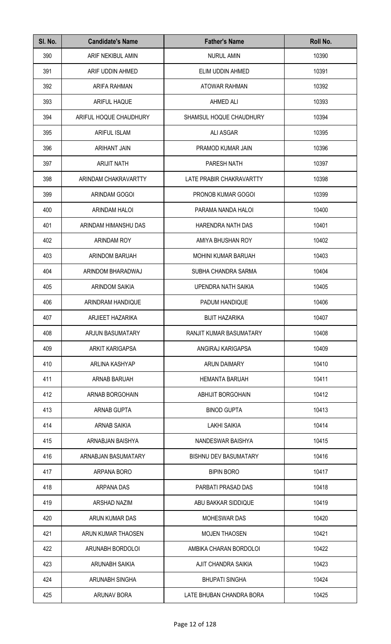| SI. No. | <b>Candidate's Name</b> | <b>Father's Name</b>         | Roll No. |
|---------|-------------------------|------------------------------|----------|
| 390     | ARIF NEKIBUL AMIN       | <b>NURUL AMIN</b>            | 10390    |
| 391     | ARIF UDDIN AHMED        | ELIM UDDIN AHMED             | 10391    |
| 392     | ARIFA RAHMAN            | ATOWAR RAHMAN                | 10392    |
| 393     | <b>ARIFUL HAQUE</b>     | <b>AHMED ALI</b>             | 10393    |
| 394     | ARIFUL HOQUE CHAUDHURY  | SHAMSUL HOQUE CHAUDHURY      | 10394    |
| 395     | <b>ARIFUL ISLAM</b>     | <b>ALI ASGAR</b>             | 10395    |
| 396     | ARIHANT JAIN            | PRAMOD KUMAR JAIN            | 10396    |
| 397     | <b>ARIJIT NATH</b>      | PARESH NATH                  | 10397    |
| 398     | ARINDAM CHAKRAVARTTY    | LATE PRABIR CHAKRAVARTTY     | 10398    |
| 399     | ARINDAM GOGOI           | PRONOB KUMAR GOGOI           | 10399    |
| 400     | <b>ARINDAM HALOI</b>    | PARAMA NANDA HALOI           | 10400    |
| 401     | ARINDAM HIMANSHU DAS    | HARENDRA NATH DAS            | 10401    |
| 402     | ARINDAM ROY             | AMIYA BHUSHAN ROY            | 10402    |
| 403     | ARINDOM BARUAH          | <b>MOHINI KUMAR BARUAH</b>   | 10403    |
| 404     | ARINDOM BHARADWAJ       | SUBHA CHANDRA SARMA          | 10404    |
| 405     | ARINDOM SAIKIA          | UPENDRA NATH SAIKIA          | 10405    |
| 406     | ARINDRAM HANDIQUE       | PADUM HANDIQUE               | 10406    |
| 407     | ARJIEET HAZARIKA        | <b>BIJIT HAZARIKA</b>        | 10407    |
| 408     | <b>ARJUN BASUMATARY</b> | RANJIT KUMAR BASUMATARY      | 10408    |
| 409     | <b>ARKIT KARIGAPSA</b>  | ANGIRAJ KARIGAPSA            | 10409    |
| 410     | ARLINA KASHYAP          | <b>ARUN DAIMARY</b>          | 10410    |
| 411     | ARNAB BARUAH            | <b>HEMANTA BARUAH</b>        | 10411    |
| 412     | ARNAB BORGOHAIN         | <b>ABHIJIT BORGOHAIN</b>     | 10412    |
| 413     | ARNAB GUPTA             | <b>BINOD GUPTA</b>           | 10413    |
| 414     | <b>ARNAB SAIKIA</b>     | <b>LAKHI SAIKIA</b>          | 10414    |
| 415     | ARNABJAN BAISHYA        | NANDESWAR BAISHYA            | 10415    |
| 416     | ARNABJAN BASUMATARY     | <b>BISHNU DEV BASUMATARY</b> | 10416    |
| 417     | ARPANA BORO             | <b>BIPIN BORO</b>            | 10417    |
| 418     | <b>ARPANA DAS</b>       | PARBATI PRASAD DAS           | 10418    |
| 419     | ARSHAD NAZIM            | ABU BAKKAR SIDDIQUE          | 10419    |
| 420     | ARUN KUMAR DAS          | <b>MOHESWAR DAS</b>          | 10420    |
| 421     | ARUN KUMAR THAOSEN      | <b>MOJEN THAOSEN</b>         | 10421    |
| 422     | ARUNABH BORDOLOI        | AMBIKA CHARAN BORDOLOI       | 10422    |
| 423     | ARUNABH SAIKIA          | AJIT CHANDRA SAIKIA          | 10423    |
| 424     | ARUNABH SINGHA          | <b>BHUPATI SINGHA</b>        | 10424    |
| 425     | ARUNAV BORA             | LATE BHUBAN CHANDRA BORA     | 10425    |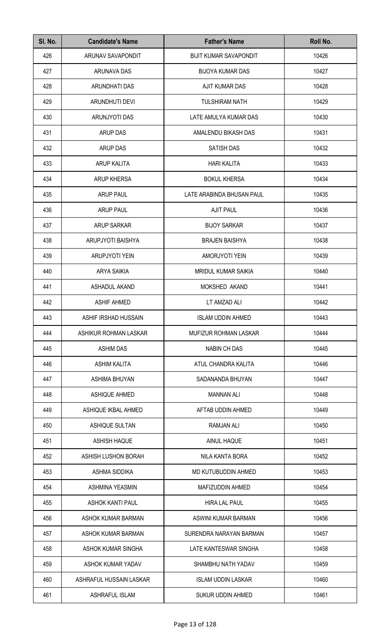| SI. No. | <b>Candidate's Name</b> | <b>Father's Name</b>          | Roll No. |
|---------|-------------------------|-------------------------------|----------|
| 426     | ARUNAV SAVAPONDIT       | <b>BIJIT KUMAR SAVAPONDIT</b> | 10426    |
| 427     | ARUNAVA DAS             | <b>BIJOYA KUMAR DAS</b>       | 10427    |
| 428     | ARUNDHATI DAS           | AJIT KUMAR DAS                | 10428    |
| 429     | ARUNDHUTI DEVI          | <b>TULSHIRAM NATH</b>         | 10429    |
| 430     | ARUNJYOTI DAS           | LATE AMULYA KUMAR DAS         | 10430    |
| 431     | <b>ARUP DAS</b>         | AMALENDU BIKASH DAS           | 10431    |
| 432     | <b>ARUP DAS</b>         | <b>SATISH DAS</b>             | 10432    |
| 433     | ARUP KALITA             | <b>HARI KALITA</b>            | 10433    |
| 434     | <b>ARUP KHERSA</b>      | <b>BOKUL KHERSA</b>           | 10434    |
| 435     | <b>ARUP PAUL</b>        | LATE ARABINDA BHUSAN PAUL     | 10435    |
| 436     | <b>ARUP PAUL</b>        | <b>AJIT PAUL</b>              | 10436    |
| 437     | <b>ARUP SARKAR</b>      | <b>BIJOY SARKAR</b>           | 10437    |
| 438     | ARUPJYOTI BAISHYA       | <b>BRAJEN BAISHYA</b>         | 10438    |
| 439     | <b>ARUPJYOTI YEIN</b>   | AMORJYOTI YEIN                | 10439    |
| 440     | <b>ARYA SAIKIA</b>      | <b>MRIDUL KUMAR SAIKIA</b>    | 10440    |
| 441     | ASHADUL AKAND           | MOKSHED AKAND                 | 10441    |
| 442     | <b>ASHIF AHMED</b>      | LT AMZAD ALI                  | 10442    |
| 443     | ASHIF IRSHAD HUSSAIN    | <b>ISLAM UDDIN AHMED</b>      | 10443    |
| 444     | ASHIKUR ROHMAN LASKAR   | MUFIZUR ROHMAN LASKAR         | 10444    |
| 445     | <b>ASHIM DAS</b>        | <b>NABIN CH DAS</b>           | 10445    |
| 446     | <b>ASHIM KALITA</b>     | ATUL CHANDRA KALITA           | 10446    |
| 447     | ASHIMA BHUYAN           | SADANANDA BHUYAN              | 10447    |
| 448     | ASHIQUE AHMED           | <b>MANNAN ALI</b>             | 10448    |
| 449     | ASHIQUE IKBAL AHMED     | AFTAB UDDIN AHMED             | 10449    |
| 450     | <b>ASHIQUE SULTAN</b>   | <b>RAMJAN ALI</b>             | 10450    |
| 451     | <b>ASHISH HAQUE</b>     | AINUL HAQUE                   | 10451    |
| 452     | ASHISH LUSHON BORAH     | NILA KANTA BORA               | 10452    |
| 453     | <b>ASHMA SIDDIKA</b>    | MD KUTUBUDDIN AHMED           | 10453    |
| 454     | <b>ASHMINA YEASMIN</b>  | MAFIZUDDIN AHMED              | 10454    |
| 455     | <b>ASHOK KANTI PAUL</b> | <b>HIRA LAL PAUL</b>          | 10455    |
| 456     | ASHOK KUMAR BARMAN      | ASWINI KUMAR BARMAN           | 10456    |
| 457     | ASHOK KUMAR BARMAN      | SURENDRA NARAYAN BARMAN       | 10457    |
| 458     | ASHOK KUMAR SINGHA      | LATE KANTESWAR SINGHA         | 10458    |
| 459     | ASHOK KUMAR YADAV       | SHAMBHU NATH YADAV            | 10459    |
| 460     | ASHRAFUL HUSSAIN LASKAR | <b>ISLAM UDDIN LASKAR</b>     | 10460    |
| 461     | <b>ASHRAFUL ISLAM</b>   | <b>SUKUR UDDIN AHMED</b>      | 10461    |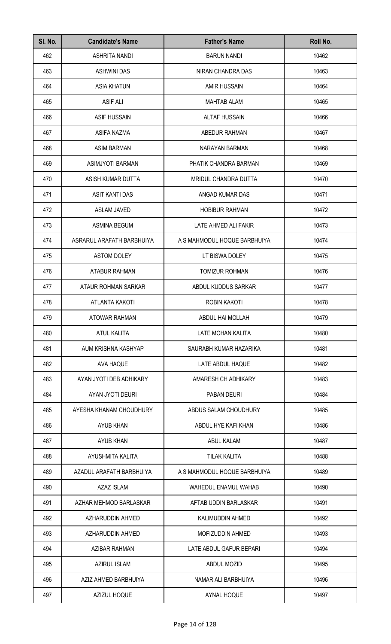| SI. No. | <b>Candidate's Name</b>   | <b>Father's Name</b>         | Roll No. |
|---------|---------------------------|------------------------------|----------|
| 462     | <b>ASHRITA NANDI</b>      | <b>BARUN NANDI</b>           | 10462    |
| 463     | <b>ASHWINI DAS</b>        | NIRAN CHANDRA DAS            | 10463    |
| 464     | <b>ASIA KHATUN</b>        | <b>AMIR HUSSAIN</b>          | 10464    |
| 465     | <b>ASIF ALI</b>           | <b>MAHTAB ALAM</b>           | 10465    |
| 466     | <b>ASIF HUSSAIN</b>       | <b>ALTAF HUSSAIN</b>         | 10466    |
| 467     | ASIFA NAZMA               | ABEDUR RAHMAN                | 10467    |
| 468     | <b>ASIM BARMAN</b>        | NARAYAN BARMAN               | 10468    |
| 469     | ASIMJYOTI BARMAN          | PHATIK CHANDRA BARMAN        | 10469    |
| 470     | ASISH KUMAR DUTTA         | MRIDUL CHANDRA DUTTA         | 10470    |
| 471     | ASIT KANTI DAS            | ANGAD KUMAR DAS              | 10471    |
| 472     | <b>ASLAM JAVED</b>        | <b>HOBIBUR RAHMAN</b>        | 10472    |
| 473     | <b>ASMINA BEGUM</b>       | LATE AHMED ALI FAKIR         | 10473    |
| 474     | ASRARUL ARAFATH BARBHUIYA | A S MAHMODUL HOQUE BARBHUIYA | 10474    |
| 475     | <b>ASTOM DOLEY</b>        | LT BISWA DOLEY               | 10475    |
| 476     | ATABUR RAHMAN             | <b>TOMIZUR ROHMAN</b>        | 10476    |
| 477     | ATAUR ROHMAN SARKAR       | ABDUL KUDDUS SARKAR          | 10477    |
| 478     | <b>ATLANTA KAKOTI</b>     | ROBIN KAKOTI                 | 10478    |
| 479     | <b>ATOWAR RAHMAN</b>      | ABDUL HAI MOLLAH             | 10479    |
| 480     | ATUL KALITA               | LATE MOHAN KALITA            | 10480    |
| 481     | AUM KRISHNA KASHYAP       | SAURABH KUMAR HAZARIKA       | 10481    |
| 482     | AVA HAQUE                 | LATE ABDUL HAQUE             | 10482    |
| 483     | AYAN JYOTI DEB ADHIKARY   | AMARESH CH ADHIKARY          | 10483    |
| 484     | AYAN JYOTI DEURI          | PABAN DEURI                  | 10484    |
| 485     | AYESHA KHANAM CHOUDHURY   | ABDUS SALAM CHOUDHURY        | 10485    |
| 486     | AYUB KHAN                 | ABDUL HYE KAFI KHAN          | 10486    |
| 487     | AYUB KHAN                 | ABUL KALAM                   | 10487    |
| 488     | AYUSHMITA KALITA          | <b>TILAK KALITA</b>          | 10488    |
| 489     | AZADUL ARAFATH BARBHUIYA  | A S MAHMODUL HOQUE BARBHUIYA | 10489    |
| 490     | <b>AZAZ ISLAM</b>         | WAHEDUL ENAMUL WAHAB         | 10490    |
| 491     | AZHAR MEHMOD BARLASKAR    | AFTAB UDDIN BARLASKAR        | 10491    |
| 492     | AZHARUDDIN AHMED          | KALIMUDDIN AHMED             | 10492    |
| 493     | AZHARUDDIN AHMED          | MOFIZUDDIN AHMED             | 10493    |
| 494     | <b>AZIBAR RAHMAN</b>      | LATE ABDUL GAFUR BEPARI      | 10494    |
| 495     | <b>AZIRUL ISLAM</b>       | ABDUL MOZID                  | 10495    |
| 496     | AZIZ AHMED BARBHUIYA      | NAMAR ALI BARBHUIYA          | 10496    |
| 497     | AZIZUL HOQUE              | AYNAL HOQUE                  | 10497    |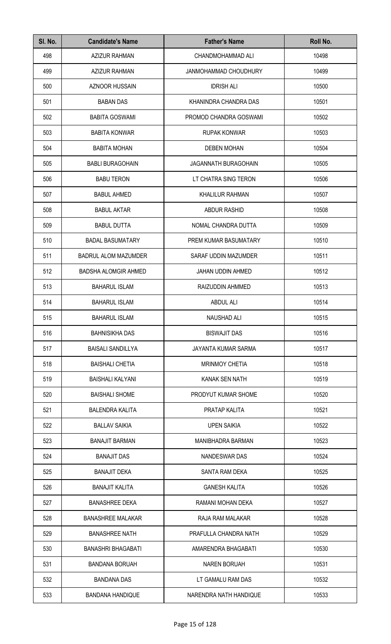| SI. No. | <b>Candidate's Name</b>     | <b>Father's Name</b>        | Roll No. |
|---------|-----------------------------|-----------------------------|----------|
| 498     | <b>AZIZUR RAHMAN</b>        | CHANDMOHAMMAD ALI           | 10498    |
| 499     | <b>AZIZUR RAHMAN</b>        | JANMOHAMMAD CHOUDHURY       | 10499    |
| 500     | <b>AZNOOR HUSSAIN</b>       | <b>IDRISH ALI</b>           | 10500    |
| 501     | <b>BABAN DAS</b>            | KHANINDRA CHANDRA DAS       | 10501    |
| 502     | <b>BABITA GOSWAMI</b>       | PROMOD CHANDRA GOSWAMI      | 10502    |
| 503     | <b>BABITA KONWAR</b>        | <b>RUPAK KONWAR</b>         | 10503    |
| 504     | <b>BABITA MOHAN</b>         | <b>DEBEN MOHAN</b>          | 10504    |
| 505     | <b>BABLI BURAGOHAIN</b>     | <b>JAGANNATH BURAGOHAIN</b> | 10505    |
| 506     | <b>BABU TERON</b>           | LT CHATRA SING TERON        | 10506    |
| 507     | <b>BABUL AHMED</b>          | <b>KHALILUR RAHMAN</b>      | 10507    |
| 508     | <b>BABUL AKTAR</b>          | <b>ABDUR RASHID</b>         | 10508    |
| 509     | <b>BABUL DUTTA</b>          | NOMAL CHANDRA DUTTA         | 10509    |
| 510     | <b>BADAL BASUMATARY</b>     | PREM KUMAR BASUMATARY       | 10510    |
| 511     | <b>BADRUL ALOM MAZUMDER</b> | SARAF UDDIN MAZUMDER        | 10511    |
| 512     | <b>BADSHA ALOMGIR AHMED</b> | <b>JAHAN UDDIN AHMED</b>    | 10512    |
| 513     | <b>BAHARUL ISLAM</b>        | RAIZUDDIN AHMMED            | 10513    |
| 514     | <b>BAHARUL ISLAM</b>        | <b>ABDUL ALI</b>            | 10514    |
| 515     | <b>BAHARUL ISLAM</b>        | NAUSHAD ALI                 | 10515    |
| 516     | <b>BAHNISIKHA DAS</b>       | <b>BISWAJIT DAS</b>         | 10516    |
| 517     | <b>BAISALI SANDILLYA</b>    | JAYANTA KUMAR SARMA         | 10517    |
| 518     | <b>BAISHALI CHETIA</b>      | <b>MRINMOY CHETIA</b>       | 10518    |
| 519     | <b>BAISHALI KALYANI</b>     | KANAK SEN NATH              | 10519    |
| 520     | <b>BAISHALI SHOME</b>       | PRODYUT KUMAR SHOME         | 10520    |
| 521     | <b>BALENDRA KALITA</b>      | PRATAP KALITA               | 10521    |
| 522     | <b>BALLAV SAIKIA</b>        | <b>UPEN SAIKIA</b>          | 10522    |
| 523     | <b>BANAJIT BARMAN</b>       | <b>MANIBHADRA BARMAN</b>    | 10523    |
| 524     | <b>BANAJIT DAS</b>          | NANDESWAR DAS               | 10524    |
| 525     | <b>BANAJIT DEKA</b>         | SANTA RAM DEKA              | 10525    |
| 526     | <b>BANAJIT KALITA</b>       | <b>GANESH KALITA</b>        | 10526    |
| 527     | <b>BANASHREE DEKA</b>       | RAMANI MOHAN DEKA           | 10527    |
| 528     | <b>BANASHREE MALAKAR</b>    | RAJA RAM MALAKAR            | 10528    |
| 529     | <b>BANASHREE NATH</b>       | PRAFULLA CHANDRA NATH       | 10529    |
| 530     | <b>BANASHRI BHAGABATI</b>   | AMARENDRA BHAGABATI         | 10530    |
| 531     | <b>BANDANA BORUAH</b>       | <b>NAREN BORUAH</b>         | 10531    |
| 532     | <b>BANDANA DAS</b>          | LT GAMALU RAM DAS           | 10532    |
| 533     | <b>BANDANA HANDIQUE</b>     | NARENDRA NATH HANDIQUE      | 10533    |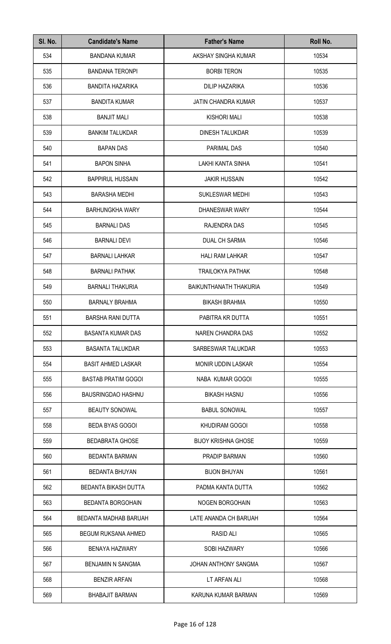| SI. No. | <b>Candidate's Name</b>     | <b>Father's Name</b>       | Roll No. |
|---------|-----------------------------|----------------------------|----------|
| 534     | <b>BANDANA KUMAR</b>        | AKSHAY SINGHA KUMAR        | 10534    |
| 535     | <b>BANDANA TERONPI</b>      | <b>BORBI TERON</b>         | 10535    |
| 536     | <b>BANDITA HAZARIKA</b>     | <b>DILIP HAZARIKA</b>      | 10536    |
| 537     | <b>BANDITA KUMAR</b>        | <b>JATIN CHANDRA KUMAR</b> | 10537    |
| 538     | <b>BANJIT MALI</b>          | <b>KISHORI MALI</b>        | 10538    |
| 539     | <b>BANKIM TALUKDAR</b>      | <b>DINESH TALUKDAR</b>     | 10539    |
| 540     | <b>BAPAN DAS</b>            | PARIMAL DAS                | 10540    |
| 541     | <b>BAPON SINHA</b>          | LAKHI KANTA SINHA          | 10541    |
| 542     | <b>BAPPIRUL HUSSAIN</b>     | <b>JAKIR HUSSAIN</b>       | 10542    |
| 543     | <b>BARASHA MEDHI</b>        | <b>SUKLESWAR MEDHI</b>     | 10543    |
| 544     | <b>BARHUNGKHA WARY</b>      | <b>DHANESWAR WARY</b>      | 10544    |
| 545     | <b>BARNALI DAS</b>          | RAJENDRA DAS               | 10545    |
| 546     | <b>BARNALI DEVI</b>         | <b>DUAL CH SARMA</b>       | 10546    |
| 547     | <b>BARNALI LAHKAR</b>       | <b>HALI RAM LAHKAR</b>     | 10547    |
| 548     | <b>BARNALI PATHAK</b>       | <b>TRAILOKYA PATHAK</b>    | 10548    |
| 549     | <b>BARNALI THAKURIA</b>     | BAIKUNTHANATH THAKURIA     | 10549    |
| 550     | <b>BARNALY BRAHMA</b>       | <b>BIKASH BRAHMA</b>       | 10550    |
| 551     | BARSHA RANI DUTTA           | PABITRA KR DUTTA           | 10551    |
| 552     | <b>BASANTA KUMAR DAS</b>    | NAREN CHANDRA DAS          | 10552    |
| 553     | <b>BASANTA TALUKDAR</b>     | SARBESWAR TALUKDAR         | 10553    |
| 554     | <b>BASIT AHMED LASKAR</b>   | <b>MONIR UDDIN LASKAR</b>  | 10554    |
| 555     | <b>BASTAB PRATIM GOGOI</b>  | NABA KUMAR GOGOI           | 10555    |
| 556     | <b>BAUSRINGDAO HASHNU</b>   | <b>BIKASH HASNU</b>        | 10556    |
| 557     | <b>BEAUTY SONOWAL</b>       | <b>BABUL SONOWAL</b>       | 10557    |
| 558     | <b>BEDA BYAS GOGOI</b>      | <b>KHUDIRAM GOGOI</b>      | 10558    |
| 559     | <b>BEDABRATA GHOSE</b>      | <b>BIJOY KRISHNA GHOSE</b> | 10559    |
| 560     | <b>BEDANTA BARMAN</b>       | PRADIP BARMAN              | 10560    |
| 561     | <b>BEDANTA BHUYAN</b>       | <b>BIJON BHUYAN</b>        | 10561    |
| 562     | <b>BEDANTA BIKASH DUTTA</b> | PADMA KANTA DUTTA          | 10562    |
| 563     | <b>BEDANTA BORGOHAIN</b>    | <b>NOGEN BORGOHAIN</b>     | 10563    |
| 564     | BEDANTA MADHAB BARUAH       | LATE ANANDA CH BARUAH      | 10564    |
| 565     | <b>BEGUM RUKSANA AHMED</b>  | <b>RASID ALI</b>           | 10565    |
| 566     | <b>BENAYA HAZWARY</b>       | <b>SOBI HAZWARY</b>        | 10566    |
| 567     | <b>BENJAMIN N SANGMA</b>    | JOHAN ANTHONY SANGMA       | 10567    |
| 568     | <b>BENZIR ARFAN</b>         | LT ARFAN ALI               | 10568    |
| 569     | <b>BHABAJIT BARMAN</b>      | KARUNA KUMAR BARMAN        | 10569    |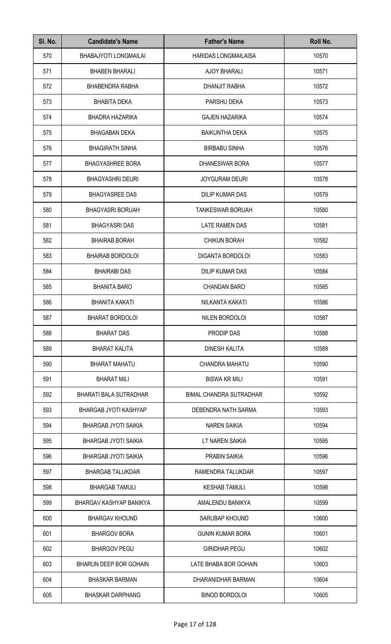| SI. No. | <b>Candidate's Name</b>       | <b>Father's Name</b>           | Roll No. |
|---------|-------------------------------|--------------------------------|----------|
| 570     | BHABAJYOTI LONGMAILAI         | <b>HARIDAS LONGMAILAISA</b>    | 10570    |
| 571     | <b>BHABEN BHARALI</b>         | AJOY BHARALI                   | 10571    |
| 572     | <b>BHABENDRA RABHA</b>        | DHANJIT RABHA                  | 10572    |
| 573     | <b>BHABITA DEKA</b>           | PARSHU DEKA                    | 10573    |
| 574     | <b>BHADRA HAZARIKA</b>        | <b>GAJEN HAZARIKA</b>          | 10574    |
| 575     | <b>BHAGABAN DEKA</b>          | <b>BAIKUNTHA DEKA</b>          | 10575    |
| 576     | <b>BHAGIRATH SINHA</b>        | <b>BIRBABU SINHA</b>           | 10576    |
| 577     | <b>BHAGYASHREE BORA</b>       | <b>DHANESWAR BORA</b>          | 10577    |
| 578     | <b>BHAGYASHRI DEURI</b>       | <b>JOYGURAM DEURI</b>          | 10578    |
| 579     | <b>BHAGYASREE DAS</b>         | DILIP KUMAR DAS                | 10579    |
| 580     | <b>BHAGYASRI BORUAH</b>       | <b>TANKESWAR BORUAH</b>        | 10580    |
| 581     | <b>BHAGYASRI DAS</b>          | LATE RAMEN DAS                 | 10581    |
| 582     | <b>BHAIRAB BORAH</b>          | <b>CHIKUN BORAH</b>            | 10582    |
| 583     | <b>BHAIRAB BORDOLOI</b>       | DIGANTA BORDOLOI               | 10583    |
| 584     | <b>BHAIRABI DAS</b>           | DILIP KUMAR DAS                | 10584    |
| 585     | <b>BHANITA BARO</b>           | <b>CHANDAN BARO</b>            | 10585    |
| 586     | <b>BHANITA KAKATI</b>         | NILKANTA KAKATI                | 10586    |
| 587     | <b>BHARAT BORDOLOI</b>        | NILEN BORDOLOI                 | 10587    |
| 588     | <b>BHARAT DAS</b>             | PRODIP DAS                     | 10588    |
| 589     | <b>BHARAT KALITA</b>          | DINESH KALITA                  | 10589    |
| 590     | <b>BHARAT MAHATU</b>          | CHANDRA MAHATU                 | 10590    |
| 591     | <b>BHARAT MILI</b>            | <b>BISWA KR MILI</b>           | 10591    |
| 592     | <b>BHARATI BALA SUTRADHAR</b> | <b>BIMAL CHANDRA SUTRADHAR</b> | 10592    |
| 593     | BHARGAB JYOTI KASHYAP         | DEBENDRA NATH SARMA            | 10593    |
| 594     | <b>BHARGAB JYOTI SAIKIA</b>   | <b>NAREN SAIKIA</b>            | 10594    |
| 595     | <b>BHARGAB JYOTI SAIKIA</b>   | LT NAREN SAIKIA                | 10595    |
| 596     | <b>BHARGAB JYOTI SAIKIA</b>   | <b>PRABIN SAIKIA</b>           | 10596    |
| 597     | <b>BHARGAB TALUKDAR</b>       | RAMENDRA TALUKDAR              | 10597    |
| 598     | <b>BHARGAB TAMULI</b>         | <b>KESHAB TAMULI</b>           | 10598    |
| 599     | BHARGAV KASHYAP BANIKYA       | AMALENDU BANIKYA               | 10599    |
| 600     | <b>BHARGAV KHOUND</b>         | SARUBAP KHOUND                 | 10600    |
| 601     | <b>BHARGOV BORA</b>           | <b>GUNIN KUMAR BORA</b>        | 10601    |
| 602     | <b>BHARGOV PEGU</b>           | <b>GIRIDHAR PEGU</b>           | 10602    |
| 603     | <b>BHARUN DEEP BOR GOHAIN</b> | LATE BHABA BOR GOHAIN          | 10603    |
| 604     | <b>BHASKAR BARMAN</b>         | DHARANIDHAR BARMAN             | 10604    |
| 605     | <b>BHASKAR DARPHANG</b>       | <b>BINOD BORDOLOI</b>          | 10605    |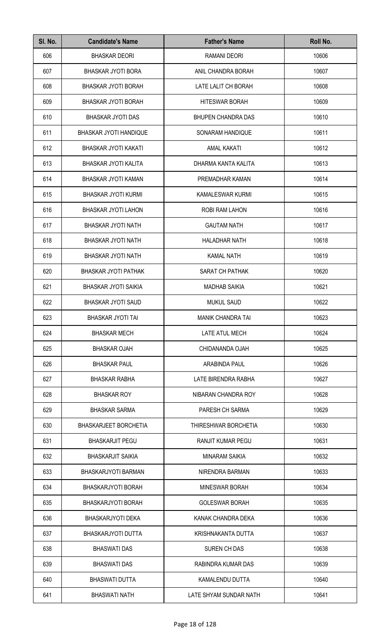| SI. No. | <b>Candidate's Name</b>     | <b>Father's Name</b>      | Roll No. |
|---------|-----------------------------|---------------------------|----------|
| 606     | <b>BHASKAR DEORI</b>        | <b>RAMANI DEORI</b>       | 10606    |
| 607     | <b>BHASKAR JYOTI BORA</b>   | ANIL CHANDRA BORAH        | 10607    |
| 608     | <b>BHASKAR JYOTI BORAH</b>  | LATE LALIT CH BORAH       | 10608    |
| 609     | <b>BHASKAR JYOTI BORAH</b>  | <b>HITESWAR BORAH</b>     | 10609    |
| 610     | <b>BHASKAR JYOTI DAS</b>    | <b>BHUPEN CHANDRA DAS</b> | 10610    |
| 611     | BHASKAR JYOTI HANDIQUE      | SONARAM HANDIQUE          | 10611    |
| 612     | BHASKAR JYOTI KAKATI        | <b>AMAL KAKATI</b>        | 10612    |
| 613     | BHASKAR JYOTI KALITA        | DHARMA KANTA KALITA       | 10613    |
| 614     | BHASKAR JYOTI KAMAN         | PREMADHAR KAMAN           | 10614    |
| 615     | <b>BHASKAR JYOTI KURMI</b>  | KAMALESWAR KURMI          | 10615    |
| 616     | <b>BHASKAR JYOTI LAHON</b>  | ROBI RAM LAHON            | 10616    |
| 617     | <b>BHASKAR JYOTI NATH</b>   | <b>GAUTAM NATH</b>        | 10617    |
| 618     | <b>BHASKAR JYOTI NATH</b>   | <b>HALADHAR NATH</b>      | 10618    |
| 619     | <b>BHASKAR JYOTI NATH</b>   | <b>KAMAL NATH</b>         | 10619    |
| 620     | BHASKAR JYOTI PATHAK        | SARAT CH PATHAK           | 10620    |
| 621     | <b>BHASKAR JYOTI SAIKIA</b> | <b>MADHAB SAIKIA</b>      | 10621    |
| 622     | <b>BHASKAR JYOTI SAUD</b>   | <b>MUKUL SAUD</b>         | 10622    |
| 623     | BHASKAR JYOTI TAI           | <b>MANIK CHANDRA TAI</b>  | 10623    |
| 624     | <b>BHASKAR MECH</b>         | LATE ATUL MECH            | 10624    |
| 625     | <b>BHASKAR OJAH</b>         | CHIDANANDA OJAH           | 10625    |
| 626     | <b>BHASKAR PAUL</b>         | ARABINDA PAUL             | 10626    |
| 627     | <b>BHASKAR RABHA</b>        | LATE BIRENDRA RABHA       | 10627    |
| 628     | <b>BHASKAR ROY</b>          | NIBARAN CHANDRA ROY       | 10628    |
| 629     | <b>BHASKAR SARMA</b>        | PARESH CH SARMA           | 10629    |
| 630     | BHASKARJEET BORCHETIA       | THIRESHWAR BORCHETIA      | 10630    |
| 631     | <b>BHASKARJIT PEGU</b>      | <b>RANJIT KUMAR PEGU</b>  | 10631    |
| 632     | <b>BHASKARJIT SAIKIA</b>    | <b>MINARAM SAIKIA</b>     | 10632    |
| 633     | BHASKARJYOTI BARMAN         | NIRENDRA BARMAN           | 10633    |
| 634     | BHASKARJYOTI BORAH          | <b>MINESWAR BORAH</b>     | 10634    |
| 635     | BHASKARJYOTI BORAH          | <b>GOLESWAR BORAH</b>     | 10635    |
| 636     | <b>BHASKARJYOTI DEKA</b>    | KANAK CHANDRA DEKA        | 10636    |
| 637     | BHASKARJYOTI DUTTA          | KRISHNAKANTA DUTTA        | 10637    |
| 638     | <b>BHASWATI DAS</b>         | <b>SUREN CH DAS</b>       | 10638    |
| 639     | <b>BHASWATI DAS</b>         | RABINDRA KUMAR DAS        | 10639    |
| 640     | <b>BHASWATI DUTTA</b>       | KAMALENDU DUTTA           | 10640    |
| 641     | <b>BHASWATI NATH</b>        | LATE SHYAM SUNDAR NATH    | 10641    |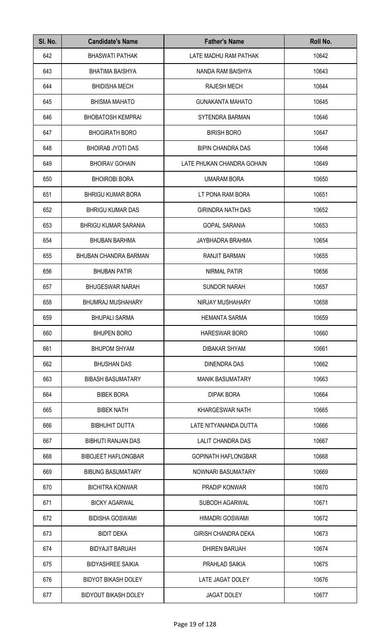| SI. No. | <b>Candidate's Name</b>     | <b>Father's Name</b>       | Roll No. |
|---------|-----------------------------|----------------------------|----------|
| 642     | <b>BHASWATI PATHAK</b>      | LATE MADHU RAM PATHAK      | 10642    |
| 643     | <b>BHATIMA BAISHYA</b>      | NANDA RAM BAISHYA          | 10643    |
| 644     | <b>BHIDISHA MECH</b>        | <b>RAJESH MECH</b>         | 10644    |
| 645     | <b>BHISMA MAHATO</b>        | <b>GUNAKANTA MAHATO</b>    | 10645    |
| 646     | <b>BHOBATOSH KEMPRAI</b>    | SYTENDRA BARMAN            | 10646    |
| 647     | <b>BHOGIRATH BORO</b>       | <b>BIRISH BORO</b>         | 10647    |
| 648     | <b>BHOIRAB JYOTI DAS</b>    | <b>BIPIN CHANDRA DAS</b>   | 10648    |
| 649     | <b>BHOIRAV GOHAIN</b>       | LATE PHUKAN CHANDRA GOHAIN | 10649    |
| 650     | <b>BHOIROBI BORA</b>        | <b>UMARAM BORA</b>         | 10650    |
| 651     | <b>BHRIGU KUMAR BORA</b>    | LT PONA RAM BORA           | 10651    |
| 652     | <b>BHRIGU KUMAR DAS</b>     | <b>GIRINDRA NATH DAS</b>   | 10652    |
| 653     | <b>BHRIGU KUMAR SARANIA</b> | <b>GOPAL SARANIA</b>       | 10653    |
| 654     | <b>BHUBAN BARHMA</b>        | JAYBHADRA BRAHMA           | 10654    |
| 655     | BHUBAN CHANDRA BARMAN       | <b>RANJIT BARMAN</b>       | 10655    |
| 656     | <b>BHUBAN PATIR</b>         | NIRMAL PATIR               | 10656    |
| 657     | <b>BHUGESWAR NARAH</b>      | <b>SUNDOR NARAH</b>        | 10657    |
| 658     | <b>BHUMRAJ MUSHAHARY</b>    | NIRJAY MUSHAHARY           | 10658    |
| 659     | <b>BHUPALI SARMA</b>        | <b>HEMANTA SARMA</b>       | 10659    |
| 660     | <b>BHUPEN BORO</b>          | <b>HARESWAR BORO</b>       | 10660    |
| 661     | <b>BHUPOM SHYAM</b>         | <b>DIBAKAR SHYAM</b>       | 10661    |
| 662     | <b>BHUSHAN DAS</b>          | DINENDRA DAS               | 10662    |
| 663     | <b>BIBASH BASUMATARY</b>    | <b>MANIK BASUMATARY</b>    | 10663    |
| 664     | <b>BIBEK BORA</b>           | <b>DIPAK BORA</b>          | 10664    |
| 665     | <b>BIBEK NATH</b>           | KHARGESWAR NATH            | 10665    |
| 666     | <b>BIBHUHIT DUTTA</b>       | LATE NITYANANDA DUTTA      | 10666    |
| 667     | <b>BIBHUTI RANJAN DAS</b>   | LALIT CHANDRA DAS          | 10667    |
| 668     | <b>BIBOJEET HAFLONGBAR</b>  | <b>GOPINATH HAFLONGBAR</b> | 10668    |
| 669     | <b>BIBUNG BASUMATARY</b>    | NOWNARI BASUMATARY         | 10669    |
| 670     | <b>BICHITRA KONWAR</b>      | PRADIP KONWAR              | 10670    |
| 671     | <b>BICKY AGARWAL</b>        | <b>SUBODH AGARWAL</b>      | 10671    |
| 672     | <b>BIDISHA GOSWAMI</b>      | <b>HIMADRI GOSWAMI</b>     | 10672    |
| 673     | <b>BIDIT DEKA</b>           | <b>GIRISH CHANDRA DEKA</b> | 10673    |
| 674     | <b>BIDYAJIT BARUAH</b>      | <b>DHIREN BARUAH</b>       | 10674    |
| 675     | <b>BIDYASHREE SAIKIA</b>    | PRAHLAD SAIKIA             | 10675    |
| 676     | <b>BIDYOT BIKASH DOLEY</b>  | LATE JAGAT DOLEY           | 10676    |
| 677     | <b>BIDYOUT BIKASH DOLEY</b> | <b>JAGAT DOLEY</b>         | 10677    |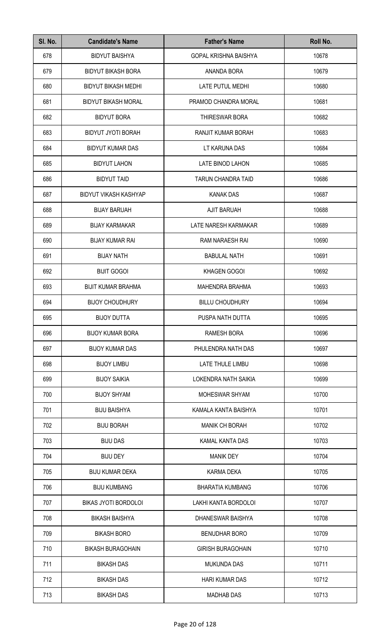| SI. No. | <b>Candidate's Name</b>      | <b>Father's Name</b>      | Roll No. |
|---------|------------------------------|---------------------------|----------|
| 678     | <b>BIDYUT BAISHYA</b>        | GOPAL KRISHNA BAISHYA     | 10678    |
| 679     | <b>BIDYUT BIKASH BORA</b>    | ANANDA BORA               | 10679    |
| 680     | <b>BIDYUT BIKASH MEDHI</b>   | LATE PUTUL MEDHI          | 10680    |
| 681     | <b>BIDYUT BIKASH MORAL</b>   | PRAMOD CHANDRA MORAL      | 10681    |
| 682     | <b>BIDYUT BORA</b>           | THIRESWAR BORA            | 10682    |
| 683     | <b>BIDYUT JYOTI BORAH</b>    | RANJIT KUMAR BORAH        | 10683    |
| 684     | <b>BIDYUT KUMAR DAS</b>      | LT KARUNA DAS             | 10684    |
| 685     | <b>BIDYUT LAHON</b>          | LATE BINOD LAHON          | 10685    |
| 686     | <b>BIDYUT TAID</b>           | <b>TARUN CHANDRA TAID</b> | 10686    |
| 687     | <b>BIDYUT VIKASH KASHYAP</b> | <b>KANAK DAS</b>          | 10687    |
| 688     | <b>BIJAY BARUAH</b>          | <b>AJIT BARUAH</b>        | 10688    |
| 689     | <b>BIJAY KARMAKAR</b>        | LATE NARESH KARMAKAR      | 10689    |
| 690     | <b>BIJAY KUMAR RAI</b>       | RAM NARAESH RAI           | 10690    |
| 691     | <b>BIJAY NATH</b>            | <b>BABULAL NATH</b>       | 10691    |
| 692     | <b>BIJIT GOGOI</b>           | KHAGEN GOGOI              | 10692    |
| 693     | <b>BIJIT KUMAR BRAHMA</b>    | <b>MAHENDRA BRAHMA</b>    | 10693    |
| 694     | <b>BIJOY CHOUDHURY</b>       | <b>BILLU CHOUDHURY</b>    | 10694    |
| 695     | <b>BIJOY DUTTA</b>           | PUSPA NATH DUTTA          | 10695    |
| 696     | <b>BIJOY KUMAR BORA</b>      | <b>RAMESH BORA</b>        | 10696    |
| 697     | <b>BIJOY KUMAR DAS</b>       | PHULENDRA NATH DAS        | 10697    |
| 698     | <b>BIJOY LIMBU</b>           | LATE THULE LIMBU          | 10698    |
| 699     | <b>BIJOY SAIKIA</b>          | LOKENDRA NATH SAIKIA      | 10699    |
| 700     | <b>BIJOY SHYAM</b>           | <b>MOHESWAR SHYAM</b>     | 10700    |
| 701     | <b>BIJU BAISHYA</b>          | KAMALA KANTA BAISHYA      | 10701    |
| 702     | <b>BIJU BORAH</b>            | <b>MANIK CH BORAH</b>     | 10702    |
| 703     | <b>BIJU DAS</b>              | KAMAL KANTA DAS           | 10703    |
| 704     | <b>BIJU DEY</b>              | <b>MANIK DEY</b>          | 10704    |
| 705     | <b>BIJU KUMAR DEKA</b>       | <b>KARMA DEKA</b>         | 10705    |
| 706     | <b>BIJU KUMBANG</b>          | <b>BHARATIA KUMBANG</b>   | 10706    |
| 707     | <b>BIKAS JYOTI BORDOLOI</b>  | LAKHI KANTA BORDOLOI      | 10707    |
| 708     | <b>BIKASH BAISHYA</b>        | DHANESWAR BAISHYA         | 10708    |
| 709     | <b>BIKASH BORO</b>           | <b>BENUDHAR BORO</b>      | 10709    |
| 710     | <b>BIKASH BURAGOHAIN</b>     | <b>GIRISH BURAGOHAIN</b>  | 10710    |
| 711     | <b>BIKASH DAS</b>            | <b>MUKUNDA DAS</b>        | 10711    |
| 712     | <b>BIKASH DAS</b>            | <b>HARI KUMAR DAS</b>     | 10712    |
| 713     | <b>BIKASH DAS</b>            | <b>MADHAB DAS</b>         | 10713    |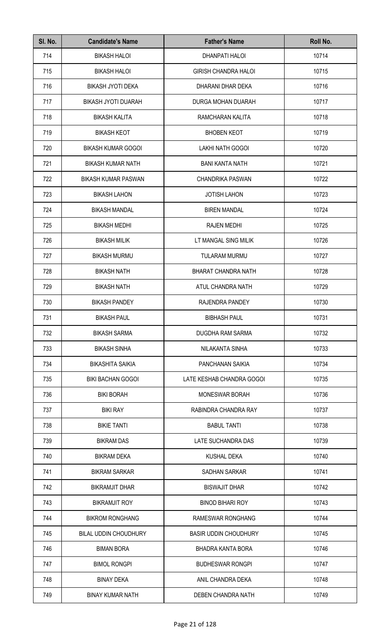| SI. No. | <b>Candidate's Name</b>      | <b>Father's Name</b>         | Roll No. |
|---------|------------------------------|------------------------------|----------|
| 714     | <b>BIKASH HALOI</b>          | <b>DHANPATI HALOI</b>        | 10714    |
| 715     | <b>BIKASH HALOI</b>          | <b>GIRISH CHANDRA HALOI</b>  | 10715    |
| 716     | <b>BIKASH JYOTI DEKA</b>     | DHARANI DHAR DEKA            | 10716    |
| 717     | <b>BIKASH JYOTI DUARAH</b>   | DURGA MOHAN DUARAH           | 10717    |
| 718     | <b>BIKASH KALITA</b>         | RAMCHARAN KALITA             | 10718    |
| 719     | <b>BIKASH KEOT</b>           | <b>BHOBEN KEOT</b>           | 10719    |
| 720     | <b>BIKASH KUMAR GOGOI</b>    | LAKHI NATH GOGOI             | 10720    |
| 721     | <b>BIKASH KUMAR NATH</b>     | <b>BANI KANTA NATH</b>       | 10721    |
| 722     | <b>BIKASH KUMAR PASWAN</b>   | <b>CHANDRIKA PASWAN</b>      | 10722    |
| 723     | <b>BIKASH LAHON</b>          | <b>JOTISH LAHON</b>          | 10723    |
| 724     | <b>BIKASH MANDAL</b>         | <b>BIREN MANDAL</b>          | 10724    |
| 725     | <b>BIKASH MEDHI</b>          | <b>RAJEN MEDHI</b>           | 10725    |
| 726     | <b>BIKASH MILIK</b>          | LT MANGAL SING MILIK         | 10726    |
| 727     | <b>BIKASH MURMU</b>          | <b>TULARAM MURMU</b>         | 10727    |
| 728     | <b>BIKASH NATH</b>           | <b>BHARAT CHANDRA NATH</b>   | 10728    |
| 729     | <b>BIKASH NATH</b>           | ATUL CHANDRA NATH            | 10729    |
| 730     | <b>BIKASH PANDEY</b>         | RAJENDRA PANDEY              | 10730    |
| 731     | <b>BIKASH PAUL</b>           | <b>BIBHASH PAUL</b>          | 10731    |
| 732     | <b>BIKASH SARMA</b>          | DUGDHA RAM SARMA             | 10732    |
| 733     | <b>BIKASH SINHA</b>          | NILAKANTA SINHA              | 10733    |
| 734     | <b>BIKASHITA SAIKIA</b>      | PANCHANAN SAIKIA             | 10734    |
| 735     | <b>BIKI BACHAN GOGOI</b>     | LATE KESHAB CHANDRA GOGOI    | 10735    |
| 736     | <b>BIKI BORAH</b>            | <b>MONESWAR BORAH</b>        | 10736    |
| 737     | <b>BIKI RAY</b>              | RABINDRA CHANDRA RAY         | 10737    |
| 738     | <b>BIKIE TANTI</b>           | <b>BABUL TANTI</b>           | 10738    |
| 739     | <b>BIKRAM DAS</b>            | LATE SUCHANDRA DAS           | 10739    |
| 740     | <b>BIKRAM DEKA</b>           | <b>KUSHAL DEKA</b>           | 10740    |
| 741     | <b>BIKRAM SARKAR</b>         | SADHAN SARKAR                | 10741    |
| 742     | <b>BIKRAMJIT DHAR</b>        | <b>BISWAJIT DHAR</b>         | 10742    |
| 743     | <b>BIKRAMJIT ROY</b>         | <b>BINOD BIHARI ROY</b>      | 10743    |
| 744     | <b>BIKROM RONGHANG</b>       | RAMESWAR RONGHANG            | 10744    |
| 745     | <b>BILAL UDDIN CHOUDHURY</b> | <b>BASIR UDDIN CHOUDHURY</b> | 10745    |
| 746     | <b>BIMAN BORA</b>            | <b>BHADRA KANTA BORA</b>     | 10746    |
| 747     | <b>BIMOL RONGPI</b>          | <b>BUDHESWAR RONGPI</b>      | 10747    |
| 748     | <b>BINAY DEKA</b>            | ANIL CHANDRA DEKA            | 10748    |
| 749     | <b>BINAY KUMAR NATH</b>      | <b>DEBEN CHANDRA NATH</b>    | 10749    |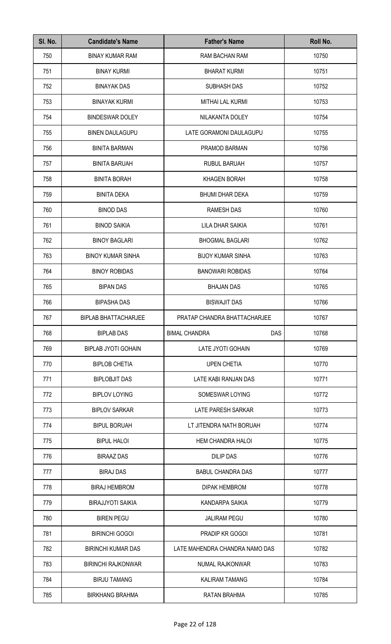| SI. No. | <b>Candidate's Name</b>     | <b>Father's Name</b>           | Roll No. |
|---------|-----------------------------|--------------------------------|----------|
| 750     | <b>BINAY KUMAR RAM</b>      | RAM BACHAN RAM                 | 10750    |
| 751     | <b>BINAY KURMI</b>          | <b>BHARAT KURMI</b>            | 10751    |
| 752     | <b>BINAYAK DAS</b>          | <b>SUBHASH DAS</b>             | 10752    |
| 753     | <b>BINAYAK KURMI</b>        | <b>MITHAI LAL KURMI</b>        | 10753    |
| 754     | <b>BINDESWAR DOLEY</b>      | NILAKANTA DOLEY                | 10754    |
| 755     | <b>BINEN DAULAGUPU</b>      | LATE GORAMONI DAULAGUPU        | 10755    |
| 756     | <b>BINITA BARMAN</b>        | PRAMOD BARMAN                  | 10756    |
| 757     | <b>BINITA BARUAH</b>        | <b>RUBUL BARUAH</b>            | 10757    |
| 758     | <b>BINITA BORAH</b>         | <b>KHAGEN BORAH</b>            | 10758    |
| 759     | <b>BINITA DEKA</b>          | <b>BHUMI DHAR DEKA</b>         | 10759    |
| 760     | <b>BINOD DAS</b>            | <b>RAMESH DAS</b>              | 10760    |
| 761     | <b>BINOD SAIKIA</b>         | LILA DHAR SAIKIA               | 10761    |
| 762     | <b>BINOY BAGLARI</b>        | <b>BHOGMAL BAGLARI</b>         | 10762    |
| 763     | <b>BINOY KUMAR SINHA</b>    | <b>BIJOY KUMAR SINHA</b>       | 10763    |
| 764     | <b>BINOY ROBIDAS</b>        | <b>BANOWARI ROBIDAS</b>        | 10764    |
| 765     | <b>BIPAN DAS</b>            | <b>BHAJAN DAS</b>              | 10765    |
| 766     | <b>BIPASHA DAS</b>          | <b>BISWAJIT DAS</b>            | 10766    |
| 767     | <b>BIPLAB BHATTACHARJEE</b> | PRATAP CHANDRA BHATTACHARJEE   | 10767    |
| 768     | <b>BIPLAB DAS</b>           | DAS<br><b>BIMAL CHANDRA</b>    | 10768    |
| 769     | <b>BIPLAB JYOTI GOHAIN</b>  | LATE JYOTI GOHAIN              | 10769    |
| 770     | <b>BIPLOB CHETIA</b>        | <b>UPEN CHETIA</b>             | 10770    |
| 771     | <b>BIPLOBJIT DAS</b>        | LATE KABI RANJAN DAS           | 10771    |
| 772     | <b>BIPLOV LOYING</b>        | SOMESWAR LOYING                | 10772    |
| 773     | <b>BIPLOV SARKAR</b>        | LATE PARESH SARKAR             | 10773    |
| 774     | <b>BIPUL BORUAH</b>         | LT JITENDRA NATH BORUAH        | 10774    |
| 775     | <b>BIPUL HALOI</b>          | HEM CHANDRA HALOI              | 10775    |
| 776     | <b>BIRAAZ DAS</b>           | <b>DILIP DAS</b>               | 10776    |
| 777     | <b>BIRAJ DAS</b>            | <b>BABUL CHANDRA DAS</b>       | 10777    |
| 778     | <b>BIRAJ HEMBROM</b>        | <b>DIPAK HEMBROM</b>           | 10778    |
| 779     | <b>BIRAJJYOTI SAIKIA</b>    | KANDARPA SAIKIA                | 10779    |
| 780     | <b>BIREN PEGU</b>           | <b>JALIRAM PEGU</b>            | 10780    |
| 781     | <b>BIRINCHI GOGOI</b>       | PRADIP KR GOGOI                | 10781    |
| 782     | <b>BIRINCHI KUMAR DAS</b>   | LATE MAHENDRA CHANDRA NAMO DAS | 10782    |
| 783     | <b>BIRINCHI RAJKONWAR</b>   | <b>NUMAL RAJKONWAR</b>         | 10783    |
| 784     | <b>BIRJU TAMANG</b>         | <b>KALIRAM TAMANG</b>          | 10784    |
| 785     | <b>BIRKHANG BRAHMA</b>      | <b>RATAN BRAHMA</b>            | 10785    |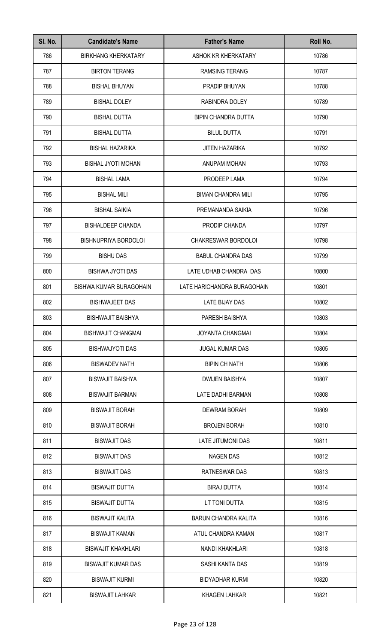| SI. No. | <b>Candidate's Name</b>        | <b>Father's Name</b>        | Roll No. |
|---------|--------------------------------|-----------------------------|----------|
| 786     | <b>BIRKHANG KHERKATARY</b>     | ASHOK KR KHERKATARY         | 10786    |
| 787     | <b>BIRTON TERANG</b>           | <b>RAMSING TERANG</b>       | 10787    |
| 788     | <b>BISHAL BHUYAN</b>           | PRADIP BHUYAN               | 10788    |
| 789     | <b>BISHAL DOLEY</b>            | RABINDRA DOLEY              | 10789    |
| 790     | <b>BISHAL DUTTA</b>            | <b>BIPIN CHANDRA DUTTA</b>  | 10790    |
| 791     | <b>BISHAL DUTTA</b>            | <b>BILUL DUTTA</b>          | 10791    |
| 792     | <b>BISHAL HAZARIKA</b>         | <b>JITEN HAZARIKA</b>       | 10792    |
| 793     | <b>BISHAL JYOTI MOHAN</b>      | ANUPAM MOHAN                | 10793    |
| 794     | <b>BISHAL LAMA</b>             | PRODEEP LAMA                | 10794    |
| 795     | <b>BISHAL MILI</b>             | <b>BIMAN CHANDRA MILI</b>   | 10795    |
| 796     | <b>BISHAL SAIKIA</b>           | PREMANANDA SAIKIA           | 10796    |
| 797     | <b>BISHALDEEP CHANDA</b>       | PRODIP CHANDA               | 10797    |
| 798     | BISHNUPRIYA BORDOLOI           | CHAKRESWAR BORDOLOI         | 10798    |
| 799     | <b>BISHU DAS</b>               | <b>BABUL CHANDRA DAS</b>    | 10799    |
| 800     | <b>BISHWA JYOTI DAS</b>        | LATE UDHAB CHANDRA DAS      | 10800    |
| 801     | <b>BISHWA KUMAR BURAGOHAIN</b> | LATE HARICHANDRA BURAGOHAIN | 10801    |
| 802     | <b>BISHWAJEET DAS</b>          | <b>LATE BIJAY DAS</b>       | 10802    |
| 803     | <b>BISHWAJIT BAISHYA</b>       | PARESH BAISHYA              | 10803    |
| 804     | <b>BISHWAJIT CHANGMAI</b>      | <b>JOYANTA CHANGMAI</b>     | 10804    |
| 805     | BISHWAJYOTI DAS                | <b>JUGAL KUMAR DAS</b>      | 10805    |
| 806     | <b>BISWADEV NATH</b>           | <b>BIPIN CH NATH</b>        | 10806    |
| 807     | <b>BISWAJIT BAISHYA</b>        | <b>DWIJEN BAISHYA</b>       | 10807    |
| 808     | <b>BISWAJIT BARMAN</b>         | LATE DADHI BARMAN           | 10808    |
| 809     | <b>BISWAJIT BORAH</b>          | <b>DEWRAM BORAH</b>         | 10809    |
| 810     | <b>BISWAJIT BORAH</b>          | <b>BROJEN BORAH</b>         | 10810    |
| 811     | <b>BISWAJIT DAS</b>            | LATE JITUMONI DAS           | 10811    |
| 812     | <b>BISWAJIT DAS</b>            | <b>NAGEN DAS</b>            | 10812    |
| 813     | <b>BISWAJIT DAS</b>            | RATNESWAR DAS               | 10813    |
| 814     | <b>BISWAJIT DUTTA</b>          | <b>BIRAJ DUTTA</b>          | 10814    |
| 815     | <b>BISWAJIT DUTTA</b>          | LT TONI DUTTA               | 10815    |
| 816     | <b>BISWAJIT KALITA</b>         | <b>BARUN CHANDRA KALITA</b> | 10816    |
| 817     | <b>BISWAJIT KAMAN</b>          | ATUL CHANDRA KAMAN          | 10817    |
| 818     | <b>BISWAJIT KHAKHLARI</b>      | NANDI KHAKHLARI             | 10818    |
| 819     | <b>BISWAJIT KUMAR DAS</b>      | SASHI KANTA DAS             | 10819    |
| 820     | <b>BISWAJIT KURMI</b>          | <b>BIDYADHAR KURMI</b>      | 10820    |
| 821     | <b>BISWAJIT LAHKAR</b>         | <b>KHAGEN LAHKAR</b>        | 10821    |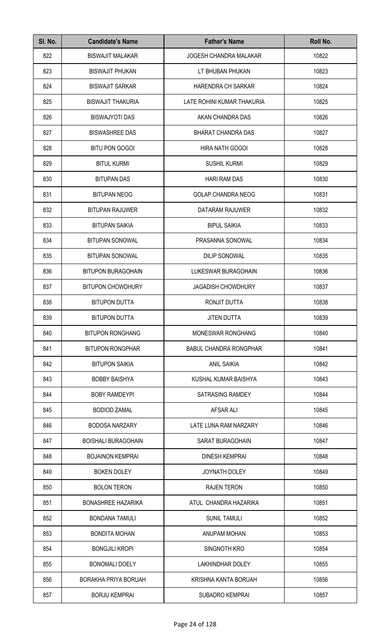| SI. No. | <b>Candidate's Name</b>    | <b>Father's Name</b>          | Roll No. |
|---------|----------------------------|-------------------------------|----------|
| 822     | <b>BISWAJIT MALAKAR</b>    | <b>JOGESH CHANDRA MALAKAR</b> | 10822    |
| 823     | <b>BISWAJIT PHUKAN</b>     | LT BHUBAN PHUKAN              | 10823    |
| 824     | <b>BISWAJIT SARKAR</b>     | HARENDRA CH SARKAR            | 10824    |
| 825     | <b>BISWAJIT THAKURIA</b>   | LATE ROHINI KUMAR THAKURIA    | 10825    |
| 826     | <b>BISWAJYOTI DAS</b>      | AKAN CHANDRA DAS              | 10826    |
| 827     | <b>BISWASHREE DAS</b>      | <b>BHARAT CHANDRA DAS</b>     | 10827    |
| 828     | <b>BITU PON GOGOI</b>      | HIRA NATH GOGOI               | 10828    |
| 829     | <b>BITUL KURMI</b>         | <b>SUSHIL KURMI</b>           | 10829    |
| 830     | <b>BITUPAN DAS</b>         | <b>HARI RAM DAS</b>           | 10830    |
| 831     | <b>BITUPAN NEOG</b>        | <b>GOLAP CHANDRA NEOG</b>     | 10831    |
| 832     | <b>BITUPAN RAJUWER</b>     | DATARAM RAJUWER               | 10832    |
| 833     | <b>BITUPAN SAIKIA</b>      | <b>BIPUL SAIKIA</b>           | 10833    |
| 834     | <b>BITUPAN SONOWAL</b>     | PRASANNA SONOWAL              | 10834    |
| 835     | <b>BITUPAN SONOWAL</b>     | <b>DILIP SONOWAL</b>          | 10835    |
| 836     | <b>BITUPON BURAGOHAIN</b>  | LUKESWAR BURAGOHAIN           | 10836    |
| 837     | <b>BITUPON CHOWDHURY</b>   | <b>JAGADISH CHOWDHURY</b>     | 10837    |
| 838     | <b>BITUPON DUTTA</b>       | RONJIT DUTTA                  | 10838    |
| 839     | <b>BITUPON DUTTA</b>       | JITEN DUTTA                   | 10839    |
| 840     | <b>BITUPON RONGHANG</b>    | <b>MONESWAR RONGHANG</b>      | 10840    |
| 841     | <b>BITUPON RONGPHAR</b>    | <b>BABUL CHANDRA RONGPHAR</b> | 10841    |
| 842     | <b>BITUPON SAIKIA</b>      | <b>ANIL SAIKIA</b>            | 10842    |
| 843     | <b>BOBBY BAISHYA</b>       | KUSHAL KUMAR BAISHYA          | 10843    |
| 844     | <b>BOBY RAMDEYPI</b>       | SATRASING RAMDEY              | 10844    |
| 845     | <b>BODIOD ZAMAL</b>        | AFSAR ALI                     | 10845    |
| 846     | <b>BODOSA NARZARY</b>      | LATE LUNA RAM NARZARY         | 10846    |
| 847     | <b>BOISHALI BURAGOHAIN</b> | SARAT BURAGOHAIN              | 10847    |
| 848     | <b>BOJAINON KEMPRAI</b>    | <b>DINESH KEMPRAI</b>         | 10848    |
| 849     | <b>BOKEN DOLEY</b>         | <b>JOYNATH DOLEY</b>          | 10849    |
| 850     | <b>BOLON TERON</b>         | <b>RAJEN TERON</b>            | 10850    |
| 851     | <b>BONASHREE HAZARIKA</b>  | ATUL CHANDRA HAZARIKA         | 10851    |
| 852     | <b>BONDANA TAMULI</b>      | <b>SUNIL TAMULI</b>           | 10852    |
| 853     | <b>BONDITA MOHAN</b>       | ANUPAM MOHAN                  | 10853    |
| 854     | <b>BONGJILI KROPI</b>      | SINGNOTH KRO                  | 10854    |
| 855     | <b>BONOMALI DOELY</b>      | <b>LAKHINDHAR DOLEY</b>       | 10855    |
| 856     | BORAKHA PRIYA BORUAH       | KRISHNA KANTA BORUAH          | 10856    |
| 857     | <b>BORJU KEMPRAI</b>       | <b>SUBADRO KEMPRAI</b>        | 10857    |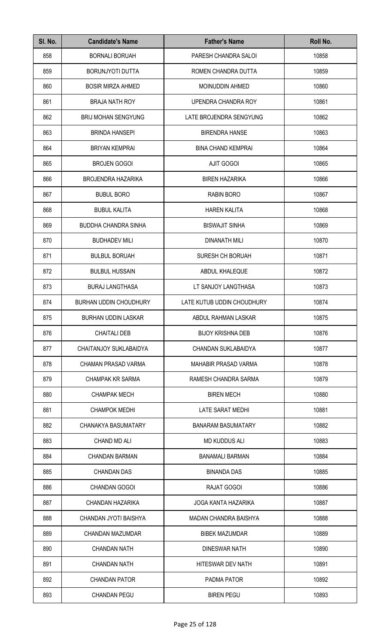| SI. No. | <b>Candidate's Name</b>       | <b>Father's Name</b>         | Roll No. |
|---------|-------------------------------|------------------------------|----------|
| 858     | <b>BORNALI BORUAH</b>         | PARESH CHANDRA SALOI         | 10858    |
| 859     | <b>BORUNJYOTI DUTTA</b>       | ROMEN CHANDRA DUTTA          | 10859    |
| 860     | <b>BOSIR MIRZA AHMED</b>      | <b>MOINUDDIN AHMED</b>       | 10860    |
| 861     | <b>BRAJA NATH ROY</b>         | UPENDRA CHANDRA ROY          | 10861    |
| 862     | <b>BRIJ MOHAN SENGYUNG</b>    | LATE BROJENDRA SENGYUNG      | 10862    |
| 863     | <b>BRINDA HANSEPI</b>         | <b>BIRENDRA HANSE</b>        | 10863    |
| 864     | <b>BRIYAN KEMPRAI</b>         | <b>BINA CHAND KEMPRAI</b>    | 10864    |
| 865     | <b>BROJEN GOGOI</b>           | <b>AJIT GOGOI</b>            | 10865    |
| 866     | <b>BROJENDRA HAZARIKA</b>     | <b>BIREN HAZARIKA</b>        | 10866    |
| 867     | <b>BUBUL BORO</b>             | RABIN BORO                   | 10867    |
| 868     | <b>BUBUL KALITA</b>           | <b>HAREN KALITA</b>          | 10868    |
| 869     | <b>BUDDHA CHANDRA SINHA</b>   | <b>BISWAJIT SINHA</b>        | 10869    |
| 870     | <b>BUDHADEV MILI</b>          | <b>DINANATH MILI</b>         | 10870    |
| 871     | <b>BULBUL BORUAH</b>          | SURESH CH BORUAH             | 10871    |
| 872     | <b>BULBUL HUSSAIN</b>         | ABDUL KHALEQUE               | 10872    |
| 873     | <b>BURAJ LANGTHASA</b>        | LT SANJOY LANGTHASA          | 10873    |
| 874     | <b>BURHAN UDDIN CHOUDHURY</b> | LATE KUTUB UDDIN CHOUDHURY   | 10874    |
| 875     | <b>BURHAN UDDIN LASKAR</b>    | ABDUL RAHMAN LASKAR          | 10875    |
| 876     | <b>CHAITALI DEB</b>           | <b>BIJOY KRISHNA DEB</b>     | 10876    |
| 877     | CHAITANJOY SUKLABAIDYA        | <b>CHANDAN SUKLABAIDYA</b>   | 10877    |
| 878     | CHAMAN PRASAD VARMA           | <b>MAHABIR PRASAD VARMA</b>  | 10878    |
| 879     | <b>CHAMPAK KR SARMA</b>       | RAMESH CHANDRA SARMA         | 10879    |
| 880     | <b>CHAMPAK MECH</b>           | <b>BIREN MECH</b>            | 10880    |
| 881     | <b>CHAMPOK MEDHI</b>          | LATE SARAT MEDHI             | 10881    |
| 882     | CHANAKYA BASUMATARY           | <b>BANARAM BASUMATARY</b>    | 10882    |
| 883     | <b>CHAND MD ALI</b>           | <b>MD KUDDUS ALI</b>         | 10883    |
| 884     | <b>CHANDAN BARMAN</b>         | <b>BANAMALI BARMAN</b>       | 10884    |
| 885     | <b>CHANDAN DAS</b>            | <b>BINANDA DAS</b>           | 10885    |
| 886     | <b>CHANDAN GOGOI</b>          | RAJAT GOGOI                  | 10886    |
| 887     | CHANDAN HAZARIKA              | <b>JOGA KANTA HAZARIKA</b>   | 10887    |
| 888     | CHANDAN JYOTI BAISHYA         | <b>MADAN CHANDRA BAISHYA</b> | 10888    |
| 889     | CHANDAN MAZUMDAR              | <b>BIBEK MAZUMDAR</b>        | 10889    |
| 890     | <b>CHANDAN NATH</b>           | <b>DINESWAR NATH</b>         | 10890    |
| 891     | <b>CHANDAN NATH</b>           | HITESWAR DEV NATH            | 10891    |
| 892     | <b>CHANDAN PATOR</b>          | PADMA PATOR                  | 10892    |
| 893     | <b>CHANDAN PEGU</b>           | <b>BIREN PEGU</b>            | 10893    |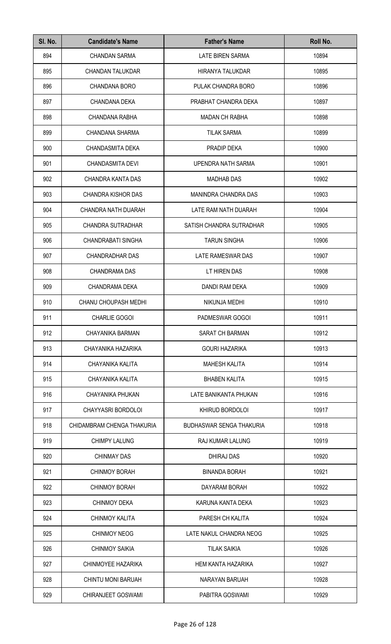| SI. No. | <b>Candidate's Name</b>     | <b>Father's Name</b>            | Roll No. |
|---------|-----------------------------|---------------------------------|----------|
| 894     | <b>CHANDAN SARMA</b>        | LATE BIREN SARMA                | 10894    |
| 895     | <b>CHANDAN TALUKDAR</b>     | HIRANYA TALUKDAR                | 10895    |
| 896     | <b>CHANDANA BORO</b>        | PULAK CHANDRA BORO              | 10896    |
| 897     | CHANDANA DEKA               | PRABHAT CHANDRA DEKA            | 10897    |
| 898     | <b>CHANDANA RABHA</b>       | <b>MADAN CH RABHA</b>           | 10898    |
| 899     | CHANDANA SHARMA             | <b>TILAK SARMA</b>              | 10899    |
| 900     | CHANDASMITA DEKA            | PRADIP DEKA                     | 10900    |
| 901     | <b>CHANDASMITA DEVI</b>     | UPENDRA NATH SARMA              | 10901    |
| 902     | CHANDRA KANTA DAS           | <b>MADHAB DAS</b>               | 10902    |
| 903     | <b>CHANDRA KISHOR DAS</b>   | MANINDRA CHANDRA DAS            | 10903    |
| 904     | CHANDRA NATH DUARAH         | LATE RAM NATH DUARAH            | 10904    |
| 905     | CHANDRA SUTRADHAR           | SATISH CHANDRA SUTRADHAR        | 10905    |
| 906     | CHANDRABATI SINGHA          | <b>TARUN SINGHA</b>             | 10906    |
| 907     | CHANDRADHAR DAS             | LATE RAMESWAR DAS               | 10907    |
| 908     | <b>CHANDRAMA DAS</b>        | LT HIREN DAS                    | 10908    |
| 909     | CHANDRAMA DEKA              | DANDI RAM DEKA                  | 10909    |
| 910     | <b>CHANU CHOUPASH MEDHI</b> | NIKUNJA MEDHI                   | 10910    |
| 911     | <b>CHARLIE GOGOI</b>        | PADMESWAR GOGOI                 | 10911    |
| 912     | CHAYANIKA BARMAN            | <b>SARAT CH BARMAN</b>          | 10912    |
| 913     | CHAYANIKA HAZARIKA          | <b>GOURI HAZARIKA</b>           | 10913    |
| 914     | CHAYANIKA KALITA            | <b>MAHESH KALITA</b>            | 10914    |
| 915     | CHAYANIKA KALITA            | <b>BHABEN KALITA</b>            | 10915    |
| 916     | CHAYANIKA PHUKAN            | LATE BANIKANTA PHUKAN           | 10916    |
| 917     | CHAYYASRI BORDOLOI          | KHIRUD BORDOLOI                 | 10917    |
| 918     | CHIDAMBRAM CHENGA THAKURIA  | <b>BUDHASWAR SENGA THAKURIA</b> | 10918    |
| 919     | <b>CHIMPY LALUNG</b>        | RAJ KUMAR LALUNG                | 10919    |
| 920     | <b>CHINMAY DAS</b>          | DHIRAJ DAS                      | 10920    |
| 921     | <b>CHINMOY BORAH</b>        | <b>BINANDA BORAH</b>            | 10921    |
| 922     | <b>CHINMOY BORAH</b>        | DAYARAM BORAH                   | 10922    |
| 923     | <b>CHINMOY DEKA</b>         | KARUNA KANTA DEKA               | 10923    |
| 924     | <b>CHINMOY KALITA</b>       | PARESH CH KALITA                | 10924    |
| 925     | <b>CHINMOY NEOG</b>         | LATE NAKUL CHANDRA NEOG         | 10925    |
| 926     | <b>CHINMOY SAIKIA</b>       | <b>TILAK SAIKIA</b>             | 10926    |
| 927     | CHINMOYEE HAZARIKA          | <b>HEM KANTA HAZARIKA</b>       | 10927    |
| 928     | CHINTU MONI BARUAH          | NARAYAN BARUAH                  | 10928    |
| 929     | CHIRANJEET GOSWAMI          | PABITRA GOSWAMI                 | 10929    |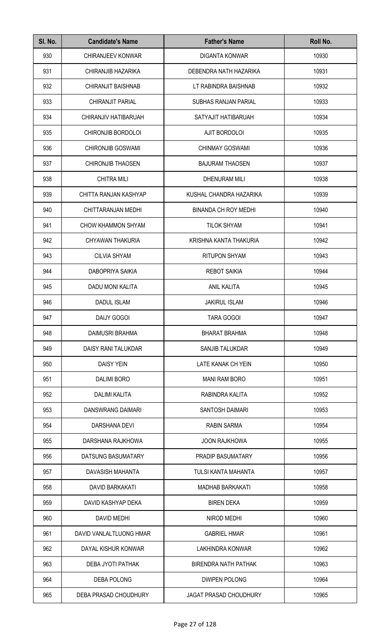| SI. No. | <b>Candidate's Name</b>  | <b>Father's Name</b>          | Roll No. |
|---------|--------------------------|-------------------------------|----------|
| 930     | <b>CHIRANJEEV KONWAR</b> | <b>DIGANTA KONWAR</b>         | 10930    |
| 931     | CHIRANJIB HAZARIKA       | DEBENDRA NATH HAZARIKA        | 10931    |
| 932     | CHIRANJIT BAISHNAB       | LT RABINDRA BAISHNAB          | 10932    |
| 933     | CHIRANJIT PARIAL         | <b>SUBHAS RANJAN PARIAL</b>   | 10933    |
| 934     | CHIRANJIV HATIBARUAH     | SATYAJIT HATIBARUAH           | 10934    |
| 935     | CHIRONJIB BORDOLOI       | AJIT BORDOLOI                 | 10935    |
| 936     | <b>CHIRONJIB GOSWAMI</b> | <b>CHINMAY GOSWAMI</b>        | 10936    |
| 937     | <b>CHIRONJIB THAOSEN</b> | <b>BAJURAM THAOSEN</b>        | 10937    |
| 938     | <b>CHITRA MILI</b>       | <b>DHENURAM MILI</b>          | 10938    |
| 939     | CHITTA RANJAN KASHYAP    | KUSHAL CHANDRA HAZARIKA       | 10939    |
| 940     | CHITTARANJAN MEDHI       | <b>BINANDA CH ROY MEDHI</b>   | 10940    |
| 941     | CHOW KHAMMON SHYAM       | <b>TILOK SHYAM</b>            | 10941    |
| 942     | CHYAWAN THAKURIA         | KRISHNA KANTA THAKURIA        | 10942    |
| 943     | <b>CILVIA SHYAM</b>      | <b>RITUPON SHYAM</b>          | 10943    |
| 944     | <b>DABOPRIYA SAIKIA</b>  | <b>REBOT SAIKIA</b>           | 10944    |
| 945     | DADU MONI KALITA         | <b>ANIL KALITA</b>            | 10945    |
| 946     | <b>DADUL ISLAM</b>       | <b>JAKIRUL ISLAM</b>          | 10946    |
| 947     | DAIJY GOGOI              | TARA GOGOI                    | 10947    |
| 948     | <b>DAIMUSRI BRAHMA</b>   | <b>BHARAT BRAHMA</b>          | 10948    |
| 949     | DAISY RANI TALUKDAR      | SANJIB TALUKDAR               | 10949    |
| 950     | <b>DAISY YEIN</b>        | LATE KANAK CH YEIN            | 10950    |
| 951     | <b>DALIMI BORO</b>       | <b>MANI RAM BORO</b>          | 10951    |
| 952     | <b>DALIMI KALITA</b>     | RABINDRA KALITA               | 10952    |
| 953     | DANSWRANG DAIMARI        | <b>SANTOSH DAIMARI</b>        | 10953    |
| 954     | DARSHANA DEVI            | <b>RABIN SARMA</b>            | 10954    |
| 955     | DARSHANA RAJKHOWA        | <b>JOON RAJKHOWA</b>          | 10955    |
| 956     | DATSUNG BASUMATARY       | PRADIP BASUMATARY             | 10956    |
| 957     | DAVASISH MAHANTA         | TULSI KANTA MAHANTA           | 10957    |
| 958     | <b>DAVID BARKAKATI</b>   | <b>MADHAB BARKAKATI</b>       | 10958    |
| 959     | DAVID KASHYAP DEKA       | <b>BIREN DEKA</b>             | 10959    |
| 960     | DAVID MEDHI              | NIROD MEDHI                   | 10960    |
| 961     | DAVID VANLALTLUONG HMAR  | <b>GABRIEL HMAR</b>           | 10961    |
| 962     | DAYAL KISHUR KONWAR      | <b>LAKHINDRA KONWAR</b>       | 10962    |
| 963     | DEBA JYOTI PATHAK        | <b>BIRENDRA NATH PATHAK</b>   | 10963    |
| 964     | <b>DEBA POLONG</b>       | <b>DWIPEN POLONG</b>          | 10964    |
| 965     | DEBA PRASAD CHOUDHURY    | <b>JAGAT PRASAD CHOUDHURY</b> | 10965    |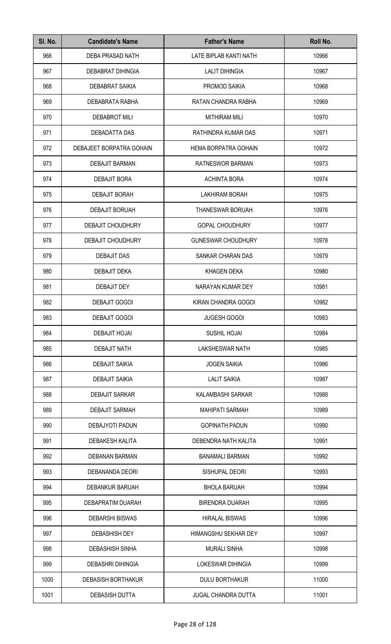| SI. No. | <b>Candidate's Name</b>   | <b>Father's Name</b>       | Roll No. |
|---------|---------------------------|----------------------------|----------|
| 966     | DEBA PRASAD NATH          | LATE BIPLAB KANTI NATH     | 10966    |
| 967     | DEBABRAT DIHINGIA         | <b>LALIT DIHINGIA</b>      | 10967    |
| 968     | DEBABRAT SAIKIA           | PROMOD SAIKIA              | 10968    |
| 969     | DEBABRATA RABHA           | RATAN CHANDRA RABHA        | 10969    |
| 970     | <b>DEBABROT MILI</b>      | <b>MITHIRAM MILI</b>       | 10970    |
| 971     | DEBADATTA DAS             | RATHINDRA KUMAR DAS        | 10971    |
| 972     | DEBAJEET BORPATRA GOHAIN  | HEMA BORPATRA GOHAIN       | 10972    |
| 973     | <b>DEBAJIT BARMAN</b>     | RATNESWOR BARMAN           | 10973    |
| 974     | DEBAJIT BORA              | <b>ACHINTA BORA</b>        | 10974    |
| 975     | <b>DEBAJIT BORAH</b>      | <b>LAKHIRAM BORAH</b>      | 10975    |
| 976     | <b>DEBAJIT BORUAH</b>     | THANESWAR BORUAH           | 10976    |
| 977     | DEBAJIT CHOUDHURY         | <b>GOPAL CHOUDHURY</b>     | 10977    |
| 978     | DEBAJIT CHOUDHURY         | <b>GUNESWAR CHOUDHURY</b>  | 10978    |
| 979     | <b>DEBAJIT DAS</b>        | SANKAR CHARAN DAS          | 10979    |
| 980     | DEBAJIT DEKA              | KHAGEN DEKA                | 10980    |
| 981     | DEBAJIT DEY               | NARAYAN KUMAR DEY          | 10981    |
| 982     | <b>DEBAJIT GOGOI</b>      | KIRAN CHANDRA GOGOI        | 10982    |
| 983     | DEBAJIT GOGOI             | <b>JUGESH GOGOI</b>        | 10983    |
| 984     | <b>DEBAJIT HOJAI</b>      | <b>SUSHIL HOJAI</b>        | 10984    |
| 985     | <b>DEBAJIT NATH</b>       | LAKSHESWAR NATH            | 10985    |
| 986     | <b>DEBAJIT SAIKIA</b>     | <b>JOGEN SAIKIA</b>        | 10986    |
| 987     | <b>DEBAJIT SAIKIA</b>     | <b>LALIT SAIKIA</b>        | 10987    |
| 988     | <b>DEBAJIT SARKAR</b>     | KALAMBASHI SARKAR          | 10988    |
| 989     | <b>DEBAJIT SARMAH</b>     | <b>MAHIPATI SARMAH</b>     | 10989    |
| 990     | DEBAJYOTI PADUN           | <b>GOPINATH PADUN</b>      | 10990    |
| 991     | <b>DEBAKESH KALITA</b>    | DEBENDRA NATH KALITA       | 10991    |
| 992     | DEBANAN BARMAN            | <b>BANAMALI BARMAN</b>     | 10992    |
| 993     | DEBANANDA DEORI           | SISHUPAL DEORI             | 10993    |
| 994     | DEBANKUR BARUAH           | <b>BHOLA BARUAH</b>        | 10994    |
| 995     | DEBAPRATIM DUARAH         | <b>BIRENDRA DUARAH</b>     | 10995    |
| 996     | <b>DEBARSHI BISWAS</b>    | <b>HIRALAL BISWAS</b>      | 10996    |
| 997     | <b>DEBASHISH DEY</b>      | HIMANGSHU SEKHAR DEY       | 10997    |
| 998     | <b>DEBASHISH SINHA</b>    | <b>MURALI SINHA</b>        | 10998    |
| 999     | <b>DEBASHRI DIHINGIA</b>  | <b>LOKESWAR DIHINGIA</b>   | 10999    |
| 1000    | <b>DEBASISH BORTHAKUR</b> | <b>DULU BORTHAKUR</b>      | 11000    |
| 1001    | <b>DEBASISH DUTTA</b>     | <b>JUGAL CHANDRA DUTTA</b> | 11001    |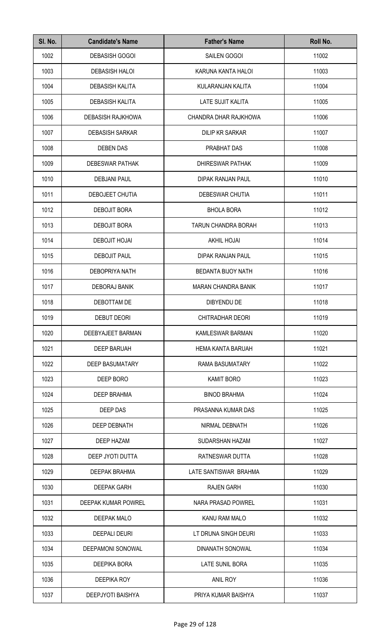| SI. No. | <b>Candidate's Name</b>  | <b>Father's Name</b>       | Roll No. |
|---------|--------------------------|----------------------------|----------|
| 1002    | <b>DEBASISH GOGOI</b>    | SAILEN GOGOI               | 11002    |
| 1003    | <b>DEBASISH HALOI</b>    | KARUNA KANTA HALOI         | 11003    |
| 1004    | <b>DEBASISH KALITA</b>   | KULARANJAN KALITA          | 11004    |
| 1005    | <b>DEBASISH KALITA</b>   | <b>LATE SUJIT KALITA</b>   | 11005    |
| 1006    | <b>DEBASISH RAJKHOWA</b> | CHANDRA DHAR RAJKHOWA      | 11006    |
| 1007    | <b>DEBASISH SARKAR</b>   | <b>DILIP KR SARKAR</b>     | 11007    |
| 1008    | <b>DEBEN DAS</b>         | PRABHAT DAS                | 11008    |
| 1009    | <b>DEBESWAR PATHAK</b>   | <b>DHIRESWAR PATHAK</b>    | 11009    |
| 1010    | <b>DEBJANI PAUL</b>      | DIPAK RANJAN PAUL          | 11010    |
| 1011    | DEBOJEET CHUTIA          | DEBESWAR CHUTIA            | 11011    |
| 1012    | DEBOJIT BORA             | <b>BHOLA BORA</b>          | 11012    |
| 1013    | <b>DEBOJIT BORA</b>      | <b>TARUN CHANDRA BORAH</b> | 11013    |
| 1014    | <b>DEBOJIT HOJAI</b>     | <b>AKHIL HOJAI</b>         | 11014    |
| 1015    | <b>DEBOJIT PAUL</b>      | DIPAK RANJAN PAUL          | 11015    |
| 1016    | <b>DEBOPRIYA NATH</b>    | BEDANTA BIJOY NATH         | 11016    |
| 1017    | <b>DEBORAJ BANIK</b>     | <b>MARAN CHANDRA BANIK</b> | 11017    |
| 1018    | DEBOTTAM DE              | <b>DIBYENDU DE</b>         | 11018    |
| 1019    | <b>DEBUT DEORI</b>       | CHITRADHAR DEORI           | 11019    |
| 1020    | DEEBYAJEET BARMAN        | KAMLESWAR BARMAN           | 11020    |
| 1021    | <b>DEEP BARUAH</b>       | <b>HEMA KANTA BARUAH</b>   | 11021    |
| 1022    | <b>DEEP BASUMATARY</b>   | RAMA BASUMATARY            | 11022    |
| 1023    | DEEP BORO                | <b>KAMIT BORO</b>          | 11023    |
| 1024    | <b>DEEP BRAHMA</b>       | <b>BINOD BRAHMA</b>        | 11024    |
| 1025    | DEEP DAS                 | PRASANNA KUMAR DAS         | 11025    |
| 1026    | DEEP DEBNATH             | NIRMAL DEBNATH             | 11026    |
| 1027    | DEEP HAZAM               | SUDARSHAN HAZAM            | 11027    |
| 1028    | DEEP JYOTI DUTTA         | RATNESWAR DUTTA            | 11028    |
| 1029    | <b>DEEPAK BRAHMA</b>     | LATE SANTISWAR BRAHMA      | 11029    |
| 1030    | <b>DEEPAK GARH</b>       | <b>RAJEN GARH</b>          | 11030    |
| 1031    | DEEPAK KUMAR POWREL      | NARA PRASAD POWREL         | 11031    |
| 1032    | DEEPAK MALO              | KANU RAM MALO              | 11032    |
| 1033    | <b>DEEPALI DEURI</b>     | LT DRUNA SINGH DEURI       | 11033    |
| 1034    | DEEPAMONI SONOWAL        | DINANATH SONOWAL           | 11034    |
| 1035    | DEEPIKA BORA             | LATE SUNIL BORA            | 11035    |
| 1036    | DEEPIKA ROY              | ANIL ROY                   | 11036    |
| 1037    | DEEPJYOTI BAISHYA        | PRIYA KUMAR BAISHYA        | 11037    |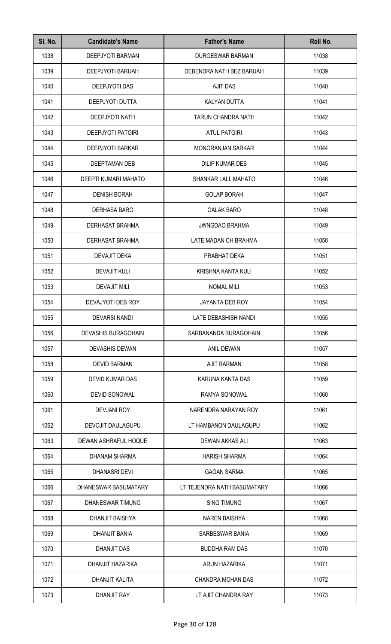| SI. No. | <b>Candidate's Name</b>    | <b>Father's Name</b>        | Roll No. |
|---------|----------------------------|-----------------------------|----------|
| 1038    | DEEPJYOTI BARMAN           | DURGESWAR BARMAN            | 11038    |
| 1039    | <b>DEEPJYOTI BARUAH</b>    | DEBENDRA NATH BEZ BARUAH    | 11039    |
| 1040    | DEEPJYOTI DAS              | <b>AJIT DAS</b>             | 11040    |
| 1041    | DEEPJYOTI DUTTA            | <b>KALYAN DUTTA</b>         | 11041    |
| 1042    | <b>DEEPJYOTI NATH</b>      | <b>TARUN CHANDRA NATH</b>   | 11042    |
| 1043    | <b>DEEPJYOTI PATGIRI</b>   | <b>ATUL PATGIRI</b>         | 11043    |
| 1044    | <b>DEEPJYOTI SARKAR</b>    | <b>MONORANJAN SARKAR</b>    | 11044    |
| 1045    | <b>DEEPTAMAN DEB</b>       | <b>DILIP KUMAR DEB</b>      | 11045    |
| 1046    | DEEPTI KUMARI MAHATO       | SHANKAR LALL MAHATO         | 11046    |
| 1047    | <b>DENISH BORAH</b>        | <b>GOLAP BORAH</b>          | 11047    |
| 1048    | <b>DERHASA BARO</b>        | <b>GALAK BARO</b>           | 11048    |
| 1049    | DERHASAT BRAHMA            | <b>JWNGDAO BRAHMA</b>       | 11049    |
| 1050    | DERHASAT BRAHMA            | LATE MADAN CH BRAHMA        | 11050    |
| 1051    | DEVAJIT DEKA               | PRABHAT DEKA                | 11051    |
| 1052    | <b>DEVAJIT KULI</b>        | KRISHNA KANTA KULI          | 11052    |
| 1053    | <b>DEVAJIT MILI</b>        | <b>NOMAL MILI</b>           | 11053    |
| 1054    | DEVAJYOTI DEB ROY          | JAYANTA DEB ROY             | 11054    |
| 1055    | <b>DEVARSI NANDI</b>       | LATE DEBASHISH NANDI        | 11055    |
| 1056    | <b>DEVASHIS BURAGOHAIN</b> | SARBANANDA BURAGOHAIN       | 11056    |
| 1057    | <b>DEVASHIS DEWAN</b>      | ANIL DEWAN                  | 11057    |
| 1058    | <b>DEVID BARMAN</b>        | <b>AJIT BARMAN</b>          | 11058    |
| 1059    | DEVID KUMAR DAS            | KARUNA KANTA DAS            | 11059    |
| 1060    | <b>DEVID SONOWAL</b>       | RAMYA SONOWAL               | 11060    |
| 1061    | <b>DEVJANI ROY</b>         | NARENDRA NARAYAN ROY        | 11061    |
| 1062    | DEVOJIT DAULAGUPU          | LT HAMBANON DAULAGUPU       | 11062    |
| 1063    | DEWAN ASHRAFUL HOQUE       | DEWAN AKKAS ALI             | 11063    |
| 1064    | DHANAM SHARMA              | <b>HARISH SHARMA</b>        | 11064    |
| 1065    | <b>DHANASRI DEVI</b>       | <b>GAGAN SARMA</b>          | 11065    |
| 1066    | DHANESWAR BASUMATARY       | LT TEJENDRA NATH BASUMATARY | 11066    |
| 1067    | DHANESWAR TIMUNG           | <b>SING TIMUNG</b>          | 11067    |
| 1068    | <b>DHANJIT BAISHYA</b>     | <b>NAREN BAISHYA</b>        | 11068    |
| 1069    | DHANJIT BANIA              | SARBESWAR BANIA             | 11069    |
| 1070    | <b>DHANJIT DAS</b>         | <b>BUDDHA RAM DAS</b>       | 11070    |
| 1071    | DHANJIT HAZARIKA           | ARUN HAZARIKA               | 11071    |
| 1072    | DHANJIT KALITA             | CHANDRA MOHAN DAS           | 11072    |
| 1073    | <b>DHANJIT RAY</b>         | LT AJIT CHANDRA RAY         | 11073    |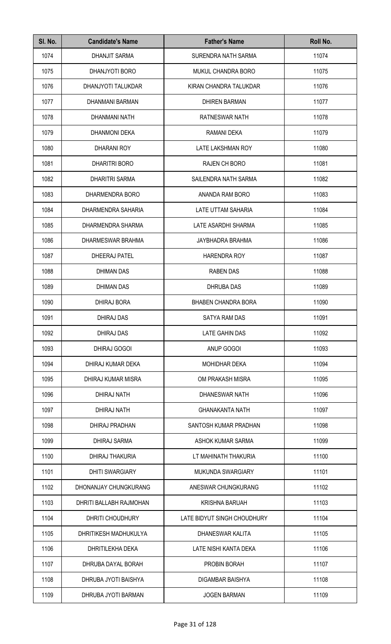| SI. No. | <b>Candidate's Name</b> | <b>Father's Name</b>        | Roll No. |
|---------|-------------------------|-----------------------------|----------|
| 1074    | <b>DHANJIT SARMA</b>    | SURENDRA NATH SARMA         | 11074    |
| 1075    | DHANJYOTI BORO          | <b>MUKUL CHANDRA BORO</b>   | 11075    |
| 1076    | DHANJYOTI TALUKDAR      | KIRAN CHANDRA TALUKDAR      | 11076    |
| 1077    | DHANMANI BARMAN         | <b>DHIREN BARMAN</b>        | 11077    |
| 1078    | DHANMANI NATH           | RATNESWAR NATH              | 11078    |
| 1079    | <b>DHANMONI DEKA</b>    | RAMANI DEKA                 | 11079    |
| 1080    | <b>DHARANI ROY</b>      | LATE LAKSHMAN ROY           | 11080    |
| 1081    | <b>DHARITRI BORO</b>    | <b>RAJEN CH BORO</b>        | 11081    |
| 1082    | <b>DHARITRI SARMA</b>   | SAILENDRA NATH SARMA        | 11082    |
| 1083    | DHARMENDRA BORO         | ANANDA RAM BORO             | 11083    |
| 1084    | DHARMENDRA SAHARIA      | LATE UTTAM SAHARIA          | 11084    |
| 1085    | DHARMENDRA SHARMA       | LATE ASARDHI SHARMA         | 11085    |
| 1086    | DHARMESWAR BRAHMA       | JAYBHADRA BRAHMA            | 11086    |
| 1087    | DHEERAJ PATEL           | <b>HARENDRA ROY</b>         | 11087    |
| 1088    | DHIMAN DAS              | <b>RABEN DAS</b>            | 11088    |
| 1089    | <b>DHIMAN DAS</b>       | <b>DHRUBA DAS</b>           | 11089    |
| 1090    | <b>DHIRAJ BORA</b>      | <b>BHABEN CHANDRA BORA</b>  | 11090    |
| 1091    | DHIRAJ DAS              | SATYA RAM DAS               | 11091    |
| 1092    | DHIRAJ DAS              | LATE GAHIN DAS              | 11092    |
| 1093    | DHIRAJ GOGOI            | ANUP GOGOI                  | 11093    |
| 1094    | DHIRAJ KUMAR DEKA       | <b>MOHIDHAR DEKA</b>        | 11094    |
| 1095    | DHIRAJ KUMAR MISRA      | OM PRAKASH MISRA            | 11095    |
| 1096    | <b>DHIRAJ NATH</b>      | DHANESWAR NATH              | 11096    |
| 1097    | DHIRAJ NATH             | <b>GHANAKANTA NATH</b>      | 11097    |
| 1098    | DHIRAJ PRADHAN          | SANTOSH KUMAR PRADHAN       | 11098    |
| 1099    | DHIRAJ SARMA            | ASHOK KUMAR SARMA           | 11099    |
| 1100    | DHIRAJ THAKURIA         | LT MAHINATH THAKURIA        | 11100    |
| 1101    | <b>DHITI SWARGIARY</b>  | <b>MUKUNDA SWARGIARY</b>    | 11101    |
| 1102    | DHONANJAY CHUNGKURANG   | ANESWAR CHUNGKURANG         | 11102    |
| 1103    | DHRITI BALLABH RAJMOHAN | <b>KRISHNA BARUAH</b>       | 11103    |
| 1104    | DHRITI CHOUDHURY        | LATE BIDYUT SINGH CHOUDHURY | 11104    |
| 1105    | DHRITIKESH MADHUKULYA   | DHANESWAR KALITA            | 11105    |
| 1106    | DHRITILEKHA DEKA        | LATE NISHI KANTA DEKA       | 11106    |
| 1107    | DHRUBA DAYAL BORAH      | PROBIN BORAH                | 11107    |
| 1108    | DHRUBA JYOTI BAISHYA    | DIGAMBAR BAISHYA            | 11108    |
| 1109    | DHRUBA JYOTI BARMAN     | <b>JOGEN BARMAN</b>         | 11109    |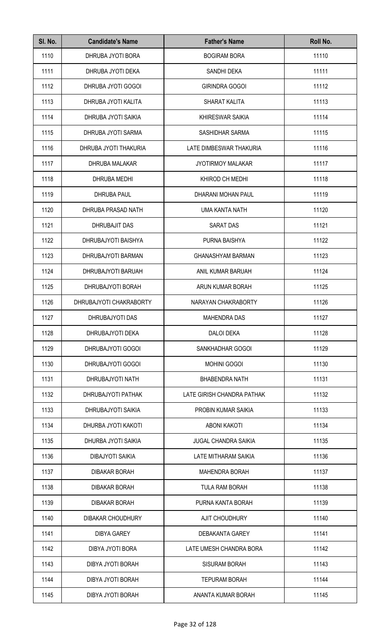| SI. No. | <b>Candidate's Name</b> | <b>Father's Name</b>        | Roll No. |
|---------|-------------------------|-----------------------------|----------|
| 1110    | DHRUBA JYOTI BORA       | <b>BOGIRAM BORA</b>         | 11110    |
| 1111    | DHRUBA JYOTI DEKA       | SANDHI DEKA                 | 11111    |
| 1112    | DHRUBA JYOTI GOGOI      | <b>GIRINDRA GOGOI</b>       | 11112    |
| 1113    | DHRUBA JYOTI KALITA     | SHARAT KALITA               | 11113    |
| 1114    | DHRUBA JYOTI SAIKIA     | <b>KHIRESWAR SAIKIA</b>     | 11114    |
| 1115    | DHRUBA JYOTI SARMA      | SASHIDHAR SARMA             | 11115    |
| 1116    | DHRUBA JYOTI THAKURIA   | LATE DIMBESWAR THAKURIA     | 11116    |
| 1117    | DHRUBA MALAKAR          | <b>JYOTIRMOY MALAKAR</b>    | 11117    |
| 1118    | DHRUBA MEDHI            | KHIROD CH MEDHI             | 11118    |
| 1119    | <b>DHRUBA PAUL</b>      | DHARANI MOHAN PAUL          | 11119    |
| 1120    | DHRUBA PRASAD NATH      | UMA KANTA NATH              | 11120    |
| 1121    | DHRUBAJIT DAS           | <b>SARAT DAS</b>            | 11121    |
| 1122    | DHRUBAJYOTI BAISHYA     | PURNA BAISHYA               | 11122    |
| 1123    | DHRUBAJYOTI BARMAN      | <b>GHANASHYAM BARMAN</b>    | 11123    |
| 1124    | DHRUBAJYOTI BARUAH      | ANIL KUMAR BARUAH           | 11124    |
| 1125    | DHRUBAJYOTI BORAH       | ARUN KUMAR BORAH            | 11125    |
| 1126    | DHRUBAJYOTI CHAKRABORTY | NARAYAN CHAKRABORTY         | 11126    |
| 1127    | DHRUBAJYOTI DAS         | <b>MAHENDRA DAS</b>         | 11127    |
| 1128    | DHRUBAJYOTI DEKA        | <b>DALOI DEKA</b>           | 11128    |
| 1129    | DHRUBAJYOTI GOGOI       | SANKHADHAR GOGOI            | 11129    |
| 1130    | DHRUBAJYOTI GOGOI       | <b>MOHINI GOGOI</b>         | 11130    |
| 1131    | DHRUBAJYOTI NATH        | <b>BHABENDRA NATH</b>       | 11131    |
| 1132    | DHRUBAJYOTI PATHAK      | LATE GIRISH CHANDRA PATHAK  | 11132    |
| 1133    | DHRUBAJYOTI SAIKIA      | PROBIN KUMAR SAIKIA         | 11133    |
| 1134    | DHURBA JYOTI KAKOTI     | <b>ABONI KAKOTI</b>         | 11134    |
| 1135    | DHURBA JYOTI SAIKIA     | <b>JUGAL CHANDRA SAIKIA</b> | 11135    |
| 1136    | DIBAJYOTI SAIKIA        | LATE MITHARAM SAIKIA        | 11136    |
| 1137    | <b>DIBAKAR BORAH</b>    | <b>MAHENDRA BORAH</b>       | 11137    |
| 1138    | <b>DIBAKAR BORAH</b>    | <b>TULA RAM BORAH</b>       | 11138    |
| 1139    | <b>DIBAKAR BORAH</b>    | PURNA KANTA BORAH           | 11139    |
| 1140    | DIBAKAR CHOUDHURY       | <b>AJIT CHOUDHURY</b>       | 11140    |
| 1141    | <b>DIBYA GAREY</b>      | <b>DEBAKANTA GAREY</b>      | 11141    |
| 1142    | DIBYA JYOTI BORA        | LATE UMESH CHANDRA BORA     | 11142    |
| 1143    | DIBYA JYOTI BORAH       | <b>SISURAM BORAH</b>        | 11143    |
| 1144    | DIBYA JYOTI BORAH       | <b>TEPURAM BORAH</b>        | 11144    |
| 1145    | DIBYA JYOTI BORAH       | ANANTA KUMAR BORAH          | 11145    |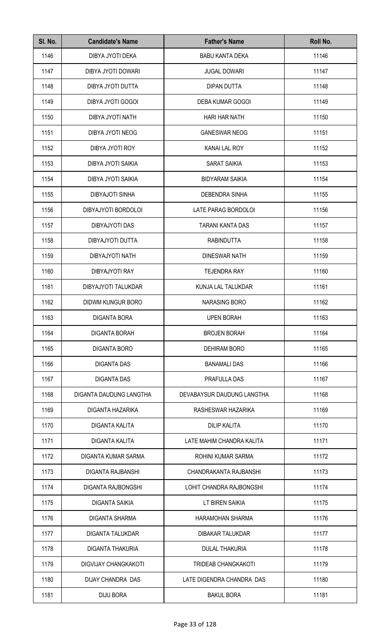| SI. No. | <b>Candidate's Name</b>     | <b>Father's Name</b>       | Roll No. |
|---------|-----------------------------|----------------------------|----------|
| 1146    | DIBYA JYOTI DEKA            | <b>BABU KANTA DEKA</b>     | 11146    |
| 1147    | DIBYA JYOTI DOWARI          | <b>JUGAL DOWARI</b>        | 11147    |
| 1148    | DIBYA JYOTI DUTTA           | <b>DIPAN DUTTA</b>         | 11148    |
| 1149    | DIBYA JYOTI GOGOI           | <b>DEBA KUMAR GOGOI</b>    | 11149    |
| 1150    | DIBYA JYOTI NATH            | <b>HARI HAR NATH</b>       | 11150    |
| 1151    | DIBYA JYOTI NEOG            | <b>GANESWAR NEOG</b>       | 11151    |
| 1152    | DIBYA JYOTI ROY             | <b>KANAI LAL ROY</b>       | 11152    |
| 1153    | DIBYA JYOTI SAIKIA          | <b>SARAT SAIKIA</b>        | 11153    |
| 1154    | DIBYA JYOTI SAIKIA          | <b>BIDYARAM SAIKIA</b>     | 11154    |
| 1155    | DIBYAJOTI SINHA             | DEBENDRA SINHA             | 11155    |
| 1156    | DIBYAJYOTI BORDOLOI         | LATE PARAG BORDOLOI        | 11156    |
| 1157    | <b>DIBYAJYOTI DAS</b>       | TARANI KANTA DAS           | 11157    |
| 1158    | DIBYAJYOTI DUTTA            | <b>RABINDUTTA</b>          | 11158    |
| 1159    | DIBYAJYOTI NATH             | <b>DINESWAR NATH</b>       | 11159    |
| 1160    | DIBYAJYOTI RAY              | <b>TEJENDRA RAY</b>        | 11160    |
| 1161    | DIBYAJYOTI TALUKDAR         | KUNJA LAL TALUKDAR         | 11161    |
| 1162    | DIDWM KUNGUR BORO           | <b>NARASING BORO</b>       | 11162    |
| 1163    | DIGANTA BORA                | UPEN BORAH                 | 11163    |
| 1164    | <b>DIGANTA BORAH</b>        | <b>BROJEN BORAH</b>        | 11164    |
| 1165    | <b>DIGANTA BORO</b>         | <b>DEHIRAM BORO</b>        | 11165    |
| 1166    | <b>DIGANTA DAS</b>          | <b>BANAMALI DAS</b>        | 11166    |
| 1167    | <b>DIGANTA DAS</b>          | PRAFULLA DAS               | 11167    |
| 1168    | DIGANTA DAUDUNG LANGTHA     | DEVABAYSUR DAUDUNG LANGTHA | 11168    |
| 1169    | DIGANTA HAZARIKA            | RASHESWAR HAZARIKA         | 11169    |
| 1170    | DIGANTA KALITA              | <b>DILIP KALITA</b>        | 11170    |
| 1171    | <b>DIGANTA KALITA</b>       | LATE MAHIM CHANDRA KALITA  | 11171    |
| 1172    | DIGANTA KUMAR SARMA         | ROHINI KUMAR SARMA         | 11172    |
| 1173    | DIGANTA RAJBANSHI           | CHANDRAKANTA RAJBANSHI     | 11173    |
| 1174    | <b>DIGANTA RAJBONGSHI</b>   | LOHIT CHANDRA RAJBONGSHI   | 11174    |
| 1175    | DIGANTA SAIKIA              | LT BIREN SAIKIA            | 11175    |
| 1176    | <b>DIGANTA SHARMA</b>       | <b>HARAMOHAN SHARMA</b>    | 11176    |
| 1177    | DIGANTA TALUKDAR            | <b>DIBAKAR TALUKDAR</b>    | 11177    |
| 1178    | <b>DIGANTA THAKURIA</b>     | <b>DULAL THAKURIA</b>      | 11178    |
| 1179    | <b>DIGVIJAY CHANGKAKOTI</b> | <b>TRIDEAB CHANGKAKOTI</b> | 11179    |
| 1180    | DIJAY CHANDRA DAS           | LATE DIGENDRA CHANDRA DAS  | 11180    |
| 1181    | <b>DIJU BORA</b>            | <b>BAKUL BORA</b>          | 11181    |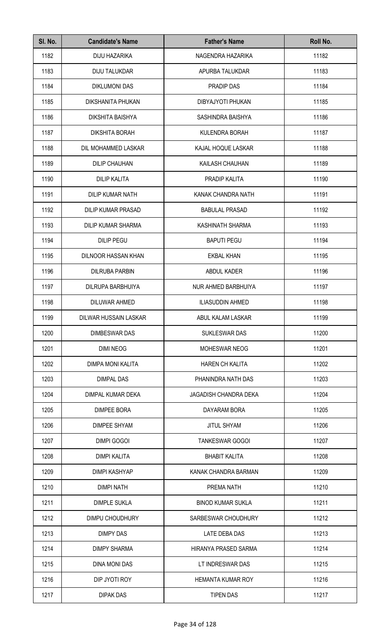| SI. No. | <b>Candidate's Name</b>    | <b>Father's Name</b>     | Roll No. |
|---------|----------------------------|--------------------------|----------|
| 1182    | DIJU HAZARIKA              | NAGENDRA HAZARIKA        | 11182    |
| 1183    | <b>DIJU TALUKDAR</b>       | APURBA TALUKDAR          | 11183    |
| 1184    | <b>DIKLUMONI DAS</b>       | PRADIP DAS               | 11184    |
| 1185    | DIKSHANITA PHUKAN          | DIBYAJYOTI PHUKAN        | 11185    |
| 1186    | DIKSHITA BAISHYA           | SASHINDRA BAISHYA        | 11186    |
| 1187    | <b>DIKSHITA BORAH</b>      | KULENDRA BORAH           | 11187    |
| 1188    | DIL MOHAMMED LASKAR        | KAJAL HOQUE LASKAR       | 11188    |
| 1189    | <b>DILIP CHAUHAN</b>       | KAILASH CHAUHAN          | 11189    |
| 1190    | <b>DILIP KALITA</b>        | PRADIP KALITA            | 11190    |
| 1191    | DILIP KUMAR NATH           | KANAK CHANDRA NATH       | 11191    |
| 1192    | <b>DILIP KUMAR PRASAD</b>  | <b>BABULAL PRASAD</b>    | 11192    |
| 1193    | <b>DILIP KUMAR SHARMA</b>  | KASHINATH SHARMA         | 11193    |
| 1194    | <b>DILIP PEGU</b>          | <b>BAPUTI PEGU</b>       | 11194    |
| 1195    | <b>DILNOOR HASSAN KHAN</b> | <b>EKBAL KHAN</b>        | 11195    |
| 1196    | <b>DILRUBA PARBIN</b>      | ABDUL KADER              | 11196    |
| 1197    | DILRUPA BARBHUIYA          | NUR AHMED BARBHUIYA      | 11197    |
| 1198    | DILUWAR AHMED              | <b>ILIASUDDIN AHMED</b>  | 11198    |
| 1199    | DILWAR HUSSAIN LASKAR      | ABUL KALAM LASKAR        | 11199    |
| 1200    | <b>DIMBESWAR DAS</b>       | <b>SUKLESWAR DAS</b>     | 11200    |
| 1201    | <b>DIMI NEOG</b>           | MOHESWAR NEOG            | 11201    |
| 1202    | DIMPA MONI KALITA          | <b>HAREN CH KALITA</b>   | 11202    |
| 1203    | <b>DIMPAL DAS</b>          | PHANINDRA NATH DAS       | 11203    |
| 1204    | DIMPAL KUMAR DEKA          | JAGADISH CHANDRA DEKA    | 11204    |
| 1205    | <b>DIMPEE BORA</b>         | DAYARAM BORA             | 11205    |
| 1206    | <b>DIMPEE SHYAM</b>        | <b>JITUL SHYAM</b>       | 11206    |
| 1207    | <b>DIMPI GOGOI</b>         | <b>TANKESWAR GOGOI</b>   | 11207    |
| 1208    | <b>DIMPI KALITA</b>        | <b>BHABIT KALITA</b>     | 11208    |
| 1209    | <b>DIMPI KASHYAP</b>       | KANAK CHANDRA BARMAN     | 11209    |
| 1210    | <b>DIMPI NATH</b>          | PREMA NATH               | 11210    |
| 1211    | <b>DIMPLE SUKLA</b>        | <b>BINOD KUMAR SUKLA</b> | 11211    |
| 1212    | DIMPU CHOUDHURY            | SARBESWAR CHOUDHURY      | 11212    |
| 1213    | <b>DIMPY DAS</b>           | LATE DEBA DAS            | 11213    |
| 1214    | <b>DIMPY SHARMA</b>        | HIRANYA PRASED SARMA     | 11214    |
| 1215    | <b>DINA MONI DAS</b>       | LT INDRESWAR DAS         | 11215    |
| 1216    | DIP JYOTI ROY              | HEMANTA KUMAR ROY        | 11216    |
| 1217    | <b>DIPAK DAS</b>           | <b>TIPEN DAS</b>         | 11217    |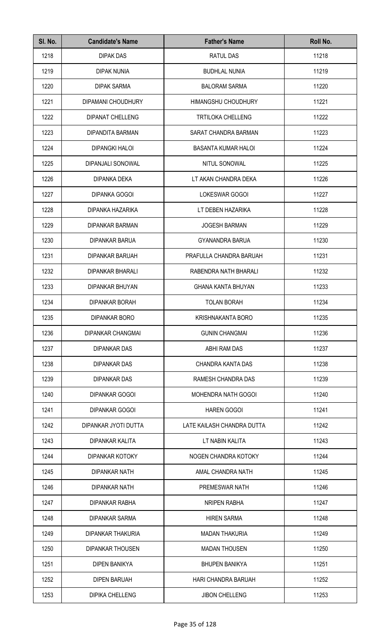| SI. No. | <b>Candidate's Name</b>  | <b>Father's Name</b>       | Roll No. |
|---------|--------------------------|----------------------------|----------|
| 1218    | <b>DIPAK DAS</b>         | RATUL DAS                  | 11218    |
| 1219    | <b>DIPAK NUNIA</b>       | <b>BUDHLAL NUNIA</b>       | 11219    |
| 1220    | <b>DIPAK SARMA</b>       | <b>BALORAM SARMA</b>       | 11220    |
| 1221    | DIPAMANI CHOUDHURY       | <b>HIMANGSHU CHOUDHURY</b> | 11221    |
| 1222    | <b>DIPANAT CHELLENG</b>  | <b>TRTILOKA CHELLENG</b>   | 11222    |
| 1223    | DIPANDITA BARMAN         | SARAT CHANDRA BARMAN       | 11223    |
| 1224    | <b>DIPANGKI HALOI</b>    | <b>BASANTA KUMAR HALOI</b> | 11224    |
| 1225    | DIPANJALI SONOWAL        | NITUL SONOWAL              | 11225    |
| 1226    | <b>DIPANKA DEKA</b>      | LT AKAN CHANDRA DEKA       | 11226    |
| 1227    | <b>DIPANKA GOGOI</b>     | LOKESWAR GOGOI             | 11227    |
| 1228    | DIPANKA HAZARIKA         | LT DEBEN HAZARIKA          | 11228    |
| 1229    | <b>DIPANKAR BARMAN</b>   | <b>JOGESH BARMAN</b>       | 11229    |
| 1230    | <b>DIPANKAR BARUA</b>    | <b>GYANANDRA BARUA</b>     | 11230    |
| 1231    | <b>DIPANKAR BARUAH</b>   | PRAFULLA CHANDRA BARUAH    | 11231    |
| 1232    | <b>DIPANKAR BHARALI</b>  | RABENDRA NATH BHARALI      | 11232    |
| 1233    | DIPANKAR BHUYAN          | <b>GHANA KANTA BHUYAN</b>  | 11233    |
| 1234    | <b>DIPANKAR BORAH</b>    | <b>TOLAN BORAH</b>         | 11234    |
| 1235    | DIPANKAR BORO            | <b>KRISHNAKANTA BORO</b>   | 11235    |
| 1236    | <b>DIPANKAR CHANGMAI</b> | <b>GUNIN CHANGMAI</b>      | 11236    |
| 1237    | <b>DIPANKAR DAS</b>      | ABHI RAM DAS               | 11237    |
| 1238    | <b>DIPANKAR DAS</b>      | CHANDRA KANTA DAS          | 11238    |
| 1239    | <b>DIPANKAR DAS</b>      | RAMESH CHANDRA DAS         | 11239    |
| 1240    | <b>DIPANKAR GOGOI</b>    | MOHENDRA NATH GOGOI        | 11240    |
| 1241    | <b>DIPANKAR GOGOI</b>    | <b>HAREN GOGOI</b>         | 11241    |
| 1242    | DIPANKAR JYOTI DUTTA     | LATE KAILASH CHANDRA DUTTA | 11242    |
| 1243    | DIPANKAR KALITA          | LT NABIN KALITA            | 11243    |
| 1244    | DIPANKAR KOTOKY          | NOGEN CHANDRA KOTOKY       | 11244    |
| 1245    | <b>DIPANKAR NATH</b>     | AMAL CHANDRA NATH          | 11245    |
| 1246    | <b>DIPANKAR NATH</b>     | PREMESWAR NATH             | 11246    |
| 1247    | DIPANKAR RABHA           | <b>NRIPEN RABHA</b>        | 11247    |
| 1248    | <b>DIPANKAR SARMA</b>    | <b>HIREN SARMA</b>         | 11248    |
| 1249    | DIPANKAR THAKURIA        | <b>MADAN THAKURIA</b>      | 11249    |
| 1250    | <b>DIPANKAR THOUSEN</b>  | <b>MADAN THOUSEN</b>       | 11250    |
| 1251    | <b>DIPEN BANIKYA</b>     | <b>BHUPEN BANIKYA</b>      | 11251    |
| 1252    | <b>DIPEN BARUAH</b>      | HARI CHANDRA BARUAH        | 11252    |
| 1253    | <b>DIPIKA CHELLENG</b>   | <b>JIBON CHELLENG</b>      | 11253    |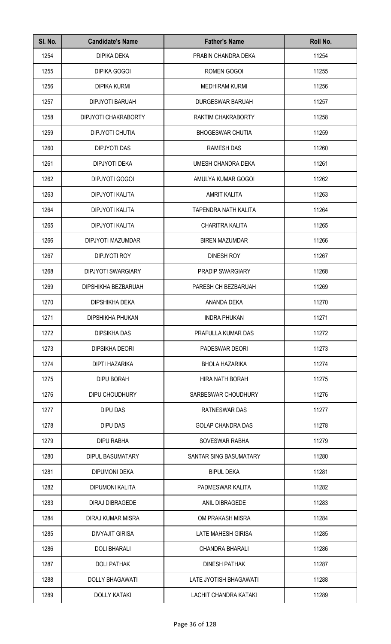| SI. No. | <b>Candidate's Name</b>   | <b>Father's Name</b>      | Roll No. |
|---------|---------------------------|---------------------------|----------|
| 1254    | DIPIKA DEKA               | PRABIN CHANDRA DEKA       | 11254    |
| 1255    | <b>DIPIKA GOGOI</b>       | ROMEN GOGOI               | 11255    |
| 1256    | <b>DIPIKA KURMI</b>       | <b>MEDHIRAM KURMI</b>     | 11256    |
| 1257    | <b>DIPJYOTI BARUAH</b>    | <b>DURGESWAR BARUAH</b>   | 11257    |
| 1258    | DIPJYOTI CHAKRABORTY      | RAKTIM CHAKRABORTY        | 11258    |
| 1259    | <b>DIPJYOTI CHUTIA</b>    | <b>BHOGESWAR CHUTIA</b>   | 11259    |
| 1260    | <b>DIPJYOTI DAS</b>       | <b>RAMESH DAS</b>         | 11260    |
| 1261    | <b>DIPJYOTI DEKA</b>      | UMESH CHANDRA DEKA        | 11261    |
| 1262    | DIPJYOTI GOGOI            | AMULYA KUMAR GOGOI        | 11262    |
| 1263    | DIPJYOTI KALITA           | <b>AMRIT KALITA</b>       | 11263    |
| 1264    | DIPJYOTI KALITA           | TAPENDRA NATH KALITA      | 11264    |
| 1265    | DIPJYOTI KALITA           | CHARITRA KALITA           | 11265    |
| 1266    | DIPJYOTI MAZUMDAR         | <b>BIREN MAZUMDAR</b>     | 11266    |
| 1267    | <b>DIPJYOTI ROY</b>       | <b>DINESH ROY</b>         | 11267    |
| 1268    | <b>DIPJYOTI SWARGIARY</b> | PRADIP SWARGIARY          | 11268    |
| 1269    | DIPSHIKHA BEZBARUAH       | PARESH CH BEZBARUAH       | 11269    |
| 1270    | DIPSHIKHA DEKA            | ANANDA DEKA               | 11270    |
| 1271    | <b>DIPSHIKHA PHUKAN</b>   | <b>INDRA PHUKAN</b>       | 11271    |
| 1272    | <b>DIPSIKHA DAS</b>       | PRAFULLA KUMAR DAS        | 11272    |
| 1273    | <b>DIPSIKHA DEORI</b>     | PADESWAR DEORI            | 11273    |
| 1274    | DIPTI HAZARIKA            | <b>BHOLA HAZARIKA</b>     | 11274    |
| 1275    | <b>DIPU BORAH</b>         | HIRA NATH BORAH           | 11275    |
| 1276    | DIPU CHOUDHURY            | SARBESWAR CHOUDHURY       | 11276    |
| 1277    | DIPU DAS                  | RATNESWAR DAS             | 11277    |
| 1278    | DIPU DAS                  | <b>GOLAP CHANDRA DAS</b>  | 11278    |
| 1279    | <b>DIPU RABHA</b>         | SOVESWAR RABHA            | 11279    |
| 1280    | <b>DIPUL BASUMATARY</b>   | SANTAR SING BASUMATARY    | 11280    |
| 1281    | <b>DIPUMONI DEKA</b>      | <b>BIPUL DEKA</b>         | 11281    |
| 1282    | <b>DIPUMONI KALITA</b>    | PADMESWAR KALITA          | 11282    |
| 1283    | <b>DIRAJ DIBRAGEDE</b>    | ANIL DIBRAGEDE            | 11283    |
| 1284    | DIRAJ KUMAR MISRA         | OM PRAKASH MISRA          | 11284    |
| 1285    | <b>DIVYAJIT GIRISA</b>    | <b>LATE MAHESH GIRISA</b> | 11285    |
| 1286    | <b>DOLI BHARALI</b>       | <b>CHANDRA BHARALI</b>    | 11286    |
| 1287    | <b>DOLI PATHAK</b>        | <b>DINESH PATHAK</b>      | 11287    |
| 1288    | <b>DOLLY BHAGAWATI</b>    | LATE JYOTISH BHAGAWATI    | 11288    |
| 1289    | <b>DOLLY KATAKI</b>       | LACHIT CHANDRA KATAKI     | 11289    |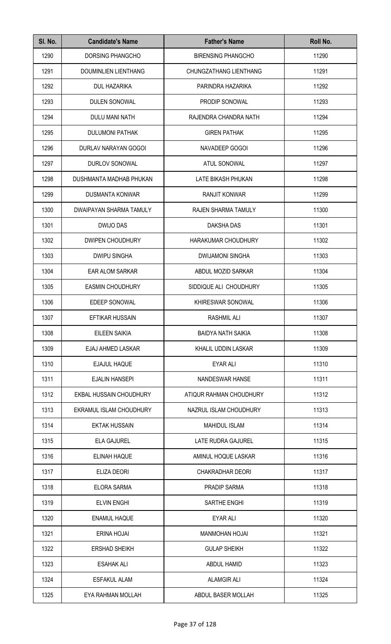| SI. No. | <b>Candidate's Name</b> | <b>Father's Name</b>          | Roll No. |
|---------|-------------------------|-------------------------------|----------|
| 1290    | <b>DORSING PHANGCHO</b> | <b>BIRENSING PHANGCHO</b>     | 11290    |
| 1291    | DOUMINLIEN LIENTHANG    | <b>CHUNGZATHANG LIENTHANG</b> | 11291    |
| 1292    | <b>DUL HAZARIKA</b>     | PARINDRA HAZARIKA             | 11292    |
| 1293    | <b>DULEN SONOWAL</b>    | PRODIP SONOWAL                | 11293    |
| 1294    | DULU MANI NATH          | RAJENDRA CHANDRA NATH         | 11294    |
| 1295    | <b>DULUMONI PATHAK</b>  | <b>GIREN PATHAK</b>           | 11295    |
| 1296    | DURLAV NARAYAN GOGOI    | NAVADEEP GOGOI                | 11296    |
| 1297    | DURLOV SONOWAL          | <b>ATUL SONOWAL</b>           | 11297    |
| 1298    | DUSHMANTA MADHAB PHUKAN | LATE BIKASH PHUKAN            | 11298    |
| 1299    | <b>DUSMANTA KONWAR</b>  | <b>RANJIT KONWAR</b>          | 11299    |
| 1300    | DWAIPAYAN SHARMA TAMULY | RAJEN SHARMA TAMULY           | 11300    |
| 1301    | DWIJO DAS               | DAKSHA DAS                    | 11301    |
| 1302    | DWIPEN CHOUDHURY        | HARAKUMAR CHOUDHURY           | 11302    |
| 1303    | <b>DWIPU SINGHA</b>     | <b>DWIJAMONI SINGHA</b>       | 11303    |
| 1304    | EAR ALOM SARKAR         | ABDUL MOZID SARKAR            | 11304    |
| 1305    | <b>EASMIN CHOUDHURY</b> | SIDDIQUE ALI CHOUDHURY        | 11305    |
| 1306    | <b>EDEEP SONOWAL</b>    | KHIRESWAR SONOWAL             | 11306    |
| 1307    | EFTIKAR HUSSAIN         | RASHMIL ALI                   | 11307    |
| 1308    | <b>EILEEN SAIKIA</b>    | <b>BAIDYA NATH SAIKIA</b>     | 11308    |
| 1309    | EJAJ AHMED LASKAR       | KHALIL UDDIN LASKAR           | 11309    |
| 1310    | EJAJUL HAQUE            | <b>EYAR ALI</b>               | 11310    |
| 1311    | <b>EJALIN HANSEPI</b>   | NANDESWAR HANSE               | 11311    |
| 1312    | EKBAL HUSSAIN CHOUDHURY | ATIQUR RAHMAN CHOUDHURY       | 11312    |
| 1313    | EKRAMUL ISLAM CHOUDHURY | NAZRUL ISLAM CHOUDHURY        | 11313    |
| 1314    | <b>EKTAK HUSSAIN</b>    | <b>MAHIDUL ISLAM</b>          | 11314    |
| 1315    | <b>ELA GAJUREL</b>      | LATE RUDRA GAJUREL            | 11315    |
| 1316    | <b>ELINAH HAQUE</b>     | AMINUL HOQUE LASKAR           | 11316    |
| 1317    | ELIZA DEORI             | <b>CHAKRADHAR DEORI</b>       | 11317    |
| 1318    | <b>ELORA SARMA</b>      | <b>PRADIP SARMA</b>           | 11318    |
| 1319    | <b>ELVIN ENGHI</b>      | SARTHE ENGHI                  | 11319    |
| 1320    | <b>ENAMUL HAQUE</b>     | <b>EYAR ALI</b>               | 11320    |
| 1321    | <b>ERINA HOJAI</b>      | <b>MANMOHAN HOJAI</b>         | 11321    |
| 1322    | <b>ERSHAD SHEIKH</b>    | <b>GULAP SHEIKH</b>           | 11322    |
| 1323    | <b>ESAHAK ALI</b>       | ABDUL HAMID                   | 11323    |
| 1324    | <b>ESFAKUL ALAM</b>     | <b>ALAMGIR ALI</b>            | 11324    |
| 1325    | EYA RAHMAN MOLLAH       | ABDUL BASER MOLLAH            | 11325    |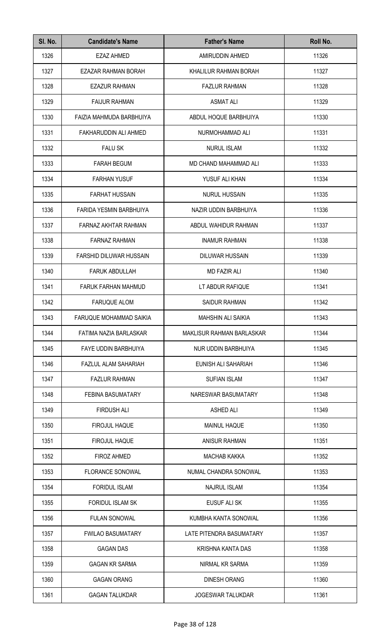| SI. No. | <b>Candidate's Name</b>        | <b>Father's Name</b>             | Roll No. |
|---------|--------------------------------|----------------------------------|----------|
| 1326    | <b>EZAZ AHMED</b>              | AMIRUDDIN AHMED                  | 11326    |
| 1327    | EZAZAR RAHMAN BORAH            | KHALILUR RAHMAN BORAH            | 11327    |
| 1328    | <b>EZAZUR RAHMAN</b>           | <b>FAZLUR RAHMAN</b>             | 11328    |
| 1329    | <b>FAIJUR RAHMAN</b>           | <b>ASMAT ALI</b>                 | 11329    |
| 1330    | FAIZIA MAHMUDA BARBHUIYA       | ABDUL HOQUE BARBHUIYA            | 11330    |
| 1331    | FAKHARUDDIN ALI AHMED          | NURMOHAMMAD ALI                  | 11331    |
| 1332    | <b>FALU SK</b>                 | <b>NURUL ISLAM</b>               | 11332    |
| 1333    | <b>FARAH BEGUM</b>             | MD CHAND MAHAMMAD ALI            | 11333    |
| 1334    | <b>FARHAN YUSUF</b>            | YUSUF ALI KHAN                   | 11334    |
| 1335    | <b>FARHAT HUSSAIN</b>          | <b>NURUL HUSSAIN</b>             | 11335    |
| 1336    | FARIDA YESMIN BARBHUIYA        | NAZIR UDDIN BARBHUIYA            | 11336    |
| 1337    | FARNAZ AKHTAR RAHMAN           | ABDUL WAHIDUR RAHMAN             | 11337    |
| 1338    | <b>FARNAZ RAHMAN</b>           | <b>INAMUR RAHMAN</b>             | 11338    |
| 1339    | <b>FARSHID DILUWAR HUSSAIN</b> | <b>DILUWAR HUSSAIN</b>           | 11339    |
| 1340    | <b>FARUK ABDULLAH</b>          | <b>MD FAZIR ALI</b>              | 11340    |
| 1341    | FARUK FARHAN MAHMUD            | LT ABDUR RAFIQUE                 | 11341    |
| 1342    | <b>FARUQUE ALOM</b>            | <b>SAIDUR RAHMAN</b>             | 11342    |
| 1343    | FARUQUE MOHAMMAD SAIKIA        | MAHSHIN ALI SAIKIA               | 11343    |
| 1344    | FATIMA NAZIA BARLASKAR         | <b>MAKLISUR RAHMAN BARLASKAR</b> | 11344    |
| 1345    | <b>FAYE UDDIN BARBHUIYA</b>    | NUR UDDIN BARBHUIYA              | 11345    |
| 1346    | FAZLUL ALAM SAHARIAH           | EUNISH ALI SAHARIAH              | 11346    |
| 1347    | <b>FAZLUR RAHMAN</b>           | <b>SUFIAN ISLAM</b>              | 11347    |
| 1348    | <b>FEBINA BASUMATARY</b>       | NARESWAR BASUMATARY              | 11348    |
| 1349    | <b>FIRDUSH ALI</b>             | <b>ASHED ALI</b>                 | 11349    |
| 1350    | <b>FIROJUL HAQUE</b>           | <b>MAINUL HAQUE</b>              | 11350    |
| 1351    | <b>FIROJUL HAQUE</b>           | <b>ANISUR RAHMAN</b>             | 11351    |
| 1352    | <b>FIROZ AHMED</b>             | <b>MACHAB KAKKA</b>              | 11352    |
| 1353    | <b>FLORANCE SONOWAL</b>        | NUMAL CHANDRA SONOWAL            | 11353    |
| 1354    | <b>FORIDUL ISLAM</b>           | <b>NAJRUL ISLAM</b>              | 11354    |
| 1355    | <b>FORIDUL ISLAM SK</b>        | EUSUF ALI SK                     | 11355    |
| 1356    | <b>FULAN SONOWAL</b>           | KUMBHA KANTA SONOWAL             | 11356    |
| 1357    | <b>FWILAO BASUMATARY</b>       | LATE PITENDRA BASUMATARY         | 11357    |
| 1358    | <b>GAGAN DAS</b>               | KRISHNA KANTA DAS                | 11358    |
| 1359    | <b>GAGAN KR SARMA</b>          | NIRMAL KR SARMA                  | 11359    |
| 1360    | <b>GAGAN ORANG</b>             | <b>DINESH ORANG</b>              | 11360    |
| 1361    | <b>GAGAN TALUKDAR</b>          | <b>JOGESWAR TALUKDAR</b>         | 11361    |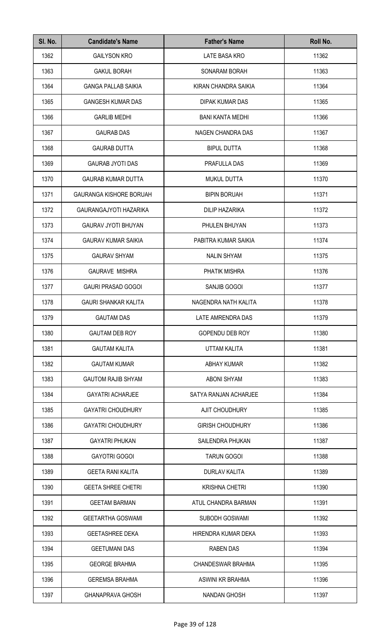| SI. No. | <b>Candidate's Name</b>        | <b>Father's Name</b>     | Roll No. |
|---------|--------------------------------|--------------------------|----------|
| 1362    | <b>GAILYSON KRO</b>            | <b>LATE BASA KRO</b>     | 11362    |
| 1363    | <b>GAKUL BORAH</b>             | SONARAM BORAH            | 11363    |
| 1364    | <b>GANGA PALLAB SAIKIA</b>     | KIRAN CHANDRA SAIKIA     | 11364    |
| 1365    | <b>GANGESH KUMAR DAS</b>       | DIPAK KUMAR DAS          | 11365    |
| 1366    | <b>GARLIB MEDHI</b>            | <b>BANI KANTA MEDHI</b>  | 11366    |
| 1367    | <b>GAURAB DAS</b>              | NAGEN CHANDRA DAS        | 11367    |
| 1368    | <b>GAURAB DUTTA</b>            | <b>BIPUL DUTTA</b>       | 11368    |
| 1369    | <b>GAURAB JYOTI DAS</b>        | PRAFULLA DAS             | 11369    |
| 1370    | <b>GAURAB KUMAR DUTTA</b>      | <b>MUKUL DUTTA</b>       | 11370    |
| 1371    | <b>GAURANGA KISHORE BORUAH</b> | <b>BIPIN BORUAH</b>      | 11371    |
| 1372    | GAURANGAJYOTI HAZARIKA         | <b>DILIP HAZARIKA</b>    | 11372    |
| 1373    | <b>GAURAV JYOTI BHUYAN</b>     | PHULEN BHUYAN            | 11373    |
| 1374    | <b>GAURAV KUMAR SAIKIA</b>     | PABITRA KUMAR SAIKIA     | 11374    |
| 1375    | <b>GAURAV SHYAM</b>            | <b>NALIN SHYAM</b>       | 11375    |
| 1376    | <b>GAURAVE MISHRA</b>          | PHATIK MISHRA            | 11376    |
| 1377    | <b>GAURI PRASAD GOGOI</b>      | SANJIB GOGOI             | 11377    |
| 1378    | <b>GAURI SHANKAR KALITA</b>    | NAGENDRA NATH KALITA     | 11378    |
| 1379    | <b>GAUTAM DAS</b>              | LATE AMRENDRA DAS        | 11379    |
| 1380    | <b>GAUTAM DEB ROY</b>          | <b>GOPENDU DEB ROY</b>   | 11380    |
| 1381    | <b>GAUTAM KALITA</b>           | UTTAM KALITA             | 11381    |
| 1382    | <b>GAUTAM KUMAR</b>            | <b>ABHAY KUMAR</b>       | 11382    |
| 1383    | <b>GAUTOM RAJIB SHYAM</b>      | <b>ABONI SHYAM</b>       | 11383    |
| 1384    | <b>GAYATRI ACHARJEE</b>        | SATYA RANJAN ACHARJEE    | 11384    |
| 1385    | <b>GAYATRI CHOUDHURY</b>       | <b>AJIT CHOUDHURY</b>    | 11385    |
| 1386    | <b>GAYATRI CHOUDHURY</b>       | <b>GIRISH CHOUDHURY</b>  | 11386    |
| 1387    | <b>GAYATRI PHUKAN</b>          | SAILENDRA PHUKAN         | 11387    |
| 1388    | <b>GAYOTRI GOGOI</b>           | <b>TARUN GOGOI</b>       | 11388    |
| 1389    | <b>GEETA RANI KALITA</b>       | <b>DURLAV KALITA</b>     | 11389    |
| 1390    | <b>GEETA SHREE CHETRI</b>      | <b>KRISHNA CHETRI</b>    | 11390    |
| 1391    | <b>GEETAM BARMAN</b>           | ATUL CHANDRA BARMAN      | 11391    |
| 1392    | <b>GEETARTHA GOSWAMI</b>       | <b>SUBODH GOSWAMI</b>    | 11392    |
| 1393    | <b>GEETASHREE DEKA</b>         | HIRENDRA KUMAR DEKA      | 11393    |
| 1394    | <b>GEETUMANI DAS</b>           | <b>RABEN DAS</b>         | 11394    |
| 1395    | <b>GEORGE BRAHMA</b>           | <b>CHANDESWAR BRAHMA</b> | 11395    |
| 1396    | <b>GEREMSA BRAHMA</b>          | ASWINI KR BRAHMA         | 11396    |
| 1397    | <b>GHANAPRAVA GHOSH</b>        | <b>NANDAN GHOSH</b>      | 11397    |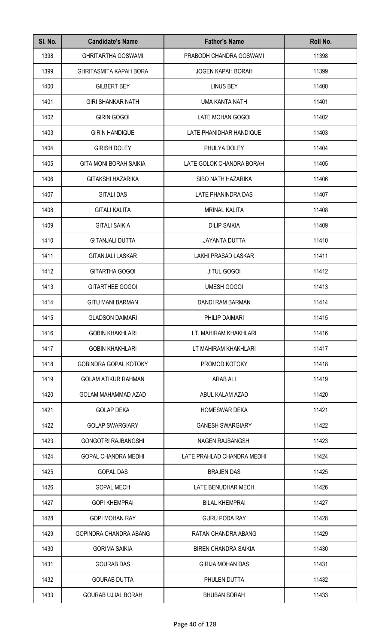| SI. No. | <b>Candidate's Name</b>       | <b>Father's Name</b>        | Roll No. |
|---------|-------------------------------|-----------------------------|----------|
| 1398    | <b>GHRITARTHA GOSWAMI</b>     | PRABODH CHANDRA GOSWAMI     | 11398    |
| 1399    | <b>GHRITASMITA KAPAH BORA</b> | <b>JOGEN KAPAH BORAH</b>    | 11399    |
| 1400    | <b>GILBERT BEY</b>            | <b>LINUS BEY</b>            | 11400    |
| 1401    | <b>GIRI SHANKAR NATH</b>      | UMA KANTA NATH              | 11401    |
| 1402    | <b>GIRIN GOGOI</b>            | LATE MOHAN GOGOI            | 11402    |
| 1403    | <b>GIRIN HANDIQUE</b>         | LATE PHANIDHAR HANDIQUE     | 11403    |
| 1404    | <b>GIRISH DOLEY</b>           | PHULYA DOLEY                | 11404    |
| 1405    | <b>GITA MONI BORAH SAIKIA</b> | LATE GOLOK CHANDRA BORAH    | 11405    |
| 1406    | GITAKSHI HAZARIKA             | SIBO NATH HAZARIKA          | 11406    |
| 1407    | <b>GITALI DAS</b>             | LATE PHANINDRA DAS          | 11407    |
| 1408    | <b>GITALI KALITA</b>          | <b>MRINAL KALITA</b>        | 11408    |
| 1409    | <b>GITALI SAIKIA</b>          | <b>DILIP SAIKIA</b>         | 11409    |
| 1410    | <b>GITANJALI DUTTA</b>        | <b>JAYANTA DUTTA</b>        | 11410    |
| 1411    | <b>GITANJALI LASKAR</b>       | LAKHI PRASAD LASKAR         | 11411    |
| 1412    | <b>GITARTHA GOGOI</b>         | <b>JITUL GOGOI</b>          | 11412    |
| 1413    | <b>GITARTHEE GOGOI</b>        | <b>UMESH GOGOI</b>          | 11413    |
| 1414    | <b>GITU MANI BARMAN</b>       | <b>DANDI RAM BARMAN</b>     | 11414    |
| 1415    | <b>GLADSON DAIMARI</b>        | PHILIP DAIMARI              | 11415    |
| 1416    | <b>GOBIN KHAKHLARI</b>        | LT. MAHIRAM KHAKHLARI       | 11416    |
| 1417    | <b>GOBIN KHAKHLARI</b>        | LT MAHIRAM KHAKHLARI        | 11417    |
| 1418    | <b>GOBINDRA GOPAL KOTOKY</b>  | PROMOD KOTOKY               | 11418    |
| 1419    | <b>GOLAM ATIKUR RAHMAN</b>    | ARAB ALI                    | 11419    |
| 1420    | GOLAM MAHAMMAD AZAD           | ABUL KALAM AZAD             | 11420    |
| 1421    | <b>GOLAP DEKA</b>             | <b>HOMESWAR DEKA</b>        | 11421    |
| 1422    | <b>GOLAP SWARGIARY</b>        | <b>GANESH SWARGIARY</b>     | 11422    |
| 1423    | <b>GONGOTRI RAJBANGSHI</b>    | NAGEN RAJBANGSHI            | 11423    |
| 1424    | <b>GOPAL CHANDRA MEDHI</b>    | LATE PRAHLAD CHANDRA MEDHI  | 11424    |
| 1425    | <b>GOPAL DAS</b>              | <b>BRAJEN DAS</b>           | 11425    |
| 1426    | <b>GOPAL MECH</b>             | LATE BENUDHAR MECH          | 11426    |
| 1427    | <b>GOPI KHEMPRAI</b>          | <b>BILAL KHEMPRAI</b>       | 11427    |
| 1428    | <b>GOPI MOHAN RAY</b>         | <b>GURU PODA RAY</b>        | 11428    |
| 1429    | GOPINDRA CHANDRA ABANG        | RATAN CHANDRA ABANG         | 11429    |
| 1430    | <b>GORIMA SAIKIA</b>          | <b>BIREN CHANDRA SAIKIA</b> | 11430    |
| 1431    | <b>GOURAB DAS</b>             | <b>GIRIJA MOHAN DAS</b>     | 11431    |
| 1432    | <b>GOURAB DUTTA</b>           | PHULEN DUTTA                | 11432    |
| 1433    | <b>GOURAB UJJAL BORAH</b>     | <b>BHUBAN BORAH</b>         | 11433    |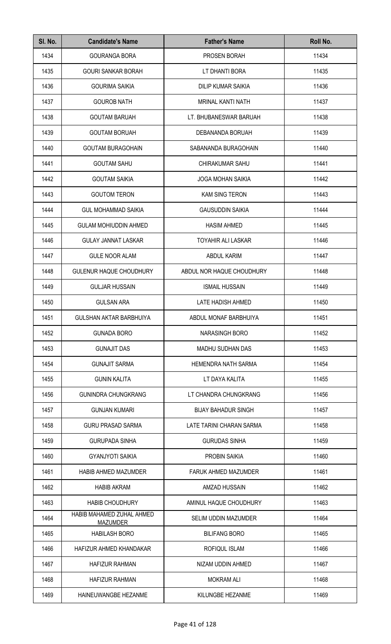| Page 41 of 128 |  |  |  |
|----------------|--|--|--|
|----------------|--|--|--|

| 1435<br>11435<br><b>GOURI SANKAR BORAH</b><br>LT DHANTI BORA<br>1436<br>11436<br><b>GOURIMA SAIKIA</b><br><b>DILIP KUMAR SAIKIA</b><br>1437<br>11437<br><b>GOUROB NATH</b><br><b>MRINAL KANTI NATH</b><br>1438<br><b>GOUTAM BARUAH</b><br>11438<br>LT. BHUBANESWAR BARUAH<br>1439<br><b>GOUTAM BORUAH</b><br>11439<br>DEBANANDA BORUAH<br>1440<br>11440<br><b>GOUTAM BURAGOHAIN</b><br>SABANANDA BURAGOHAIN<br>1441<br>11441<br><b>GOUTAM SAHU</b><br><b>CHIRAKUMAR SAHU</b><br>1442<br><b>GOUTAM SAIKIA</b><br><b>JOGA MOHAN SAIKIA</b><br>11442<br>1443<br><b>GOUTOM TERON</b><br>KAM SING TERON<br>11443<br>1444<br><b>GUL MOHAMMAD SAIKIA</b><br><b>GAUSUDDIN SAIKIA</b><br>11444<br>1445<br><b>GULAM MOHIUDDIN AHMED</b><br><b>HASIM AHMED</b><br>11445<br>1446<br><b>GULAY JANNAT LASKAR</b><br><b>TOYAHIR ALI LASKAR</b><br>11446<br>1447<br><b>GULE NOOR ALAM</b><br>ABDUL KARIM<br>11447<br>1448<br>11448<br><b>GULENUR HAQUE CHOUDHURY</b><br>ABDUL NOR HAQUE CHOUDHURY<br>1449<br>11449<br><b>GULJAR HUSSAIN</b><br><b>ISMAIL HUSSAIN</b><br>1450<br>11450<br><b>GULSAN ARA</b><br>LATE HADISH AHMED<br>1451<br>11451<br><b>GULSHAN AKTAR BARBHUIYA</b><br>ABDUL MONAF BARBHUIYA<br>1452<br>11452<br><b>GUNADA BORO</b><br><b>NARASINGH BORO</b><br>1453<br><b>GUNAJIT DAS</b><br>11453<br>MADHU SUDHAN DAS<br>11454<br>1454<br><b>GUNAJIT SARMA</b><br><b>HEMENDRA NATH SARMA</b><br>11455<br>1455<br><b>GUNIN KALITA</b><br>LT DAYA KALITA<br>11456<br>1456<br><b>GUNINDRA CHUNGKRANG</b><br>LT CHANDRA CHUNGKRANG<br>1457<br><b>GUNJAN KUMARI</b><br><b>BIJAY BAHADUR SINGH</b><br>11457<br>1458<br><b>GURU PRASAD SARMA</b><br>LATE TARINI CHARAN SARMA<br>11458<br>1459<br><b>GURUPADA SINHA</b><br><b>GURUDAS SINHA</b><br>11459<br>1460<br>11460<br><b>GYANJYOTI SAIKIA</b><br><b>PROBIN SAIKIA</b><br>1461<br>11461<br><b>HABIB AHMED MAZUMDER</b><br>FARUK AHMED MAZUMDER<br>1462<br>11462<br><b>HABIB AKRAM</b><br>AMZAD HUSSAIN<br>1463<br>11463<br><b>HABIB CHOUDHURY</b><br>AMINUL HAQUE CHOUDHURY<br>HABIB MAHAMED ZUHAL AHMED<br>1464<br>11464<br><b>SELIM UDDIN MAZUMDER</b><br>MAZUMDER<br>1465<br>11465<br><b>HABILASH BORO</b><br><b>BILIFANG BORO</b><br>1466<br>11466<br>HAFIZUR AHMED KHANDAKAR<br>ROFIQUL ISLAM<br>1467<br><b>HAFIZUR RAHMAN</b><br>NIZAM UDDIN AHMED<br>11467<br>1468<br><b>HAFIZUR RAHMAN</b><br><b>MOKRAM ALI</b><br>11468<br>1469<br>HAINEUWANGBE HEZANME<br>KILUNGBE HEZANME<br>11469 |  |  |
|----------------------------------------------------------------------------------------------------------------------------------------------------------------------------------------------------------------------------------------------------------------------------------------------------------------------------------------------------------------------------------------------------------------------------------------------------------------------------------------------------------------------------------------------------------------------------------------------------------------------------------------------------------------------------------------------------------------------------------------------------------------------------------------------------------------------------------------------------------------------------------------------------------------------------------------------------------------------------------------------------------------------------------------------------------------------------------------------------------------------------------------------------------------------------------------------------------------------------------------------------------------------------------------------------------------------------------------------------------------------------------------------------------------------------------------------------------------------------------------------------------------------------------------------------------------------------------------------------------------------------------------------------------------------------------------------------------------------------------------------------------------------------------------------------------------------------------------------------------------------------------------------------------------------------------------------------------------------------------------------------------------------------------------------------------------------------------------------------------------------------------------------------------------------------------------------------------------------------------------------------------------------------------------------------------------------------------------------------------------------------------------------------------------------------------------------|--|--|
|                                                                                                                                                                                                                                                                                                                                                                                                                                                                                                                                                                                                                                                                                                                                                                                                                                                                                                                                                                                                                                                                                                                                                                                                                                                                                                                                                                                                                                                                                                                                                                                                                                                                                                                                                                                                                                                                                                                                                                                                                                                                                                                                                                                                                                                                                                                                                                                                                                              |  |  |
|                                                                                                                                                                                                                                                                                                                                                                                                                                                                                                                                                                                                                                                                                                                                                                                                                                                                                                                                                                                                                                                                                                                                                                                                                                                                                                                                                                                                                                                                                                                                                                                                                                                                                                                                                                                                                                                                                                                                                                                                                                                                                                                                                                                                                                                                                                                                                                                                                                              |  |  |
|                                                                                                                                                                                                                                                                                                                                                                                                                                                                                                                                                                                                                                                                                                                                                                                                                                                                                                                                                                                                                                                                                                                                                                                                                                                                                                                                                                                                                                                                                                                                                                                                                                                                                                                                                                                                                                                                                                                                                                                                                                                                                                                                                                                                                                                                                                                                                                                                                                              |  |  |
|                                                                                                                                                                                                                                                                                                                                                                                                                                                                                                                                                                                                                                                                                                                                                                                                                                                                                                                                                                                                                                                                                                                                                                                                                                                                                                                                                                                                                                                                                                                                                                                                                                                                                                                                                                                                                                                                                                                                                                                                                                                                                                                                                                                                                                                                                                                                                                                                                                              |  |  |
|                                                                                                                                                                                                                                                                                                                                                                                                                                                                                                                                                                                                                                                                                                                                                                                                                                                                                                                                                                                                                                                                                                                                                                                                                                                                                                                                                                                                                                                                                                                                                                                                                                                                                                                                                                                                                                                                                                                                                                                                                                                                                                                                                                                                                                                                                                                                                                                                                                              |  |  |
|                                                                                                                                                                                                                                                                                                                                                                                                                                                                                                                                                                                                                                                                                                                                                                                                                                                                                                                                                                                                                                                                                                                                                                                                                                                                                                                                                                                                                                                                                                                                                                                                                                                                                                                                                                                                                                                                                                                                                                                                                                                                                                                                                                                                                                                                                                                                                                                                                                              |  |  |
|                                                                                                                                                                                                                                                                                                                                                                                                                                                                                                                                                                                                                                                                                                                                                                                                                                                                                                                                                                                                                                                                                                                                                                                                                                                                                                                                                                                                                                                                                                                                                                                                                                                                                                                                                                                                                                                                                                                                                                                                                                                                                                                                                                                                                                                                                                                                                                                                                                              |  |  |
|                                                                                                                                                                                                                                                                                                                                                                                                                                                                                                                                                                                                                                                                                                                                                                                                                                                                                                                                                                                                                                                                                                                                                                                                                                                                                                                                                                                                                                                                                                                                                                                                                                                                                                                                                                                                                                                                                                                                                                                                                                                                                                                                                                                                                                                                                                                                                                                                                                              |  |  |
|                                                                                                                                                                                                                                                                                                                                                                                                                                                                                                                                                                                                                                                                                                                                                                                                                                                                                                                                                                                                                                                                                                                                                                                                                                                                                                                                                                                                                                                                                                                                                                                                                                                                                                                                                                                                                                                                                                                                                                                                                                                                                                                                                                                                                                                                                                                                                                                                                                              |  |  |
|                                                                                                                                                                                                                                                                                                                                                                                                                                                                                                                                                                                                                                                                                                                                                                                                                                                                                                                                                                                                                                                                                                                                                                                                                                                                                                                                                                                                                                                                                                                                                                                                                                                                                                                                                                                                                                                                                                                                                                                                                                                                                                                                                                                                                                                                                                                                                                                                                                              |  |  |
|                                                                                                                                                                                                                                                                                                                                                                                                                                                                                                                                                                                                                                                                                                                                                                                                                                                                                                                                                                                                                                                                                                                                                                                                                                                                                                                                                                                                                                                                                                                                                                                                                                                                                                                                                                                                                                                                                                                                                                                                                                                                                                                                                                                                                                                                                                                                                                                                                                              |  |  |
|                                                                                                                                                                                                                                                                                                                                                                                                                                                                                                                                                                                                                                                                                                                                                                                                                                                                                                                                                                                                                                                                                                                                                                                                                                                                                                                                                                                                                                                                                                                                                                                                                                                                                                                                                                                                                                                                                                                                                                                                                                                                                                                                                                                                                                                                                                                                                                                                                                              |  |  |
|                                                                                                                                                                                                                                                                                                                                                                                                                                                                                                                                                                                                                                                                                                                                                                                                                                                                                                                                                                                                                                                                                                                                                                                                                                                                                                                                                                                                                                                                                                                                                                                                                                                                                                                                                                                                                                                                                                                                                                                                                                                                                                                                                                                                                                                                                                                                                                                                                                              |  |  |
|                                                                                                                                                                                                                                                                                                                                                                                                                                                                                                                                                                                                                                                                                                                                                                                                                                                                                                                                                                                                                                                                                                                                                                                                                                                                                                                                                                                                                                                                                                                                                                                                                                                                                                                                                                                                                                                                                                                                                                                                                                                                                                                                                                                                                                                                                                                                                                                                                                              |  |  |
|                                                                                                                                                                                                                                                                                                                                                                                                                                                                                                                                                                                                                                                                                                                                                                                                                                                                                                                                                                                                                                                                                                                                                                                                                                                                                                                                                                                                                                                                                                                                                                                                                                                                                                                                                                                                                                                                                                                                                                                                                                                                                                                                                                                                                                                                                                                                                                                                                                              |  |  |
|                                                                                                                                                                                                                                                                                                                                                                                                                                                                                                                                                                                                                                                                                                                                                                                                                                                                                                                                                                                                                                                                                                                                                                                                                                                                                                                                                                                                                                                                                                                                                                                                                                                                                                                                                                                                                                                                                                                                                                                                                                                                                                                                                                                                                                                                                                                                                                                                                                              |  |  |
|                                                                                                                                                                                                                                                                                                                                                                                                                                                                                                                                                                                                                                                                                                                                                                                                                                                                                                                                                                                                                                                                                                                                                                                                                                                                                                                                                                                                                                                                                                                                                                                                                                                                                                                                                                                                                                                                                                                                                                                                                                                                                                                                                                                                                                                                                                                                                                                                                                              |  |  |
|                                                                                                                                                                                                                                                                                                                                                                                                                                                                                                                                                                                                                                                                                                                                                                                                                                                                                                                                                                                                                                                                                                                                                                                                                                                                                                                                                                                                                                                                                                                                                                                                                                                                                                                                                                                                                                                                                                                                                                                                                                                                                                                                                                                                                                                                                                                                                                                                                                              |  |  |
|                                                                                                                                                                                                                                                                                                                                                                                                                                                                                                                                                                                                                                                                                                                                                                                                                                                                                                                                                                                                                                                                                                                                                                                                                                                                                                                                                                                                                                                                                                                                                                                                                                                                                                                                                                                                                                                                                                                                                                                                                                                                                                                                                                                                                                                                                                                                                                                                                                              |  |  |
|                                                                                                                                                                                                                                                                                                                                                                                                                                                                                                                                                                                                                                                                                                                                                                                                                                                                                                                                                                                                                                                                                                                                                                                                                                                                                                                                                                                                                                                                                                                                                                                                                                                                                                                                                                                                                                                                                                                                                                                                                                                                                                                                                                                                                                                                                                                                                                                                                                              |  |  |
|                                                                                                                                                                                                                                                                                                                                                                                                                                                                                                                                                                                                                                                                                                                                                                                                                                                                                                                                                                                                                                                                                                                                                                                                                                                                                                                                                                                                                                                                                                                                                                                                                                                                                                                                                                                                                                                                                                                                                                                                                                                                                                                                                                                                                                                                                                                                                                                                                                              |  |  |
|                                                                                                                                                                                                                                                                                                                                                                                                                                                                                                                                                                                                                                                                                                                                                                                                                                                                                                                                                                                                                                                                                                                                                                                                                                                                                                                                                                                                                                                                                                                                                                                                                                                                                                                                                                                                                                                                                                                                                                                                                                                                                                                                                                                                                                                                                                                                                                                                                                              |  |  |
|                                                                                                                                                                                                                                                                                                                                                                                                                                                                                                                                                                                                                                                                                                                                                                                                                                                                                                                                                                                                                                                                                                                                                                                                                                                                                                                                                                                                                                                                                                                                                                                                                                                                                                                                                                                                                                                                                                                                                                                                                                                                                                                                                                                                                                                                                                                                                                                                                                              |  |  |
|                                                                                                                                                                                                                                                                                                                                                                                                                                                                                                                                                                                                                                                                                                                                                                                                                                                                                                                                                                                                                                                                                                                                                                                                                                                                                                                                                                                                                                                                                                                                                                                                                                                                                                                                                                                                                                                                                                                                                                                                                                                                                                                                                                                                                                                                                                                                                                                                                                              |  |  |
|                                                                                                                                                                                                                                                                                                                                                                                                                                                                                                                                                                                                                                                                                                                                                                                                                                                                                                                                                                                                                                                                                                                                                                                                                                                                                                                                                                                                                                                                                                                                                                                                                                                                                                                                                                                                                                                                                                                                                                                                                                                                                                                                                                                                                                                                                                                                                                                                                                              |  |  |
|                                                                                                                                                                                                                                                                                                                                                                                                                                                                                                                                                                                                                                                                                                                                                                                                                                                                                                                                                                                                                                                                                                                                                                                                                                                                                                                                                                                                                                                                                                                                                                                                                                                                                                                                                                                                                                                                                                                                                                                                                                                                                                                                                                                                                                                                                                                                                                                                                                              |  |  |
|                                                                                                                                                                                                                                                                                                                                                                                                                                                                                                                                                                                                                                                                                                                                                                                                                                                                                                                                                                                                                                                                                                                                                                                                                                                                                                                                                                                                                                                                                                                                                                                                                                                                                                                                                                                                                                                                                                                                                                                                                                                                                                                                                                                                                                                                                                                                                                                                                                              |  |  |
|                                                                                                                                                                                                                                                                                                                                                                                                                                                                                                                                                                                                                                                                                                                                                                                                                                                                                                                                                                                                                                                                                                                                                                                                                                                                                                                                                                                                                                                                                                                                                                                                                                                                                                                                                                                                                                                                                                                                                                                                                                                                                                                                                                                                                                                                                                                                                                                                                                              |  |  |
|                                                                                                                                                                                                                                                                                                                                                                                                                                                                                                                                                                                                                                                                                                                                                                                                                                                                                                                                                                                                                                                                                                                                                                                                                                                                                                                                                                                                                                                                                                                                                                                                                                                                                                                                                                                                                                                                                                                                                                                                                                                                                                                                                                                                                                                                                                                                                                                                                                              |  |  |
|                                                                                                                                                                                                                                                                                                                                                                                                                                                                                                                                                                                                                                                                                                                                                                                                                                                                                                                                                                                                                                                                                                                                                                                                                                                                                                                                                                                                                                                                                                                                                                                                                                                                                                                                                                                                                                                                                                                                                                                                                                                                                                                                                                                                                                                                                                                                                                                                                                              |  |  |
|                                                                                                                                                                                                                                                                                                                                                                                                                                                                                                                                                                                                                                                                                                                                                                                                                                                                                                                                                                                                                                                                                                                                                                                                                                                                                                                                                                                                                                                                                                                                                                                                                                                                                                                                                                                                                                                                                                                                                                                                                                                                                                                                                                                                                                                                                                                                                                                                                                              |  |  |
|                                                                                                                                                                                                                                                                                                                                                                                                                                                                                                                                                                                                                                                                                                                                                                                                                                                                                                                                                                                                                                                                                                                                                                                                                                                                                                                                                                                                                                                                                                                                                                                                                                                                                                                                                                                                                                                                                                                                                                                                                                                                                                                                                                                                                                                                                                                                                                                                                                              |  |  |
|                                                                                                                                                                                                                                                                                                                                                                                                                                                                                                                                                                                                                                                                                                                                                                                                                                                                                                                                                                                                                                                                                                                                                                                                                                                                                                                                                                                                                                                                                                                                                                                                                                                                                                                                                                                                                                                                                                                                                                                                                                                                                                                                                                                                                                                                                                                                                                                                                                              |  |  |
|                                                                                                                                                                                                                                                                                                                                                                                                                                                                                                                                                                                                                                                                                                                                                                                                                                                                                                                                                                                                                                                                                                                                                                                                                                                                                                                                                                                                                                                                                                                                                                                                                                                                                                                                                                                                                                                                                                                                                                                                                                                                                                                                                                                                                                                                                                                                                                                                                                              |  |  |
|                                                                                                                                                                                                                                                                                                                                                                                                                                                                                                                                                                                                                                                                                                                                                                                                                                                                                                                                                                                                                                                                                                                                                                                                                                                                                                                                                                                                                                                                                                                                                                                                                                                                                                                                                                                                                                                                                                                                                                                                                                                                                                                                                                                                                                                                                                                                                                                                                                              |  |  |

SI. No. | Candidate's Name | Father's Name | Roll No.

1434 GOURANGA BORA PROSEN BORAH 11434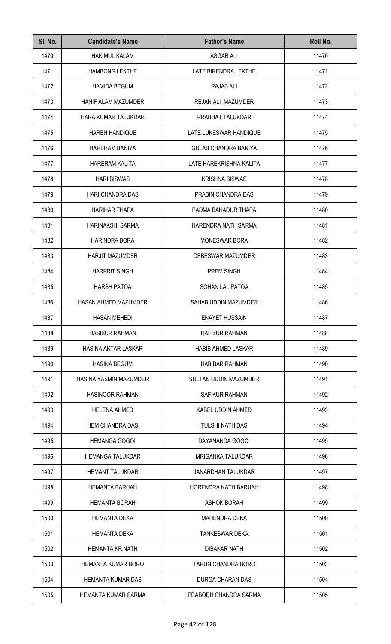| SI. No. | <b>Candidate's Name</b>   | <b>Father's Name</b>         | Roll No. |
|---------|---------------------------|------------------------------|----------|
| 1470    | <b>HAKIMUL KALAM</b>      | <b>ASGAR ALI</b>             | 11470    |
| 1471    | <b>HAMBONG LEKTHE</b>     | LATE BIRENDRA LEKTHE         | 11471    |
| 1472    | <b>HAMIDA BEGUM</b>       | RAJAB ALI                    | 11472    |
| 1473    | HANIF ALAM MAZUMDER       | REJAN ALI MAZUMDER           | 11473    |
| 1474    | HARA KUMAR TALUKDAR       | PRABHAT TALUKDAR             | 11474    |
| 1475    | <b>HAREN HANDIQUE</b>     | LATE LUKESWAR HANDIQUE       | 11475    |
| 1476    | <b>HARERAM BANIYA</b>     | <b>GULAB CHANDRA BANIYA</b>  | 11476    |
| 1477    | <b>HARERAM KALITA</b>     | LATE HAREKRISHNA KALITA      | 11477    |
| 1478    | <b>HARI BISWAS</b>        | <b>KRISHNA BISWAS</b>        | 11478    |
| 1479    | <b>HARI CHANDRA DAS</b>   | PRABIN CHANDRA DAS           | 11479    |
| 1480    | <b>HARIHAR THAPA</b>      | PADMA BAHADUR THAPA          | 11480    |
| 1481    | HARINAKSHI SARMA          | HARENDRA NATH SARMA          | 11481    |
| 1482    | <b>HARINDRA BORA</b>      | <b>MONESWAR BORA</b>         | 11482    |
| 1483    | <b>HARJIT MAZUMDER</b>    | DEBESWAR MAZUMDER            | 11483    |
| 1484    | <b>HARPRIT SINGH</b>      | PREM SINGH                   | 11484    |
| 1485    | <b>HARSH PATOA</b>        | <b>SOHAN LAL PATOA</b>       | 11485    |
| 1486    | HASAN AHMED MAZUMDER      | SAHAB UDDIN MAZUMDER         | 11486    |
| 1487    | HASAN MEHEDI              | <b>ENAYET HUSSAIN</b>        | 11487    |
| 1488    | <b>HASIBUR RAHMAN</b>     | <b>HAFIZUR RAHMAN</b>        | 11488    |
| 1489    | HASINA AKTAR LASKAR       | <b>HABIB AHMED LASKAR</b>    | 11489    |
| 1490    | <b>HASINA BEGUM</b>       | <b>HABIBAR RAHMAN</b>        | 11490    |
| 1491    | HASINA YASMIN MAZUMDER    | <b>SULTAN UDDIN MAZUMDER</b> | 11491    |
| 1492    | <b>HASINOOR RAHMAN</b>    | SAFIKUR RAHMAN               | 11492    |
| 1493    | <b>HELENA AHMED</b>       | KABEL UDDIN AHMED            | 11493    |
| 1494    | <b>HEM CHANDRA DAS</b>    | <b>TULSHI NATH DAS</b>       | 11494    |
| 1495    | <b>HEMANGA GOGOI</b>      | DAYANANDA GOGOI              | 11495    |
| 1496    | <b>HEMANGA TALUKDAR</b>   | <b>MRIGANKA TALUKDAR</b>     | 11496    |
| 1497    | <b>HEMANT TALUKDAR</b>    | <b>JANARDHAN TALUKDAR</b>    | 11497    |
| 1498    | <b>HEMANTA BARUAH</b>     | <b>HORENDRA NATH BARUAH</b>  | 11498    |
| 1499    | <b>HEMANTA BORAH</b>      | <b>ASHOK BORAH</b>           | 11499    |
| 1500    | <b>HEMANTA DEKA</b>       | <b>MAHENDRA DEKA</b>         | 11500    |
| 1501    | <b>HEMANTA DEKA</b>       | <b>TANKESWAR DEKA</b>        | 11501    |
| 1502    | <b>HEMANTA KR NATH</b>    | DIBAKAR NATH                 | 11502    |
| 1503    | <b>HEMANTA KUMAR BORO</b> | TARUN CHANDRA BORO           | 11503    |
| 1504    | <b>HEMANTA KUMAR DAS</b>  | <b>DURGA CHARAN DAS</b>      | 11504    |
| 1505    | HEMANTA KUMAR SARMA       | PRABODH CHANDRA SARMA        | 11505    |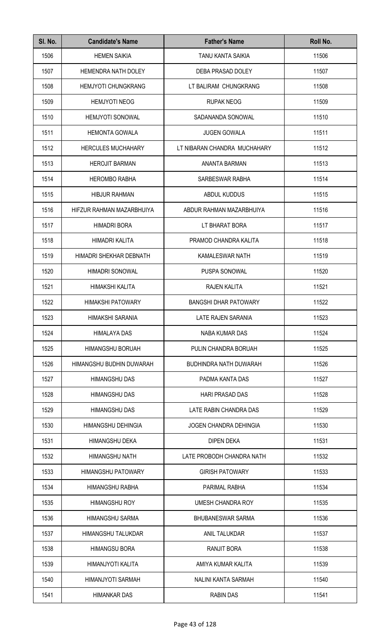| SI. No. | <b>Candidate's Name</b>    | <b>Father's Name</b>          | Roll No. |
|---------|----------------------------|-------------------------------|----------|
| 1506    | <b>HEMEN SAIKIA</b>        | <b>TANU KANTA SAIKIA</b>      | 11506    |
| 1507    | <b>HEMENDRA NATH DOLEY</b> | DEBA PRASAD DOLEY             | 11507    |
| 1508    | <b>HEMJYOTI CHUNGKRANG</b> | LT BALIRAM CHUNGKRANG         | 11508    |
| 1509    | <b>HEMJYOTI NEOG</b>       | <b>RUPAK NEOG</b>             | 11509    |
| 1510    | <b>HEMJYOTI SONOWAL</b>    | SADANANDA SONOWAL             | 11510    |
| 1511    | <b>HEMONTA GOWALA</b>      | <b>JUGEN GOWALA</b>           | 11511    |
| 1512    | <b>HERCULES MUCHAHARY</b>  | LT NIBARAN CHANDRA MUCHAHARY  | 11512    |
| 1513    | <b>HEROJIT BARMAN</b>      | ANANTA BARMAN                 | 11513    |
| 1514    | <b>HEROMBO RABHA</b>       | SARBESWAR RABHA               | 11514    |
| 1515    | <b>HIBJUR RAHMAN</b>       | ABDUL KUDDUS                  | 11515    |
| 1516    | HIFZUR RAHMAN MAZARBHUIYA  | ABDUR RAHMAN MAZARBHUIYA      | 11516    |
| 1517    | <b>HIMADRI BORA</b>        | LT BHARAT BORA                | 11517    |
| 1518    | HIMADRI KALITA             | PRAMOD CHANDRA KALITA         | 11518    |
| 1519    | HIMADRI SHEKHAR DEBNATH    | <b>KAMALESWAR NATH</b>        | 11519    |
| 1520    | <b>HIMADRI SONOWAL</b>     | PUSPA SONOWAL                 | 11520    |
| 1521    | HIMAKSHI KALITA            | <b>RAJEN KALITA</b>           | 11521    |
| 1522    | <b>HIMAKSHI PATOWARY</b>   | <b>BANGSHI DHAR PATOWARY</b>  | 11522    |
| 1523    | HIMAKSHI SARANIA           | LATE RAJEN SARANIA            | 11523    |
| 1524    | <b>HIMALAYA DAS</b>        | NABA KUMAR DAS                | 11524    |
| 1525    | HIMANGSHU BORUAH           | PULIN CHANDRA BORUAH          | 11525    |
| 1526    | HIMANGSHU BUDHIN DUWARAH   | <b>BUDHINDRA NATH DUWARAH</b> | 11526    |
| 1527    | <b>HIMANGSHU DAS</b>       | PADMA KANTA DAS               | 11527    |
| 1528    | <b>HIMANGSHU DAS</b>       | <b>HARI PRASAD DAS</b>        | 11528    |
| 1529    | <b>HIMANGSHU DAS</b>       | LATE RABIN CHANDRA DAS        | 11529    |
| 1530    | HIMANGSHU DEHINGIA         | <b>JOGEN CHANDRA DEHINGIA</b> | 11530    |
| 1531    | <b>HIMANGSHU DEKA</b>      | <b>DIPEN DEKA</b>             | 11531    |
| 1532    | <b>HIMANGSHU NATH</b>      | LATE PROBODH CHANDRA NATH     | 11532    |
| 1533    | <b>HIMANGSHU PATOWARY</b>  | <b>GIRISH PATOWARY</b>        | 11533    |
| 1534    | HIMANGSHU RABHA            | PARIMAL RABHA                 | 11534    |
| 1535    | <b>HIMANGSHU ROY</b>       | UMESH CHANDRA ROY             | 11535    |
| 1536    | HIMANGSHU SARMA            | <b>BHUBANESWAR SARMA</b>      | 11536    |
| 1537    | <b>HIMANGSHU TALUKDAR</b>  | ANIL TALUKDAR                 | 11537    |
| 1538    | <b>HIMANGSU BORA</b>       | RANJIT BORA                   | 11538    |
| 1539    | HIMANJYOTI KALITA          | AMIYA KUMAR KALITA            | 11539    |
| 1540    | HIMANJYOTI SARMAH          | NALINI KANTA SARMAH           | 11540    |
| 1541    | <b>HIMANKAR DAS</b>        | <b>RABIN DAS</b>              | 11541    |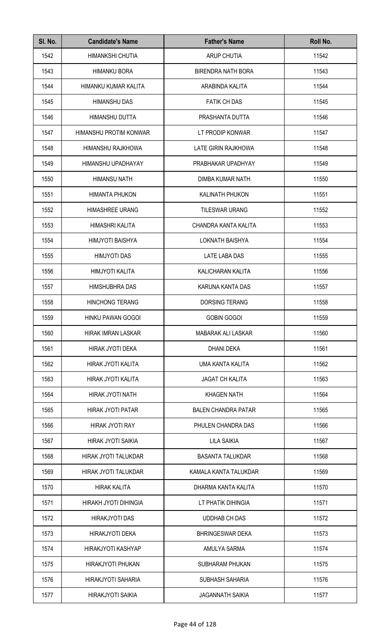| SI. No. | <b>Candidate's Name</b>   | <b>Father's Name</b>       | Roll No. |
|---------|---------------------------|----------------------------|----------|
| 1542    | HIMANKSHI CHUTIA          | ARUP CHUTIA                | 11542    |
| 1543    | <b>HIMANKU BORA</b>       | <b>BIRENDRA NATH BORA</b>  | 11543    |
| 1544    | HIMANKU KUMAR KALITA      | ARABINDA KALITA            | 11544    |
| 1545    | <b>HIMANSHU DAS</b>       | <b>FATIK CH DAS</b>        | 11545    |
| 1546    | <b>HIMANSHU DUTTA</b>     | PRASHANTA DUTTA            | 11546    |
| 1547    | HIMANSHU PROTIM KONWAR    | LT PRODIP KONWAR           | 11547    |
| 1548    | HIMANSHU RAJKHOWA         | LATE GIRIN RAJKHOWA        | 11548    |
| 1549    | HIMANSHU UPADHAYAY        | PRABHAKAR UPADHYAY         | 11549    |
| 1550    | <b>HIMANSU NATH</b>       | DIMBA KUMAR NATH           | 11550    |
| 1551    | <b>HIMANTA PHUKON</b>     | <b>KALINATH PHUKON</b>     | 11551    |
| 1552    | <b>HIMASHREE URANG</b>    | <b>TILESWAR URANG</b>      | 11552    |
| 1553    | HIMASHRI KALITA           | CHANDRA KANTA KALITA       | 11553    |
| 1554    | HIMJYOTI BAISHYA          | <b>LOKNATH BAISHYA</b>     | 11554    |
| 1555    | <b>HIMJYOTI DAS</b>       | LATE LABA DAS              | 11555    |
| 1556    | HIMJYOTI KALITA           | KALICHARAN KALITA          | 11556    |
| 1557    | <b>HIMSHUBHRA DAS</b>     | KARUNA KANTA DAS           | 11557    |
| 1558    | <b>HINCHONG TERANG</b>    | <b>DORSING TERANG</b>      | 11558    |
| 1559    | HINKU PAWAN GOGOI         | <b>GOBIN GOGOI</b>         | 11559    |
| 1560    | HIRAK IMRAN LASKAR        | MABARAK ALI LASKAR         | 11560    |
| 1561    | <b>HIRAK JYOTI DEKA</b>   | <b>DHANI DEKA</b>          | 11561    |
| 1562    | HIRAK JYOTI KALITA        | UMA KANTA KALITA           | 11562    |
| 1563    | HIRAK JYOTI KALITA        | <b>JAGAT CH KALITA</b>     | 11563    |
| 1564    | HIRAK JYOTI NATH          | <b>KHAGEN NATH</b>         | 11564    |
| 1565    | HIRAK JYOTI PATAR         | <b>BALEN CHANDRA PATAR</b> | 11565    |
| 1566    | HIRAK JYOTI RAY           | PHULEN CHANDRA DAS         | 11566    |
| 1567    | HIRAK JYOTI SAIKIA        | <b>LILA SAIKIA</b>         | 11567    |
| 1568    | HIRAK JYOTI TALUKDAR      | <b>BASANTA TALUKDAR</b>    | 11568    |
| 1569    | HIRAK JYOTI TALUKDAR      | KAMALA KANTA TALUKDAR      | 11569    |
| 1570    | <b>HIRAK KALITA</b>       | DHARMA KANTA KALITA        | 11570    |
| 1571    | HIRAKH JYOTI DIHINGIA     | LT PHATIK DIHINGIA         | 11571    |
| 1572    | <b>HIRAKJYOTI DAS</b>     | <b>UDDHAB CH DAS</b>       | 11572    |
| 1573    | HIRAKJYOTI DEKA           | <b>BHRINGESWAR DEKA</b>    | 11573    |
| 1574    | <b>HIRAKJYOTI KASHYAP</b> | AMULYA SARMA               | 11574    |
| 1575    | HIRAKJYOTI PHUKAN         | <b>SUBHARAM PHUKAN</b>     | 11575    |
| 1576    | <b>HIRAKJYOTI SAHARIA</b> | <b>SUBHASH SAHARIA</b>     | 11576    |
| 1577    | HIRAKJYOTI SAIKIA         | <b>JAGANNATH SAIKIA</b>    | 11577    |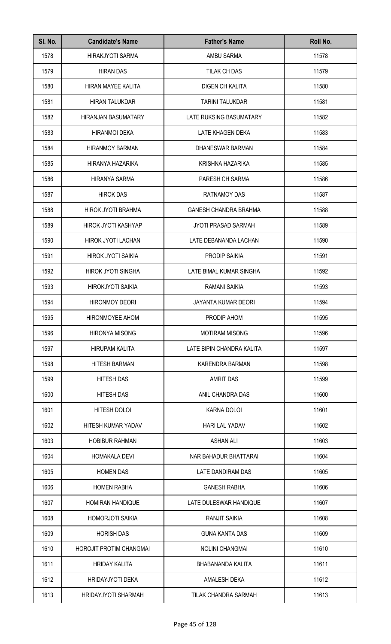| SI. No. | <b>Candidate's Name</b>    | <b>Father's Name</b>         | Roll No. |
|---------|----------------------------|------------------------------|----------|
| 1578    | <b>HIRAKJYOTI SARMA</b>    | AMBU SARMA                   | 11578    |
| 1579    | <b>HIRAN DAS</b>           | TILAK CH DAS                 | 11579    |
| 1580    | HIRAN MAYEE KALITA         | <b>DIGEN CH KALITA</b>       | 11580    |
| 1581    | <b>HIRAN TALUKDAR</b>      | <b>TARINI TALUKDAR</b>       | 11581    |
| 1582    | <b>HIRANJAN BASUMATARY</b> | LATE RUKSING BASUMATARY      | 11582    |
| 1583    | <b>HIRANMOI DEKA</b>       | LATE KHAGEN DEKA             | 11583    |
| 1584    | <b>HIRANMOY BARMAN</b>     | DHANESWAR BARMAN             | 11584    |
| 1585    | HIRANYA HAZARIKA           | KRISHNA HAZARIKA             | 11585    |
| 1586    | <b>HIRANYA SARMA</b>       | PARESH CH SARMA              | 11586    |
| 1587    | <b>HIROK DAS</b>           | <b>RATNAMOY DAS</b>          | 11587    |
| 1588    | HIROK JYOTI BRAHMA         | <b>GANESH CHANDRA BRAHMA</b> | 11588    |
| 1589    | HIROK JYOTI KASHYAP        | <b>JYOTI PRASAD SARMAH</b>   | 11589    |
| 1590    | HIROK JYOTI LACHAN         | LATE DEBANANDA LACHAN        | 11590    |
| 1591    | <b>HIROK JYOTI SAIKIA</b>  | PRODIP SAIKIA                | 11591    |
| 1592    | <b>HIROK JYOTI SINGHA</b>  | LATE BIMAL KUMAR SINGHA      | 11592    |
| 1593    | <b>HIROKJYOTI SAIKIA</b>   | RAMANI SAIKIA                | 11593    |
| 1594    | <b>HIRONMOY DEORI</b>      | <b>JAYANTA KUMAR DEORI</b>   | 11594    |
| 1595    | HIRONMOYEE AHOM            | PRODIP AHOM                  | 11595    |
| 1596    | <b>HIRONYA MISONG</b>      | <b>MOTIRAM MISONG</b>        | 11596    |
| 1597    | <b>HIRUPAM KALITA</b>      | LATE BIPIN CHANDRA KALITA    | 11597    |
| 1598    | <b>HITESH BARMAN</b>       | KARENDRA BARMAN              | 11598    |
| 1599    | <b>HITESH DAS</b>          | <b>AMRIT DAS</b>             | 11599    |
| 1600    | <b>HITESH DAS</b>          | ANIL CHANDRA DAS             | 11600    |
| 1601    | HITESH DOLOI               | <b>KARNA DOLOI</b>           | 11601    |
| 1602    | HITESH KUMAR YADAV         | <b>HARI LAL YADAV</b>        | 11602    |
| 1603    | <b>HOBIBUR RAHMAN</b>      | <b>ASHAN ALI</b>             | 11603    |
| 1604    | <b>HOMAKALA DEVI</b>       | NAR BAHADUR BHATTARAI        | 11604    |
| 1605    | <b>HOMEN DAS</b>           | LATE DANDIRAM DAS            | 11605    |
| 1606    | <b>HOMEN RABHA</b>         | <b>GANESH RABHA</b>          | 11606    |
| 1607    | <b>HOMIRAN HANDIQUE</b>    | LATE DULESWAR HANDIQUE       | 11607    |
| 1608    | <b>HOMORJOTI SAIKIA</b>    | RANJIT SAIKIA                | 11608    |
| 1609    | <b>HORISH DAS</b>          | <b>GUNA KANTA DAS</b>        | 11609    |
| 1610    | HOROJIT PROTIM CHANGMAI    | <b>NOLINI CHANGMAI</b>       | 11610    |
| 1611    | <b>HRIDAY KALITA</b>       | BHABANANDA KALITA            | 11611    |
| 1612    | <b>HRIDAYJYOTI DEKA</b>    | AMALESH DEKA                 | 11612    |
| 1613    | HRIDAYJYOTI SHARMAH        | <b>TILAK CHANDRA SARMAH</b>  | 11613    |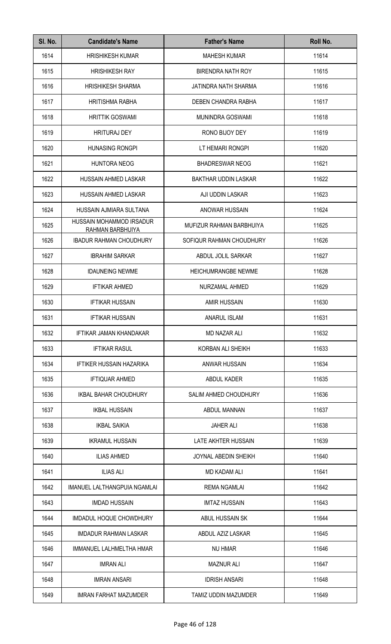| SI. No. | <b>Candidate's Name</b>                      | <b>Father's Name</b>        | Roll No. |
|---------|----------------------------------------------|-----------------------------|----------|
| 1614    | <b>HRISHIKESH KUMAR</b>                      | <b>MAHESH KUMAR</b>         | 11614    |
| 1615    | <b>HRISHIKESH RAY</b>                        | <b>BIRENDRA NATH ROY</b>    | 11615    |
| 1616    | <b>HRISHIKESH SHARMA</b>                     | JATINDRA NATH SHARMA        | 11616    |
| 1617    | <b>HRITISHMA RABHA</b>                       | DEBEN CHANDRA RABHA         | 11617    |
| 1618    | <b>HRITTIK GOSWAMI</b>                       | <b>MUNINDRA GOSWAMI</b>     | 11618    |
| 1619    | <b>HRITURAJ DEY</b>                          | RONO BIJOY DEY              | 11619    |
| 1620    | <b>HUNASING RONGPI</b>                       | LT HEMARI RONGPI            | 11620    |
| 1621    | <b>HUNTORA NEOG</b>                          | <b>BHADRESWAR NEOG</b>      | 11621    |
| 1622    | HUSSAIN AHMED LASKAR                         | <b>BAKTHAR UDDIN LASKAR</b> | 11622    |
| 1623    | <b>HUSSAIN AHMED LASKAR</b>                  | AJI UDDIN LASKAR            | 11623    |
| 1624    | HUSSAIN AJMIARA SULTANA                      | ANOWAR HUSSAIN              | 11624    |
| 1625    | HUSSAIN MOHAMMOD IRSADUR<br>RAHMAN BARBHUIYA | MUFIZUR RAHMAN BARBHUIYA    | 11625    |
| 1626    | <b>IBADUR RAHMAN CHOUDHURY</b>               | SOFIQUR RAHMAN CHOUDHURY    | 11626    |
| 1627    | <b>IBRAHIM SARKAR</b>                        | ABDUL JOLIL SARKAR          | 11627    |
| 1628    | <b>IDAUNEING NEWME</b>                       | <b>HEICHUMRANGBE NEWME</b>  | 11628    |
| 1629    | <b>IFTIKAR AHMED</b>                         | NURZAMAL AHMED              | 11629    |
| 1630    | <b>IFTIKAR HUSSAIN</b>                       | <b>AMIR HUSSAIN</b>         | 11630    |
| 1631    | <b>IFTIKAR HUSSAIN</b>                       | ANARUL ISLAM                | 11631    |
| 1632    | IFTIKAR JAMAN KHANDAKAR                      | <b>MD NAZAR ALI</b>         | 11632    |
| 1633    | <b>IFTIKAR RASUL</b>                         | KORBAN ALI SHEIKH           | 11633    |
| 1634    | <b>IFTIKER HUSSAIN HAZARIKA</b>              | ANWAR HUSSAIN               | 11634    |
| 1635    | <b>IFTIQUAR AHMED</b>                        | ABDUL KADER                 | 11635    |
| 1636    | <b>IKBAL BAHAR CHOUDHURY</b>                 | SALIM AHMED CHOUDHURY       | 11636    |
| 1637    | <b>IKBAL HUSSAIN</b>                         | ABDUL MANNAN                | 11637    |
| 1638    | <b>IKBAL SAIKIA</b>                          | <b>JAHER ALI</b>            | 11638    |
| 1639    | <b>IKRAMUL HUSSAIN</b>                       | LATE AKHTER HUSSAIN         | 11639    |
| 1640    | <b>ILIAS AHMED</b>                           | JOYNAL ABEDIN SHEIKH        | 11640    |
| 1641    | <b>ILIAS ALI</b>                             | MD KADAM ALI                | 11641    |
| 1642    | IMANUEL LALTHANGPUIA NGAMLAI                 | <b>REMA NGAMLAI</b>         | 11642    |
| 1643    | <b>IMDAD HUSSAIN</b>                         | <b>IMTAZ HUSSAIN</b>        | 11643    |
| 1644    | IMDADUL HOQUE CHOWDHURY                      | ABUL HUSSAIN SK             | 11644    |
| 1645    | <b>IMDADUR RAHMAN LASKAR</b>                 | ABDUL AZIZ LASKAR           | 11645    |
| 1646    | IMMANUEL LALHMELTHA HMAR                     | <b>NU HMAR</b>              | 11646    |
| 1647    | <b>IMRAN ALI</b>                             | <b>MAZNUR ALI</b>           | 11647    |
| 1648    | <b>IMRAN ANSARI</b>                          | <b>IDRISH ANSARI</b>        | 11648    |
| 1649    | <b>IMRAN FARHAT MAZUMDER</b>                 | TAMIZ UDDIN MAZUMDER        | 11649    |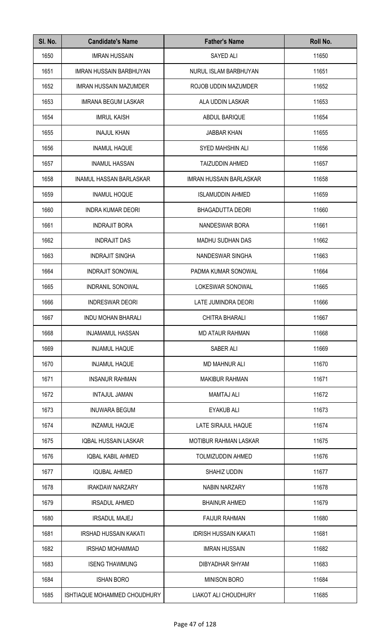| SI. No. | <b>Candidate's Name</b>        | <b>Father's Name</b>           | Roll No. |
|---------|--------------------------------|--------------------------------|----------|
| 1650    | <b>IMRAN HUSSAIN</b>           | SAYED ALI                      | 11650    |
| 1651    | <b>IMRAN HUSSAIN BARBHUYAN</b> | NURUL ISLAM BARBHUYAN          | 11651    |
| 1652    | <b>IMRAN HUSSAIN MAZUMDER</b>  | ROJOB UDDIN MAZUMDER           | 11652    |
| 1653    | <b>IMRANA BEGUM LASKAR</b>     | ALA UDDIN LASKAR               | 11653    |
| 1654    | <b>IMRUL KAISH</b>             | ABDUL BARIQUE                  | 11654    |
| 1655    | <b>INAJUL KHAN</b>             | <b>JABBAR KHAN</b>             | 11655    |
| 1656    | <b>INAMUL HAQUE</b>            | <b>SYED MAHSHIN ALI</b>        | 11656    |
| 1657    | <b>INAMUL HASSAN</b>           | <b>TAIZUDDIN AHMED</b>         | 11657    |
| 1658    | <b>INAMUL HASSAN BARLASKAR</b> | <b>IMRAN HUSSAIN BARLASKAR</b> | 11658    |
| 1659    | <b>INAMUL HOQUE</b>            | <b>ISLAMUDDIN AHMED</b>        | 11659    |
| 1660    | <b>INDRA KUMAR DEORI</b>       | <b>BHAGADUTTA DEORI</b>        | 11660    |
| 1661    | <b>INDRAJIT BORA</b>           | NANDESWAR BORA                 | 11661    |
| 1662    | <b>INDRAJIT DAS</b>            | MADHU SUDHAN DAS               | 11662    |
| 1663    | <b>INDRAJIT SINGHA</b>         | NANDESWAR SINGHA               | 11663    |
| 1664    | <b>INDRAJIT SONOWAL</b>        | PADMA KUMAR SONOWAL            | 11664    |
| 1665    | INDRANIL SONOWAL               | LOKESWAR SONOWAL               | 11665    |
| 1666    | <b>INDRESWAR DEORI</b>         | LATE JUMINDRA DEORI            | 11666    |
| 1667    | <b>INDU MOHAN BHARALI</b>      | <b>CHITRA BHARALI</b>          | 11667    |
| 1668    | <b>INJAMAMUL HASSAN</b>        | <b>MD ATAUR RAHMAN</b>         | 11668    |
| 1669    | <b>INJAMUL HAQUE</b>           | SABER ALI                      | 11669    |
| 1670    | <b>INJAMUL HAQUE</b>           | <b>MD MAHNUR ALI</b>           | 11670    |
| 1671    | <b>INSANUR RAHMAN</b>          | <b>MAKIBUR RAHMAN</b>          | 11671    |
| 1672    | <b>INTAJUL JAMAN</b>           | <b>MAMTAJ ALI</b>              | 11672    |
| 1673    | <b>INUWARA BEGUM</b>           | <b>EYAKUB ALI</b>              | 11673    |
| 1674    | <b>INZAMUL HAQUE</b>           | LATE SIRAJUL HAQUE             | 11674    |
| 1675    | <b>IQBAL HUSSAIN LASKAR</b>    | <b>MOTIBUR RAHMAN LASKAR</b>   | 11675    |
| 1676    | <b>IQBAL KABIL AHMED</b>       | <b>TOLMIZUDDIN AHMED</b>       | 11676    |
| 1677    | <b>IQUBAL AHMED</b>            | SHAHIZ UDDIN                   | 11677    |
| 1678    | <b>IRAKDAW NARZARY</b>         | <b>NABIN NARZARY</b>           | 11678    |
| 1679    | <b>IRSADUL AHMED</b>           | <b>BHAINUR AHMED</b>           | 11679    |
| 1680    | <b>IRSADUL MAJEJ</b>           | <b>FAIJUR RAHMAN</b>           | 11680    |
| 1681    | <b>IRSHAD HUSSAIN KAKATI</b>   | <b>IDRISH HUSSAIN KAKATI</b>   | 11681    |
| 1682    | <b>IRSHAD MOHAMMAD</b>         | <b>IMRAN HUSSAIN</b>           | 11682    |
| 1683    | <b>ISENG THAWMUNG</b>          | DIBYADHAR SHYAM                | 11683    |
| 1684    | <b>ISHAN BORO</b>              | <b>MINISON BORO</b>            | 11684    |
| 1685    | ISHTIAQUE MOHAMMED CHOUDHURY   | <b>LIAKOT ALI CHOUDHURY</b>    | 11685    |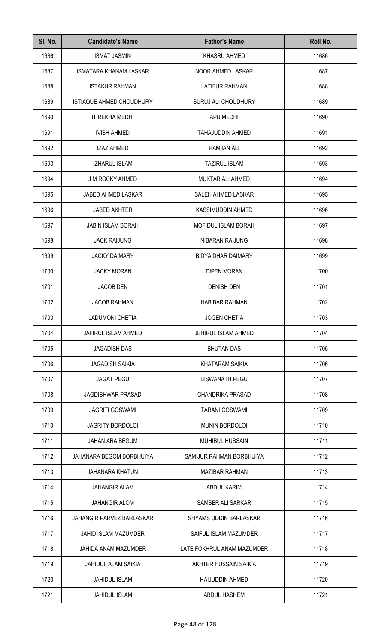| SI. No. | <b>Candidate's Name</b>         | <b>Father's Name</b>          | Roll No. |
|---------|---------------------------------|-------------------------------|----------|
| 1686    | <b>ISMAT JASMIN</b>             | KHASRU AHMED                  | 11686    |
| 1687    | <b>ISMATARA KHANAM LASKAR</b>   | NOOR AHMED LASKAR             | 11687    |
| 1688    | <b>ISTAKUR RAHMAN</b>           | <b>LATIFUR RAHMAN</b>         | 11688    |
| 1689    | <b>ISTIAQUE AHMED CHOUDHURY</b> | SURUJ ALI CHOUDHURY           | 11689    |
| 1690    | <b>ITIREKHA MEDHI</b>           | APU MEDHI                     | 11690    |
| 1691    | <b>IVISH AHMED</b>              | <b>TAHAJUDDIN AHMED</b>       | 11691    |
| 1692    | <b>IZAZ AHMED</b>               | <b>RAMJAN ALI</b>             | 11692    |
| 1693    | <b>IZHARUL ISLAM</b>            | <b>TAZIRUL ISLAM</b>          | 11693    |
| 1694    | <b>J M ROCKY AHMED</b>          | <b>MUKTAR ALI AHMED</b>       | 11694    |
| 1695    | JABED AHMED LASKAR              | SALEH AHMED LASKAR            | 11695    |
| 1696    | <b>JABED AKHTER</b>             | KASSIMUDDIN AHMED             | 11696    |
| 1697    | <b>JABIN ISLAM BORAH</b>        | <b>MOFIDUL ISLAM BORAH</b>    | 11697    |
| 1698    | <b>JACK RAIJUNG</b>             | NIBARAN RAIJUNG               | 11698    |
| 1699    | <b>JACKY DAIMARY</b>            | <b>BIDYA DHAR DAIMARY</b>     | 11699    |
| 1700    | <b>JACKY MORAN</b>              | <b>DIPEN MORAN</b>            | 11700    |
| 1701    | <b>JACOB DEN</b>                | <b>DENISH DEN</b>             | 11701    |
| 1702    | <b>JACOB RAHMAN</b>             | <b>HABIBAR RAHMAN</b>         | 11702    |
| 1703    | <b>JADUMONI CHETIA</b>          | <b>JOGEN CHETIA</b>           | 11703    |
| 1704    | <b>JAFIRUL ISLAM AHMED</b>      | JEHIRUL ISLAM AHMED           | 11704    |
| 1705    | <b>JAGADISH DAS</b>             | <b>BHUTAN DAS</b>             | 11705    |
| 1706    | <b>JAGADISH SAIKIA</b>          | KHATARAM SAIKIA               | 11706    |
| 1707    | <b>JAGAT PEGU</b>               | <b>BISWANATH PEGU</b>         | 11707    |
| 1708    | <b>JAGDISHWAR PRASAD</b>        | <b>CHANDRIKA PRASAD</b>       | 11708    |
| 1709    | <b>JAGRITI GOSWAMI</b>          | <b>TARANI GOSWAMI</b>         | 11709    |
| 1710    | <b>JAGRITY BORDOLOI</b>         | MUNIN BORDOLOI                | 11710    |
| 1711    | <b>JAHAN ARA BEGUM</b>          | <b>MUHIBUL HUSSAIN</b>        | 11711    |
| 1712    | JAHANARA BEGOM BORBHUIYA        | SAMIJUR RAHMAN BORBHUIYA      | 11712    |
| 1713    | <b>JAHANARA KHATUN</b>          | <b>MAZIBAR RAHMAN</b>         | 11713    |
| 1714    | <b>JAHANGIR ALAM</b>            | ABDUL KARIM                   | 11714    |
| 1715    | JAHANGIR ALOM                   | SAMSER ALI SARKAR             | 11715    |
| 1716    | JAHANGIR PARVEZ BARLASKAR       | <b>SHYAMS UDDIN BARLASKAR</b> | 11716    |
| 1717    | JAHID ISLAM MAZUMDER            | SAIFUL ISLAM MAZUMDER         | 11717    |
| 1718    | JAHIDA ANAM MAZUMDER            | LATE FOKHRUL ANAM MAZUMDER    | 11718    |
| 1719    | <b>JAHIDUL ALAM SAIKIA</b>      | AKHTER HUSSAIN SAIKIA         | 11719    |
| 1720    | <b>JAHIDUL ISLAM</b>            | <b>HAIJUDDIN AHMED</b>        | 11720    |
| 1721    | <b>JAHIDUL ISLAM</b>            | <b>ABDUL HASHEM</b>           | 11721    |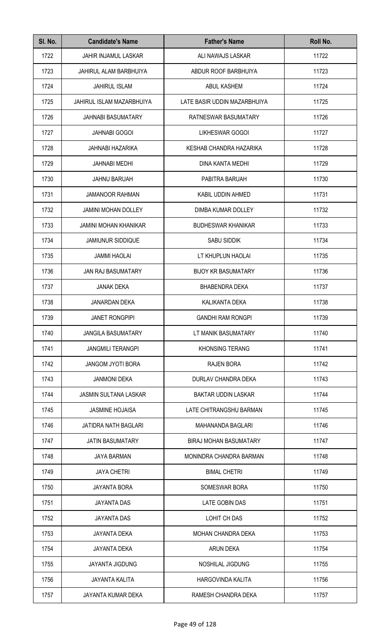| SI. No. | <b>Candidate's Name</b>      | <b>Father's Name</b>          | Roll No. |
|---------|------------------------------|-------------------------------|----------|
| 1722    | <b>JAHIR INJAMUL LASKAR</b>  | ALI NAWAJS LASKAR             | 11722    |
| 1723    | JAHIRUL ALAM BARBHUIYA       | ABDUR ROOF BARBHUIYA          | 11723    |
| 1724    | <b>JAHIRUL ISLAM</b>         | <b>ABUL KASHEM</b>            | 11724    |
| 1725    | JAHIRUL ISLAM MAZARBHUIYA    | LATE BASIR UDDIN MAZARBHUIYA  | 11725    |
| 1726    | <b>JAHNABI BASUMATARY</b>    | RATNESWAR BASUMATARY          | 11726    |
| 1727    | <b>JAHNABI GOGOI</b>         | LIKHESWAR GOGOI               | 11727    |
| 1728    | JAHNABI HAZARIKA             | KESHAB CHANDRA HAZARIKA       | 11728    |
| 1729    | <b>JAHNABI MEDHI</b>         | <b>DINA KANTA MEDHI</b>       | 11729    |
| 1730    | <b>JAHNU BARUAH</b>          | PABITRA BARUAH                | 11730    |
| 1731    | <b>JAMANOOR RAHMAN</b>       | KABIL UDDIN AHMED             | 11731    |
| 1732    | <b>JAMINI MOHAN DOLLEY</b>   | DIMBA KUMAR DOLLEY            | 11732    |
| 1733    | <b>JAMINI MOHAN KHANIKAR</b> | <b>BUDHESWAR KHANIKAR</b>     | 11733    |
| 1734    | <b>JAMIUNUR SIDDIQUE</b>     | <b>SABU SIDDIK</b>            | 11734    |
| 1735    | <b>JAMMI HAOLAI</b>          | LT KHUPLUN HAOLAI             | 11735    |
| 1736    | <b>JAN RAJ BASUMATARY</b>    | <b>BIJOY KR BASUMATARY</b>    | 11736    |
| 1737    | <b>JANAK DEKA</b>            | <b>BHABENDRA DEKA</b>         | 11737    |
| 1738    | JANARDAN DEKA                | KALIKANTA DEKA                | 11738    |
| 1739    | <b>JANET RONGPIPI</b>        | <b>GANDHI RAM RONGPI</b>      | 11739    |
| 1740    | <b>JANGILA BASUMATARY</b>    | LT MANIK BASUMATARY           | 11740    |
| 1741    | <b>JANGMILI TERANGPI</b>     | <b>KHONSING TERANG</b>        | 11741    |
| 1742    | <b>JANGOM JYOTI BORA</b>     | <b>RAJEN BORA</b>             | 11742    |
| 1743    | <b>JANMONI DEKA</b>          | DURLAV CHANDRA DEKA           | 11743    |
| 1744    | <b>JASMIN SULTANA LASKAR</b> | <b>BAKTAR UDDIN LASKAR</b>    | 11744    |
| 1745    | <b>JASMINE HOJAISA</b>       | LATE CHITRANGSHU BARMAN       | 11745    |
| 1746    | <b>JATIDRA NATH BAGLARI</b>  | MAHANANDA BAGLARI             | 11746    |
| 1747    | <b>JATIN BASUMATARY</b>      | <b>BIRAJ MOHAN BASUMATARY</b> | 11747    |
| 1748    | <b>JAYA BARMAN</b>           | MONINDRA CHANDRA BARMAN       | 11748    |
| 1749    | <b>JAYA CHETRI</b>           | <b>BIMAL CHETRI</b>           | 11749    |
| 1750    | <b>JAYANTA BORA</b>          | <b>SOMESWAR BORA</b>          | 11750    |
| 1751    | <b>JAYANTA DAS</b>           | LATE GOBIN DAS                | 11751    |
| 1752    | JAYANTA DAS                  | LOHIT CH DAS                  | 11752    |
| 1753    | <b>JAYANTA DEKA</b>          | MOHAN CHANDRA DEKA            | 11753    |
| 1754    | <b>JAYANTA DEKA</b>          | <b>ARUN DEKA</b>              | 11754    |
| 1755    | <b>JAYANTA JIGDUNG</b>       | NOSHILAL JIGDUNG              | 11755    |
| 1756    | <b>JAYANTA KALITA</b>        | <b>HARGOVINDA KALITA</b>      | 11756    |
| 1757    | JAYANTA KUMAR DEKA           | RAMESH CHANDRA DEKA           | 11757    |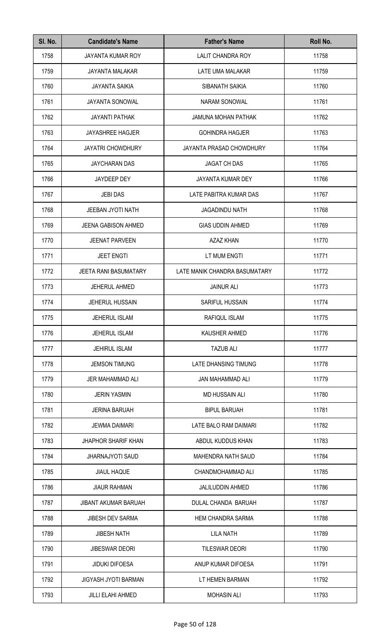| SI. No. | <b>Candidate's Name</b>      | <b>Father's Name</b>          | Roll No. |
|---------|------------------------------|-------------------------------|----------|
| 1758    | <b>JAYANTA KUMAR ROY</b>     | <b>LALIT CHANDRA ROY</b>      | 11758    |
| 1759    | <b>JAYANTA MALAKAR</b>       | LATE UMA MALAKAR              | 11759    |
| 1760    | <b>JAYANTA SAIKIA</b>        | SIBANATH SAIKIA               | 11760    |
| 1761    | <b>JAYANTA SONOWAL</b>       | <b>NARAM SONOWAL</b>          | 11761    |
| 1762    | <b>JAYANTI PATHAK</b>        | <b>JAMUNA MOHAN PATHAK</b>    | 11762    |
| 1763    | <b>JAYASHREE HAGJER</b>      | <b>GOHINDRA HAGJER</b>        | 11763    |
| 1764    | <b>JAYATRI CHOWDHURY</b>     | JAYANTA PRASAD CHOWDHURY      | 11764    |
| 1765    | JAYCHARAN DAS                | <b>JAGAT CH DAS</b>           | 11765    |
| 1766    | JAYDEEP DEY                  | <b>JAYANTA KUMAR DEY</b>      | 11766    |
| 1767    | <b>JEBI DAS</b>              | LATE PABITRA KUMAR DAS        | 11767    |
| 1768    | <b>JEEBAN JYOTI NATH</b>     | <b>JAGADINDU NATH</b>         | 11768    |
| 1769    | <b>JEENA GABISON AHMED</b>   | <b>GIAS UDDIN AHMED</b>       | 11769    |
| 1770    | JEENAT PARVEEN               | <b>AZAZ KHAN</b>              | 11770    |
| 1771    | <b>JEET ENGTI</b>            | LT MUM ENGTI                  | 11771    |
| 1772    | <b>JEETA RANI BASUMATARY</b> | LATE MANIK CHANDRA BASUMATARY | 11772    |
| 1773    | JEHERUL AHMED                | <b>JAINUR ALI</b>             | 11773    |
| 1774    | JEHERUL HUSSAIN              | <b>SARIFUL HUSSAIN</b>        | 11774    |
| 1775    | JEHERUL ISLAM                | RAFIQUL ISLAM                 | 11775    |
| 1776    | <b>JEHERUL ISLAM</b>         | <b>KAUSHER AHMED</b>          | 11776    |
| 1777    | <b>JEHIRUL ISLAM</b>         | <b>TAZUB ALI</b>              | 11777    |
| 1778    | <b>JEMSON TIMUNG</b>         | LATE DHANSING TIMUNG          | 11778    |
| 1779    | JER MAHAMMAD ALI             | JAN MAHAMMAD ALI              | 11779    |
| 1780    | <b>JERIN YASMIN</b>          | <b>MD HUSSAIN ALI</b>         | 11780    |
| 1781    | <b>JERINA BARUAH</b>         | <b>BIPUL BARUAH</b>           | 11781    |
| 1782    | <b>JEWMA DAIMARI</b>         | LATE BALO RAM DAIMARI         | 11782    |
| 1783    | <b>JHAPHOR SHARIF KHAN</b>   | ABDUL KUDDUS KHAN             | 11783    |
| 1784    | <b>JHARNAJYOTI SAUD</b>      | <b>MAHENDRA NATH SAUD</b>     | 11784    |
| 1785    | <b>JIAUL HAQUE</b>           | CHANDMOHAMMAD ALI             | 11785    |
| 1786    | <b>JIAUR RAHMAN</b>          | JALILUDDIN AHMED              | 11786    |
| 1787    | <b>JIBANT AKUMAR BARUAH</b>  | DULAL CHANDA BARUAH           | 11787    |
| 1788    | <b>JIBESH DEV SARMA</b>      | <b>HEM CHANDRA SARMA</b>      | 11788    |
| 1789    | <b>JIBESH NATH</b>           | <b>LILA NATH</b>              | 11789    |
| 1790    | <b>JIBESWAR DEORI</b>        | <b>TILESWAR DEORI</b>         | 11790    |
| 1791    | <b>JIDUKI DIFOESA</b>        | ANUP KUMAR DIFOESA            | 11791    |
| 1792    | JIGYASH JYOTI BARMAN         | LT HEMEN BARMAN               | 11792    |
| 1793    | <b>JILLI ELAHI AHMED</b>     | <b>MOHASIN ALI</b>            | 11793    |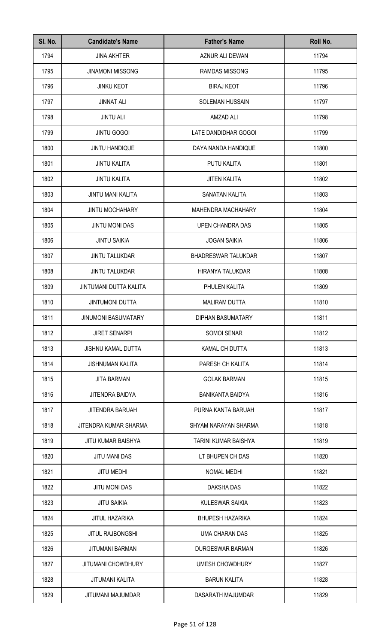| SI. No. | <b>Candidate's Name</b>    | <b>Father's Name</b>       | Roll No. |
|---------|----------------------------|----------------------------|----------|
| 1794    | <b>JINA AKHTER</b>         | AZNUR ALI DEWAN            | 11794    |
| 1795    | <b>JINAMONI MISSONG</b>    | <b>RAMDAS MISSONG</b>      | 11795    |
| 1796    | <b>JINKU KEOT</b>          | <b>BIRAJ KEOT</b>          | 11796    |
| 1797    | <b>JINNAT ALI</b>          | SOLEMAN HUSSAIN            | 11797    |
| 1798    | <b>JINTU ALI</b>           | AMZAD ALI                  | 11798    |
| 1799    | <b>JINTU GOGOI</b>         | LATE DANDIDHAR GOGOI       | 11799    |
| 1800    | JINTU HANDIQUE             | DAYA NANDA HANDIQUE        | 11800    |
| 1801    | <b>JINTU KALITA</b>        | PUTU KALITA                | 11801    |
| 1802    | <b>JINTU KALITA</b>        | <b>JITEN KALITA</b>        | 11802    |
| 1803    | <b>JINTU MANI KALITA</b>   | SANATAN KALITA             | 11803    |
| 1804    | <b>JINTU MOCHAHARY</b>     | <b>MAHENDRA MACHAHARY</b>  | 11804    |
| 1805    | <b>JINTU MONI DAS</b>      | UPEN CHANDRA DAS           | 11805    |
| 1806    | <b>JINTU SAIKIA</b>        | <b>JOGAN SAIKIA</b>        | 11806    |
| 1807    | <b>JINTU TALUKDAR</b>      | <b>BHADRESWAR TALUKDAR</b> | 11807    |
| 1808    | <b>JINTU TALUKDAR</b>      | HIRANYA TALUKDAR           | 11808    |
| 1809    | JINTUMANI DUTTA KALITA     | PHULEN KALITA              | 11809    |
| 1810    | <b>JINTUMONI DUTTA</b>     | <b>MALIRAM DUTTA</b>       | 11810    |
| 1811    | <b>JINUMONI BASUMATARY</b> | DIPHAN BASUMATARY          | 11811    |
| 1812    | <b>JIRET SENARPI</b>       | <b>SOMOI SENAR</b>         | 11812    |
| 1813    | <b>JISHNU KAMAL DUTTA</b>  | <b>KAMAL CH DUTTA</b>      | 11813    |
| 1814    | <b>JISHNUMAN KALITA</b>    | PARESH CH KALITA           | 11814    |
| 1815    | <b>JITA BARMAN</b>         | <b>GOLAK BARMAN</b>        | 11815    |
| 1816    | JITENDRA BAIDYA            | <b>BANIKANTA BAIDYA</b>    | 11816    |
| 1817    | JITENDRA BARUAH            | PURNA KANTA BARUAH         | 11817    |
| 1818    | JITENDRA KUMAR SHARMA      | SHYAM NARAYAN SHARMA       | 11818    |
| 1819    | <b>JITU KUMAR BAISHYA</b>  | TARINI KUMAR BAISHYA       | 11819    |
| 1820    | <b>JITU MANI DAS</b>       | LT BHUPEN CH DAS           | 11820    |
| 1821    | <b>JITU MEDHI</b>          | <b>NOMAL MEDHI</b>         | 11821    |
| 1822    | <b>JITU MONI DAS</b>       | <b>DAKSHA DAS</b>          | 11822    |
| 1823    | <b>JITU SAIKIA</b>         | <b>KULESWAR SAIKIA</b>     | 11823    |
| 1824    | <b>JITUL HAZARIKA</b>      | <b>BHUPESH HAZARIKA</b>    | 11824    |
| 1825    | <b>JITUL RAJBONGSHI</b>    | UMA CHARAN DAS             | 11825    |
| 1826    | <b>JITUMANI BARMAN</b>     | DURGESWAR BARMAN           | 11826    |
| 1827    | JITUMANI CHOWDHURY         | <b>UMESH CHOWDHURY</b>     | 11827    |
| 1828    | JITUMANI KALITA            | <b>BARUN KALITA</b>        | 11828    |
| 1829    | JITUMANI MAJUMDAR          | DASARATH MAJUMDAR          | 11829    |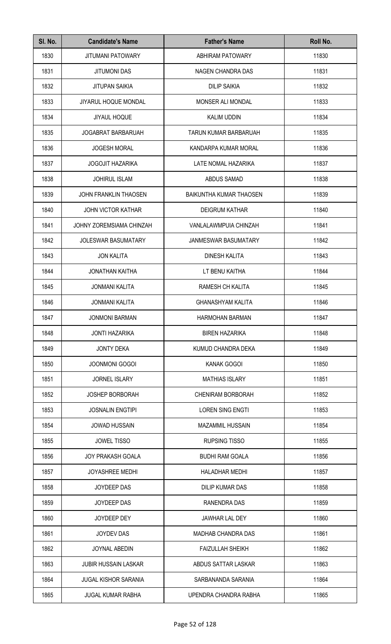| SI. No. | <b>Candidate's Name</b>      | <b>Father's Name</b>           | Roll No. |
|---------|------------------------------|--------------------------------|----------|
| 1830    | <b>JITUMANI PATOWARY</b>     | <b>ABHIRAM PATOWARY</b>        | 11830    |
| 1831    | <b>JITUMONI DAS</b>          | <b>NAGEN CHANDRA DAS</b>       | 11831    |
| 1832    | <b>JITUPAN SAIKIA</b>        | <b>DILIP SAIKIA</b>            | 11832    |
| 1833    | <b>JIYARUL HOQUE MONDAL</b>  | MONSER ALI MONDAL              | 11833    |
| 1834    | <b>JIYAUL HOQUE</b>          | <b>KALIM UDDIN</b>             | 11834    |
| 1835    | <b>JOGABRAT BARBARUAH</b>    | TARUN KUMAR BARBARUAH          | 11835    |
| 1836    | <b>JOGESH MORAL</b>          | KANDARPA KUMAR MORAL           | 11836    |
| 1837    | <b>JOGOJIT HAZARIKA</b>      | LATE NOMAL HAZARIKA            | 11837    |
| 1838    | <b>JOHIRUL ISLAM</b>         | ABDUS SAMAD                    | 11838    |
| 1839    | <b>JOHN FRANKLIN THAOSEN</b> | <b>BAIKUNTHA KUMAR THAOSEN</b> | 11839    |
| 1840    | <b>JOHN VICTOR KATHAR</b>    | <b>DEIGRUM KATHAR</b>          | 11840    |
| 1841    | JOHNY ZOREMSIAMA CHINZAH     | VANLALAWMPUIA CHINZAH          | 11841    |
| 1842    | <b>JOLESWAR BASUMATARY</b>   | <b>JANMESWAR BASUMATARY</b>    | 11842    |
| 1843    | <b>JON KALITA</b>            | <b>DINESH KALITA</b>           | 11843    |
| 1844    | <b>JONATHAN KAITHA</b>       | LT BENU KAITHA                 | 11844    |
| 1845    | <b>JONMANI KALITA</b>        | RAMESH CH KALITA               | 11845    |
| 1846    | <b>JONMANI KALITA</b>        | <b>GHANASHYAM KALITA</b>       | 11846    |
| 1847    | JONMONI BARMAN               | HARMOHAN BARMAN                | 11847    |
| 1848    | <b>JONTI HAZARIKA</b>        | <b>BIREN HAZARIKA</b>          | 11848    |
| 1849    | <b>JONTY DEKA</b>            | KUMUD CHANDRA DEKA             | 11849    |
| 1850    | <b>JOONMONI GOGOI</b>        | <b>KANAK GOGOI</b>             | 11850    |
| 1851    | <b>JORNEL ISLARY</b>         | <b>MATHIAS ISLARY</b>          | 11851    |
| 1852    | <b>JOSHEP BORBORAH</b>       | <b>CHENIRAM BORBORAH</b>       | 11852    |
| 1853    | <b>JOSNALIN ENGTIPI</b>      | <b>LOREN SING ENGTI</b>        | 11853    |
| 1854    | <b>JOWAD HUSSAIN</b>         | <b>MAZAMMIL HUSSAIN</b>        | 11854    |
| 1855    | <b>JOWEL TISSO</b>           | <b>RUPSING TISSO</b>           | 11855    |
| 1856    | <b>JOY PRAKASH GOALA</b>     | <b>BUDHI RAM GOALA</b>         | 11856    |
| 1857    | <b>JOYASHREE MEDHI</b>       | <b>HALADHAR MEDHI</b>          | 11857    |
| 1858    | JOYDEEP DAS                  | DILIP KUMAR DAS                | 11858    |
| 1859    | JOYDEEP DAS                  | <b>RANENDRA DAS</b>            | 11859    |
| 1860    | JOYDEEP DEY                  | JAWHAR LAL DEY                 | 11860    |
| 1861    | <b>JOYDEV DAS</b>            | <b>MADHAB CHANDRA DAS</b>      | 11861    |
| 1862    | JOYNAL ABEDIN                | <b>FAIZULLAH SHEIKH</b>        | 11862    |
| 1863    | <b>JUBIR HUSSAIN LASKAR</b>  | ABDUS SATTAR LASKAR            | 11863    |
| 1864    | <b>JUGAL KISHOR SARANIA</b>  | SARBANANDA SARANIA             | 11864    |
| 1865    | <b>JUGAL KUMAR RABHA</b>     | UPENDRA CHANDRA RABHA          | 11865    |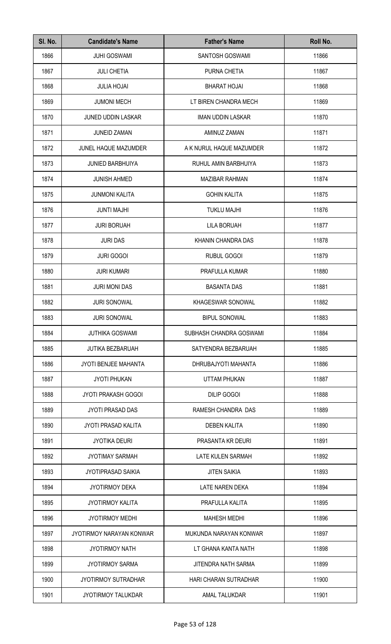| SI. No. | <b>Candidate's Name</b>     | <b>Father's Name</b>     | Roll No. |
|---------|-----------------------------|--------------------------|----------|
| 1866    | <b>JUHI GOSWAMI</b>         | SANTOSH GOSWAMI          | 11866    |
| 1867    | <b>JULI CHETIA</b>          | PURNA CHETIA             | 11867    |
| 1868    | <b>JULIA HOJAI</b>          | <b>BHARAT HOJAI</b>      | 11868    |
| 1869    | <b>JUMONI MECH</b>          | LT BIREN CHANDRA MECH    | 11869    |
| 1870    | <b>JUNED UDDIN LASKAR</b>   | <b>IMAN UDDIN LASKAR</b> | 11870    |
| 1871    | <b>JUNEID ZAMAN</b>         | AMINUZ ZAMAN             | 11871    |
| 1872    | JUNEL HAQUE MAZUMDER        | A K NURUL HAQUE MAZUMDER | 11872    |
| 1873    | <b>JUNIED BARBHUIYA</b>     | RUHUL AMIN BARBHUIYA     | 11873    |
| 1874    | <b>JUNISH AHMED</b>         | <b>MAZIBAR RAHMAN</b>    | 11874    |
| 1875    | <b>JUNMONI KALITA</b>       | <b>GOHIN KALITA</b>      | 11875    |
| 1876    | <b>JUNTI MAJHI</b>          | <b>TUKLU MAJHI</b>       | 11876    |
| 1877    | <b>JURI BORUAH</b>          | <b>LILA BORUAH</b>       | 11877    |
| 1878    | <b>JURI DAS</b>             | KHANIN CHANDRA DAS       | 11878    |
| 1879    | <b>JURI GOGOI</b>           | RUBUL GOGOI              | 11879    |
| 1880    | <b>JURI KUMARI</b>          | PRAFULLA KUMAR           | 11880    |
| 1881    | <b>JURI MONI DAS</b>        | <b>BASANTA DAS</b>       | 11881    |
| 1882    | <b>JURI SONOWAL</b>         | KHAGESWAR SONOWAL        | 11882    |
| 1883    | <b>JURI SONOWAL</b>         | <b>BIPUL SONOWAL</b>     | 11883    |
| 1884    | <b>JUTHIKA GOSWAMI</b>      | SUBHASH CHANDRA GOSWAMI  | 11884    |
| 1885    | <b>JUTIKA BEZBARUAH</b>     | SATYENDRA BEZBARUAH      | 11885    |
| 1886    | <b>JYOTI BENJEE MAHANTA</b> | DHRUBAJYOTI MAHANTA      | 11886    |
| 1887    | <b>JYOTI PHUKAN</b>         | <b>UTTAM PHUKAN</b>      | 11887    |
| 1888    | <b>JYOTI PRAKASH GOGOI</b>  | <b>DILIP GOGOI</b>       | 11888    |
| 1889    | <b>JYOTI PRASAD DAS</b>     | RAMESH CHANDRA DAS       | 11889    |
| 1890    | <b>JYOTI PRASAD KALITA</b>  | <b>DEBEN KALITA</b>      | 11890    |
| 1891    | <b>JYOTIKA DEURI</b>        | PRASANTA KR DEURI        | 11891    |
| 1892    | <b>JYOTIMAY SARMAH</b>      | LATE KULEN SARMAH        | 11892    |
| 1893    | <b>JYOTIPRASAD SAIKIA</b>   | <b>JITEN SAIKIA</b>      | 11893    |
| 1894    | <b>JYOTIRMOY DEKA</b>       | <b>LATE NAREN DEKA</b>   | 11894    |
| 1895    | <b>JYOTIRMOY KALITA</b>     | PRAFULLA KALITA          | 11895    |
| 1896    | <b>JYOTIRMOY MEDHI</b>      | <b>MAHESH MEDHI</b>      | 11896    |
| 1897    | JYOTIRMOY NARAYAN KONWAR    | MUKUNDA NARAYAN KONWAR   | 11897    |
| 1898    | <b>JYOTIRMOY NATH</b>       | LT GHANA KANTA NATH      | 11898    |
| 1899    | <b>JYOTIRMOY SARMA</b>      | JITENDRA NATH SARMA      | 11899    |
| 1900    | <b>JYOTIRMOY SUTRADHAR</b>  | HARI CHARAN SUTRADHAR    | 11900    |
| 1901    | JYOTIRMOY TALUKDAR          | <b>AMAL TALUKDAR</b>     | 11901    |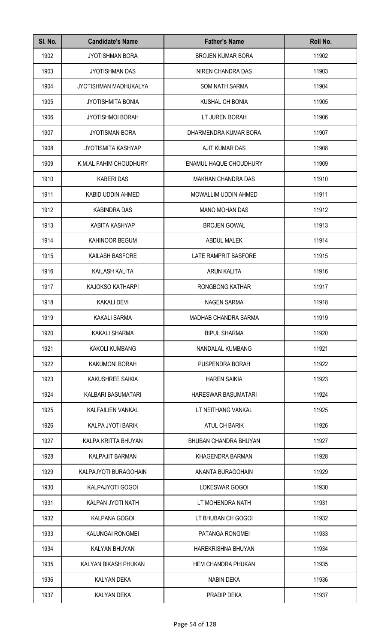| SI. No. | <b>Candidate's Name</b>   | <b>Father's Name</b>       | Roll No. |
|---------|---------------------------|----------------------------|----------|
| 1902    | <b>JYOTISHMAN BORA</b>    | <b>BROJEN KUMAR BORA</b>   | 11902    |
| 1903    | <b>JYOTISHMAN DAS</b>     | NIREN CHANDRA DAS          | 11903    |
| 1904    | JYOTISHMAN MADHUKALYA     | <b>SOM NATH SARMA</b>      | 11904    |
| 1905    | <b>JYOTISHMITA BONIA</b>  | <b>KUSHAL CH BONIA</b>     | 11905    |
| 1906    | <b>JYOTISHMOI BORAH</b>   | LT JUREN BORAH             | 11906    |
| 1907    | <b>JYOTISMAN BORA</b>     | DHARMENDRA KUMAR BORA      | 11907    |
| 1908    | <b>JYOTISMITA KASHYAP</b> | AJIT KUMAR DAS             | 11908    |
| 1909    | K.M.AL FAHIM CHOUDHURY    | ENAMUL HAQUE CHOUDHURY     | 11909    |
| 1910    | <b>KABERI DAS</b>         | <b>MAKHAN CHANDRA DAS</b>  | 11910    |
| 1911    | KABID UDDIN AHMED         | MOWALLIM UDDIN AHMED       | 11911    |
| 1912    | <b>KABINDRA DAS</b>       | <b>MANO MOHAN DAS</b>      | 11912    |
| 1913    | <b>KABITA KASHYAP</b>     | <b>BROJEN GOWAL</b>        | 11913    |
| 1914    | KAHINOOR BEGUM            | ABDUL MALEK                | 11914    |
| 1915    | KAILASH BASFORE           | LATE RAMPRIT BASFORE       | 11915    |
| 1916    | KAILASH KALITA            | <b>ARUN KALITA</b>         | 11916    |
| 1917    | KAJOKSO KATHARPI          | RONGBONG KATHAR            | 11917    |
| 1918    | <b>KAKALI DEVI</b>        | <b>NAGEN SARMA</b>         | 11918    |
| 1919    | <b>KAKALI SARMA</b>       | MADHAB CHANDRA SARMA       | 11919    |
| 1920    | <b>KAKALI SHARMA</b>      | <b>BIPUL SHARMA</b>        | 11920    |
| 1921    | KAKOLI KUMBANG            | NANDALAL KUMBANG           | 11921    |
| 1922    | KAKUMONI BORAH            | PUSPENDRA BORAH            | 11922    |
| 1923    | KAKUSHREE SAIKIA          | <b>HAREN SAIKIA</b>        | 11923    |
| 1924    | KALBARI BASUMATARI        | <b>HARESWAR BASUMATARI</b> | 11924    |
| 1925    | <b>KALFAILIEN VANKAL</b>  | LT NEITHANG VANKAL         | 11925    |
| 1926    | KALPA JYOTI BARIK         | ATUL CH BARIK              | 11926    |
| 1927    | KALPA KRITTA BHUYAN       | BHUBAN CHANDRA BHUYAN      | 11927    |
| 1928    | KALPAJIT BARMAN           | KHAGENDRA BARMAN           | 11928    |
| 1929    | KALPAJYOTI BURAGOHAIN     | ANANTA BURAGOHAIN          | 11929    |
| 1930    | KALPAJYOTI GOGOI          | LOKESWAR GOGOI             | 11930    |
| 1931    | KALPAN JYOTI NATH         | LT MOHENDRA NATH           | 11931    |
| 1932    | KALPANA GOGOI             | LT BHUBAN CH GOGOI         | 11932    |
| 1933    | KALUNGAI RONGMEI          | PATANGA RONGMEI            | 11933    |
| 1934    | KALYAN BHUYAN             | <b>HAREKRISHNA BHUYAN</b>  | 11934    |
| 1935    | KALYAN BIKASH PHUKAN      | <b>HEM CHANDRA PHUKAN</b>  | 11935    |
| 1936    | <b>KALYAN DEKA</b>        | <b>NABIN DEKA</b>          | 11936    |
| 1937    | <b>KALYAN DEKA</b>        | PRADIP DEKA                | 11937    |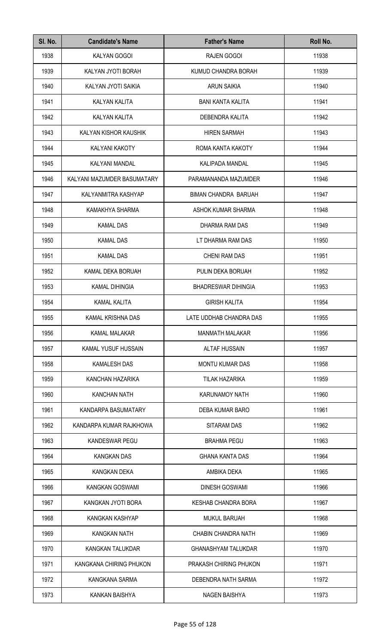| SI. No. | <b>Candidate's Name</b>     | <b>Father's Name</b>        | Roll No. |
|---------|-----------------------------|-----------------------------|----------|
| 1938    | KALYAN GOGOI                | <b>RAJEN GOGOI</b>          | 11938    |
| 1939    | KALYAN JYOTI BORAH          | KUMUD CHANDRA BORAH         | 11939    |
| 1940    | KALYAN JYOTI SAIKIA         | <b>ARUN SAIKIA</b>          | 11940    |
| 1941    | <b>KALYAN KALITA</b>        | <b>BANI KANTA KALITA</b>    | 11941    |
| 1942    | KALYAN KALITA               | DEBENDRA KALITA             | 11942    |
| 1943    | KALYAN KISHOR KAUSHIK       | <b>HIREN SARMAH</b>         | 11943    |
| 1944    | KALYANI KAKOTY              | ROMA KANTA KAKOTY           | 11944    |
| 1945    | KALYANI MANDAL              | KALIPADA MANDAL             | 11945    |
| 1946    | KALYANI MAZUMDER BASUMATARY | PARAMANANDA MAZUMDER        | 11946    |
| 1947    | KALYANMITRA KASHYAP         | <b>BIMAN CHANDRA BARUAH</b> | 11947    |
| 1948    | KAMAKHYA SHARMA             | ASHOK KUMAR SHARMA          | 11948    |
| 1949    | <b>KAMAL DAS</b>            | DHARMA RAM DAS              | 11949    |
| 1950    | <b>KAMAL DAS</b>            | LT DHARMA RAM DAS           | 11950    |
| 1951    | <b>KAMAL DAS</b>            | <b>CHENI RAM DAS</b>        | 11951    |
| 1952    | KAMAL DEKA BORUAH           | PULIN DEKA BORUAH           | 11952    |
| 1953    | <b>KAMAL DIHINGIA</b>       | <b>BHADRESWAR DIHINGIA</b>  | 11953    |
| 1954    | <b>KAMAL KALITA</b>         | <b>GIRISH KALITA</b>        | 11954    |
| 1955    | KAMAL KRISHNA DAS           | LATE UDDHAB CHANDRA DAS     | 11955    |
| 1956    | KAMAL MALAKAR               | <b>MANMATH MALAKAR</b>      | 11956    |
| 1957    | KAMAL YUSUF HUSSAIN         | <b>ALTAF HUSSAIN</b>        | 11957    |
| 1958    | <b>KAMALESH DAS</b>         | <b>MONTU KUMAR DAS</b>      | 11958    |
| 1959    | KANCHAN HAZARIKA            | <b>TILAK HAZARIKA</b>       | 11959    |
| 1960    | <b>KANCHAN NATH</b>         | <b>KARUNAMOY NATH</b>       | 11960    |
| 1961    | KANDARPA BASUMATARY         | DEBA KUMAR BARO             | 11961    |
| 1962    | KANDARPA KUMAR RAJKHOWA     | <b>SITARAM DAS</b>          | 11962    |
| 1963    | <b>KANDESWAR PEGU</b>       | <b>BRAHMA PEGU</b>          | 11963    |
| 1964    | <b>KANGKAN DAS</b>          | <b>GHANA KANTA DAS</b>      | 11964    |
| 1965    | KANGKAN DEKA                | AMBIKA DEKA                 | 11965    |
| 1966    | KANGKAN GOSWAMI             | <b>DINESH GOSWAMI</b>       | 11966    |
| 1967    | KANGKAN JYOTI BORA          | <b>KESHAB CHANDRA BORA</b>  | 11967    |
| 1968    | KANGKAN KASHYAP             | <b>MUKUL BARUAH</b>         | 11968    |
| 1969    | <b>KANGKAN NATH</b>         | CHABIN CHANDRA NATH         | 11969    |
| 1970    | KANGKAN TALUKDAR            | <b>GHANASHYAM TALUKDAR</b>  | 11970    |
| 1971    | KANGKANA CHIRING PHUKON     | PRAKASH CHIRING PHUKON      | 11971    |
| 1972    | KANGKANA SARMA              | DEBENDRA NATH SARMA         | 11972    |
| 1973    | KANKAN BAISHYA              | <b>NAGEN BAISHYA</b>        | 11973    |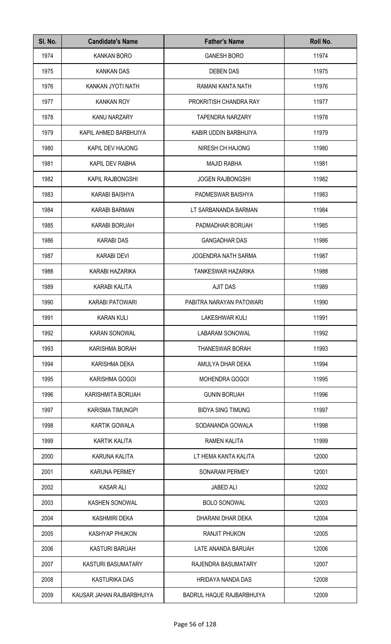| SI. No. | <b>Candidate's Name</b>   | <b>Father's Name</b>       | Roll No. |
|---------|---------------------------|----------------------------|----------|
| 1974    | <b>KANKAN BORO</b>        | <b>GANESH BORO</b>         | 11974    |
| 1975    | <b>KANKAN DAS</b>         | <b>DEBEN DAS</b>           | 11975    |
| 1976    | KANKAN JYOTI NATH         | RAMANI KANTA NATH          | 11976    |
| 1977    | <b>KANKAN ROY</b>         | PROKRITISH CHANDRA RAY     | 11977    |
| 1978    | KANU NARZARY              | <b>TAPENDRA NARZARY</b>    | 11978    |
| 1979    | KAPIL AHMED BARBHUIYA     | KABIR UDDIN BARBHUIYA      | 11979    |
| 1980    | KAPIL DEV HAJONG          | NIRESH CH HAJONG           | 11980    |
| 1981    | <b>KAPIL DEV RABHA</b>    | <b>MAJID RABHA</b>         | 11981    |
| 1982    | <b>KAPIL RAJBONGSHI</b>   | <b>JOGEN RAJBONGSHI</b>    | 11982    |
| 1983    | <b>KARABI BAISHYA</b>     | PADMESWAR BAISHYA          | 11983    |
| 1984    | <b>KARABI BARMAN</b>      | LT SARBANANDA BARMAN       | 11984    |
| 1985    | <b>KARABI BORUAH</b>      | PADMADHAR BORUAH           | 11985    |
| 1986    | <b>KARABI DAS</b>         | <b>GANGADHAR DAS</b>       | 11986    |
| 1987    | <b>KARABI DEVI</b>        | <b>JOGENDRA NATH SARMA</b> | 11987    |
| 1988    | KARABI HAZARIKA           | TANKESWAR HAZARIKA         | 11988    |
| 1989    | <b>KARABI KALITA</b>      | <b>AJIT DAS</b>            | 11989    |
| 1990    | KARABI PATOWARI           | PABITRA NARAYAN PATOWARI   | 11990    |
| 1991    | <b>KARAN KULI</b>         | LAKESHWAR KULI             | 11991    |
| 1992    | <b>KARAN SONOWAL</b>      | <b>LABARAM SONOWAL</b>     | 11992    |
| 1993    | KARISHMA BORAH            | <b>THANESWAR BORAH</b>     | 11993    |
| 1994    | KARISHMA DEKA             | AMULYA DHAR DEKA           | 11994    |
| 1995    | KARISHMA GOGOI            | <b>MOHENDRA GOGOI</b>      | 11995    |
| 1996    | KARISHMITA BORUAH         | <b>GUNIN BORUAH</b>        | 11996    |
| 1997    | KARISMA TIMUNGPI          | <b>BIDYA SING TIMUNG</b>   | 11997    |
| 1998    | <b>KARTIK GOWALA</b>      | SODANANDA GOWALA           | 11998    |
| 1999    | KARTIK KALITA             | RAMEN KALITA               | 11999    |
| 2000    | KARUNA KALITA             | LT HEMA KANTA KALITA       | 12000    |
| 2001    | <b>KARUNA PERMEY</b>      | SONARAM PERMEY             | 12001    |
| 2002    | <b>KASAR ALI</b>          | <b>JABED ALI</b>           | 12002    |
| 2003    | <b>KASHEN SONOWAL</b>     | <b>BOLO SONOWAL</b>        | 12003    |
| 2004    | <b>KASHMIRI DEKA</b>      | DHARANI DHAR DEKA          | 12004    |
| 2005    | KASHYAP PHUKON            | <b>RANJIT PHUKON</b>       | 12005    |
| 2006    | <b>KASTURI BARUAH</b>     | LATE ANANDA BARUAH         | 12006    |
| 2007    | KASTURI BASUMATARY        | RAJENDRA BASUMATARY        | 12007    |
| 2008    | <b>KASTURIKA DAS</b>      | HRIDAYA NANDA DAS          | 12008    |
| 2009    | KAUSAR JAHAN RAJBARBHUIYA | BADRUL HAQUE RAJBARBHUIYA  | 12009    |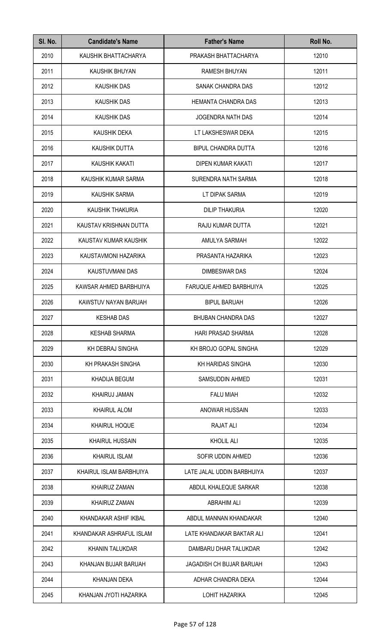| SI. No. | <b>Candidate's Name</b>  | <b>Father's Name</b>            | Roll No. |
|---------|--------------------------|---------------------------------|----------|
| 2010    | KAUSHIK BHATTACHARYA     | PRAKASH BHATTACHARYA            | 12010    |
| 2011    | KAUSHIK BHUYAN           | <b>RAMESH BHUYAN</b>            | 12011    |
| 2012    | <b>KAUSHIK DAS</b>       | SANAK CHANDRA DAS               | 12012    |
| 2013    | <b>KAUSHIK DAS</b>       | HEMANTA CHANDRA DAS             | 12013    |
| 2014    | <b>KAUSHIK DAS</b>       | <b>JOGENDRA NATH DAS</b>        | 12014    |
| 2015    | KAUSHIK DEKA             | LT LAKSHESWAR DEKA              | 12015    |
| 2016    | KAUSHIK DUTTA            | <b>BIPUL CHANDRA DUTTA</b>      | 12016    |
| 2017    | KAUSHIK KAKATI           | DIPEN KUMAR KAKATI              | 12017    |
| 2018    | KAUSHIK KUMAR SARMA      | SURENDRA NATH SARMA             | 12018    |
| 2019    | <b>KAUSHIK SARMA</b>     | LT DIPAK SARMA                  | 12019    |
| 2020    | KAUSHIK THAKURIA         | <b>DILIP THAKURIA</b>           | 12020    |
| 2021    | KAUSTAV KRISHNAN DUTTA   | RAJU KUMAR DUTTA                | 12021    |
| 2022    | KAUSTAV KUMAR KAUSHIK    | AMULYA SARMAH                   | 12022    |
| 2023    | KAUSTAVMONI HAZARIKA     | PRASANTA HAZARIKA               | 12023    |
| 2024    | KAUSTUVMANI DAS          | <b>DIMBESWAR DAS</b>            | 12024    |
| 2025    | KAWSAR AHMED BARBHUIYA   | FARUQUE AHMED BARBHUIYA         | 12025    |
| 2026    | KAWSTUV NAYAN BARUAH     | <b>BIPUL BARUAH</b>             | 12026    |
| 2027    | <b>KESHAB DAS</b>        | <b>BHUBAN CHANDRA DAS</b>       | 12027    |
| 2028    | <b>KESHAB SHARMA</b>     | HARI PRASAD SHARMA              | 12028    |
| 2029    | KH DEBRAJ SINGHA         | KH BROJO GOPAL SINGHA           | 12029    |
| 2030    | KH PRAKASH SINGHA        | KH HARIDAS SINGHA               | 12030    |
| 2031    | <b>KHADIJA BEGUM</b>     | <b>SAMSUDDIN AHMED</b>          | 12031    |
| 2032    | KHAIRUJ JAMAN            | <b>FALU MIAH</b>                | 12032    |
| 2033    | <b>KHAIRUL ALOM</b>      | ANOWAR HUSSAIN                  | 12033    |
| 2034    | <b>KHAIRUL HOQUE</b>     | <b>RAJAT ALI</b>                | 12034    |
| 2035    | <b>KHAIRUL HUSSAIN</b>   | <b>KHOLIL ALI</b>               | 12035    |
| 2036    | <b>KHAIRUL ISLAM</b>     | SOFIR UDDIN AHMED               | 12036    |
| 2037    | KHAIRUL ISLAM BARBHUIYA  | LATE JALAL UDDIN BARBHUIYA      | 12037    |
| 2038    | <b>KHAIRUZ ZAMAN</b>     | ABDUL KHALEQUE SARKAR           | 12038    |
| 2039    | <b>KHAIRUZ ZAMAN</b>     | <b>ABRAHIM ALI</b>              | 12039    |
| 2040    | KHANDAKAR ASHIF IKBAL    | ABDUL MANNAN KHANDAKAR          | 12040    |
| 2041    | KHANDAKAR ASHRAFUL ISLAM | LATE KHANDAKAR BAKTAR ALI       | 12041    |
| 2042    | <b>KHANIN TALUKDAR</b>   | DAMBARU DHAR TALUKDAR           | 12042    |
| 2043    | KHANJAN BUJAR BARUAH     | <b>JAGADISH CH BUJAR BARUAH</b> | 12043    |
| 2044    | KHANJAN DEKA             | ADHAR CHANDRA DEKA              | 12044    |
| 2045    | KHANJAN JYOTI HAZARIKA   | <b>LOHIT HAZARIKA</b>           | 12045    |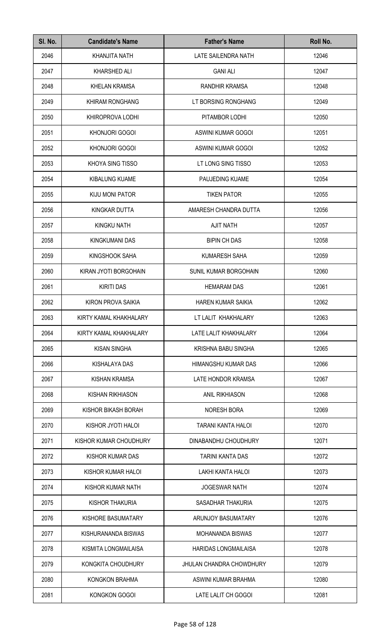| SI. No. | <b>Candidate's Name</b> | <b>Father's Name</b>            | Roll No. |
|---------|-------------------------|---------------------------------|----------|
| 2046    | <b>KHANJITA NATH</b>    | LATE SAILENDRA NATH             | 12046    |
| 2047    | KHARSHED ALI            | <b>GANI ALI</b>                 | 12047    |
| 2048    | <b>KHELAN KRAMSA</b>    | RANDHIR KRAMSA                  | 12048    |
| 2049    | KHIRAM RONGHANG         | LT BORSING RONGHANG             | 12049    |
| 2050    | KHIROPROVA LODHI        | PITAMBOR LODHI                  | 12050    |
| 2051    | <b>KHONJORI GOGOI</b>   | ASWINI KUMAR GOGOI              | 12051    |
| 2052    | KHONJORI GOGOI          | <b>ASWINI KUMAR GOGOI</b>       | 12052    |
| 2053    | KHOYA SING TISSO        | LT LONG SING TISSO              | 12053    |
| 2054    | <b>KIBALUNG KUAME</b>   | PAUJEDING KUAME                 | 12054    |
| 2055    | KIJU MONI PATOR         | <b>TIKEN PATOR</b>              | 12055    |
| 2056    | <b>KINGKAR DUTTA</b>    | AMARESH CHANDRA DUTTA           | 12056    |
| 2057    | <b>KINGKU NATH</b>      | <b>AJIT NATH</b>                | 12057    |
| 2058    | <b>KINGKUMANI DAS</b>   | <b>BIPIN CH DAS</b>             | 12058    |
| 2059    | KINGSHOOK SAHA          | <b>KUMARESH SAHA</b>            | 12059    |
| 2060    | KIRAN JYOTI BORGOHAIN   | SUNIL KUMAR BORGOHAIN           | 12060    |
| 2061    | <b>KIRITI DAS</b>       | <b>HEMARAM DAS</b>              | 12061    |
| 2062    | KIRON PROVA SAIKIA      | <b>HAREN KUMAR SAIKIA</b>       | 12062    |
| 2063    | KIRTY KAMAL KHAKHALARY  | LT LALIT KHAKHALARY             | 12063    |
| 2064    | KIRTY KAMAL KHAKHALARY  | LATE LALIT KHAKHALARY           | 12064    |
| 2065    | <b>KISAN SINGHA</b>     | KRISHNA BABU SINGHA             | 12065    |
| 2066    | KISHALAYA DAS           | HIMANGSHU KUMAR DAS             | 12066    |
| 2067    | KISHAN KRAMSA           | LATE HONDOR KRAMSA              | 12067    |
| 2068    | <b>KISHAN RIKHIASON</b> | <b>ANIL RIKHIASON</b>           | 12068    |
| 2069    | KISHOR BIKASH BORAH     | <b>NORESH BORA</b>              | 12069    |
| 2070    | KISHOR JYOTI HALOI      | TARANI KANTA HALOI              | 12070    |
| 2071    | KISHOR KUMAR CHOUDHURY  | DINABANDHU CHOUDHURY            | 12071    |
| 2072    | KISHOR KUMAR DAS        | <b>TARINI KANTA DAS</b>         | 12072    |
| 2073    | KISHOR KUMAR HALOI      | LAKHI KANTA HALOI               | 12073    |
| 2074    | KISHOR KUMAR NATH       | <b>JOGESWAR NATH</b>            | 12074    |
| 2075    | KISHOR THAKURIA         | SASADHAR THAKURIA               | 12075    |
| 2076    | KISHORE BASUMATARY      | <b>ARUNJOY BASUMATARY</b>       | 12076    |
| 2077    | KISHURANANDA BISWAS     | <b>MOHANANDA BISWAS</b>         | 12077    |
| 2078    | KISMITA LONGMAILAISA    | <b>HARIDAS LONGMAILAISA</b>     | 12078    |
| 2079    | KONGKITA CHOUDHURY      | <b>JHULAN CHANDRA CHOWDHURY</b> | 12079    |
| 2080    | KONGKON BRAHMA          | ASWINI KUMAR BRAHMA             | 12080    |
| 2081    | <b>KONGKON GOGOI</b>    | LATE LALIT CH GOGOI             | 12081    |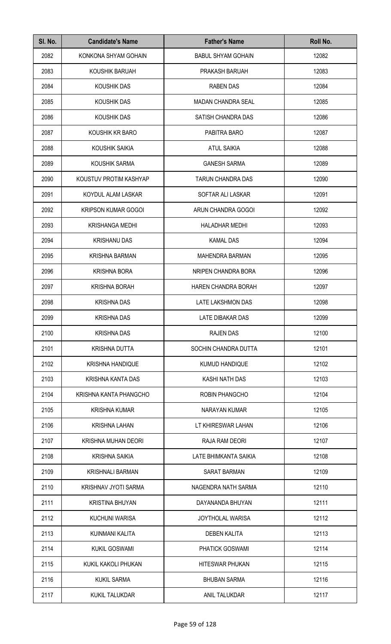| SI. No. | <b>Candidate's Name</b>    | <b>Father's Name</b>      | Roll No. |
|---------|----------------------------|---------------------------|----------|
| 2082    | KONKONA SHYAM GOHAIN       | <b>BABUL SHYAM GOHAIN</b> | 12082    |
| 2083    | KOUSHIK BARUAH             | PRAKASH BARUAH            | 12083    |
| 2084    | KOUSHIK DAS                | <b>RABEN DAS</b>          | 12084    |
| 2085    | KOUSHIK DAS                | <b>MADAN CHANDRA SEAL</b> | 12085    |
| 2086    | KOUSHIK DAS                | SATISH CHANDRA DAS        | 12086    |
| 2087    | KOUSHIK KR BARO            | PABITRA BARO              | 12087    |
| 2088    | KOUSHIK SAIKIA             | <b>ATUL SAIKIA</b>        | 12088    |
| 2089    | KOUSHIK SARMA              | <b>GANESH SARMA</b>       | 12089    |
| 2090    | KOUSTUV PROTIM KASHYAP     | <b>TARUN CHANDRA DAS</b>  | 12090    |
| 2091    | KOYDUL ALAM LASKAR         | SOFTAR ALI LASKAR         | 12091    |
| 2092    | <b>KRIPSON KUMAR GOGOI</b> | ARUN CHANDRA GOGOI        | 12092    |
| 2093    | <b>KRISHANGA MEDHI</b>     | <b>HALADHAR MEDHI</b>     | 12093    |
| 2094    | <b>KRISHANU DAS</b>        | <b>KAMAL DAS</b>          | 12094    |
| 2095    | <b>KRISHNA BARMAN</b>      | <b>MAHENDRA BARMAN</b>    | 12095    |
| 2096    | <b>KRISHNA BORA</b>        | NRIPEN CHANDRA BORA       | 12096    |
| 2097    | <b>KRISHNA BORAH</b>       | HAREN CHANDRA BORAH       | 12097    |
| 2098    | <b>KRISHNA DAS</b>         | <b>LATE LAKSHMON DAS</b>  | 12098    |
| 2099    | <b>KRISHNA DAS</b>         | LATE DIBAKAR DAS          | 12099    |
| 2100    | <b>KRISHNA DAS</b>         | <b>RAJEN DAS</b>          | 12100    |
| 2101    | <b>KRISHNA DUTTA</b>       | SOCHIN CHANDRA DUTTA      | 12101    |
| 2102    | <b>KRISHNA HANDIQUE</b>    | <b>KUMUD HANDIQUE</b>     | 12102    |
| 2103    | KRISHNA KANTA DAS          | KASHI NATH DAS            | 12103    |
| 2104    | KRISHNA KANTA PHANGCHO     | <b>ROBIN PHANGCHO</b>     | 12104    |
| 2105    | <b>KRISHNA KUMAR</b>       | NARAYAN KUMAR             | 12105    |
| 2106    | <b>KRISHNA LAHAN</b>       | LT KHIRESWAR LAHAN        | 12106    |
| 2107    | KRISHNA MUHAN DEORI        | RAJA RAM DEORI            | 12107    |
| 2108    | <b>KRISHNA SAIKIA</b>      | LATE BHIMKANTA SAIKIA     | 12108    |
| 2109    | <b>KRISHNALI BARMAN</b>    | <b>SARAT BARMAN</b>       | 12109    |
| 2110    | KRISHNAV JYOTI SARMA       | NAGENDRA NATH SARMA       | 12110    |
| 2111    | <b>KRISTINA BHUYAN</b>     | DAYANANDA BHUYAN          | 12111    |
| 2112    | <b>KUCHUNI WARISA</b>      | JOYTHOLAL WARISA          | 12112    |
| 2113    | KUINMANI KALITA            | <b>DEBEN KALITA</b>       | 12113    |
| 2114    | <b>KUKIL GOSWAMI</b>       | PHATICK GOSWAMI           | 12114    |
| 2115    | KUKIL KAKOLI PHUKAN        | <b>HITESWAR PHUKAN</b>    | 12115    |
| 2116    | <b>KUKIL SARMA</b>         | <b>BHUBAN SARMA</b>       | 12116    |
| 2117    | <b>KUKIL TALUKDAR</b>      | ANIL TALUKDAR             | 12117    |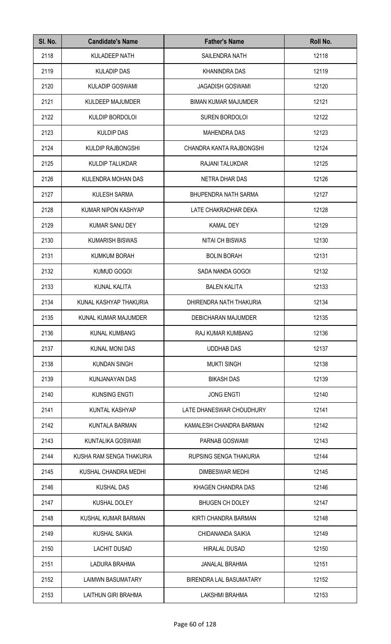| SI. No. | <b>Candidate's Name</b>    | <b>Father's Name</b>        | Roll No. |
|---------|----------------------------|-----------------------------|----------|
| 2118    | <b>KULADEEP NATH</b>       | SAILENDRA NATH              | 12118    |
| 2119    | <b>KULADIP DAS</b>         | <b>KHANINDRA DAS</b>        | 12119    |
| 2120    | <b>KULADIP GOSWAMI</b>     | <b>JAGADISH GOSWAMI</b>     | 12120    |
| 2121    | KULDEEP MAJUMDER           | <b>BIMAN KUMAR MAJUMDER</b> | 12121    |
| 2122    | KULDIP BORDOLOI            | <b>SUREN BORDOLOI</b>       | 12122    |
| 2123    | <b>KULDIP DAS</b>          | <b>MAHENDRA DAS</b>         | 12123    |
| 2124    | <b>KULDIP RAJBONGSHI</b>   | CHANDRA KANTA RAJBONGSHI    | 12124    |
| 2125    | <b>KULDIP TALUKDAR</b>     | RAJANI TALUKDAR             | 12125    |
| 2126    | KULENDRA MOHAN DAS         | <b>NETRA DHAR DAS</b>       | 12126    |
| 2127    | <b>KULESH SARMA</b>        | <b>BHUPENDRA NATH SARMA</b> | 12127    |
| 2128    | KUMAR NIPON KASHYAP        | LATE CHAKRADHAR DEKA        | 12128    |
| 2129    | KUMAR SANU DEY             | <b>KAMAL DEY</b>            | 12129    |
| 2130    | <b>KUMARISH BISWAS</b>     | <b>NITAI CH BISWAS</b>      | 12130    |
| 2131    | <b>KUMKUM BORAH</b>        | <b>BOLIN BORAH</b>          | 12131    |
| 2132    | KUMUD GOGOI                | SADA NANDA GOGOI            | 12132    |
| 2133    | KUNAL KALITA               | <b>BALEN KALITA</b>         | 12133    |
| 2134    | KUNAL KASHYAP THAKURIA     | DHIRENDRA NATH THAKURIA     | 12134    |
| 2135    | KUNAL KUMAR MAJUMDER       | DEBICHARAN MAJUMDER         | 12135    |
| 2136    | <b>KUNAL KUMBANG</b>       | <b>RAJ KUMAR KUMBANG</b>    | 12136    |
| 2137    | <b>KUNAL MONI DAS</b>      | <b>UDDHAB DAS</b>           | 12137    |
| 2138    | <b>KUNDAN SINGH</b>        | <b>MUKTI SINGH</b>          | 12138    |
| 2139    | KUNJANAYAN DAS             | <b>BIKASH DAS</b>           | 12139    |
| 2140    | <b>KUNSING ENGTI</b>       | <b>JONG ENGTI</b>           | 12140    |
| 2141    | KUNTAL KASHYAP             | LATE DHANESWAR CHOUDHURY    | 12141    |
| 2142    | KUNTALA BARMAN             | KAMALESH CHANDRA BARMAN     | 12142    |
| 2143    | KUNTALIKA GOSWAMI          | PARNAB GOSWAMI              | 12143    |
| 2144    | KUSHA RAM SENGA THAKURIA   | RUPSING SENGA THAKURIA      | 12144    |
| 2145    | KUSHAL CHANDRA MEDHI       | DIMBESWAR MEDHI             | 12145    |
| 2146    | <b>KUSHAL DAS</b>          | KHAGEN CHANDRA DAS          | 12146    |
| 2147    | KUSHAL DOLEY               | <b>BHUGEN CH DOLEY</b>      | 12147    |
| 2148    | KUSHAL KUMAR BARMAN        | KIRTI CHANDRA BARMAN        | 12148    |
| 2149    | <b>KUSHAL SAIKIA</b>       | CHIDANANDA SAIKIA           | 12149    |
| 2150    | <b>LACHIT DUSAD</b>        | <b>HIRALAL DUSAD</b>        | 12150    |
| 2151    | LADURA BRAHMA              | <b>JANALAL BRAHMA</b>       | 12151    |
| 2152    | <b>LAIMWN BASUMATARY</b>   | BIRENDRA LAL BASUMATARY     | 12152    |
| 2153    | <b>LAITHUN GIRI BRAHMA</b> | <b>LAKSHMI BRAHMA</b>       | 12153    |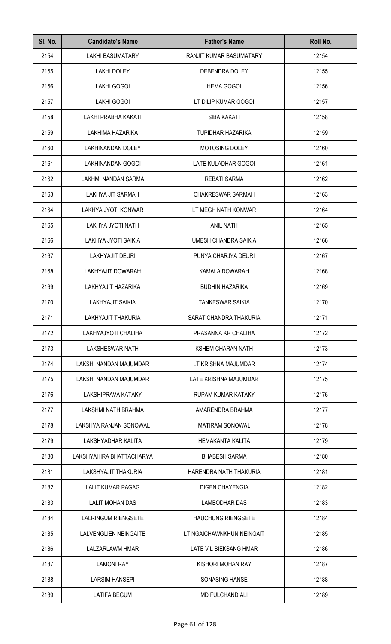| SI. No. | <b>Candidate's Name</b>      | <b>Father's Name</b>      | Roll No. |
|---------|------------------------------|---------------------------|----------|
| 2154    | <b>LAKHI BASUMATARY</b>      | RANJIT KUMAR BASUMATARY   | 12154    |
| 2155    | <b>LAKHI DOLEY</b>           | DEBENDRA DOLEY            | 12155    |
| 2156    | <b>LAKHI GOGOI</b>           | <b>HEMA GOGOI</b>         | 12156    |
| 2157    | <b>LAKHI GOGOI</b>           | LT DILIP KUMAR GOGOI      | 12157    |
| 2158    | LAKHI PRABHA KAKATI          | <b>SIBA KAKATI</b>        | 12158    |
| 2159    | LAKHIMA HAZARIKA             | <b>TUPIDHAR HAZARIKA</b>  | 12159    |
| 2160    | LAKHINANDAN DOLEY            | MOTOSING DOLEY            | 12160    |
| 2161    | LAKHINANDAN GOGOI            | LATE KULADHAR GOGOI       | 12161    |
| 2162    | LAKHMI NANDAN SARMA          | <b>REBATI SARMA</b>       | 12162    |
| 2163    | LAKHYA JIT SARMAH            | <b>CHAKRESWAR SARMAH</b>  | 12163    |
| 2164    | LAKHYA JYOTI KONWAR          | LT MEGH NATH KONWAR       | 12164    |
| 2165    | LAKHYA JYOTI NATH            | <b>ANIL NATH</b>          | 12165    |
| 2166    | LAKHYA JYOTI SAIKIA          | UMESH CHANDRA SAIKIA      | 12166    |
| 2167    | <b>LAKHYAJIT DEURI</b>       | PUNYA CHARJYA DEURI       | 12167    |
| 2168    | LAKHYAJIT DOWARAH            | KAMALA DOWARAH            | 12168    |
| 2169    | LAKHYAJIT HAZARIKA           | <b>BUDHIN HAZARIKA</b>    | 12169    |
| 2170    | <b>LAKHYAJIT SAIKIA</b>      | <b>TANKESWAR SAIKIA</b>   | 12170    |
| 2171    | LAKHYAJIT THAKURIA           | SARAT CHANDRA THAKURIA    | 12171    |
| 2172    | LAKHYAJYOTI CHALIHA          | PRASANNA KR CHALIHA       | 12172    |
| 2173    | <b>LAKSHESWAR NATH</b>       | <b>KSHEM CHARAN NATH</b>  | 12173    |
| 2174    | LAKSHI NANDAN MAJUMDAR       | LT KRISHNA MAJUMDAR       | 12174    |
| 2175    | LAKSHI NANDAN MAJUMDAR       | LATE KRISHNA MAJUMDAR     | 12175    |
| 2176    | LAKSHIPRAVA KATAKY           | <b>RUPAM KUMAR KATAKY</b> | 12176    |
| 2177    | LAKSHMI NATH BRAHMA          | AMARENDRA BRAHMA          | 12177    |
| 2178    | LAKSHYA RANJAN SONOWAL       | <b>MATIRAM SONOWAL</b>    | 12178    |
| 2179    | LAKSHYADHAR KALITA           | <b>HEMAKANTA KALITA</b>   | 12179    |
| 2180    | LAKSHYAHIRA BHATTACHARYA     | <b>BHABESH SARMA</b>      | 12180    |
| 2181    | LAKSHYAJIT THAKURIA          | HARENDRA NATH THAKURIA    | 12181    |
| 2182    | <b>LALIT KUMAR PAGAG</b>     | <b>DIGEN CHAYENGIA</b>    | 12182    |
| 2183    | <b>LALIT MOHAN DAS</b>       | LAMBODHAR DAS             | 12183    |
| 2184    | <b>LALRINGUM RIENGSETE</b>   | <b>HAUCHUNG RIENGSETE</b> | 12184    |
| 2185    | <b>LALVENGLIEN NEINGAITE</b> | LT NGAICHAWNKHUN NEINGAIT | 12185    |
| 2186    | LALZARLAWM HMAR              | LATE V L BIEKSANG HMAR    | 12186    |
| 2187    | <b>LAMONI RAY</b>            | KISHORI MOHAN RAY         | 12187    |
| 2188    | <b>LARSIM HANSEPI</b>        | <b>SONASING HANSE</b>     | 12188    |
| 2189    | <b>LATIFA BEGUM</b>          | MD FULCHAND ALI           | 12189    |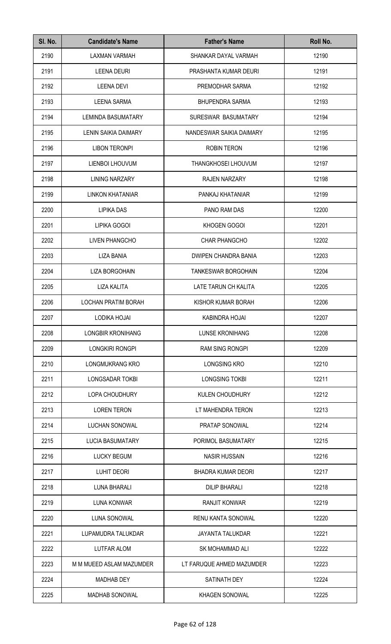| SI. No. | <b>Candidate's Name</b>    | <b>Father's Name</b>        | Roll No. |
|---------|----------------------------|-----------------------------|----------|
| 2190    | <b>LAXMAN VARMAH</b>       | SHANKAR DAYAL VARMAH        | 12190    |
| 2191    | <b>LEENA DEURI</b>         | PRASHANTA KUMAR DEURI       | 12191    |
| 2192    | <b>LEENA DEVI</b>          | PREMODHAR SARMA             | 12192    |
| 2193    | <b>LEENA SARMA</b>         | <b>BHUPENDRA SARMA</b>      | 12193    |
| 2194    | <b>LEMINDA BASUMATARY</b>  | SURESWAR BASUMATARY         | 12194    |
| 2195    | LENIN SAIKIA DAIMARY       | NANDESWAR SAIKIA DAIMARY    | 12195    |
| 2196    | <b>LIBON TERONPI</b>       | <b>ROBIN TERON</b>          | 12196    |
| 2197    | LIENBOI LHOUVUM            | <b>THANGKHOSEI LHOUVUM</b>  | 12197    |
| 2198    | <b>LINING NARZARY</b>      | <b>RAJEN NARZARY</b>        | 12198    |
| 2199    | LINKON KHATANIAR           | PANKAJ KHATANIAR            | 12199    |
| 2200    | <b>LIPIKA DAS</b>          | PANO RAM DAS                | 12200    |
| 2201    | LIPIKA GOGOI               | KHOGEN GOGOI                | 12201    |
| 2202    | <b>LIVEN PHANGCHO</b>      | CHAR PHANGCHO               | 12202    |
| 2203    | <b>LIZA BANIA</b>          | <b>DWIPEN CHANDRA BANIA</b> | 12203    |
| 2204    | LIZA BORGOHAIN             | <b>TANKESWAR BORGOHAIN</b>  | 12204    |
| 2205    | <b>LIZA KALITA</b>         | LATE TARUN CH KALITA        | 12205    |
| 2206    | <b>LOCHAN PRATIM BORAH</b> | KISHOR KUMAR BORAH          | 12206    |
| 2207    | LODIKA HOJAI               | KABINDRA HOJAI              | 12207    |
| 2208    | LONGBIR KRONIHANG          | <b>LUNSE KRONIHANG</b>      | 12208    |
| 2209    | LONGKIRI RONGPI            | <b>RAM SING RONGPI</b>      | 12209    |
| 2210    | LONGMUKRANG KRO            | <b>LONGSING KRO</b>         | 12210    |
| 2211    | LONGSADAR TOKBI            | LONGSING TOKBI              | 12211    |
| 2212    | LOPA CHOUDHURY             | KULEN CHOUDHURY             | 12212    |
| 2213    | <b>LOREN TERON</b>         | LT MAHENDRA TERON           | 12213    |
| 2214    | LUCHAN SONOWAL             | PRATAP SONOWAL              | 12214    |
| 2215    | <b>LUCIA BASUMATARY</b>    | PORIMOL BASUMATARY          | 12215    |
| 2216    | <b>LUCKY BEGUM</b>         | <b>NASIR HUSSAIN</b>        | 12216    |
| 2217    | <b>LUHIT DEORI</b>         | <b>BHADRA KUMAR DEORI</b>   | 12217    |
| 2218    | <b>LUNA BHARALI</b>        | <b>DILIP BHARALI</b>        | 12218    |
| 2219    | <b>LUNA KONWAR</b>         | <b>RANJIT KONWAR</b>        | 12219    |
| 2220    | LUNA SONOWAL               | RENU KANTA SONOWAL          | 12220    |
| 2221    | LUPAMUDRA TALUKDAR         | JAYANTA TALUKDAR            | 12221    |
| 2222    | LUTFAR ALOM                | SK MOHAMMAD ALI             | 12222    |
| 2223    | M M MUEED ASLAM MAZUMDER   | LT FARUQUE AHMED MAZUMDER   | 12223    |
| 2224    | <b>MADHAB DEY</b>          | SATINATH DEY                | 12224    |
| 2225    | MADHAB SONOWAL             | <b>KHAGEN SONOWAL</b>       | 12225    |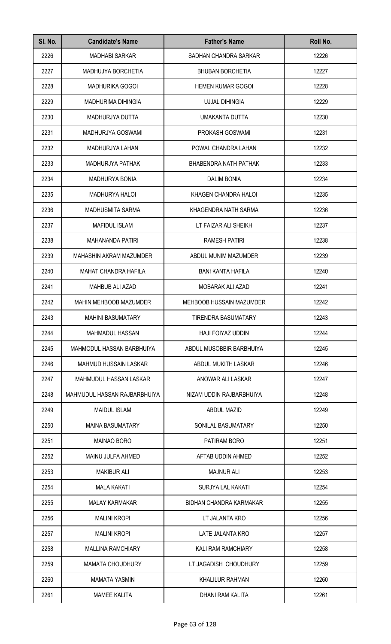| SI. No. | <b>Candidate's Name</b>       | <b>Father's Name</b>     | Roll No. |
|---------|-------------------------------|--------------------------|----------|
| 2226    | <b>MADHABI SARKAR</b>         | SADHAN CHANDRA SARKAR    | 12226    |
| 2227    | MADHUJYA BORCHETIA            | <b>BHUBAN BORCHETIA</b>  | 12227    |
| 2228    | <b>MADHURIKA GOGOI</b>        | <b>HEMEN KUMAR GOGOI</b> | 12228    |
| 2229    | <b>MADHURIMA DIHINGIA</b>     | <b>UJJAL DIHINGIA</b>    | 12229    |
| 2230    | MADHURJYA DUTTA               | UMAKANTA DUTTA           | 12230    |
| 2231    | MADHURJYA GOSWAMI             | PROKASH GOSWAMI          | 12231    |
| 2232    | MADHURJYA LAHAN               | POWAL CHANDRA LAHAN      | 12232    |
| 2233    | <b>MADHURJYA PATHAK</b>       | BHABENDRA NATH PATHAK    | 12233    |
| 2234    | <b>MADHURYA BONIA</b>         | <b>DALIM BONIA</b>       | 12234    |
| 2235    | <b>MADHURYA HALOI</b>         | KHAGEN CHANDRA HALOI     | 12235    |
| 2236    | <b>MADHUSMITA SARMA</b>       | KHAGENDRA NATH SARMA     | 12236    |
| 2237    | <b>MAFIDUL ISLAM</b>          | LT FAIZAR ALI SHEIKH     | 12237    |
| 2238    | MAHANANDA PATIRI              | <b>RAMESH PATIRI</b>     | 12238    |
| 2239    | MAHASHIN AKRAM MAZUMDER       | ABDUL MUNIM MAZUMDER     | 12239    |
| 2240    | MAHAT CHANDRA HAFILA          | <b>BANI KANTA HAFILA</b> | 12240    |
| 2241    | <b>MAHBUB ALI AZAD</b>        | MOBARAK ALI AZAD         | 12241    |
| 2242    | <b>MAHIN MEHBOOB MAZUMDER</b> | MEHBOOB HUSSAIN MAZUMDER | 12242    |
| 2243    | <b>MAHINI BASUMATARY</b>      | TIRENDRA BASUMATARY      | 12243    |
| 2244    | <b>MAHMADUL HASSAN</b>        | <b>HAJI FOIYAZ UDDIN</b> | 12244    |
| 2245    | MAHMODUL HASSAN BARBHUIYA     | ABDUL MUSOBBIR BARBHUIYA | 12245    |
| 2246    | MAHMUD HUSSAIN LASKAR         | ABDUL MUKITH LASKAR      | 12246    |
| 2247    | MAHMUDUL HASSAN LASKAR        | ANOWAR ALI LASKAR        | 12247    |
| 2248    | MAHMUDUL HASSAN RAJBARBHUIYA  | NIZAM UDDIN RAJBARBHUIYA | 12248    |
| 2249    | <b>MAIDUL ISLAM</b>           | <b>ABDUL MAZID</b>       | 12249    |
| 2250    | <b>MAINA BASUMATARY</b>       | SONILAL BASUMATARY       | 12250    |
| 2251    | <b>MAINAO BORO</b>            | PATIRAM BORO             | 12251    |
| 2252    | MAINU JULFA AHMED             | AFTAB UDDIN AHMED        | 12252    |
| 2253    | <b>MAKIBUR ALI</b>            | <b>MAJNUR ALI</b>        | 12253    |
| 2254    | <b>MALA KAKATI</b>            | SURJYA LAL KAKATI        | 12254    |
| 2255    | <b>MALAY KARMAKAR</b>         | BIDHAN CHANDRA KARMAKAR  | 12255    |
| 2256    | <b>MALINI KROPI</b>           | LT JALANTA KRO           | 12256    |
| 2257    | <b>MALINI KROPI</b>           | <b>LATE JALANTA KRO</b>  | 12257    |
| 2258    | <b>MALLINA RAMCHIARY</b>      | KALI RAM RAMCHIARY       | 12258    |
| 2259    | <b>MAMATA CHOUDHURY</b>       | LT JAGADISH CHOUDHURY    | 12259    |
| 2260    | <b>MAMATA YASMIN</b>          | <b>KHALILUR RAHMAN</b>   | 12260    |
| 2261    | <b>MAMEE KALITA</b>           | DHANI RAM KALITA         | 12261    |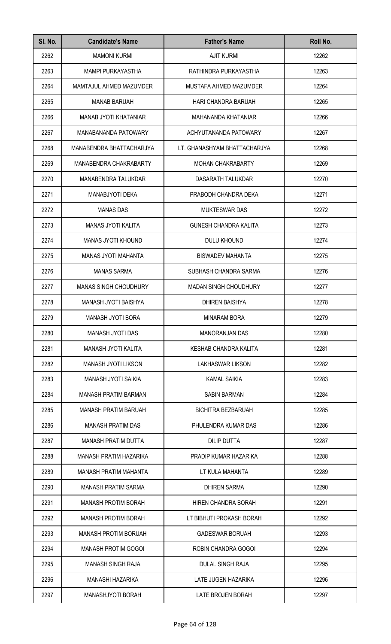| SI. No. | <b>Candidate's Name</b>      | <b>Father's Name</b>         | Roll No. |
|---------|------------------------------|------------------------------|----------|
| 2262    | <b>MAMONI KURMI</b>          | <b>AJIT KURMI</b>            | 12262    |
| 2263    | <b>MAMPI PURKAYASTHA</b>     | RATHINDRA PURKAYASTHA        | 12263    |
| 2264    | MAMTAJUL AHMED MAZUMDER      | MUSTAFA AHMED MAZUMDER       | 12264    |
| 2265    | <b>MANAB BARUAH</b>          | HARI CHANDRA BARUAH          | 12265    |
| 2266    | <b>MANAB JYOTI KHATANIAR</b> | MAHANANDA KHATANIAR          | 12266    |
| 2267    | MANABANANDA PATOWARY         | ACHYUTANANDA PATOWARY        | 12267    |
| 2268    | MANABENDRA BHATTACHARJYA     | LT. GHANASHYAM BHATTACHARJYA | 12268    |
| 2269    | MANABENDRA CHAKRABARTY       | <b>MOHAN CHAKRABARTY</b>     | 12269    |
| 2270    | <b>MANABENDRA TALUKDAR</b>   | DASARATH TALUKDAR            | 12270    |
| 2271    | MANABJYOTI DEKA              | PRABODH CHANDRA DEKA         | 12271    |
| 2272    | <b>MANAS DAS</b>             | <b>MUKTESWAR DAS</b>         | 12272    |
| 2273    | <b>MANAS JYOTI KALITA</b>    | <b>GUNESH CHANDRA KALITA</b> | 12273    |
| 2274    | <b>MANAS JYOTI KHOUND</b>    | DULU KHOUND                  | 12274    |
| 2275    | <b>MANAS JYOTI MAHANTA</b>   | <b>BISWADEV MAHANTA</b>      | 12275    |
| 2276    | <b>MANAS SARMA</b>           | SUBHASH CHANDRA SARMA        | 12276    |
| 2277    | <b>MANAS SINGH CHOUDHURY</b> | <b>MADAN SINGH CHOUDHURY</b> | 12277    |
| 2278    | MANASH JYOTI BAISHYA         | <b>DHIREN BAISHYA</b>        | 12278    |
| 2279    | MANASH JYOTI BORA            | <b>MINARAM BORA</b>          | 12279    |
| 2280    | MANASH JYOTI DAS             | <b>MANORANJAN DAS</b>        | 12280    |
| 2281    | MANASH JYOTI KALITA          | KESHAB CHANDRA KALITA        | 12281    |
| 2282    | <b>MANASH JYOTI LIKSON</b>   | <b>LAKHASWAR LIKSON</b>      | 12282    |
| 2283    | MANASH JYOTI SAIKIA          | <b>KAMAL SAIKIA</b>          | 12283    |
| 2284    | <b>MANASH PRATIM BARMAN</b>  | <b>SABIN BARMAN</b>          | 12284    |
| 2285    | <b>MANASH PRATIM BARUAH</b>  | <b>BICHITRA BEZBARUAH</b>    | 12285    |
| 2286    | <b>MANASH PRATIM DAS</b>     | PHULENDRA KUMAR DAS          | 12286    |
| 2287    | <b>MANASH PRATIM DUTTA</b>   | <b>DILIP DUTTA</b>           | 12287    |
| 2288    | MANASH PRATIM HAZARIKA       | PRADIP KUMAR HAZARIKA        | 12288    |
| 2289    | <b>MANASH PRATIM MAHANTA</b> | LT KULA MAHANTA              | 12289    |
| 2290    | <b>MANASH PRATIM SARMA</b>   | <b>DHIREN SARMA</b>          | 12290    |
| 2291    | <b>MANASH PROTIM BORAH</b>   | HIREN CHANDRA BORAH          | 12291    |
| 2292    | <b>MANASH PROTIM BORAH</b>   | LT BIBHUTI PROKASH BORAH     | 12292    |
| 2293    | <b>MANASH PROTIM BORUAH</b>  | <b>GADESWAR BORUAH</b>       | 12293    |
| 2294    | <b>MANASH PROTIM GOGOI</b>   | ROBIN CHANDRA GOGOI          | 12294    |
| 2295    | <b>MANASH SINGH RAJA</b>     | <b>DULAL SINGH RAJA</b>      | 12295    |
| 2296    | <b>MANASHI HAZARIKA</b>      | LATE JUGEN HAZARIKA          | 12296    |
| 2297    | MANASHJYOTI BORAH            | LATE BROJEN BORAH            | 12297    |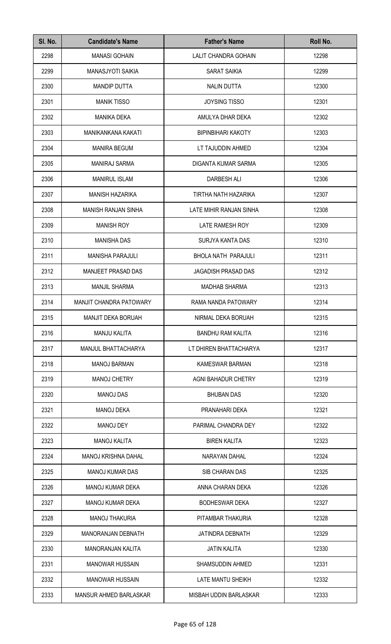| SI. No. | <b>Candidate's Name</b>        | <b>Father's Name</b>        | Roll No. |
|---------|--------------------------------|-----------------------------|----------|
| 2298    | <b>MANASI GOHAIN</b>           | <b>LALIT CHANDRA GOHAIN</b> | 12298    |
| 2299    | <b>MANASJYOTI SAIKIA</b>       | <b>SARAT SAIKIA</b>         | 12299    |
| 2300    | <b>MANDIP DUTTA</b>            | <b>NALIN DUTTA</b>          | 12300    |
| 2301    | <b>MANIK TISSO</b>             | <b>JOYSING TISSO</b>        | 12301    |
| 2302    | <b>MANIKA DEKA</b>             | AMULYA DHAR DEKA            | 12302    |
| 2303    | MANIKANKANA KAKATI             | <b>BIPINBIHARI KAKOTY</b>   | 12303    |
| 2304    | <b>MANIRA BEGUM</b>            | LT TAJUDDIN AHMED           | 12304    |
| 2305    | <b>MANIRAJ SARMA</b>           | DIGANTA KUMAR SARMA         | 12305    |
| 2306    | <b>MANIRUL ISLAM</b>           | <b>DARBESH ALI</b>          | 12306    |
| 2307    | <b>MANISH HAZARIKA</b>         | TIRTHA NATH HAZARIKA        | 12307    |
| 2308    | <b>MANISH RANJAN SINHA</b>     | LATE MIHIR RANJAN SINHA     | 12308    |
| 2309    | <b>MANISH ROY</b>              | LATE RAMESH ROY             | 12309    |
| 2310    | <b>MANISHA DAS</b>             | SURJYA KANTA DAS            | 12310    |
| 2311    | <b>MANISHA PARAJULI</b>        | <b>BHOLA NATH PARAJULI</b>  | 12311    |
| 2312    | MANJEET PRASAD DAS             | JAGADISH PRASAD DAS         | 12312    |
| 2313    | <b>MANJIL SHARMA</b>           | <b>MADHAB SHARMA</b>        | 12313    |
| 2314    | <b>MANJIT CHANDRA PATOWARY</b> | RAMA NANDA PATOWARY         | 12314    |
| 2315    | MANJIT DEKA BORUAH             | NIRMAL DEKA BORUAH          | 12315    |
| 2316    | <b>MANJU KALITA</b>            | <b>BANDHU RAM KALITA</b>    | 12316    |
| 2317    | MANJUL BHATTACHARYA            | LT DHIREN BHATTACHARYA      | 12317    |
| 2318    | <b>MANOJ BARMAN</b>            | <b>KAMESWAR BARMAN</b>      | 12318    |
| 2319    | <b>MANOJ CHETRY</b>            | AGNI BAHADUR CHETRY         | 12319    |
| 2320    | <b>MANOJ DAS</b>               | <b>BHUBAN DAS</b>           | 12320    |
| 2321    | <b>MANOJ DEKA</b>              | PRANAHARI DEKA              | 12321    |
| 2322    | <b>MANOJ DEY</b>               | PARIMAL CHANDRA DEY         | 12322    |
| 2323    | <b>MANOJ KALITA</b>            | <b>BIREN KALITA</b>         | 12323    |
| 2324    | <b>MANOJ KRISHNA DAHAL</b>     | NARAYAN DAHAL               | 12324    |
| 2325    | <b>MANOJ KUMAR DAS</b>         | SIB CHARAN DAS              | 12325    |
| 2326    | MANOJ KUMAR DEKA               | ANNA CHARAN DEKA            | 12326    |
| 2327    | <b>MANOJ KUMAR DEKA</b>        | <b>BODHESWAR DEKA</b>       | 12327    |
| 2328    | <b>MANOJ THAKURIA</b>          | PITAMBAR THAKURIA           | 12328    |
| 2329    | <b>MANORANJAN DEBNATH</b>      | <b>JATINDRA DEBNATH</b>     | 12329    |
| 2330    | <b>MANORANJAN KALITA</b>       | <b>JATIN KALITA</b>         | 12330    |
| 2331    | <b>MANOWAR HUSSAIN</b>         | <b>SHAMSUDDIN AHMED</b>     | 12331    |
| 2332    | <b>MANOWAR HUSSAIN</b>         | <b>LATE MANTU SHEIKH</b>    | 12332    |
| 2333    | MANSUR AHMED BARLASKAR         | MISBAH UDDIN BARLASKAR      | 12333    |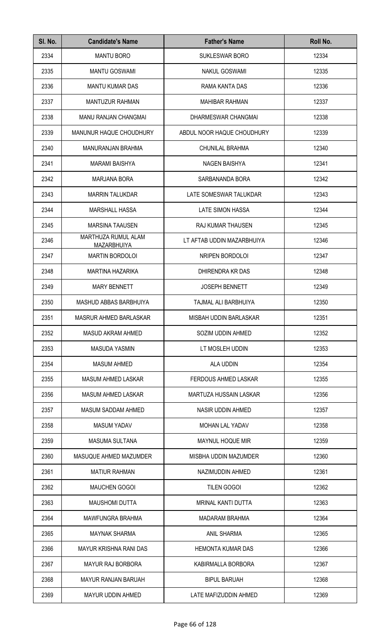| SI. No. | <b>Candidate's Name</b>                   | <b>Father's Name</b>        | Roll No. |
|---------|-------------------------------------------|-----------------------------|----------|
| 2334    | <b>MANTU BORO</b>                         | SUKLESWAR BORO              | 12334    |
| 2335    | <b>MANTU GOSWAMI</b>                      | <b>NAKUL GOSWAMI</b>        | 12335    |
| 2336    | <b>MANTU KUMAR DAS</b>                    | RAMA KANTA DAS              | 12336    |
| 2337    | <b>MANTUZUR RAHMAN</b>                    | <b>MAHIBAR RAHMAN</b>       | 12337    |
| 2338    | <b>MANU RANJAN CHANGMAI</b>               | DHARMESWAR CHANGMAI         | 12338    |
| 2339    | MANUNUR HAQUE CHOUDHURY                   | ABDUL NOOR HAQUE CHOUDHURY  | 12339    |
| 2340    | MANURANJAN BRAHMA                         | CHUNILAL BRAHMA             | 12340    |
| 2341    | <b>MARAMI BAISHYA</b>                     | <b>NAGEN BAISHYA</b>        | 12341    |
| 2342    | <b>MARJANA BORA</b>                       | SARBANANDA BORA             | 12342    |
| 2343    | <b>MARRIN TALUKDAR</b>                    | LATE SOMESWAR TALUKDAR      | 12343    |
| 2344    | <b>MARSHALL HASSA</b>                     | <b>LATE SIMON HASSA</b>     | 12344    |
| 2345    | <b>MARSINA TAAUSEN</b>                    | RAJ KUMAR THAUSEN           | 12345    |
| 2346    | MARTHUZA RUMUL ALAM<br><b>MAZARBHUIYA</b> | LT AFTAB UDDIN MAZARBHUIYA  | 12346    |
| 2347    | <b>MARTIN BORDOLOI</b>                    | NRIPEN BORDOLOI             | 12347    |
| 2348    | <b>MARTINA HAZARIKA</b>                   | DHIRENDRA KR DAS            | 12348    |
| 2349    | <b>MARY BENNETT</b>                       | <b>JOSEPH BENNETT</b>       | 12349    |
| 2350    | MASHUD ABBAS BARBHUIYA                    | TAJMAL ALI BARBHUIYA        | 12350    |
| 2351    | MASRUR AHMED BARLASKAR                    | MISBAH UDDIN BARLASKAR      | 12351    |
| 2352    | <b>MASUD AKRAM AHMED</b>                  | SOZIM UDDIN AHMED           | 12352    |
| 2353    | <b>MASUDA YASMIN</b>                      | LT MOSLEH UDDIN             | 12353    |
| 2354    | <b>MASUM AHMED</b>                        | ALA UDDIN                   | 12354    |
| 2355    | MASUM AHMED LASKAR                        | <b>FERDOUS AHMED LASKAR</b> | 12355    |
| 2356    | <b>MASUM AHMED LASKAR</b>                 | MARTUZA HUSSAIN LASKAR      | 12356    |
| 2357    | MASUM SADDAM AHMED                        | NASIR UDDIN AHMED           | 12357    |
| 2358    | <b>MASUM YADAV</b>                        | MOHAN LAL YADAV             | 12358    |
| 2359    | <b>MASUMA SULTANA</b>                     | MAYNUL HOQUE MIR            | 12359    |
| 2360    | MASUQUE AHMED MAZUMDER                    | MISBHA UDDIN MAZUMDER       | 12360    |
| 2361    | <b>MATIUR RAHMAN</b>                      | NAZIMUDDIN AHMED            | 12361    |
| 2362    | <b>MAUCHEN GOGOI</b>                      | <b>TILEN GOGOI</b>          | 12362    |
| 2363    | <b>MAUSHOMI DUTTA</b>                     | MRINAL KANTI DUTTA          | 12363    |
| 2364    | <b>MAWFUNGRA BRAHMA</b>                   | <b>MADARAM BRAHMA</b>       | 12364    |
| 2365    | <b>MAYNAK SHARMA</b>                      | <b>ANIL SHARMA</b>          | 12365    |
| 2366    | <b>MAYUR KRISHNA RANI DAS</b>             | <b>HEMONTA KUMAR DAS</b>    | 12366    |
| 2367    | <b>MAYUR RAJ BORBORA</b>                  | KABIRMALLA BORBORA          | 12367    |
| 2368    | <b>MAYUR RANJAN BARUAH</b>                | <b>BIPUL BARUAH</b>         | 12368    |
| 2369    | MAYUR UDDIN AHMED                         | LATE MAFIZUDDIN AHMED       | 12369    |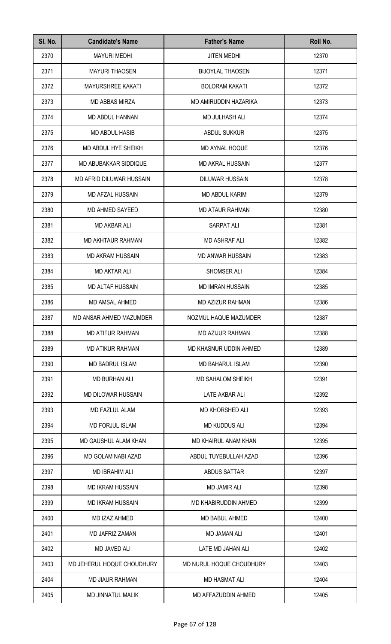| SI. No. | <b>Candidate's Name</b>    | <b>Father's Name</b>     | Roll No. |
|---------|----------------------------|--------------------------|----------|
| 2370    | <b>MAYURI MEDHI</b>        | <b>JITEN MEDHI</b>       | 12370    |
| 2371    | <b>MAYURI THAOSEN</b>      | <b>BIJOYLAL THAOSEN</b>  | 12371    |
| 2372    | <b>MAYURSHREE KAKATI</b>   | <b>BOLORAM KAKATI</b>    | 12372    |
| 2373    | <b>MD ABBAS MIRZA</b>      | MD AMIRUDDIN HAZARIKA    | 12373    |
| 2374    | MD ABDUL HANNAN            | <b>MD JULHASH ALI</b>    | 12374    |
| 2375    | MD ABDUL HASIB             | <b>ABDUL SUKKUR</b>      | 12375    |
| 2376    | MD ABDUL HYE SHEIKH        | MD AYNAL HOQUE           | 12376    |
| 2377    | MD ABUBAKKAR SIDDIQUE      | <b>MD AKRAL HUSSAIN</b>  | 12377    |
| 2378    | MD AFRID DILUWAR HUSSAIN   | <b>DILUWAR HUSSAIN</b>   | 12378    |
| 2379    | <b>MD AFZAL HUSSAIN</b>    | <b>MD ABDUL KARIM</b>    | 12379    |
| 2380    | MD AHMED SAYEED            | <b>MD ATAUR RAHMAN</b>   | 12380    |
| 2381    | <b>MD AKBAR ALI</b>        | SARPAT ALI               | 12381    |
| 2382    | <b>MD AKHTAUR RAHMAN</b>   | <b>MD ASHRAF ALI</b>     | 12382    |
| 2383    | <b>MD AKRAM HUSSAIN</b>    | <b>MD ANWAR HUSSAIN</b>  | 12383    |
| 2384    | <b>MD AKTAR ALI</b>        | SHOMSER ALI              | 12384    |
| 2385    | MD ALTAF HUSSAIN           | <b>MD IMRAN HUSSAIN</b>  | 12385    |
| 2386    | MD AMSAL AHMED             | MD AZIZUR RAHMAN         | 12386    |
| 2387    | MD ANSAR AHMED MAZUMDER    | NOZMUL HAQUE MAZUMDER    | 12387    |
| 2388    | <b>MD ATIFUR RAHMAN</b>    | <b>MD AZIJUR RAHMAN</b>  | 12388    |
| 2389    | <b>MD ATIKUR RAHMAN</b>    | MD KHASNUR UDDIN AHMED   | 12389    |
| 2390    | <b>MD BADRUL ISLAM</b>     | MD BAHARUL ISLAM         | 12390    |
| 2391    | MD BURHAN ALI              | <b>MD SAHALOM SHEIKH</b> | 12391    |
| 2392    | MD DILOWAR HUSSAIN         | LATE AKBAR ALI           | 12392    |
| 2393    | MD FAZLUL ALAM             | <b>MD KHORSHED ALI</b>   | 12393    |
| 2394    | <b>MD FORJUL ISLAM</b>     | MD KUDDUS ALI            | 12394    |
| 2395    | MD GAUSHUL ALAM KHAN       | MD KHAIRUL ANAM KHAN     | 12395    |
| 2396    | MD GOLAM NABI AZAD         | ABDUL TUYEBULLAH AZAD    | 12396    |
| 2397    | <b>MD IBRAHIM ALI</b>      | ABDUS SATTAR             | 12397    |
| 2398    | <b>MD IKRAM HUSSAIN</b>    | <b>MD JAMIR ALI</b>      | 12398    |
| 2399    | <b>MD IKRAM HUSSAIN</b>    | MD KHABIRUDDIN AHMED     | 12399    |
| 2400    | MD IZAZ AHMED              | MD BABUL AHMED           | 12400    |
| 2401    | <b>MD JAFRIZ ZAMAN</b>     | <b>MD JAMAN ALI</b>      | 12401    |
| 2402    | <b>MD JAVED ALI</b>        | LATE MD JAHAN ALI        | 12402    |
| 2403    | MD JEHERUL HOQUE CHOUDHURY | MD NURUL HOQUE CHOUDHURY | 12403    |
| 2404    | <b>MD JIAUR RAHMAN</b>     | <b>MD HASMAT ALI</b>     | 12404    |
| 2405    | <b>MD JINNATUL MALIK</b>   | MD AFFAZUDDIN AHMED      | 12405    |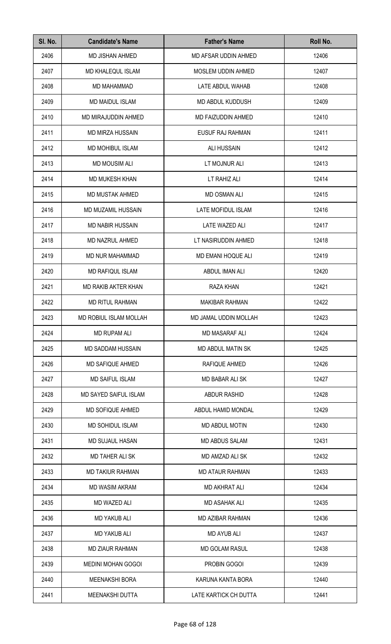| SI. No. | <b>Candidate's Name</b>      | <b>Father's Name</b>      | Roll No. |
|---------|------------------------------|---------------------------|----------|
| 2406    | MD JISHAN AHMED              | MD AFSAR UDDIN AHMED      | 12406    |
| 2407    | MD KHALEQUL ISLAM            | MOSLEM UDDIN AHMED        | 12407    |
| 2408    | MD MAHAMMAD                  | LATE ABDUL WAHAB          | 12408    |
| 2409    | <b>MD MAIDUL ISLAM</b>       | MD ABDUL KUDDUSH          | 12409    |
| 2410    | MD MIRAJUDDIN AHMED          | <b>MD FAIZUDDIN AHMED</b> | 12410    |
| 2411    | <b>MD MIRZA HUSSAIN</b>      | <b>EUSUF RAJ RAHMAN</b>   | 12411    |
| 2412    | <b>MD MOHIBUL ISLAM</b>      | <b>ALI HUSSAIN</b>        | 12412    |
| 2413    | <b>MD MOUSIM ALI</b>         | LT MOJNUR ALI             | 12413    |
| 2414    | MD MUKESH KHAN               | LT RAHIZ ALI              | 12414    |
| 2415    | MD MUSTAK AHMED              | <b>MD OSMAN ALI</b>       | 12415    |
| 2416    | MD MUZAMIL HUSSAIN           | LATE MOFIDUL ISLAM        | 12416    |
| 2417    | <b>MD NABIR HUSSAIN</b>      | LATE WAZED ALI            | 12417    |
| 2418    | MD NAZRUL AHMED              | LT NASIRUDDIN AHMED       | 12418    |
| 2419    | MD NUR MAHAMMAD              | MD EMANI HOQUE ALI        | 12419    |
| 2420    | MD RAFIQUL ISLAM             | ABDUL IMAN ALI            | 12420    |
| 2421    | <b>MD RAKIB AKTER KHAN</b>   | RAZA KHAN                 | 12421    |
| 2422    | <b>MD RITUL RAHMAN</b>       | <b>MAKIBAR RAHMAN</b>     | 12422    |
| 2423    | MD ROBIUL ISLAM MOLLAH       | MD JAMAL UDDIN MOLLAH     | 12423    |
| 2424    | <b>MD RUPAM ALI</b>          | <b>MD MASARAF ALI</b>     | 12424    |
| 2425    | <b>MD SADDAM HUSSAIN</b>     | <b>MD ABDUL MATIN SK</b>  | 12425    |
| 2426    | <b>MD SAFIQUE AHMED</b>      | RAFIQUE AHMED             | 12426    |
| 2427    | <b>MD SAIFUL ISLAM</b>       | <b>MD BABAR ALI SK</b>    | 12427    |
| 2428    | <b>MD SAYED SAIFUL ISLAM</b> | ABDUR RASHID              | 12428    |
| 2429    | MD SOFIQUE AHMED             | ABDUL HAMID MONDAL        | 12429    |
| 2430    | <b>MD SOHIDUL ISLAM</b>      | <b>MD ABDUL MOTIN</b>     | 12430    |
| 2431    | <b>MD SUJAUL HASAN</b>       | <b>MD ABDUS SALAM</b>     | 12431    |
| 2432    | <b>MD TAHER ALI SK</b>       | MD AMZAD ALI SK           | 12432    |
| 2433    | <b>MD TAKIUR RAHMAN</b>      | <b>MD ATAUR RAHMAN</b>    | 12433    |
| 2434    | <b>MD WASIM AKRAM</b>        | <b>MD AKHRAT ALI</b>      | 12434    |
| 2435    | <b>MD WAZED ALI</b>          | <b>MD ASAHAK ALI</b>      | 12435    |
| 2436    | <b>MD YAKUB ALI</b>          | MD AZIBAR RAHMAN          | 12436    |
| 2437    | <b>MD YAKUB ALI</b>          | <b>MD AYUB ALI</b>        | 12437    |
| 2438    | <b>MD ZIAUR RAHMAN</b>       | <b>MD GOLAM RASUL</b>     | 12438    |
| 2439    | <b>MEDINI MOHAN GOGOI</b>    | PROBIN GOGOI              | 12439    |
| 2440    | <b>MEENAKSHI BORA</b>        | KARUNA KANTA BORA         | 12440    |
| 2441    | MEENAKSHI DUTTA              | LATE KARTICK CH DUTTA     | 12441    |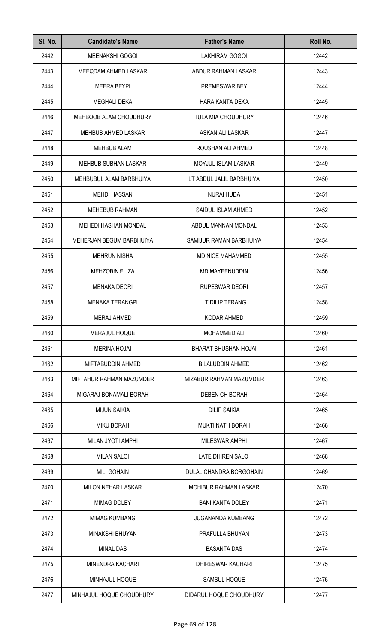| SI. No. | <b>Candidate's Name</b>     | <b>Father's Name</b>       | Roll No. |
|---------|-----------------------------|----------------------------|----------|
| 2442    | MEENAKSHI GOGOI             | LAKHIRAM GOGOI             | 12442    |
| 2443    | MEEQDAM AHMED LASKAR        | ABDUR RAHMAN LASKAR        | 12443    |
| 2444    | <b>MEERA BEYPI</b>          | PREMESWAR BEY              | 12444    |
| 2445    | MEGHALI DEKA                | HARA KANTA DEKA            | 12445    |
| 2446    | MEHBOOB ALAM CHOUDHURY      | <b>TULA MIA CHOUDHURY</b>  | 12446    |
| 2447    | <b>MEHBUB AHMED LASKAR</b>  | ASKAN ALI LASKAR           | 12447    |
| 2448    | <b>MEHBUB ALAM</b>          | ROUSHAN ALI AHMED          | 12448    |
| 2449    | <b>MEHBUB SUBHAN LASKAR</b> | <b>MOYJUL ISLAM LASKAR</b> | 12449    |
| 2450    | MEHBUBUL ALAM BARBHUIYA     | LT ABDUL JALIL BARBHUIYA   | 12450    |
| 2451    | <b>MEHDI HASSAN</b>         | <b>NURAI HUDA</b>          | 12451    |
| 2452    | <b>MEHEBUB RAHMAN</b>       | SAIDUL ISLAM AHMED         | 12452    |
| 2453    | MEHEDI HASHAN MONDAL        | ABDUL MANNAN MONDAL        | 12453    |
| 2454    | MEHERJAN BEGUM BARBHUIYA    | SAMIJUR RAMAN BARBHUIYA    | 12454    |
| 2455    | <b>MEHRUN NISHA</b>         | <b>MD NICE MAHAMMED</b>    | 12455    |
| 2456    | <b>MEHZOBIN ELIZA</b>       | MD MAYEENUDDIN             | 12456    |
| 2457    | <b>MENAKA DEORI</b>         | <b>RUPESWAR DEORI</b>      | 12457    |
| 2458    | <b>MENAKA TERANGPI</b>      | LT DILIP TERANG            | 12458    |
| 2459    | MERAJ AHMED                 | KODAR AHMED                | 12459    |
| 2460    | MERAJUL HOQUE               | <b>MOHAMMED ALI</b>        | 12460    |
| 2461    | <b>MERINA HOJAI</b>         | BHARAT BHUSHAN HOJAI       | 12461    |
| 2462    | MIFTABUDDIN AHMED           | <b>BILALUDDIN AHMED</b>    | 12462    |
| 2463    | MIFTAHUR RAHMAN MAZUMDER    | MIZABUR RAHMAN MAZUMDER    | 12463    |
| 2464    | MIGARAJ BONAMALI BORAH      | DEBEN CH BORAH             | 12464    |
| 2465    | <b>MIJUN SAIKIA</b>         | <b>DILIP SAIKIA</b>        | 12465    |
| 2466    | <b>MIKU BORAH</b>           | <b>MUKTI NATH BORAH</b>    | 12466    |
| 2467    | MILAN JYOTI AMPHI           | <b>MILESWAR AMPHI</b>      | 12467    |
| 2468    | <b>MILAN SALOI</b>          | LATE DHIREN SALOI          | 12468    |
| 2469    | <b>MILI GOHAIN</b>          | DULAL CHANDRA BORGOHAIN    | 12469    |
| 2470    | MILON NEHAR LASKAR          | MOHIBUR RAHMAN LASKAR      | 12470    |
| 2471    | <b>MIMAG DOLEY</b>          | <b>BANI KANTA DOLEY</b>    | 12471    |
| 2472    | <b>MIMAG KUMBANG</b>        | <b>JUGANANDA KUMBANG</b>   | 12472    |
| 2473    | MINAKSHI BHUYAN             | PRAFULLA BHUYAN            | 12473    |
| 2474    | <b>MINAL DAS</b>            | <b>BASANTA DAS</b>         | 12474    |
| 2475    | MINENDRA KACHARI            | DHIRESWAR KACHARI          | 12475    |
| 2476    | MINHAJUL HOQUE              | SAMSUL HOQUE               | 12476    |
| 2477    | MINHAJUL HOQUE CHOUDHURY    | DIDARUL HOQUE CHOUDHURY    | 12477    |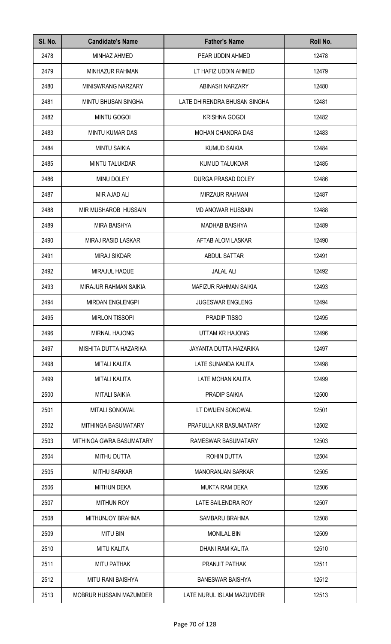| SI. No. | <b>Candidate's Name</b>     | <b>Father's Name</b>          | Roll No. |
|---------|-----------------------------|-------------------------------|----------|
| 2478    | MINHAZ AHMED                | PEAR UDDIN AHMED              | 12478    |
| 2479    | MINHAZUR RAHMAN             | LT HAFIZ UDDIN AHMED          | 12479    |
| 2480    | MINISWRANG NARZARY          | ABINASH NARZARY               | 12480    |
| 2481    | <b>MINTU BHUSAN SINGHA</b>  | LATE DHIRENDRA BHUSAN SINGHA  | 12481    |
| 2482    | <b>MINTU GOGOI</b>          | <b>KRISHNA GOGOI</b>          | 12482    |
| 2483    | MINTU KUMAR DAS             | <b>MOHAN CHANDRA DAS</b>      | 12483    |
| 2484    | <b>MINTU SAIKIA</b>         | <b>KUMUD SAIKIA</b>           | 12484    |
| 2485    | <b>MINTU TALUKDAR</b>       | <b>KUMUD TALUKDAR</b>         | 12485    |
| 2486    | MINU DOLEY                  | DURGA PRASAD DOLEY            | 12486    |
| 2487    | MIR AJAD ALI                | <b>MIRZAUR RAHMAN</b>         | 12487    |
| 2488    | <b>MIR MUSHAROB HUSSAIN</b> | <b>MD ANOWAR HUSSAIN</b>      | 12488    |
| 2489    | <b>MIRA BAISHYA</b>         | <b>MADHAB BAISHYA</b>         | 12489    |
| 2490    | MIRAJ RASID LASKAR          | AFTAB ALOM LASKAR             | 12490    |
| 2491    | <b>MIRAJ SIKDAR</b>         | ABDUL SATTAR                  | 12491    |
| 2492    | MIRAJUL HAQUE               | <b>JALAL ALI</b>              | 12492    |
| 2493    | MIRAJUR RAHMAN SAIKIA       | MAFIZUR RAHMAN SAIKIA         | 12493    |
| 2494    | <b>MIRDAN ENGLENGPI</b>     | <b>JUGESWAR ENGLENG</b>       | 12494    |
| 2495    | <b>MIRLON TISSOPI</b>       | PRADIP TISSO                  | 12495    |
| 2496    | <b>MIRNAL HAJONG</b>        | UTTAM KR HAJONG               | 12496    |
| 2497    | MISHITA DUTTA HAZARIKA      | <b>JAYANTA DUTTA HAZARIKA</b> | 12497    |
| 2498    | <b>MITALI KALITA</b>        | LATE SUNANDA KALITA           | 12498    |
| 2499    | <b>MITALI KALITA</b>        | LATE MOHAN KALITA             | 12499    |
| 2500    | <b>MITALI SAIKIA</b>        | PRADIP SAIKIA                 | 12500    |
| 2501    | <b>MITALI SONOWAL</b>       | LT DWIJEN SONOWAL             | 12501    |
| 2502    | MITHINGA BASUMATARY         | PRAFULLA KR BASUMATARY        | 12502    |
| 2503    | MITHINGA GWRA BASUMATARY    | RAMESWAR BASUMATARY           | 12503    |
| 2504    | <b>MITHU DUTTA</b>          | ROHIN DUTTA                   | 12504    |
| 2505    | <b>MITHU SARKAR</b>         | <b>MANORANJAN SARKAR</b>      | 12505    |
| 2506    | <b>MITHUN DEKA</b>          | <b>MUKTA RAM DEKA</b>         | 12506    |
| 2507    | <b>MITHUN ROY</b>           | LATE SAILENDRA ROY            | 12507    |
| 2508    | <b>MITHUNJOY BRAHMA</b>     | SAMBARU BRAHMA                | 12508    |
| 2509    | <b>MITU BIN</b>             | <b>MONILAL BIN</b>            | 12509    |
| 2510    | <b>MITU KALITA</b>          | <b>DHANI RAM KALITA</b>       | 12510    |
| 2511    | <b>MITU PATHAK</b>          | PRANJIT PATHAK                | 12511    |
| 2512    | <b>MITU RANI BAISHYA</b>    | <b>BANESWAR BAISHYA</b>       | 12512    |
| 2513    | MOBRUR HUSSAIN MAZUMDER     | LATE NURUL ISLAM MAZUMDER     | 12513    |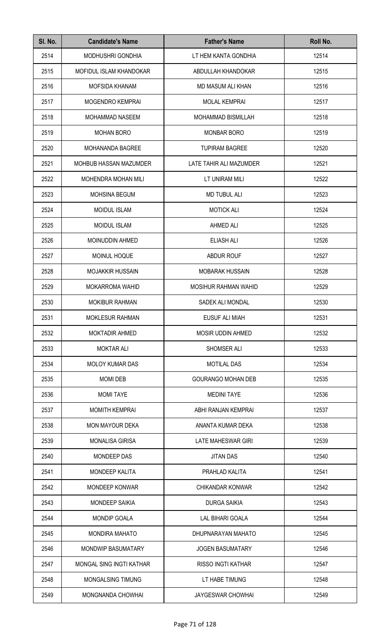| SI. No. | <b>Candidate's Name</b>    | <b>Father's Name</b>        | Roll No. |
|---------|----------------------------|-----------------------------|----------|
| 2514    | MODHUSHRI GONDHIA          | LT HEM KANTA GONDHIA        | 12514    |
| 2515    | MOFIDUL ISLAM KHANDOKAR    | ABDULLAH KHANDOKAR          | 12515    |
| 2516    | <b>MOFSIDA KHANAM</b>      | MD MASUM ALI KHAN           | 12516    |
| 2517    | MOGENDRO KEMPRAI           | <b>MOLAL KEMPRAI</b>        | 12517    |
| 2518    | <b>MOHAMMAD NASEEM</b>     | <b>MOHAMMAD BISMILLAH</b>   | 12518    |
| 2519    | <b>MOHAN BORO</b>          | <b>MONBAR BORO</b>          | 12519    |
| 2520    | MOHANANDA BAGREE           | <b>TUPIRAM BAGREE</b>       | 12520    |
| 2521    | MOHBUB HASSAN MAZUMDER     | LATE TAHIR ALI MAZUMDER     | 12521    |
| 2522    | <b>MOHENDRA MOHAN MILI</b> | LT UNIRAM MILI              | 12522    |
| 2523    | <b>MOHSINA BEGUM</b>       | <b>MD TUBUL ALI</b>         | 12523    |
| 2524    | <b>MOIDUL ISLAM</b>        | <b>MOTICK ALI</b>           | 12524    |
| 2525    | <b>MOIDUL ISLAM</b>        | AHMED ALI                   | 12525    |
| 2526    | MOINUDDIN AHMED            | ELIASH ALI                  | 12526    |
| 2527    | MOINUL HOQUE               | <b>ABDUR ROUF</b>           | 12527    |
| 2528    | <b>MOJAKKIR HUSSAIN</b>    | <b>MOBARAK HUSSAIN</b>      | 12528    |
| 2529    | <b>MOKARROMA WAHID</b>     | <b>MOSIHUR RAHMAN WAHID</b> | 12529    |
| 2530    | <b>MOKIBUR RAHMAN</b>      | SADEK ALI MONDAL            | 12530    |
| 2531    | <b>MOKLESUR RAHMAN</b>     | EUSUF ALI MIAH              | 12531    |
| 2532    | <b>MOKTADIR AHMED</b>      | <b>MOSIR UDDIN AHMED</b>    | 12532    |
| 2533    | <b>MOKTAR ALI</b>          | SHOMSER ALI                 | 12533    |
| 2534    | <b>MOLOY KUMAR DAS</b>     | <b>MOTILAL DAS</b>          | 12534    |
| 2535    | <b>MOMI DEB</b>            | <b>GOURANGO MOHAN DEB</b>   | 12535    |
| 2536    | <b>MOMI TAYE</b>           | <b>MEDINI TAYE</b>          | 12536    |
| 2537    | <b>MOMITH KEMPRAI</b>      | ABHI RANJAN KEMPRAI         | 12537    |
| 2538    | <b>MON MAYOUR DEKA</b>     | ANANTA KUMAR DEKA           | 12538    |
| 2539    | <b>MONALISA GIRISA</b>     | LATE MAHESWAR GIRI          | 12539    |
| 2540    | MONDEEP DAS                | <b>JITAN DAS</b>            | 12540    |
| 2541    | <b>MONDEEP KALITA</b>      | PRAHLAD KALITA              | 12541    |
| 2542    | <b>MONDEEP KONWAR</b>      | CHIKANDAR KONWAR            | 12542    |
| 2543    | <b>MONDEEP SAIKIA</b>      | <b>DURGA SAIKIA</b>         | 12543    |
| 2544    | <b>MONDIP GOALA</b>        | LAL BIHARI GOALA            | 12544    |
| 2545    | <b>MONDIRA MAHATO</b>      | DHUPNARAYAN MAHATO          | 12545    |
| 2546    | MONDWIP BASUMATARY         | <b>JOGEN BASUMATARY</b>     | 12546    |
| 2547    | MONGAL SING INGTI KATHAR   | <b>RISSO INGTI KATHAR</b>   | 12547    |
| 2548    | MONGALSING TIMUNG          | LT HABE TIMUNG              | 12548    |
| 2549    | MONGNANDA CHOWHAI          | <b>JAYGESWAR CHOWHAI</b>    | 12549    |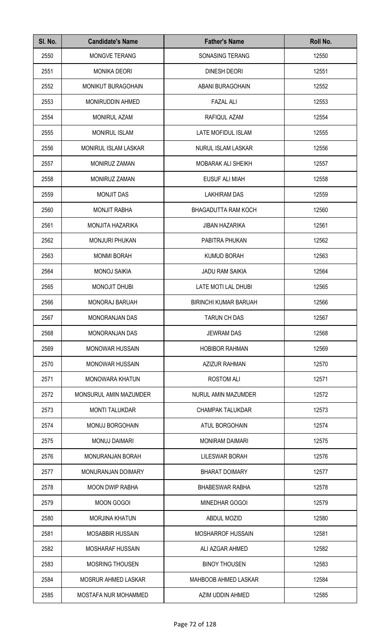| SI. No. | <b>Candidate's Name</b> | <b>Father's Name</b>         | Roll No. |
|---------|-------------------------|------------------------------|----------|
| 2550    | <b>MONGVE TERANG</b>    | SONASING TERANG              | 12550    |
| 2551    | <b>MONIKA DEORI</b>     | DINESH DEORI                 | 12551    |
| 2552    | MONIKUT BURAGOHAIN      | ABANI BURAGOHAIN             | 12552    |
| 2553    | <b>MONIRUDDIN AHMED</b> | <b>FAZAL ALI</b>             | 12553    |
| 2554    | <b>MONIRUL AZAM</b>     | RAFIQUL AZAM                 | 12554    |
| 2555    | <b>MONIRUL ISLAM</b>    | LATE MOFIDUL ISLAM           | 12555    |
| 2556    | MONIRUL ISLAM LASKAR    | NURUL ISLAM LASKAR           | 12556    |
| 2557    | <b>MONIRUZ ZAMAN</b>    | <b>MOBARAK ALI SHEIKH</b>    | 12557    |
| 2558    | MONIRUZ ZAMAN           | <b>EUSUF ALI MIAH</b>        | 12558    |
| 2559    | <b>MONJIT DAS</b>       | <b>LAKHIRAM DAS</b>          | 12559    |
| 2560    | <b>MONJIT RABHA</b>     | BHAGADUTTA RAM KOCH          | 12560    |
| 2561    | MONJITA HAZARIKA        | <b>JIBAN HAZARIKA</b>        | 12561    |
| 2562    | <b>MONJURI PHUKAN</b>   | PABITRA PHUKAN               | 12562    |
| 2563    | <b>MONMI BORAH</b>      | <b>KUMUD BORAH</b>           | 12563    |
| 2564    | <b>MONOJ SAIKIA</b>     | <b>JADU RAM SAIKIA</b>       | 12564    |
| 2565    | <b>MONOJIT DHUBI</b>    | LATE MOTI LAL DHUBI          | 12565    |
| 2566    | <b>MONORAJ BARUAH</b>   | <b>BIRINCHI KUMAR BARUAH</b> | 12566    |
| 2567    | <b>MONORANJAN DAS</b>   | <b>TARUN CH DAS</b>          | 12567    |
| 2568    | <b>MONORANJAN DAS</b>   | <b>JEWRAM DAS</b>            | 12568    |
| 2569    | <b>MONOWAR HUSSAIN</b>  | <b>HOBIBOR RAHMAN</b>        | 12569    |
| 2570    | <b>MONOWAR HUSSAIN</b>  | <b>AZIZUR RAHMAN</b>         | 12570    |
| 2571    | MONOWARA KHATUN         | <b>ROSTOM ALI</b>            | 12571    |
| 2572    | MONSURUL AMIN MAZUMDER  | NURUL AMIN MAZUMDER          | 12572    |
| 2573    | <b>MONTI TALUKDAR</b>   | <b>CHAMPAK TALUKDAR</b>      | 12573    |
| 2574    | MONUJ BORGOHAIN         | <b>ATUL BORGOHAIN</b>        | 12574    |
| 2575    | <b>MONUJ DAIMARI</b>    | <b>MONIRAM DAIMARI</b>       | 12575    |
| 2576    | MONURANJAN BORAH        | <b>LILESWAR BORAH</b>        | 12576    |
| 2577    | MONURANJAN DOIMARY      | <b>BHARAT DOIMARY</b>        | 12577    |
| 2578    | <b>MOON DWIP RABHA</b>  | <b>BHABESWAR RABHA</b>       | 12578    |
| 2579    | <b>MOON GOGOI</b>       | MINEDHAR GOGOI               | 12579    |
| 2580    | <b>MORJINA KHATUN</b>   | <b>ABDUL MOZID</b>           | 12580    |
| 2581    | MOSABBIR HUSSAIN        | MOSHARROF HUSSAIN            | 12581    |
| 2582    | MOSHARAF HUSSAIN        | ALI AZGAR AHMED              | 12582    |
| 2583    | MOSRING THOUSEN         | <b>BINOY THOUSEN</b>         | 12583    |
| 2584    | MOSRUR AHMED LASKAR     | MAHBOOB AHMED LASKAR         | 12584    |
| 2585    | MOSTAFA NUR MOHAMMED    | AZIM UDDIN AHMED             | 12585    |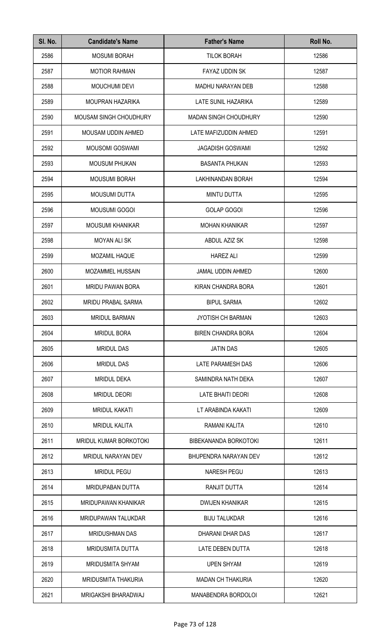| SI. No. | <b>Candidate's Name</b>       | <b>Father's Name</b>         | Roll No. |
|---------|-------------------------------|------------------------------|----------|
| 2586    | <b>MOSUMI BORAH</b>           | <b>TILOK BORAH</b>           | 12586    |
| 2587    | <b>MOTIOR RAHMAN</b>          | <b>FAYAZ UDDIN SK</b>        | 12587    |
| 2588    | <b>MOUCHUMI DEVI</b>          | <b>MADHU NARAYAN DEB</b>     | 12588    |
| 2589    | <b>MOUPRAN HAZARIKA</b>       | <b>LATE SUNIL HAZARIKA</b>   | 12589    |
| 2590    | <b>MOUSAM SINGH CHOUDHURY</b> | <b>MADAN SINGH CHOUDHURY</b> | 12590    |
| 2591    | MOUSAM UDDIN AHMED            | LATE MAFIZUDDIN AHMED        | 12591    |
| 2592    | <b>MOUSOMI GOSWAMI</b>        | <b>JAGADISH GOSWAMI</b>      | 12592    |
| 2593    | <b>MOUSUM PHUKAN</b>          | <b>BASANTA PHUKAN</b>        | 12593    |
| 2594    | <b>MOUSUMI BORAH</b>          | LAKHINANDAN BORAH            | 12594    |
| 2595    | <b>MOUSUMI DUTTA</b>          | <b>MINTU DUTTA</b>           | 12595    |
| 2596    | <b>MOUSUMI GOGOI</b>          | <b>GOLAP GOGOI</b>           | 12596    |
| 2597    | <b>MOUSUMI KHANIKAR</b>       | <b>MOHAN KHANIKAR</b>        | 12597    |
| 2598    | MOYAN ALI SK                  | ABDUL AZIZ SK                | 12598    |
| 2599    | MOZAMIL HAQUE                 | <b>HAREZ ALI</b>             | 12599    |
| 2600    | MOZAMMEL HUSSAIN              | <b>JAMAL UDDIN AHMED</b>     | 12600    |
| 2601    | <b>MRIDU PAWAN BORA</b>       | KIRAN CHANDRA BORA           | 12601    |
| 2602    | <b>MRIDU PRABAL SARMA</b>     | <b>BIPUL SARMA</b>           | 12602    |
| 2603    | MRIDUL BARMAN                 | JYOTISH CH BARMAN            | 12603    |
| 2604    | <b>MRIDUL BORA</b>            | <b>BIREN CHANDRA BORA</b>    | 12604    |
| 2605    | <b>MRIDUL DAS</b>             | <b>JATIN DAS</b>             | 12605    |
| 2606    | <b>MRIDUL DAS</b>             | LATE PARAMESH DAS            | 12606    |
| 2607    | <b>MRIDUL DEKA</b>            | SAMINDRA NATH DEKA           | 12607    |
| 2608    | <b>MRIDUL DEORI</b>           | LATE BHAITI DEORI            | 12608    |
| 2609    | <b>MRIDUL KAKATI</b>          | LT ARABINDA KAKATI           | 12609    |
| 2610    | <b>MRIDUL KALITA</b>          | RAMANI KALITA                | 12610    |
| 2611    | <b>MRIDUL KUMAR BORKOTOKI</b> | BIBEKANANDA BORKOTOKI        | 12611    |
| 2612    | MRIDUL NARAYAN DEV            | BHUPENDRA NARAYAN DEV        | 12612    |
| 2613    | <b>MRIDUL PEGU</b>            | <b>NARESH PEGU</b>           | 12613    |
| 2614    | <b>MRIDUPABAN DUTTA</b>       | RANJIT DUTTA                 | 12614    |
| 2615    | MRIDUPAWAN KHANIKAR           | <b>DWIJEN KHANIKAR</b>       | 12615    |
| 2616    | MRIDUPAWAN TALUKDAR           | <b>BIJU TALUKDAR</b>         | 12616    |
| 2617    | <b>MRIDUSHMAN DAS</b>         | DHARANI DHAR DAS             | 12617    |
| 2618    | <b>MRIDUSMITA DUTTA</b>       | LATE DEBEN DUTTA             | 12618    |
| 2619    | MRIDUSMITA SHYAM              | <b>UPEN SHYAM</b>            | 12619    |
| 2620    | MRIDUSMITA THAKURIA           | <b>MADAN CH THAKURIA</b>     | 12620    |
| 2621    | MRIGAKSHI BHARADWAJ           | MANABENDRA BORDOLOI          | 12621    |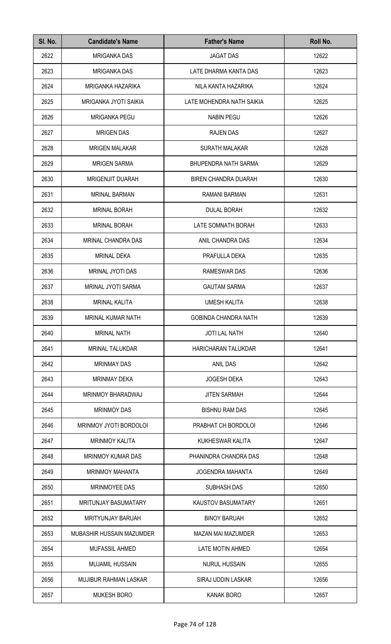| SI. No. | <b>Candidate's Name</b>     | <b>Father's Name</b>        | Roll No. |
|---------|-----------------------------|-----------------------------|----------|
| 2622    | <b>MRIGANKA DAS</b>         | <b>JAGAT DAS</b>            | 12622    |
| 2623    | <b>MRIGANKA DAS</b>         | LATE DHARMA KANTA DAS       | 12623    |
| 2624    | MRIGANKA HAZARIKA           | NILA KANTA HAZARIKA         | 12624    |
| 2625    | MRIGANKA JYOTI SAIKIA       | LATE MOHENDRA NATH SAIKIA   | 12625    |
| 2626    | <b>MRIGANKA PEGU</b>        | <b>NABIN PEGU</b>           | 12626    |
| 2627    | <b>MRIGEN DAS</b>           | <b>RAJEN DAS</b>            | 12627    |
| 2628    | <b>MRIGEN MALAKAR</b>       | <b>SURATH MALAKAR</b>       | 12628    |
| 2629    | <b>MRIGEN SARMA</b>         | <b>BHUPENDRA NATH SARMA</b> | 12629    |
| 2630    | <b>MRIGENJIT DUARAH</b>     | <b>BIREN CHANDRA DUARAH</b> | 12630    |
| 2631    | <b>MRINAL BARMAN</b>        | <b>RAMANI BARMAN</b>        | 12631    |
| 2632    | <b>MRINAL BORAH</b>         | <b>DULAL BORAH</b>          | 12632    |
| 2633    | <b>MRINAL BORAH</b>         | LATE SOMNATH BORAH          | 12633    |
| 2634    | MRINAL CHANDRA DAS          | ANIL CHANDRA DAS            | 12634    |
| 2635    | <b>MRINAL DEKA</b>          | PRAFULLA DEKA               | 12635    |
| 2636    | MRINAL JYOTI DAS            | RAMESWAR DAS                | 12636    |
| 2637    | MRINAL JYOTI SARMA          | <b>GAUTAM SARMA</b>         | 12637    |
| 2638    | <b>MRINAL KALITA</b>        | <b>UMESH KALITA</b>         | 12638    |
| 2639    | MRINAL KUMAR NATH           | <b>GOBINDA CHANDRA NATH</b> | 12639    |
| 2640    | <b>MRINAL NATH</b>          | <b>JOTI LAL NATH</b>        | 12640    |
| 2641    | <b>MRINAL TALUKDAR</b>      | HARICHARAN TALUKDAR         | 12641    |
| 2642    | <b>MRINMAY DAS</b>          | <b>ANIL DAS</b>             | 12642    |
| 2643    | <b>MRINMAY DEKA</b>         | <b>JOGESH DEKA</b>          | 12643    |
| 2644    | MRINMOY BHARADWAJ           | <b>JITEN SARMAH</b>         | 12644    |
| 2645    | <b>MRINMOY DAS</b>          | <b>BISHNU RAM DAS</b>       | 12645    |
| 2646    | MRINMOY JYOTI BORDOLOI      | PRABHAT CH BORDOLOI         | 12646    |
| 2647    | <b>MRINMOY KALITA</b>       | KUKHESWAR KALITA            | 12647    |
| 2648    | <b>MRINMOY KUMAR DAS</b>    | PHANINDRA CHANDRA DAS       | 12648    |
| 2649    | <b>MRINMOY MAHANTA</b>      | <b>JOGENDRA MAHANTA</b>     | 12649    |
| 2650    | <b>MRINMOYEE DAS</b>        | <b>SUBHASH DAS</b>          | 12650    |
| 2651    | <b>MRITUNJAY BASUMATARY</b> | <b>KAUSTOV BASUMATARY</b>   | 12651    |
| 2652    | <b>MRITYUNJAY BARUAH</b>    | <b>BINOY BARUAH</b>         | 12652    |
| 2653    | MUBASHIR HUSSAIN MAZUMDER   | <b>MAZAN MAI MAZUMDER</b>   | 12653    |
| 2654    | <b>MUFASSIL AHMED</b>       | LATE MOTIN AHMED            | 12654    |
| 2655    | <b>MUJAMIL HUSSAIN</b>      | <b>NURUL HUSSAIN</b>        | 12655    |
| 2656    | MUJIBUR RAHMAN LASKAR       | SIRAJ UDDIN LASKAR          | 12656    |
| 2657    | <b>MUKESH BORO</b>          | <b>KANAK BORO</b>           | 12657    |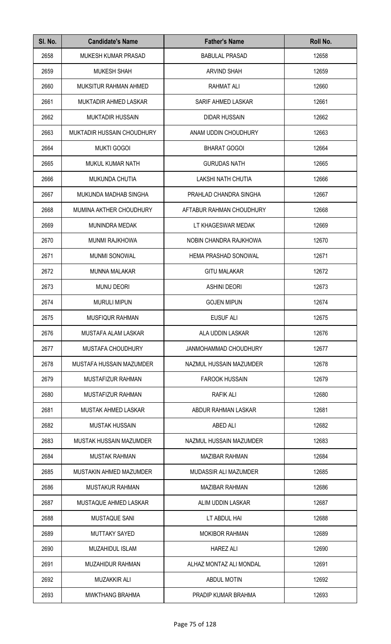| SI. No. | <b>Candidate's Name</b>    | <b>Father's Name</b>         | Roll No. |
|---------|----------------------------|------------------------------|----------|
| 2658    | <b>MUKESH KUMAR PRASAD</b> | <b>BABULAL PRASAD</b>        | 12658    |
| 2659    | <b>MUKESH SHAH</b>         | <b>ARVIND SHAH</b>           | 12659    |
| 2660    | MUKSITUR RAHMAN AHMED      | <b>RAHMAT ALI</b>            | 12660    |
| 2661    | MUKTADIR AHMED LASKAR      | SARIF AHMED LASKAR           | 12661    |
| 2662    | <b>MUKTADIR HUSSAIN</b>    | <b>DIDAR HUSSAIN</b>         | 12662    |
| 2663    | MUKTADIR HUSSAIN CHOUDHURY | ANAM UDDIN CHOUDHURY         | 12663    |
| 2664    | <b>MUKTI GOGOI</b>         | <b>BHARAT GOGOI</b>          | 12664    |
| 2665    | MUKUL KUMAR NATH           | <b>GURUDAS NATH</b>          | 12665    |
| 2666    | MUKUNDA CHUTIA             | <b>LAKSHI NATH CHUTIA</b>    | 12666    |
| 2667    | MUKUNDA MADHAB SINGHA      | PRAHLAD CHANDRA SINGHA       | 12667    |
| 2668    | MUMINA AKTHER CHOUDHURY    | AFTABUR RAHMAN CHOUDHURY     | 12668    |
| 2669    | MUNINDRA MEDAK             | LT KHAGESWAR MEDAK           | 12669    |
| 2670    | <b>MUNMI RAJKHOWA</b>      | NOBIN CHANDRA RAJKHOWA       | 12670    |
| 2671    | <b>MUNMI SONOWAL</b>       | <b>HEMA PRASHAD SONOWAL</b>  | 12671    |
| 2672    | <b>MUNNA MALAKAR</b>       | <b>GITU MALAKAR</b>          | 12672    |
| 2673    | <b>MUNU DEORI</b>          | <b>ASHINI DEORI</b>          | 12673    |
| 2674    | <b>MURULI MIPUN</b>        | <b>GOJEN MIPUN</b>           | 12674    |
| 2675    | MUSFIQUR RAHMAN            | <b>EUSUF ALI</b>             | 12675    |
| 2676    | MUSTAFA ALAM LASKAR        | ALA UDDIN LASKAR             | 12676    |
| 2677    | MUSTAFA CHOUDHURY          | <b>JANMOHAMMAD CHOUDHURY</b> | 12677    |
| 2678    | MUSTAFA HUSSAIN MAZUMDER   | NAZMUL HUSSAIN MAZUMDER      | 12678    |
| 2679    | MUSTAFIZUR RAHMAN          | <b>FAROOK HUSSAIN</b>        | 12679    |
| 2680    | MUSTAFIZUR RAHMAN          | <b>RAFIK ALI</b>             | 12680    |
| 2681    | <b>MUSTAK AHMED LASKAR</b> | ABDUR RAHMAN LASKAR          | 12681    |
| 2682    | <b>MUSTAK HUSSAIN</b>      | ABED ALI                     | 12682    |
| 2683    | MUSTAK HUSSAIN MAZUMDER    | NAZMUL HUSSAIN MAZUMDER      | 12683    |
| 2684    | <b>MUSTAK RAHMAN</b>       | <b>MAZIBAR RAHMAN</b>        | 12684    |
| 2685    | MUSTAKIN AHMED MAZUMDER    | MUDASSIR ALI MAZUMDER        | 12685    |
| 2686    | <b>MUSTAKUR RAHMAN</b>     | <b>MAZIBAR RAHMAN</b>        | 12686    |
| 2687    | MUSTAQUE AHMED LASKAR      | ALIM UDDIN LASKAR            | 12687    |
| 2688    | MUSTAQUE SANI              | LT ABDUL HAI                 | 12688    |
| 2689    | <b>MUTTAKY SAYED</b>       | <b>MOKIBOR RAHMAN</b>        | 12689    |
| 2690    | <b>MUZAHIDUL ISLAM</b>     | <b>HAREZ ALI</b>             | 12690    |
| 2691    | MUZAHIDUR RAHMAN           | ALHAZ MONTAZ ALI MONDAL      | 12691    |
| 2692    | MUZAKKIR ALI               | <b>ABDUL MOTIN</b>           | 12692    |
| 2693    | <b>MWKTHANG BRAHMA</b>     | PRADIP KUMAR BRAHMA          | 12693    |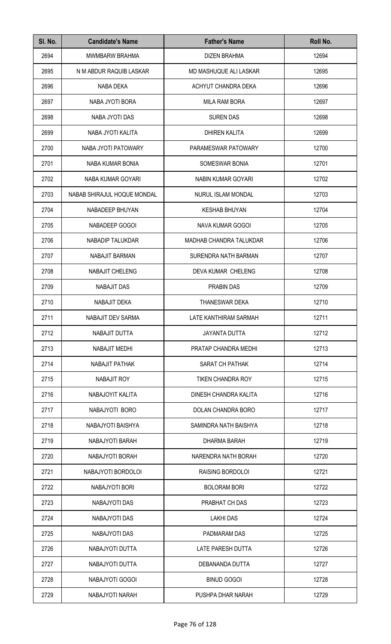| SI. No. | <b>Candidate's Name</b>     | <b>Father's Name</b>           | Roll No. |
|---------|-----------------------------|--------------------------------|----------|
| 2694    | <b>MWMBARW BRAHMA</b>       | <b>DIZEN BRAHMA</b>            | 12694    |
| 2695    | N M ABDUR RAQUIB LASKAR     | MD MASHUQUE ALI LASKAR         | 12695    |
| 2696    | NABA DEKA                   | ACHYUT CHANDRA DEKA            | 12696    |
| 2697    | NABA JYOTI BORA             | <b>MILA RAM BORA</b>           | 12697    |
| 2698    | NABA JYOTI DAS              | <b>SUREN DAS</b>               | 12698    |
| 2699    | NABA JYOTI KALITA           | <b>DHIREN KALITA</b>           | 12699    |
| 2700    | NABA JYOTI PATOWARY         | PARAMESWAR PATOWARY            | 12700    |
| 2701    | NABA KUMAR BONIA            | SOMESWAR BONIA                 | 12701    |
| 2702    | NABA KUMAR GOYARI           | NABIN KUMAR GOYARI             | 12702    |
| 2703    | NABAB SHIRAJUL HOQUE MONDAL | <b>NURUL ISLAM MONDAL</b>      | 12703    |
| 2704    | NABADEEP BHUYAN             | <b>KESHAB BHUYAN</b>           | 12704    |
| 2705    | NABADEEP GOGOI              | NAVA KUMAR GOGOI               | 12705    |
| 2706    | NABADIP TALUKDAR            | <b>MADHAB CHANDRA TALUKDAR</b> | 12706    |
| 2707    | NABAJIT BARMAN              | SURENDRA NATH BARMAN           | 12707    |
| 2708    | NABAJIT CHELENG             | DEVA KUMAR CHELENG             | 12708    |
| 2709    | <b>NABAJIT DAS</b>          | <b>PRABIN DAS</b>              | 12709    |
| 2710    | NABAJIT DEKA                | <b>THANESWAR DEKA</b>          | 12710    |
| 2711    | NABAJIT DEV SARMA           | LATE KANTHIRAM SARMAH          | 12711    |
| 2712    | NABAJIT DUTTA               | <b>JAYANTA DUTTA</b>           | 12712    |
| 2713    | NABAJIT MEDHI               | PRATAP CHANDRA MEDHI           | 12713    |
| 2714    | NABAJIT PATHAK              | SARAT CH PATHAK                | 12714    |
| 2715    | NABAJIT ROY                 | <b>TIKEN CHANDRA ROY</b>       | 12715    |
| 2716    | NABAJOYIT KALITA            | DINESH CHANDRA KALITA          | 12716    |
| 2717    | NABAJYOTI BORO              | DOLAN CHANDRA BORO             | 12717    |
| 2718    | NABAJYOTI BAISHYA           | SAMINDRA NATH BAISHYA          | 12718    |
| 2719    | NABAJYOTI BARAH             | DHARMA BARAH                   | 12719    |
| 2720    | NABAJYOTI BORAH             | NARENDRA NATH BORAH            | 12720    |
| 2721    | NABAJYOTI BORDOLOI          | RAISING BORDOLOI               | 12721    |
| 2722    | NABAJYOTI BORI              | <b>BOLORAM BORI</b>            | 12722    |
| 2723    | NABAJYOTI DAS               | PRABHAT CH DAS                 | 12723    |
| 2724    | NABAJYOTI DAS               | <b>LAKHI DAS</b>               | 12724    |
| 2725    | NABAJYOTI DAS               | PADMARAM DAS                   | 12725    |
| 2726    | NABAJYOTI DUTTA             | <b>LATE PARESH DUTTA</b>       | 12726    |
| 2727    | NABAJYOTI DUTTA             | DEBANANDA DUTTA                | 12727    |
| 2728    | NABAJYOTI GOGOI             | <b>BINUD GOGOI</b>             | 12728    |
| 2729    | NABAJYOTI NARAH             | PUSHPA DHAR NARAH              | 12729    |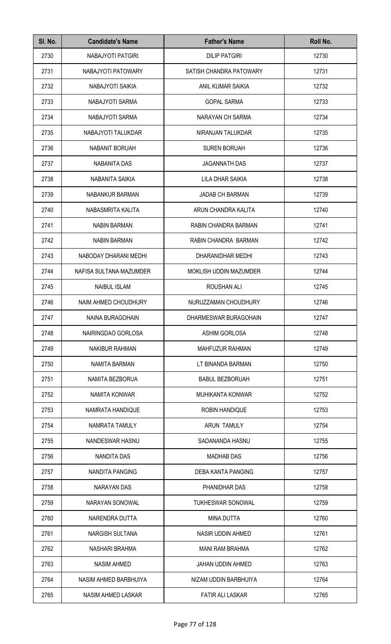| SI. No. | <b>Candidate's Name</b> | <b>Father's Name</b>     | Roll No. |
|---------|-------------------------|--------------------------|----------|
| 2730    | NABAJYOTI PATGIRI       | <b>DILIP PATGIRI</b>     | 12730    |
| 2731    | NABAJYOTI PATOWARY      | SATISH CHANDRA PATOWARY  | 12731    |
| 2732    | NABAJYOTI SAIKIA        | ANIL KUMAR SAIKIA        | 12732    |
| 2733    | NABAJYOTI SARMA         | <b>GOPAL SARMA</b>       | 12733    |
| 2734    | NABAJYOTI SARMA         | NARAYAN CH SARMA         | 12734    |
| 2735    | NABAJYOTI TALUKDAR      | NIRANJAN TALUKDAR        | 12735    |
| 2736    | NABANIT BORUAH          | <b>SUREN BORUAH</b>      | 12736    |
| 2737    | NABANITA DAS            | <b>JAGANNATH DAS</b>     | 12737    |
| 2738    | NABANITA SAIKIA         | LILA DHAR SAIKIA         | 12738    |
| 2739    | NABANKUR BARMAN         | <b>JADAB CH BARMAN</b>   | 12739    |
| 2740    | NABASMRITA KALITA       | ARUN CHANDRA KALITA      | 12740    |
| 2741    | <b>NABIN BARMAN</b>     | RABIN CHANDRA BARMAN     | 12741    |
| 2742    | <b>NABIN BARMAN</b>     | RABIN CHANDRA BARMAN     | 12742    |
| 2743    | NABODAY DHARANI MEDHI   | DHARANIDHAR MEDHI        | 12743    |
| 2744    | NAFISA SULTANA MAZUMDER | MOKLISH UDDIN MAZUMDER   | 12744    |
| 2745    | <b>NAIBUL ISLAM</b>     | ROUSHAN ALI              | 12745    |
| 2746    | NAIM AHMED CHOUDHURY    | NURUZZAMAN CHOUDHURY     | 12746    |
| 2747    | NAINA BURAGOHAIN        | DHARMESWAR BURAGOHAIN    | 12747    |
| 2748    | NAIRINGDAO GORLOSA      | ASHIM GORLOSA            | 12748    |
| 2749    | <b>NAKIBUR RAHMAN</b>   | <b>MAHFUZUR RAHMAN</b>   | 12749    |
| 2750    | NAMITA BARMAN           | LT BINANDA BARMAN        | 12750    |
| 2751    | NAMITA BEZBORUA         | <b>BABUL BEZBORUAH</b>   | 12751    |
| 2752    | NAMITA KONWAR           | <b>MUHIKANTA KONWAR</b>  | 12752    |
| 2753    | NAMRATA HANDIQUE        | <b>ROBIN HANDIQUE</b>    | 12753    |
| 2754    | NAMRATA TAMULY          | ARUN TAMULY              | 12754    |
| 2755    | NANDESWAR HASNU         | SADANANDA HASNU          | 12755    |
| 2756    | NANDITA DAS             | <b>MADHAB DAS</b>        | 12756    |
| 2757    | NANDITA PANGING         | DEBA KANTA PANGING       | 12757    |
| 2758    | <b>NARAYAN DAS</b>      | PHANIDHAR DAS            | 12758    |
| 2759    | NARAYAN SONOWAL         | <b>TUKHESWAR SONOWAL</b> | 12759    |
| 2760    | NARENDRA DUTTA          | <b>MINA DUTTA</b>        | 12760    |
| 2761    | <b>NARGISH SULTANA</b>  | <b>NASIR UDDIN AHMED</b> | 12761    |
| 2762    | NASHARI BRAHMA          | <b>MANI RAM BRAHMA</b>   | 12762    |
| 2763    | <b>NASIM AHMED</b>      | JAHAN UDDIN AHMED        | 12763    |
| 2764    | NASIM AHMED BARBHUIYA   | NIZAM UDDIN BARBHUIYA    | 12764    |
| 2765    | NASIM AHMED LASKAR      | <b>FATIR ALI LASKAR</b>  | 12765    |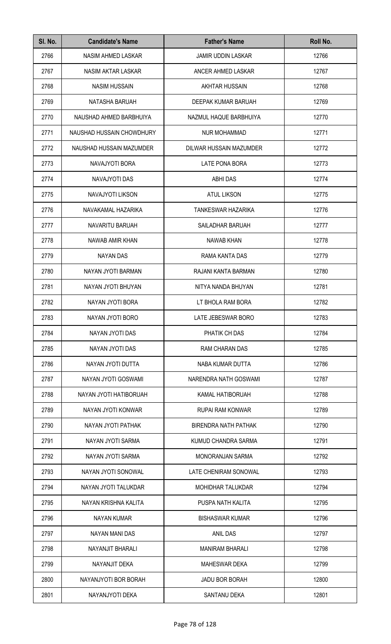| SI. No. | <b>Candidate's Name</b>   | <b>Father's Name</b>        | Roll No. |
|---------|---------------------------|-----------------------------|----------|
| 2766    | NASIM AHMED LASKAR        | <b>JAMIR UDDIN LASKAR</b>   | 12766    |
| 2767    | NASIM AKTAR LASKAR        | ANCER AHMED LASKAR          | 12767    |
| 2768    | <b>NASIM HUSSAIN</b>      | AKHTAR HUSSAIN              | 12768    |
| 2769    | NATASHA BARUAH            | DEEPAK KUMAR BARUAH         | 12769    |
| 2770    | NAUSHAD AHMED BARBHUIYA   | NAZMUL HAQUE BARBHUIYA      | 12770    |
| 2771    | NAUSHAD HUSSAIN CHOWDHURY | <b>NUR MOHAMMAD</b>         | 12771    |
| 2772    | NAUSHAD HUSSAIN MAZUMDER  | DILWAR HUSSAIN MAZUMDER     | 12772    |
| 2773    | NAVAJYOTI BORA            | LATE PONA BORA              | 12773    |
| 2774    | NAVAJYOTI DAS             | <b>ABHI DAS</b>             | 12774    |
| 2775    | NAVAJYOTI LIKSON          | <b>ATUL LIKSON</b>          | 12775    |
| 2776    | NAVAKAMAL HAZARIKA        | <b>TANKESWAR HAZARIKA</b>   | 12776    |
| 2777    | NAVARITU BARUAH           | SAILADHAR BARUAH            | 12777    |
| 2778    | NAWAB AMIR KHAN           | <b>NAWAB KHAN</b>           | 12778    |
| 2779    | <b>NAYAN DAS</b>          | RAMA KANTA DAS              | 12779    |
| 2780    | NAYAN JYOTI BARMAN        | RAJANI KANTA BARMAN         | 12780    |
| 2781    | NAYAN JYOTI BHUYAN        | NITYA NANDA BHUYAN          | 12781    |
| 2782    | NAYAN JYOTI BORA          | LT BHOLA RAM BORA           | 12782    |
| 2783    | NAYAN JYOTI BORO          | LATE JEBESWAR BORO          | 12783    |
| 2784    | NAYAN JYOTI DAS           | PHATIK CH DAS               | 12784    |
| 2785    | NAYAN JYOTI DAS           | RAM CHARAN DAS              | 12785    |
| 2786    | NAYAN JYOTI DUTTA         | NABA KUMAR DUTTA            | 12786    |
| 2787    | NAYAN JYOTI GOSWAMI       | NARENDRA NATH GOSWAMI       | 12787    |
| 2788    | NAYAN JYOTI HATIBORUAH    | KAMAL HATIBORUAH            | 12788    |
| 2789    | NAYAN JYOTI KONWAR        | RUPAI RAM KONWAR            | 12789    |
| 2790    | NAYAN JYOTI PATHAK        | <b>BIRENDRA NATH PATHAK</b> | 12790    |
| 2791    | NAYAN JYOTI SARMA         | KUMUD CHANDRA SARMA         | 12791    |
| 2792    | NAYAN JYOTI SARMA         | <b>MONORANJAN SARMA</b>     | 12792    |
| 2793    | NAYAN JYOTI SONOWAL       | LATE CHENIRAM SONOWAL       | 12793    |
| 2794    | NAYAN JYOTI TALUKDAR      | <b>MOHIDHAR TALUKDAR</b>    | 12794    |
| 2795    | NAYAN KRISHNA KALITA      | PUSPA NATH KALITA           | 12795    |
| 2796    | <b>NAYAN KUMAR</b>        | <b>BISHASWAR KUMAR</b>      | 12796    |
| 2797    | NAYAN MANI DAS            | <b>ANIL DAS</b>             | 12797    |
| 2798    | NAYANJIT BHARALI          | <b>MANIRAM BHARALI</b>      | 12798    |
| 2799    | NAYANJIT DEKA             | <b>MAHESWAR DEKA</b>        | 12799    |
| 2800    | NAYANJYOTI BOR BORAH      | <b>JADU BOR BORAH</b>       | 12800    |
| 2801    | NAYANJYOTI DEKA           | <b>SANTANU DEKA</b>         | 12801    |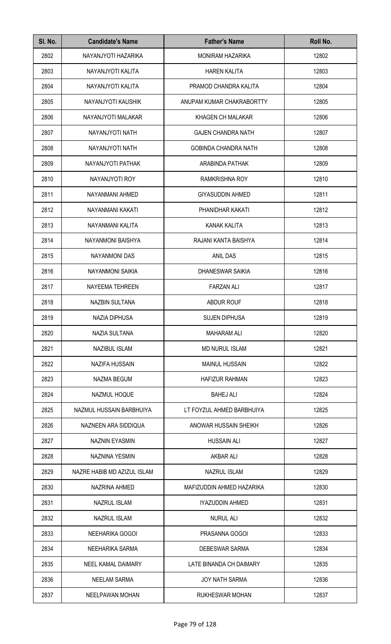| SI. No. | <b>Candidate's Name</b>     | <b>Father's Name</b>        | Roll No. |
|---------|-----------------------------|-----------------------------|----------|
| 2802    | NAYANJYOTI HAZARIKA         | MONIRAM HAZARIKA            | 12802    |
| 2803    | NAYANJYOTI KALITA           | <b>HAREN KALITA</b>         | 12803    |
| 2804    | NAYANJYOTI KALITA           | PRAMOD CHANDRA KALITA       | 12804    |
| 2805    | NAYANJYOTI KAUSHIK          | ANUPAM KUMAR CHAKRABORTTY   | 12805    |
| 2806    | NAYANJYOTI MALAKAR          | KHAGEN CH MALAKAR           | 12806    |
| 2807    | NAYANJYOTI NATH             | <b>GAJEN CHANDRA NATH</b>   | 12807    |
| 2808    | NAYANJYOTI NATH             | <b>GOBINDA CHANDRA NATH</b> | 12808    |
| 2809    | NAYANJYOTI PATHAK           | ARABINDA PATHAK             | 12809    |
| 2810    | NAYANJYOTI ROY              | <b>RAMKRISHNA ROY</b>       | 12810    |
| 2811    | NAYANMANI AHMED             | <b>GIYASUDDIN AHMED</b>     | 12811    |
| 2812    | NAYANMANI KAKATI            | PHANIDHAR KAKATI            | 12812    |
| 2813    | NAYANMANI KALITA            | <b>KANAK KALITA</b>         | 12813    |
| 2814    | NAYANMONI BAISHYA           | RAJANI KANTA BAISHYA        | 12814    |
| 2815    | <b>NAYANMONI DAS</b>        | ANIL DAS                    | 12815    |
| 2816    | NAYANMONI SAIKIA            | DHANESWAR SAIKIA            | 12816    |
| 2817    | NAYEEMA TEHREEN             | <b>FARZAN ALI</b>           | 12817    |
| 2818    | <b>NAZBIN SULTANA</b>       | <b>ABDUR ROUF</b>           | 12818    |
| 2819    | NAZIA DIPHUSA               | <b>SUJEN DIPHUSA</b>        | 12819    |
| 2820    | NAZIA SULTANA               | <b>MAHARAM ALI</b>          | 12820    |
| 2821    | NAZIBUL ISLAM               | <b>MD NURUL ISLAM</b>       | 12821    |
| 2822    | <b>NAZIFA HUSSAIN</b>       | <b>MAINUL HUSSAIN</b>       | 12822    |
| 2823    | NAZMA BEGUM                 | <b>HAFIZUR RAHMAN</b>       | 12823    |
| 2824    | NAZMUL HOQUE                | <b>BAHEJ ALI</b>            | 12824    |
| 2825    | NAZMUL HUSSAIN BARBHUIYA    | LT FOYZUL AHMED BARBHUIYA   | 12825    |
| 2826    | NAZNEEN ARA SIDDIQUA        | ANOWAR HUSSAIN SHEIKH       | 12826    |
| 2827    | <b>NAZNIN EYASMIN</b>       | <b>HUSSAIN ALI</b>          | 12827    |
| 2828    | NAZNINA YESMIN              | <b>AKBAR ALI</b>            | 12828    |
| 2829    | NAZRE HABIB MD AZIZUL ISLAM | <b>NAZRUL ISLAM</b>         | 12829    |
| 2830    | NAZRINA AHMED               | MAFIZUDDIN AHMED HAZARIKA   | 12830    |
| 2831    | <b>NAZRUL ISLAM</b>         | IYAZUDDIN AHMED             | 12831    |
| 2832    | <b>NAZRUL ISLAM</b>         | <b>NURUL ALI</b>            | 12832    |
| 2833    | NEEHARIKA GOGOI             | PRASANNA GOGOI              | 12833    |
| 2834    | NEEHARIKA SARMA             | <b>DEBESWAR SARMA</b>       | 12834    |
| 2835    | NEEL KAMAL DAIMARY          | LATE BINANDA CH DAIMARY     | 12835    |
| 2836    | <b>NEELAM SARMA</b>         | <b>JOY NATH SARMA</b>       | 12836    |
| 2837    | <b>NEELPAWAN MOHAN</b>      | RUKHESWAR MOHAN             | 12837    |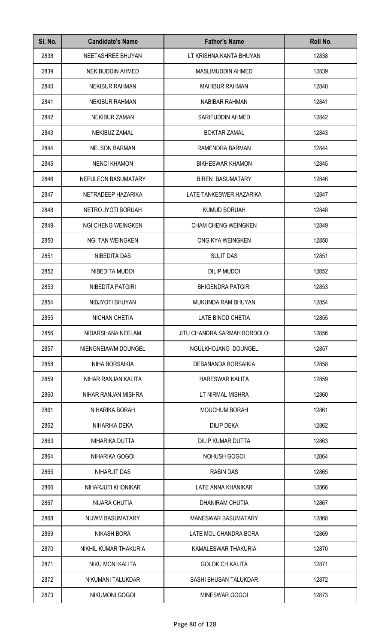| SI. No. | <b>Candidate's Name</b>   | <b>Father's Name</b>         | Roll No. |
|---------|---------------------------|------------------------------|----------|
| 2838    | NEETASHREE BHUYAN         | LT KRISHNA KANTA BHUYAN      | 12838    |
| 2839    | NEKIBUDDIN AHMED          | <b>MASLIMUDDIN AHMED</b>     | 12839    |
| 2840    | <b>NEKIBUR RAHMAN</b>     | <b>MAHIBUR RAHMAN</b>        | 12840    |
| 2841    | <b>NEKIBUR RAHMAN</b>     | <b>NABIBAR RAHMAN</b>        | 12841    |
| 2842    | <b>NEKIBUR ZAMAN</b>      | SARIFUDDIN AHMED             | 12842    |
| 2843    | NEKIBUZ ZAMAL             | <b>BOKTAR ZAMAL</b>          | 12843    |
| 2844    | <b>NELSON BARMAN</b>      | RAMENDRA BARMAN              | 12844    |
| 2845    | <b>NENCI KHAMON</b>       | <b>BIKHESWAR KHAMON</b>      | 12845    |
| 2846    | NEPULEON BASUMATARY       | <b>BIREN BASUMATARY</b>      | 12846    |
| 2847    | NETRADEEP HAZARIKA        | LATE TANKESWER HAZARIKA      | 12847    |
| 2848    | NETRO JYOTI BORUAH        | <b>KUMUD BORUAH</b>          | 12848    |
| 2849    | <b>NGI CHENG WEINGKEN</b> | <b>CHAM CHENG WEINGKEN</b>   | 12849    |
| 2850    | <b>NGI TAN WEINGKEN</b>   | ONG KYA WEINGKEN             | 12850    |
| 2851    | NIBEDITA DAS              | <b>SUJIT DAS</b>             | 12851    |
| 2852    | NIBEDITA MUDOI            | <b>DILIP MUDOI</b>           | 12852    |
| 2853    | NIBEDITA PATGIRI          | <b>BHIGENDRA PATGIRI</b>     | 12853    |
| 2854    | NIBJYOTI BHUYAN           | MUKUNDA RAM BHUYAN           | 12854    |
| 2855    | NICHAN CHETIA             | LATE BINOD CHETIA            | 12855    |
| 2856    | NIDARSHANA NEELAM         | JITU CHANDRA SARMAH BORDOLOI | 12856    |
| 2857    | NIENGNEIAWM DOUNGEL       | NGULKHOJANG DOUNGEL          | 12857    |
| 2858    | NIHA BORSAIKIA            | DEBANANDA BORSAIKIA          | 12858    |
| 2859    | NIHAR RANJAN KALITA       | <b>HARESWAR KALITA</b>       | 12859    |
| 2860    | NIHAR RANJAN MISHRA       | LT NIRMAL MISHRA             | 12860    |
| 2861    | NIHARIKA BORAH            | <b>MOUCHUM BORAH</b>         | 12861    |
| 2862    | NIHARIKA DEKA             | <b>DILIP DEKA</b>            | 12862    |
| 2863    | NIHARIKA DUTTA            | DILIP KUMAR DUTTA            | 12863    |
| 2864    | NIHARIKA GOGOI            | NOHUSH GOGOI                 | 12864    |
| 2865    | NIHARJIT DAS              | <b>RABIN DAS</b>             | 12865    |
| 2866    | NIHARJUTI KHONIKAR        | LATE ANNA KHANIKAR           | 12866    |
| 2867    | NIJARA CHUTIA             | DHANIRAM CHUTIA              | 12867    |
| 2868    | NIJWM BASUMATARY          | <b>MANESWAR BASUMATARY</b>   | 12868    |
| 2869    | <b>NIKASH BORA</b>        | LATE MOL CHANDRA BORA        | 12869    |
| 2870    | NIKHIL KUMAR THAKURIA     | KAMALESWAR THAKURIA          | 12870    |
| 2871    | NIKU MONI KALITA          | <b>GOLOK CH KALITA</b>       | 12871    |
| 2872    | NIKUMANI TALUKDAR         | SASHI BHUSAN TALUKDAR        | 12872    |
| 2873    | NIKUMONI GOGOI            | MINESWAR GOGOI               | 12873    |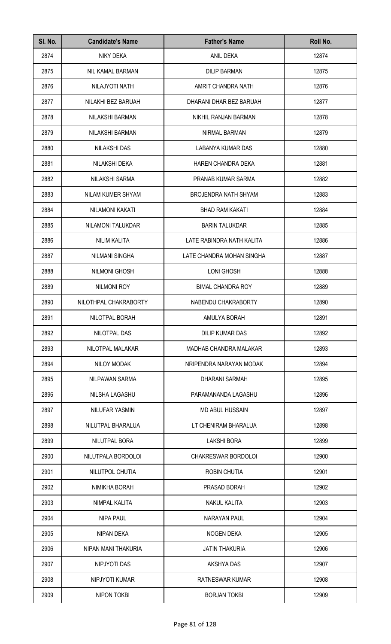| SI. No. | <b>Candidate's Name</b> | <b>Father's Name</b>        | Roll No. |
|---------|-------------------------|-----------------------------|----------|
| 2874    | NIKY DEKA               | ANIL DEKA                   | 12874    |
| 2875    | NIL KAMAL BARMAN        | <b>DILIP BARMAN</b>         | 12875    |
| 2876    | NILAJYOTI NATH          | AMRIT CHANDRA NATH          | 12876    |
| 2877    | NILAKHI BEZ BARUAH      | DHARANI DHAR BEZ BARUAH     | 12877    |
| 2878    | NILAKSHI BARMAN         | NIKHIL RANJAN BARMAN        | 12878    |
| 2879    | NILAKSHI BARMAN         | NIRMAL BARMAN               | 12879    |
| 2880    | <b>NILAKSHI DAS</b>     | LABANYA KUMAR DAS           | 12880    |
| 2881    | NILAKSHI DEKA           | HAREN CHANDRA DEKA          | 12881    |
| 2882    | NILAKSHI SARMA          | PRANAB KUMAR SARMA          | 12882    |
| 2883    | NILAM KUMER SHYAM       | <b>BROJENDRA NATH SHYAM</b> | 12883    |
| 2884    | <b>NILAMONI KAKATI</b>  | <b>BHAD RAM KAKATI</b>      | 12884    |
| 2885    | NILAMONI TALUKDAR       | <b>BARIN TALUKDAR</b>       | 12885    |
| 2886    | <b>NILIM KALITA</b>     | LATE RABINDRA NATH KALITA   | 12886    |
| 2887    | <b>NILMANI SINGHA</b>   | LATE CHANDRA MOHAN SINGHA   | 12887    |
| 2888    | NILMONI GHOSH           | LONI GHOSH                  | 12888    |
| 2889    | <b>NILMONI ROY</b>      | <b>BIMAL CHANDRA ROY</b>    | 12889    |
| 2890    | NILOTHPAL CHAKRABORTY   | NABENDU CHAKRABORTY         | 12890    |
| 2891    | NILOTPAL BORAH          | AMULYA BORAH                | 12891    |
| 2892    | NILOTPAL DAS            | DILIP KUMAR DAS             | 12892    |
| 2893    | NILOTPAL MALAKAR        | MADHAB CHANDRA MALAKAR      | 12893    |
| 2894    | NILOY MODAK             | NRIPENDRA NARAYAN MODAK     | 12894    |
| 2895    | NILPAWAN SARMA          | DHARANI SARMAH              | 12895    |
| 2896    | NILSHA LAGASHU          | PARAMANANDA LAGASHU         | 12896    |
| 2897    | NILUFAR YASMIN          | <b>MD ABUL HUSSAIN</b>      | 12897    |
| 2898    | NILUTPAL BHARALUA       | LT CHENIRAM BHARALUA        | 12898    |
| 2899    | NILUTPAL BORA           | <b>LAKSHI BORA</b>          | 12899    |
| 2900    | NILUTPALA BORDOLOI      | <b>CHAKRESWAR BORDOLOI</b>  | 12900    |
| 2901    | NILUTPOL CHUTIA         | ROBIN CHUTIA                | 12901    |
| 2902    | NIMIKHA BORAH           | PRASAD BORAH                | 12902    |
| 2903    | NIMPAL KALITA           | <b>NAKUL KALITA</b>         | 12903    |
| 2904    | <b>NIPA PAUL</b>        | <b>NARAYAN PAUL</b>         | 12904    |
| 2905    | <b>NIPAN DEKA</b>       | NOGEN DEKA                  | 12905    |
| 2906    | NIPAN MANI THAKURIA     | <b>JATIN THAKURIA</b>       | 12906    |
| 2907    | NIPJYOTI DAS            | AKSHYA DAS                  | 12907    |
| 2908    | NIPJYOTI KUMAR          | RATNESWAR KUMAR             | 12908    |
| 2909    | <b>NIPON TOKBI</b>      | <b>BORJAN TOKBI</b>         | 12909    |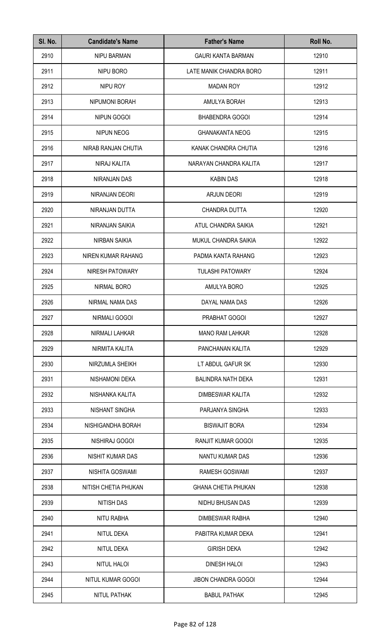| SI. No. | <b>Candidate's Name</b> | <b>Father's Name</b>       | Roll No. |
|---------|-------------------------|----------------------------|----------|
| 2910    | <b>NIPU BARMAN</b>      | <b>GAURI KANTA BARMAN</b>  | 12910    |
| 2911    | NIPU BORO               | LATE MANIK CHANDRA BORO    | 12911    |
| 2912    | NIPU ROY                | <b>MADAN ROY</b>           | 12912    |
| 2913    | NIPUMONI BORAH          | AMULYA BORAH               | 12913    |
| 2914    | NIPUN GOGOI             | <b>BHABENDRA GOGOI</b>     | 12914    |
| 2915    | <b>NIPUN NEOG</b>       | <b>GHANAKANTA NEOG</b>     | 12915    |
| 2916    | NIRAB RANJAN CHUTIA     | KANAK CHANDRA CHUTIA       | 12916    |
| 2917    | NIRAJ KALITA            | NARAYAN CHANDRA KALITA     | 12917    |
| 2918    | <b>NIRANJAN DAS</b>     | <b>KABIN DAS</b>           | 12918    |
| 2919    | NIRANJAN DEORI          | <b>ARJUN DEORI</b>         | 12919    |
| 2920    | NIRANJAN DUTTA          | CHANDRA DUTTA              | 12920    |
| 2921    | NIRANJAN SAIKIA         | ATUL CHANDRA SAIKIA        | 12921    |
| 2922    | NIRBAN SAIKIA           | MUKUL CHANDRA SAIKIA       | 12922    |
| 2923    | NIREN KUMAR RAHANG      | PADMA KANTA RAHANG         | 12923    |
| 2924    | NIRESH PATOWARY         | <b>TULASHI PATOWARY</b>    | 12924    |
| 2925    | NIRMAL BORO             | AMULYA BORO                | 12925    |
| 2926    | NIRMAL NAMA DAS         | DAYAL NAMA DAS             | 12926    |
| 2927    | NIRMALI GOGOI           | PRABHAT GOGOI              | 12927    |
| 2928    | NIRMALI LAHKAR          | <b>MANO RAM LAHKAR</b>     | 12928    |
| 2929    | NIRMITA KALITA          | PANCHANAN KALITA           | 12929    |
| 2930    | NIRZUMLA SHEIKH         | LT ABDUL GAFUR SK          | 12930    |
| 2931    | NISHAMONI DEKA          | <b>BALINDRA NATH DEKA</b>  | 12931    |
| 2932    | NISHANKA KALITA         | DIMBESWAR KALITA           | 12932    |
| 2933    | NISHANT SINGHA          | PARJANYA SINGHA            | 12933    |
| 2934    | NISHIGANDHA BORAH       | <b>BISWAJIT BORA</b>       | 12934    |
| 2935    | NISHIRAJ GOGOI          | RANJIT KUMAR GOGOI         | 12935    |
| 2936    | NISHIT KUMAR DAS        | NANTU KUMAR DAS            | 12936    |
| 2937    | NISHITA GOSWAMI         | <b>RAMESH GOSWAMI</b>      | 12937    |
| 2938    | NITISH CHETIA PHUKAN    | <b>GHANA CHETIA PHUKAN</b> | 12938    |
| 2939    | <b>NITISH DAS</b>       | NIDHU BHUSAN DAS           | 12939    |
| 2940    | NITU RABHA              | DIMBESWAR RABHA            | 12940    |
| 2941    | NITUL DEKA              | PABITRA KUMAR DEKA         | 12941    |
| 2942    | <b>NITUL DEKA</b>       | <b>GIRISH DEKA</b>         | 12942    |
| 2943    | NITUL HALOI             | <b>DINESH HALOI</b>        | 12943    |
| 2944    | NITUL KUMAR GOGOI       | <b>JIBON CHANDRA GOGOI</b> | 12944    |
| 2945    | NITUL PATHAK            | <b>BABUL PATHAK</b>        | 12945    |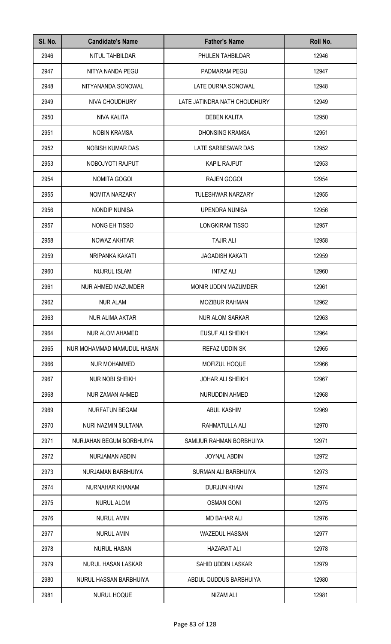| SI. No. | <b>Candidate's Name</b>    | <b>Father's Name</b>         | Roll No. |
|---------|----------------------------|------------------------------|----------|
| 2946    | NITUL TAHBILDAR            | PHULEN TAHBILDAR             | 12946    |
| 2947    | NITYA NANDA PEGU           | PADMARAM PEGU                | 12947    |
| 2948    | NITYANANDA SONOWAL         | LATE DURNA SONOWAL           | 12948    |
| 2949    | NIVA CHOUDHURY             | LATE JATINDRA NATH CHOUDHURY | 12949    |
| 2950    | NIVA KALITA                | <b>DEBEN KALITA</b>          | 12950    |
| 2951    | <b>NOBIN KRAMSA</b>        | <b>DHONSING KRAMSA</b>       | 12951    |
| 2952    | NOBISH KUMAR DAS           | LATE SARBESWAR DAS           | 12952    |
| 2953    | NOBOJYOTI RAJPUT           | <b>KAPIL RAJPUT</b>          | 12953    |
| 2954    | NOMITA GOGOI               | <b>RAJEN GOGOI</b>           | 12954    |
| 2955    | <b>NOMITA NARZARY</b>      | <b>TULESHWAR NARZARY</b>     | 12955    |
| 2956    | <b>NONDIP NUNISA</b>       | <b>UPENDRA NUNISA</b>        | 12956    |
| 2957    | NONG EH TISSO              | LONGKIRAM TISSO              | 12957    |
| 2958    | NOWAZ AKHTAR               | <b>TAJIR ALI</b>             | 12958    |
| 2959    | NRIPANKA KAKATI            | <b>JAGADISH KAKATI</b>       | 12959    |
| 2960    | <b>NUJRUL ISLAM</b>        | <b>INTAZ ALI</b>             | 12960    |
| 2961    | NUR AHMED MAZUMDER         | MONIR UDDIN MAZUMDER         | 12961    |
| 2962    | <b>NUR ALAM</b>            | <b>MOZIBUR RAHMAN</b>        | 12962    |
| 2963    | NUR ALIMA AKTAR            | NUR ALOM SARKAR              | 12963    |
| 2964    | <b>NUR ALOM AHAMED</b>     | <b>EUSUF ALI SHEIKH</b>      | 12964    |
| 2965    | NUR MOHAMMAD MAMUDUL HASAN | <b>REFAZ UDDIN SK</b>        | 12965    |
| 2966    | <b>NUR MOHAMMED</b>        | MOFIZUL HOQUE                | 12966    |
| 2967    | <b>NUR NOBI SHEIKH</b>     | <b>JOHAR ALI SHEIKH</b>      | 12967    |
| 2968    | <b>NUR ZAMAN AHMED</b>     | NURUDDIN AHMED               | 12968    |
| 2969    | <b>NURFATUN BEGAM</b>      | <b>ABUL KASHIM</b>           | 12969    |
| 2970    | NURI NAZMIN SULTANA        | RAHMATULLA ALI               | 12970    |
| 2971    | NURJAHAN BEGUM BORBHUIYA   | SAMIJUR RAHMAN BORBHUIYA     | 12971    |
| 2972    | NURJAMAN ABDIN             | <b>JOYNAL ABDIN</b>          | 12972    |
| 2973    | NURJAMAN BARBHUIYA         | SURMAN ALI BARBHUIYA         | 12973    |
| 2974    | NURNAHAR KHANAM            | <b>DURJUN KHAN</b>           | 12974    |
| 2975    | <b>NURUL ALOM</b>          | <b>OSMAN GONI</b>            | 12975    |
| 2976    | <b>NURUL AMIN</b>          | <b>MD BAHAR ALI</b>          | 12976    |
| 2977    | <b>NURUL AMIN</b>          | <b>WAZEDUL HASSAN</b>        | 12977    |
| 2978    | <b>NURUL HASAN</b>         | <b>HAZARAT ALI</b>           | 12978    |
| 2979    | <b>NURUL HASAN LASKAR</b>  | SAHID UDDIN LASKAR           | 12979    |
| 2980    | NURUL HASSAN BARBHUIYA     | ABDUL QUDDUS BARBHUIYA       | 12980    |
| 2981    | NURUL HOQUE                | NIZAM ALI                    | 12981    |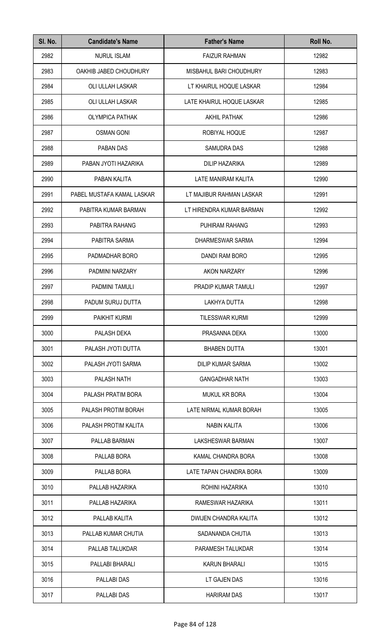| SI. No. | <b>Candidate's Name</b>    | <b>Father's Name</b>           | Roll No. |
|---------|----------------------------|--------------------------------|----------|
| 2982    | <b>NURUL ISLAM</b>         | <b>FAIZUR RAHMAN</b>           | 12982    |
| 2983    | OAKHIB JABED CHOUDHURY     | <b>MISBAHUL BARI CHOUDHURY</b> | 12983    |
| 2984    | OLI ULLAH LASKAR           | LT KHAIRUL HOQUE LASKAR        | 12984    |
| 2985    | OLI ULLAH LASKAR           | LATE KHAIRUL HOQUE LASKAR      | 12985    |
| 2986    | <b>OLYMPICA PATHAK</b>     | <b>AKHIL PATHAK</b>            | 12986    |
| 2987    | <b>OSMAN GONI</b>          | ROBIYAL HOQUE                  | 12987    |
| 2988    | PABAN DAS                  | <b>SAMUDRA DAS</b>             | 12988    |
| 2989    | PABAN JYOTI HAZARIKA       | <b>DILIP HAZARIKA</b>          | 12989    |
| 2990    | PABAN KALITA               | <b>LATE MANIRAM KALITA</b>     | 12990    |
| 2991    | PABEL MUSTAFA KAMAL LASKAR | LT MAJIBUR RAHMAN LASKAR       | 12991    |
| 2992    | PABITRA KUMAR BARMAN       | LT HIRENDRA KUMAR BARMAN       | 12992    |
| 2993    | PABITRA RAHANG             | PUHIRAM RAHANG                 | 12993    |
| 2994    | PABITRA SARMA              | DHARMESWAR SARMA               | 12994    |
| 2995    | PADMADHAR BORO             | DANDI RAM BORO                 | 12995    |
| 2996    | PADMINI NARZARY            | AKON NARZARY                   | 12996    |
| 2997    | PADMINI TAMULI             | PRADIP KUMAR TAMULI            | 12997    |
| 2998    | PADUM SURUJ DUTTA          | LAKHYA DUTTA                   | 12998    |
| 2999    | PAIKHIT KURMI              | TILESSWAR KURMI                | 12999    |
| 3000    | PALASH DEKA                | PRASANNA DEKA                  | 13000    |
| 3001    | PALASH JYOTI DUTTA         | <b>BHABEN DUTTA</b>            | 13001    |
| 3002    | PALASH JYOTI SARMA         | DILIP KUMAR SARMA              | 13002    |
| 3003    | PALASH NATH                | <b>GANGADHAR NATH</b>          | 13003    |
| 3004    | PALASH PRATIM BORA         | <b>MUKUL KR BORA</b>           | 13004    |
| 3005    | PALASH PROTIM BORAH        | LATE NIRMAL KUMAR BORAH        | 13005    |
| 3006    | PALASH PROTIM KALITA       | <b>NABIN KALITA</b>            | 13006    |
| 3007    | PALLAB BARMAN              | LAKSHESWAR BARMAN              | 13007    |
| 3008    | PALLAB BORA                | KAMAL CHANDRA BORA             | 13008    |
| 3009    | PALLAB BORA                | LATE TAPAN CHANDRA BORA        | 13009    |
| 3010    | PALLAB HAZARIKA            | ROHINI HAZARIKA                | 13010    |
| 3011    | PALLAB HAZARIKA            | RAMESWAR HAZARIKA              | 13011    |
| 3012    | PALLAB KALITA              | DWIJEN CHANDRA KALITA          | 13012    |
| 3013    | PALLAB KUMAR CHUTIA        | SADANANDA CHUTIA               | 13013    |
| 3014    | PALLAB TALUKDAR            | PARAMESH TALUKDAR              | 13014    |
| 3015    | PALLABI BHARALI            | <b>KARUN BHARALI</b>           | 13015    |
| 3016    | PALLABI DAS                | LT GAJEN DAS                   | 13016    |
| 3017    | PALLABI DAS                | <b>HARIRAM DAS</b>             | 13017    |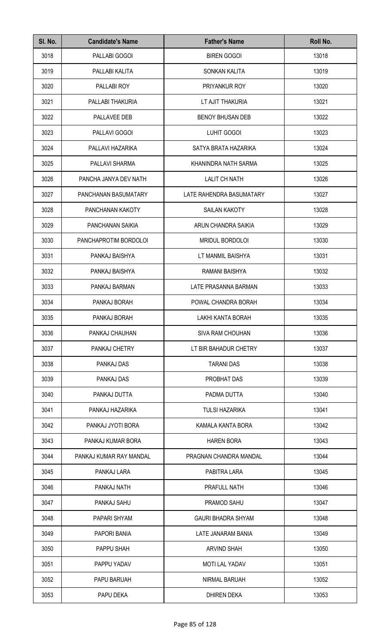| SI. No. | <b>Candidate's Name</b> | <b>Father's Name</b>      | Roll No. |
|---------|-------------------------|---------------------------|----------|
| 3018    | PALLABI GOGOI           | <b>BIREN GOGOI</b>        | 13018    |
| 3019    | PALLABI KALITA          | SONKAN KALITA             | 13019    |
| 3020    | PALLABI ROY             | PRIYANKUR ROY             | 13020    |
| 3021    | PALLABI THAKURIA        | LT AJIT THAKURIA          | 13021    |
| 3022    | PALLAVEE DEB            | <b>BENOY BHUSAN DEB</b>   | 13022    |
| 3023    | PALLAVI GOGOI           | LUHIT GOGOI               | 13023    |
| 3024    | PALLAVI HAZARIKA        | SATYA BRATA HAZARIKA      | 13024    |
| 3025    | PALLAVI SHARMA          | KHANINDRA NATH SARMA      | 13025    |
| 3026    | PANCHA JANYA DEV NATH   | <b>LALIT CH NATH</b>      | 13026    |
| 3027    | PANCHANAN BASUMATARY    | LATE RAHENDRA BASUMATARY  | 13027    |
| 3028    | PANCHANAN KAKOTY        | <b>SAILAN KAKOTY</b>      | 13028    |
| 3029    | PANCHANAN SAIKIA        | ARUN CHANDRA SAIKIA       | 13029    |
| 3030    | PANCHAPROTIM BORDOLOI   | MRIDUL BORDOLOI           | 13030    |
| 3031    | PANKAJ BAISHYA          | LT MANMIL BAISHYA         | 13031    |
| 3032    | PANKAJ BAISHYA          | RAMANI BAISHYA            | 13032    |
| 3033    | PANKAJ BARMAN           | LATE PRASANNA BARMAN      | 13033    |
| 3034    | PANKAJ BORAH            | POWAL CHANDRA BORAH       | 13034    |
| 3035    | PANKAJ BORAH            | LAKHI KANTA BORAH         | 13035    |
| 3036    | PANKAJ CHAUHAN          | <b>SIVA RAM CHOUHAN</b>   | 13036    |
| 3037    | PANKAJ CHETRY           | LT BIR BAHADUR CHETRY     | 13037    |
| 3038    | PANKAJ DAS              | <b>TARANI DAS</b>         | 13038    |
| 3039    | PANKAJ DAS              | PROBHAT DAS               | 13039    |
| 3040    | PANKAJ DUTTA            | PADMA DUTTA               | 13040    |
| 3041    | PANKAJ HAZARIKA         | <b>TULSI HAZARIKA</b>     | 13041    |
| 3042    | PANKAJ JYOTI BORA       | KAMALA KANTA BORA         | 13042    |
| 3043    | PANKAJ KUMAR BORA       | <b>HAREN BORA</b>         | 13043    |
| 3044    | PANKAJ KUMAR RAY MANDAL | PRAGNAN CHANDRA MANDAL    | 13044    |
| 3045    | PANKAJ LARA             | PABITRA LARA              | 13045    |
| 3046    | PANKAJ NATH             | PRAFULL NATH              | 13046    |
| 3047    | PANKAJ SAHU             | PRAMOD SAHU               | 13047    |
| 3048    | PAPARI SHYAM            | <b>GAURI BHADRA SHYAM</b> | 13048    |
| 3049    | PAPORI BANIA            | LATE JANARAM BANIA        | 13049    |
| 3050    | PAPPU SHAH              | <b>ARVIND SHAH</b>        | 13050    |
| 3051    | PAPPU YADAV             | <b>MOTI LAL YADAV</b>     | 13051    |
| 3052    | PAPU BARUAH             | NIRMAL BARUAH             | 13052    |
| 3053    | PAPU DEKA               | <b>DHIREN DEKA</b>        | 13053    |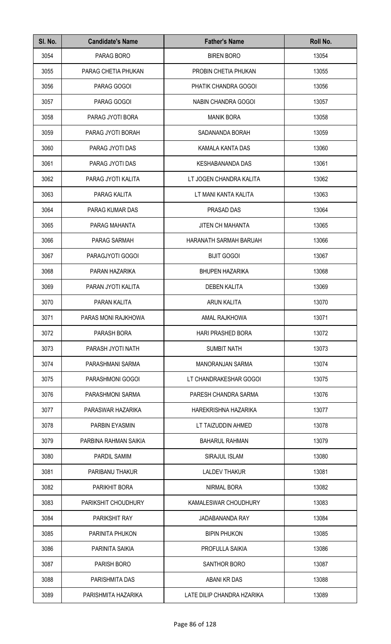| SI. No. | <b>Candidate's Name</b> | <b>Father's Name</b>       | Roll No. |
|---------|-------------------------|----------------------------|----------|
| 3054    | PARAG BORO              | <b>BIREN BORO</b>          | 13054    |
| 3055    | PARAG CHETIA PHUKAN     | PROBIN CHETIA PHUKAN       | 13055    |
| 3056    | PARAG GOGOI             | PHATIK CHANDRA GOGOI       | 13056    |
| 3057    | PARAG GOGOI             | <b>NABIN CHANDRA GOGOI</b> | 13057    |
| 3058    | PARAG JYOTI BORA        | <b>MANIK BORA</b>          | 13058    |
| 3059    | PARAG JYOTI BORAH       | SADANANDA BORAH            | 13059    |
| 3060    | PARAG JYOTI DAS         | KAMALA KANTA DAS           | 13060    |
| 3061    | PARAG JYOTI DAS         | <b>KESHABANANDA DAS</b>    | 13061    |
| 3062    | PARAG JYOTI KALITA      | LT JOGEN CHANDRA KALITA    | 13062    |
| 3063    | PARAG KALITA            | LT MANI KANTA KALITA       | 13063    |
| 3064    | PARAG KUMAR DAS         | PRASAD DAS                 | 13064    |
| 3065    | PARAG MAHANTA           | <b>JITEN CH MAHANTA</b>    | 13065    |
| 3066    | PARAG SARMAH            | HARANATH SARMAH BARUAH     | 13066    |
| 3067    | PARAGJYOTI GOGOI        | <b>BIJIT GOGOI</b>         | 13067    |
| 3068    | PARAN HAZARIKA          | <b>BHUPEN HAZARIKA</b>     | 13068    |
| 3069    | PARAN JYOTI KALITA      | <b>DEBEN KALITA</b>        | 13069    |
| 3070    | PARAN KALITA            | <b>ARUN KALITA</b>         | 13070    |
| 3071    | PARAS MONI RAJKHOWA     | AMAL RAJKHOWA              | 13071    |
| 3072    | PARASH BORA             | <b>HARI PRASHED BORA</b>   | 13072    |
| 3073    | PARASH JYOTI NATH       | <b>SUMBIT NATH</b>         | 13073    |
| 3074    | PARASHMANI SARMA        | <b>MANORANJAN SARMA</b>    | 13074    |
| 3075    | PARASHMONI GOGOI        | LT CHANDRAKESHAR GOGOI     | 13075    |
| 3076    | PARASHMONI SARMA        | PARESH CHANDRA SARMA       | 13076    |
| 3077    | PARASWAR HAZARIKA       | HAREKRISHNA HAZARIKA       | 13077    |
| 3078    | PARBIN EYASMIN          | LT TAIZUDDIN AHMED         | 13078    |
| 3079    | PARBINA RAHMAN SAIKIA   | <b>BAHARUL RAHMAN</b>      | 13079    |
| 3080    | PARDIL SAMIM            | SIRAJUL ISLAM              | 13080    |
| 3081    | PARIBANU THAKUR         | <b>LALDEV THAKUR</b>       | 13081    |
| 3082    | PARIKHIT BORA           | NIRMAL BORA                | 13082    |
| 3083    | PARIKSHIT CHOUDHURY     | KAMALESWAR CHOUDHURY       | 13083    |
| 3084    | PARIKSHIT RAY           | JADABANANDA RAY            | 13084    |
| 3085    | PARINITA PHUKON         | <b>BIPIN PHUKON</b>        | 13085    |
| 3086    | PARINITA SAIKIA         | PROFULLA SAIKIA            | 13086    |
| 3087    | PARISH BORO             | SANTHOR BORO               | 13087    |
| 3088    | PARISHMITA DAS          | ABANI KR DAS               | 13088    |
| 3089    | PARISHMITA HAZARIKA     | LATE DILIP CHANDRA HZARIKA | 13089    |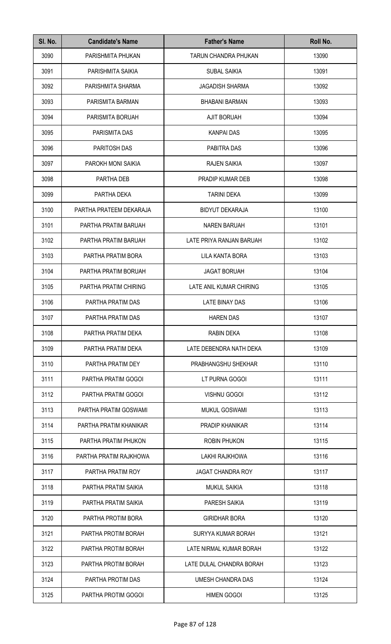| SI. No. | <b>Candidate's Name</b> | <b>Father's Name</b>     | Roll No. |
|---------|-------------------------|--------------------------|----------|
| 3090    | PARISHMITA PHUKAN       | TARUN CHANDRA PHUKAN     | 13090    |
| 3091    | PARISHMITA SAIKIA       | <b>SUBAL SAIKIA</b>      | 13091    |
| 3092    | PARISHMITA SHARMA       | <b>JAGADISH SHARMA</b>   | 13092    |
| 3093    | PARISMITA BARMAN        | <b>BHABANI BARMAN</b>    | 13093    |
| 3094    | PARISMITA BORUAH        | <b>AJIT BORUAH</b>       | 13094    |
| 3095    | PARISMITA DAS           | <b>KANPAI DAS</b>        | 13095    |
| 3096    | PARITOSH DAS            | PABITRA DAS              | 13096    |
| 3097    | PAROKH MONI SAIKIA      | <b>RAJEN SAIKIA</b>      | 13097    |
| 3098    | PARTHA DEB              | PRADIP KUMAR DEB         | 13098    |
| 3099    | PARTHA DEKA             | <b>TARINI DEKA</b>       | 13099    |
| 3100    | PARTHA PRATEEM DEKARAJA | <b>BIDYUT DEKARAJA</b>   | 13100    |
| 3101    | PARTHA PRATIM BARUAH    | <b>NAREN BARUAH</b>      | 13101    |
| 3102    | PARTHA PRATIM BARUAH    | LATE PRIYA RANJAN BARUAH | 13102    |
| 3103    | PARTHA PRATIM BORA      | LILA KANTA BORA          | 13103    |
| 3104    | PARTHA PRATIM BORUAH    | <b>JAGAT BORUAH</b>      | 13104    |
| 3105    | PARTHA PRATIM CHIRING   | LATE ANIL KUMAR CHIRING  | 13105    |
| 3106    | PARTHA PRATIM DAS       | <b>LATE BINAY DAS</b>    | 13106    |
| 3107    | PARTHA PRATIM DAS       | <b>HAREN DAS</b>         | 13107    |
| 3108    | PARTHA PRATIM DEKA      | RABIN DEKA               | 13108    |
| 3109    | PARTHA PRATIM DEKA      | LATE DEBENDRA NATH DEKA  | 13109    |
| 3110    | PARTHA PRATIM DEY       | PRABHANGSHU SHEKHAR      | 13110    |
| 3111    | PARTHA PRATIM GOGOI     | LT PURNA GOGOI           | 13111    |
| 3112    | PARTHA PRATIM GOGOI     | <b>VISHNU GOGOI</b>      | 13112    |
| 3113    | PARTHA PRATIM GOSWAMI   | <b>MUKUL GOSWAMI</b>     | 13113    |
| 3114    | PARTHA PRATIM KHANIKAR  | <b>PRADIP KHANIKAR</b>   | 13114    |
| 3115    | PARTHA PRATIM PHUKON    | <b>ROBIN PHUKON</b>      | 13115    |
| 3116    | PARTHA PRATIM RAJKHOWA  | LAKHI RAJKHOWA           | 13116    |
| 3117    | PARTHA PRATIM ROY       | <b>JAGAT CHANDRA ROY</b> | 13117    |
| 3118    | PARTHA PRATIM SAIKIA    | <b>MUKUL SAIKIA</b>      | 13118    |
| 3119    | PARTHA PRATIM SAIKIA    | PARESH SAIKIA            | 13119    |
| 3120    | PARTHA PROTIM BORA      | <b>GIRIDHAR BORA</b>     | 13120    |
| 3121    | PARTHA PROTIM BORAH     | SURYYA KUMAR BORAH       | 13121    |
| 3122    | PARTHA PROTIM BORAH     | LATE NIRMAL KUMAR BORAH  | 13122    |
| 3123    | PARTHA PROTIM BORAH     | LATE DULAL CHANDRA BORAH | 13123    |
| 3124    | PARTHA PROTIM DAS       | UMESH CHANDRA DAS        | 13124    |
| 3125    | PARTHA PROTIM GOGOI     | <b>HIMEN GOGOI</b>       | 13125    |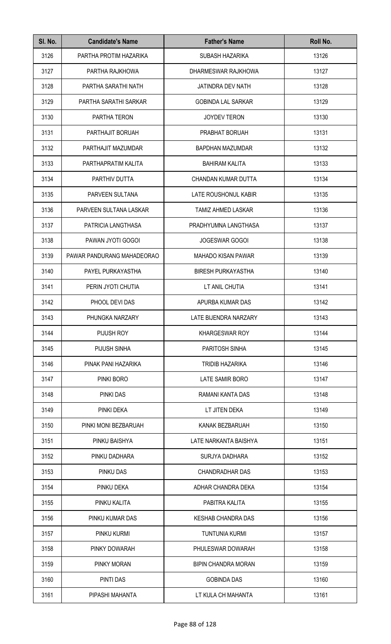| SI. No. | <b>Candidate's Name</b>    | <b>Father's Name</b>       | Roll No. |
|---------|----------------------------|----------------------------|----------|
| 3126    | PARTHA PROTIM HAZARIKA     | SUBASH HAZARIKA            | 13126    |
| 3127    | PARTHA RAJKHOWA            | DHARMESWAR RAJKHOWA        | 13127    |
| 3128    | PARTHA SARATHI NATH        | JATINDRA DEV NATH          | 13128    |
| 3129    | PARTHA SARATHI SARKAR      | <b>GOBINDA LAL SARKAR</b>  | 13129    |
| 3130    | PARTHA TERON               | <b>JOYDEV TERON</b>        | 13130    |
| 3131    | PARTHAJIT BORUAH           | PRABHAT BORUAH             | 13131    |
| 3132    | PARTHAJIT MAZUMDAR         | <b>BAPDHAN MAZUMDAR</b>    | 13132    |
| 3133    | PARTHAPRATIM KALITA        | <b>BAHIRAM KALITA</b>      | 13133    |
| 3134    | PARTHIV DUTTA              | CHANDAN KUMAR DUTTA        | 13134    |
| 3135    | PARVEEN SULTANA            | LATE ROUSHONUL KABIR       | 13135    |
| 3136    | PARVEEN SULTANA LASKAR     | <b>TAMIZ AHMED LASKAR</b>  | 13136    |
| 3137    | PATRICIA LANGTHASA         | PRADHYUMNA LANGTHASA       | 13137    |
| 3138    | PAWAN JYOTI GOGOI          | JOGESWAR GOGOI             | 13138    |
| 3139    | PAWAR PANDURANG MAHADEORAO | <b>MAHADO KISAN PAWAR</b>  | 13139    |
| 3140    | PAYEL PURKAYASTHA          | <b>BIRESH PURKAYASTHA</b>  | 13140    |
| 3141    | PERIN JYOTI CHUTIA         | LT ANIL CHUTIA             | 13141    |
| 3142    | PHOOL DEVI DAS             | APURBA KUMAR DAS           | 13142    |
| 3143    | PHUNGKA NARZARY            | LATE BIJENDRA NARZARY      | 13143    |
| 3144    | PIJUSH ROY                 | <b>KHARGESWAR ROY</b>      | 13144    |
| 3145    | PIJUSH SINHA               | PARITOSH SINHA             | 13145    |
| 3146    | PINAK PANI HAZARIKA        | <b>TRIDIB HAZARIKA</b>     | 13146    |
| 3147    | PINKI BORO                 | LATE SAMIR BORO            | 13147    |
| 3148    | <b>PINKI DAS</b>           | RAMANI KANTA DAS           | 13148    |
| 3149    | PINKI DEKA                 | LT JITEN DEKA              | 13149    |
| 3150    | PINKI MONI BEZBARUAH       | KANAK BEZBARUAH            | 13150    |
| 3151    | PINKU BAISHYA              | LATE NARKANTA BAISHYA      | 13151    |
| 3152    | PINKU DADHARA              | <b>SURJYA DADHARA</b>      | 13152    |
| 3153    | PINKU DAS                  | <b>CHANDRADHAR DAS</b>     | 13153    |
| 3154    | PINKU DEKA                 | ADHAR CHANDRA DEKA         | 13154    |
| 3155    | PINKU KALITA               | PABITRA KALITA             | 13155    |
| 3156    | PINKU KUMAR DAS            | <b>KESHAB CHANDRA DAS</b>  | 13156    |
| 3157    | PINKU KURMI                | <b>TUNTUNIA KURMI</b>      | 13157    |
| 3158    | PINKY DOWARAH              | PHULESWAR DOWARAH          | 13158    |
| 3159    | PINKY MORAN                | <b>BIPIN CHANDRA MORAN</b> | 13159    |
| 3160    | PINTI DAS                  | <b>GOBINDA DAS</b>         | 13160    |
| 3161    | PIPASHI MAHANTA            | LT KULA CH MAHANTA         | 13161    |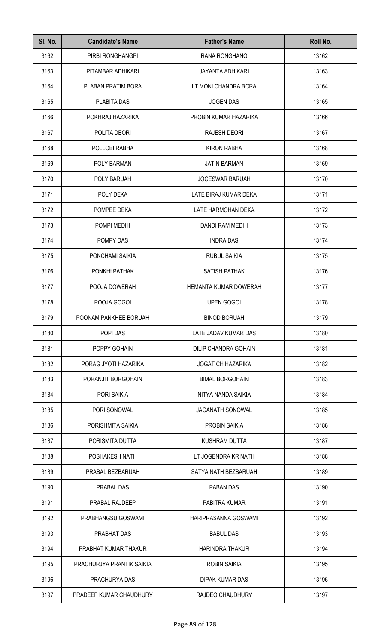| SI. No. | <b>Candidate's Name</b>   | <b>Father's Name</b>     | Roll No. |
|---------|---------------------------|--------------------------|----------|
| 3162    | PIRBI RONGHANGPI          | <b>RANA RONGHANG</b>     | 13162    |
| 3163    | PITAMBAR ADHIKARI         | <b>JAYANTA ADHIKARI</b>  | 13163    |
| 3164    | PLABAN PRATIM BORA        | LT MONI CHANDRA BORA     | 13164    |
| 3165    | PLABITA DAS               | <b>JOGEN DAS</b>         | 13165    |
| 3166    | POKHRAJ HAZARIKA          | PROBIN KUMAR HAZARIKA    | 13166    |
| 3167    | POLITA DEORI              | <b>RAJESH DEORI</b>      | 13167    |
| 3168    | POLLOBI RABHA             | <b>KIRON RABHA</b>       | 13168    |
| 3169    | POLY BARMAN               | <b>JATIN BARMAN</b>      | 13169    |
| 3170    | POLY BARUAH               | <b>JOGESWAR BARUAH</b>   | 13170    |
| 3171    | POLY DEKA                 | LATE BIRAJ KUMAR DEKA    | 13171    |
| 3172    | POMPEE DEKA               | LATE HARMOHAN DEKA       | 13172    |
| 3173    | POMPI MEDHI               | DANDI RAM MEDHI          | 13173    |
| 3174    | POMPY DAS                 | <b>INDRA DAS</b>         | 13174    |
| 3175    | PONCHAMI SAIKIA           | <b>RUBUL SAIKIA</b>      | 13175    |
| 3176    | PONKHI PATHAK             | SATISH PATHAK            | 13176    |
| 3177    | POOJA DOWERAH             | HEMANTA KUMAR DOWERAH    | 13177    |
| 3178    | POOJA GOGOI               | <b>UPEN GOGOI</b>        | 13178    |
| 3179    | POONAM PANKHEE BORUAH     | <b>BINOD BORUAH</b>      | 13179    |
| 3180    | POPI DAS                  | LATE JADAV KUMAR DAS     | 13180    |
| 3181    | POPPY GOHAIN              | DILIP CHANDRA GOHAIN     | 13181    |
| 3182    | PORAG JYOTI HAZARIKA      | <b>JOGAT CH HAZARIKA</b> | 13182    |
| 3183    | PORANJIT BORGOHAIN        | <b>BIMAL BORGOHAIN</b>   | 13183    |
| 3184    | PORI SAIKIA               | NITYA NANDA SAIKIA       | 13184    |
| 3185    | PORI SONOWAL              | <b>JAGANATH SONOWAL</b>  | 13185    |
| 3186    | PORISHMITA SAIKIA         | <b>PROBIN SAIKIA</b>     | 13186    |
| 3187    | PORISMITA DUTTA           | <b>KUSHRAM DUTTA</b>     | 13187    |
| 3188    | POSHAKESH NATH            | LT JOGENDRA KR NATH      | 13188    |
| 3189    | PRABAL BEZBARUAH          | SATYA NATH BEZBARUAH     | 13189    |
| 3190    | PRABAL DAS                | PABAN DAS                | 13190    |
| 3191    | PRABAL RAJDEEP            | PABITRA KUMAR            | 13191    |
| 3192    | PRABHANGSU GOSWAMI        | HARIPRASANNA GOSWAMI     | 13192    |
| 3193    | PRABHAT DAS               | <b>BABUL DAS</b>         | 13193    |
| 3194    | PRABHAT KUMAR THAKUR      | <b>HARINDRA THAKUR</b>   | 13194    |
| 3195    | PRACHURJYA PRANTIK SAIKIA | <b>ROBIN SAIKIA</b>      | 13195    |
| 3196    | PRACHURYA DAS             | DIPAK KUMAR DAS          | 13196    |
| 3197    | PRADEEP KUMAR CHAUDHURY   | RAJDEO CHAUDHURY         | 13197    |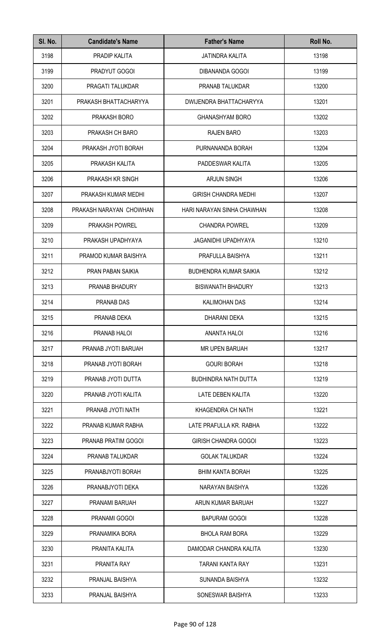| SI. No. | <b>Candidate's Name</b> | <b>Father's Name</b>          | Roll No. |
|---------|-------------------------|-------------------------------|----------|
| 3198    | PRADIP KALITA           | <b>JATINDRA KALITA</b>        | 13198    |
| 3199    | PRADYUT GOGOI           | DIBANANDA GOGOI               | 13199    |
| 3200    | PRAGATI TALUKDAR        | PRANAB TALUKDAR               | 13200    |
| 3201    | PRAKASH BHATTACHARYYA   | DWIJENDRA BHATTACHARYYA       | 13201    |
| 3202    | PRAKASH BORO            | <b>GHANASHYAM BORO</b>        | 13202    |
| 3203    | PRAKASH CH BARO         | <b>RAJEN BARO</b>             | 13203    |
| 3204    | PRAKASH JYOTI BORAH     | PURNANANDA BORAH              | 13204    |
| 3205    | PRAKASH KALITA          | PADDESWAR KALITA              | 13205    |
| 3206    | PRAKASH KR SINGH        | <b>ARJUN SINGH</b>            | 13206    |
| 3207    | PRAKASH KUMAR MEDHI     | <b>GIRISH CHANDRA MEDHI</b>   | 13207    |
| 3208    | PRAKASH NARAYAN CHOWHAN | HARI NARAYAN SINHA CHAWHAN    | 13208    |
| 3209    | PRAKASH POWREL          | <b>CHANDRA POWREL</b>         | 13209    |
| 3210    | PRAKASH UPADHYAYA       | <b>JAGANIDHI UPADHYAYA</b>    | 13210    |
| 3211    | PRAMOD KUMAR BAISHYA    | PRAFULLA BAISHYA              | 13211    |
| 3212    | PRAN PABAN SAIKIA       | <b>BUDHENDRA KUMAR SAIKIA</b> | 13212    |
| 3213    | PRANAB BHADURY          | <b>BISWANATH BHADURY</b>      | 13213    |
| 3214    | PRANAB DAS              | <b>KALIMOHAN DAS</b>          | 13214    |
| 3215    | PRANAB DEKA             | DHARANI DEKA                  | 13215    |
| 3216    | PRANAB HALOI            | ANANTA HALOI                  | 13216    |
| 3217    | PRANAB JYOTI BARUAH     | <b>MR UPEN BARUAH</b>         | 13217    |
| 3218    | PRANAB JYOTI BORAH      | <b>GOURI BORAH</b>            | 13218    |
| 3219    | PRANAB JYOTI DUTTA      | <b>BUDHINDRA NATH DUTTA</b>   | 13219    |
| 3220    | PRANAB JYOTI KALITA     | LATE DEBEN KALITA             | 13220    |
| 3221    | PRANAB JYOTI NATH       | KHAGENDRA CH NATH             | 13221    |
| 3222    | PRANAB KUMAR RABHA      | LATE PRAFULLA KR. RABHA       | 13222    |
| 3223    | PRANAB PRATIM GOGOI     | <b>GIRISH CHANDRA GOGOI</b>   | 13223    |
| 3224    | PRANAB TALUKDAR         | <b>GOLAK TALUKDAR</b>         | 13224    |
| 3225    | PRANABJYOTI BORAH       | <b>BHIM KANTA BORAH</b>       | 13225    |
| 3226    | PRANABJYOTI DEKA        | NARAYAN BAISHYA               | 13226    |
| 3227    | PRANAMI BARUAH          | ARUN KUMAR BARUAH             | 13227    |
| 3228    | PRANAMI GOGOI           | <b>BAPURAM GOGOI</b>          | 13228    |
| 3229    | PRANAMIKA BORA          | <b>BHOLA RAM BORA</b>         | 13229    |
| 3230    | PRANITA KALITA          | DAMODAR CHANDRA KALITA        | 13230    |
| 3231    | PRANITA RAY             | TARANI KANTA RAY              | 13231    |
| 3232    | PRANJAL BAISHYA         | SUNANDA BAISHYA               | 13232    |
| 3233    | PRANJAL BAISHYA         | SONESWAR BAISHYA              | 13233    |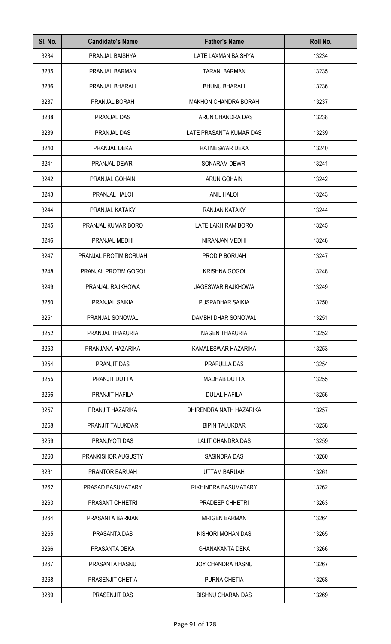| SI. No. | <b>Candidate's Name</b> | <b>Father's Name</b>        | Roll No. |
|---------|-------------------------|-----------------------------|----------|
| 3234    | PRANJAL BAISHYA         | LATE LAXMAN BAISHYA         | 13234    |
| 3235    | PRANJAL BARMAN          | <b>TARANI BARMAN</b>        | 13235    |
| 3236    | PRANJAL BHARALI         | <b>BHUNU BHARALI</b>        | 13236    |
| 3237    | PRANJAL BORAH           | <b>MAKHON CHANDRA BORAH</b> | 13237    |
| 3238    | PRANJAL DAS             | <b>TARUN CHANDRA DAS</b>    | 13238    |
| 3239    | PRANJAL DAS             | LATE PRASANTA KUMAR DAS     | 13239    |
| 3240    | PRANJAL DEKA            | RATNESWAR DEKA              | 13240    |
| 3241    | PRANJAL DEWRI           | <b>SONARAM DEWRI</b>        | 13241    |
| 3242    | PRANJAL GOHAIN          | <b>ARUN GOHAIN</b>          | 13242    |
| 3243    | PRANJAL HALOI           | <b>ANIL HALOI</b>           | 13243    |
| 3244    | PRANJAL KATAKY          | RANJAN KATAKY               | 13244    |
| 3245    | PRANJAL KUMAR BORO      | LATE LAKHIRAM BORO          | 13245    |
| 3246    | PRANJAL MEDHI           | NIRANJAN MEDHI              | 13246    |
| 3247    | PRANJAL PROTIM BORUAH   | PRODIP BORUAH               | 13247    |
| 3248    | PRANJAL PROTIM GOGOI    | <b>KRISHNA GOGOI</b>        | 13248    |
| 3249    | PRANJAL RAJKHOWA        | <b>JAGESWAR RAJKHOWA</b>    | 13249    |
| 3250    | PRANJAL SAIKIA          | PUSPADHAR SAIKIA            | 13250    |
| 3251    | PRANJAL SONOWAL         | DAMBHI DHAR SONOWAL         | 13251    |
| 3252    | PRANJAL THAKURIA        | <b>NAGEN THAKURIA</b>       | 13252    |
| 3253    | PRANJANA HAZARIKA       | KAMALESWAR HAZARIKA         | 13253    |
| 3254    | <b>PRANJIT DAS</b>      | PRAFULLA DAS                | 13254    |
| 3255    | PRANJIT DUTTA           | <b>MADHAB DUTTA</b>         | 13255    |
| 3256    | PRANJIT HAFILA          | <b>DULAL HAFILA</b>         | 13256    |
| 3257    | PRANJIT HAZARIKA        | DHIRENDRA NATH HAZARIKA     | 13257    |
| 3258    | PRANJIT TALUKDAR        | <b>BIPIN TALUKDAR</b>       | 13258    |
| 3259    | PRANJYOTI DAS           | LALIT CHANDRA DAS           | 13259    |
| 3260    | PRANKISHOR AUGUSTY      | SASINDRA DAS                | 13260    |
| 3261    | PRANTOR BARUAH          | <b>UTTAM BARUAH</b>         | 13261    |
| 3262    | PRASAD BASUMATARY       | RIKHINDRA BASUMATARY        | 13262    |
| 3263    | PRASANT CHHETRI         | PRADEEP CHHETRI             | 13263    |
| 3264    | PRASANTA BARMAN         | <b>MRIGEN BARMAN</b>        | 13264    |
| 3265    | PRASANTA DAS            | KISHORI MOHAN DAS           | 13265    |
| 3266    | PRASANTA DEKA           | <b>GHANAKANTA DEKA</b>      | 13266    |
| 3267    | PRASANTA HASNU          | <b>JOY CHANDRA HASNU</b>    | 13267    |
| 3268    | PRASENJIT CHETIA        | PURNA CHETIA                | 13268    |
| 3269    | PRASENJIT DAS           | <b>BISHNU CHARAN DAS</b>    | 13269    |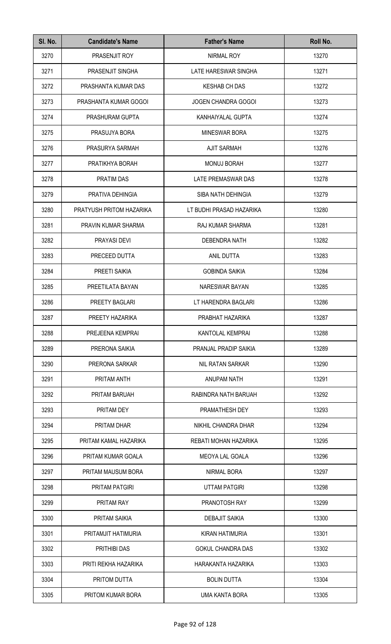| SI. No. | <b>Candidate's Name</b>  | <b>Father's Name</b>       | Roll No. |
|---------|--------------------------|----------------------------|----------|
| 3270    | PRASENJIT ROY            | NIRMAL ROY                 | 13270    |
| 3271    | PRASENJIT SINGHA         | LATE HARESWAR SINGHA       | 13271    |
| 3272    | PRASHANTA KUMAR DAS      | <b>KESHAB CH DAS</b>       | 13272    |
| 3273    | PRASHANTA KUMAR GOGOI    | <b>JOGEN CHANDRA GOGOI</b> | 13273    |
| 3274    | PRASHURAM GUPTA          | KANHAIYALAL GUPTA          | 13274    |
| 3275    | PRASUJYA BORA            | <b>MINESWAR BORA</b>       | 13275    |
| 3276    | PRASURYA SARMAH          | <b>AJIT SARMAH</b>         | 13276    |
| 3277    | PRATIKHYA BORAH          | <b>MONUJ BORAH</b>         | 13277    |
| 3278    | PRATIM DAS               | LATE PREMASWAR DAS         | 13278    |
| 3279    | PRATIVA DEHINGIA         | SIBA NATH DEHINGIA         | 13279    |
| 3280    | PRATYUSH PRITOM HAZARIKA | LT BUDHI PRASAD HAZARIKA   | 13280    |
| 3281    | PRAVIN KUMAR SHARMA      | RAJ KUMAR SHARMA           | 13281    |
| 3282    | PRAYASI DEVI             | DEBENDRA NATH              | 13282    |
| 3283    | PRECEED DUTTA            | ANIL DUTTA                 | 13283    |
| 3284    | PREETI SAIKIA            | <b>GOBINDA SAIKIA</b>      | 13284    |
| 3285    | PREETILATA BAYAN         | NARESWAR BAYAN             | 13285    |
| 3286    | PREETY BAGLARI           | LT HARENDRA BAGLARI        | 13286    |
| 3287    | PREETY HAZARIKA          | PRABHAT HAZARIKA           | 13287    |
| 3288    | PREJEENA KEMPRAI         | <b>KANTOLAL KEMPRAI</b>    | 13288    |
| 3289    | PRERONA SAIKIA           | PRANJAL PRADIP SAIKIA      | 13289    |
| 3290    | PRERONA SARKAR           | NIL RATAN SARKAR           | 13290    |
| 3291    | PRITAM ANTH              | ANUPAM NATH                | 13291    |
| 3292    | PRITAM BARUAH            | RABINDRA NATH BARUAH       | 13292    |
| 3293    | PRITAM DEY               | PRAMATHESH DEY             | 13293    |
| 3294    | PRITAM DHAR              | NIKHIL CHANDRA DHAR        | 13294    |
| 3295    | PRITAM KAMAL HAZARIKA    | REBATI MOHAN HAZARIKA      | 13295    |
| 3296    | PRITAM KUMAR GOALA       | <b>MEOYA LAL GOALA</b>     | 13296    |
| 3297    | PRITAM MAUSUM BORA       | NIRMAL BORA                | 13297    |
| 3298    | PRITAM PATGIRI           | <b>UTTAM PATGIRI</b>       | 13298    |
| 3299    | <b>PRITAM RAY</b>        | PRANOTOSH RAY              | 13299    |
| 3300    | PRITAM SAIKIA            | <b>DEBAJIT SAIKIA</b>      | 13300    |
| 3301    | PRITAMJIT HATIMURIA      | KIRAN HATIMURIA            | 13301    |
| 3302    | PRITHIBI DAS             | <b>GOKUL CHANDRA DAS</b>   | 13302    |
| 3303    | PRITI REKHA HAZARIKA     | HARAKANTA HAZARIKA         | 13303    |
| 3304    | PRITOM DUTTA             | <b>BOLIN DUTTA</b>         | 13304    |
| 3305    | PRITOM KUMAR BORA        | <b>UMA KANTA BORA</b>      | 13305    |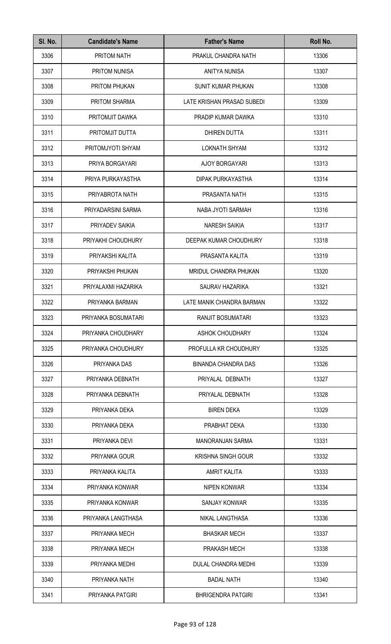| SI. No. | <b>Candidate's Name</b> | <b>Father's Name</b>       | Roll No. |
|---------|-------------------------|----------------------------|----------|
| 3306    | PRITOM NATH             | PRAKUL CHANDRA NATH        | 13306    |
| 3307    | <b>PRITOM NUNISA</b>    | ANITYA NUNISA              | 13307    |
| 3308    | PRITOM PHUKAN           | SUNIT KUMAR PHUKAN         | 13308    |
| 3309    | PRITOM SHARMA           | LATE KRISHAN PRASAD SUBEDI | 13309    |
| 3310    | PRITOMJIT DAWKA         | PRADIP KUMAR DAWKA         | 13310    |
| 3311    | PRITOMJIT DUTTA         | <b>DHIREN DUTTA</b>        | 13311    |
| 3312    | PRITOMJYOTI SHYAM       | <b>LOKNATH SHYAM</b>       | 13312    |
| 3313    | PRIYA BORGAYARI         | AJOY BORGAYARI             | 13313    |
| 3314    | PRIYA PURKAYASTHA       | <b>DIPAK PURKAYASTHA</b>   | 13314    |
| 3315    | PRIYABROTA NATH         | PRASANTA NATH              | 13315    |
| 3316    | PRIYADARSINI SARMA      | NABA JYOTI SARMAH          | 13316    |
| 3317    | PRIYADEV SAIKIA         | <b>NARESH SAIKIA</b>       | 13317    |
| 3318    | PRIYAKHI CHOUDHURY      | DEEPAK KUMAR CHOUDHURY     | 13318    |
| 3319    | PRIYAKSHI KALITA        | PRASANTA KALITA            | 13319    |
| 3320    | PRIYAKSHI PHUKAN        | MRIDUL CHANDRA PHUKAN      | 13320    |
| 3321    | PRIYALAXMI HAZARIKA     | SAURAV HAZARIKA            | 13321    |
| 3322    | PRIYANKA BARMAN         | LATE MANIK CHANDRA BARMAN  | 13322    |
| 3323    | PRIYANKA BOSUMATARI     | RANJIT BOSUMATARI          | 13323    |
| 3324    | PRIYANKA CHOUDHARY      | <b>ASHOK CHOUDHARY</b>     | 13324    |
| 3325    | PRIYANKA CHOUDHURY      | PROFULLA KR CHOUDHURY      | 13325    |
| 3326    | PRIYANKA DAS            | <b>BINANDA CHANDRA DAS</b> | 13326    |
| 3327    | PRIYANKA DEBNATH        | PRIYALAL DEBNATH           | 13327    |
| 3328    | PRIYANKA DEBNATH        | PRIYALAL DEBNATH           | 13328    |
| 3329    | PRIYANKA DEKA           | <b>BIREN DEKA</b>          | 13329    |
| 3330    | PRIYANKA DEKA           | PRABHAT DEKA               | 13330    |
| 3331    | PRIYANKA DEVI           | <b>MANORANJAN SARMA</b>    | 13331    |
| 3332    | PRIYANKA GOUR           | <b>KRISHNA SINGH GOUR</b>  | 13332    |
| 3333    | PRIYANKA KALITA         | AMRIT KALITA               | 13333    |
| 3334    | PRIYANKA KONWAR         | NIPEN KONWAR               | 13334    |
| 3335    | PRIYANKA KONWAR         | SANJAY KONWAR              | 13335    |
| 3336    | PRIYANKA LANGTHASA      | NIKAL LANGTHASA            | 13336    |
| 3337    | PRIYANKA MECH           | <b>BHASKAR MECH</b>        | 13337    |
| 3338    | PRIYANKA MECH           | PRAKASH MECH               | 13338    |
| 3339    | PRIYANKA MEDHI          | <b>DULAL CHANDRA MEDHI</b> | 13339    |
| 3340    | PRIYANKA NATH           | <b>BADAL NATH</b>          | 13340    |
| 3341    | PRIYANKA PATGIRI        | <b>BHRIGENDRA PATGIRI</b>  | 13341    |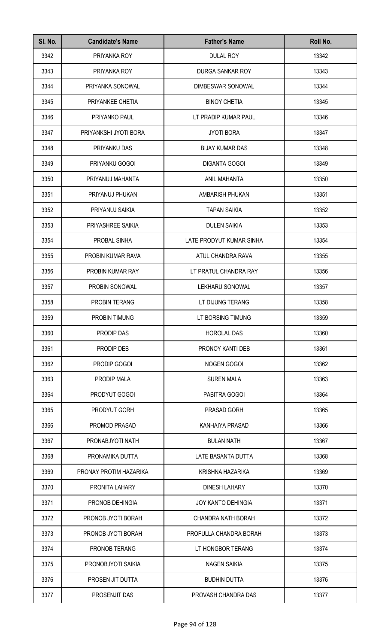| SI. No. | <b>Candidate's Name</b> | <b>Father's Name</b>      | Roll No. |
|---------|-------------------------|---------------------------|----------|
| 3342    | PRIYANKA ROY            | <b>DULAL ROY</b>          | 13342    |
| 3343    | PRIYANKA ROY            | DURGA SANKAR ROY          | 13343    |
| 3344    | PRIYANKA SONOWAL        | DIMBESWAR SONOWAL         | 13344    |
| 3345    | PRIYANKEE CHETIA        | <b>BINOY CHETIA</b>       | 13345    |
| 3346    | PRIYANKO PAUL           | LT PRADIP KUMAR PAUL      | 13346    |
| 3347    | PRIYANKSHI JYOTI BORA   | <b>JYOTI BORA</b>         | 13347    |
| 3348    | PRIYANKU DAS            | <b>BIJAY KUMAR DAS</b>    | 13348    |
| 3349    | PRIYANKU GOGOI          | <b>DIGANTA GOGOI</b>      | 13349    |
| 3350    | PRIYANUJ MAHANTA        | ANIL MAHANTA              | 13350    |
| 3351    | PRIYANUJ PHUKAN         | AMBARISH PHUKAN           | 13351    |
| 3352    | PRIYANUJ SAIKIA         | <b>TAPAN SAIKIA</b>       | 13352    |
| 3353    | PRIYASHREE SAIKIA       | <b>DULEN SAIKIA</b>       | 13353    |
| 3354    | PROBAL SINHA            | LATE PRODYUT KUMAR SINHA  | 13354    |
| 3355    | PROBIN KUMAR RAVA       | ATUL CHANDRA RAVA         | 13355    |
| 3356    | PROBIN KUMAR RAY        | LT PRATUL CHANDRA RAY     | 13356    |
| 3357    | PROBIN SONOWAL          | LEKHARU SONOWAL           | 13357    |
| 3358    | PROBIN TERANG           | LT DIJUNG TERANG          | 13358    |
| 3359    | PROBIN TIMUNG           | LT BORSING TIMUNG         | 13359    |
| 3360    | PRODIP DAS              | <b>HOROLAL DAS</b>        | 13360    |
| 3361    | PRODIP DEB              | PRONOY KANTI DEB          | 13361    |
| 3362    | PRODIP GOGOI            | NOGEN GOGOI               | 13362    |
| 3363    | PRODIP MALA             | <b>SUREN MALA</b>         | 13363    |
| 3364    | PRODYUT GOGOI           | PABITRA GOGOI             | 13364    |
| 3365    | PRODYUT GORH            | PRASAD GORH               | 13365    |
| 3366    | PROMOD PRASAD           | KANHAIYA PRASAD           | 13366    |
| 3367    | PRONABJYOTI NATH        | <b>BULAN NATH</b>         | 13367    |
| 3368    | PRONAMIKA DUTTA         | LATE BASANTA DUTTA        | 13368    |
| 3369    | PRONAY PROTIM HAZARIKA  | <b>KRISHNA HAZARIKA</b>   | 13369    |
| 3370    | PRONITA LAHARY          | <b>DINESH LAHARY</b>      | 13370    |
| 3371    | PRONOB DEHINGIA         | <b>JOY KANTO DEHINGIA</b> | 13371    |
| 3372    | PRONOB JYOTI BORAH      | CHANDRA NATH BORAH        | 13372    |
| 3373    | PRONOB JYOTI BORAH      | PROFULLA CHANDRA BORAH    | 13373    |
| 3374    | PRONOB TERANG           | LT HONGBOR TERANG         | 13374    |
| 3375    | PRONOBJYOTI SAIKIA      | <b>NAGEN SAIKIA</b>       | 13375    |
| 3376    | PROSEN JIT DUTTA        | <b>BUDHIN DUTTA</b>       | 13376    |
| 3377    | PROSENJIT DAS           | PROVASH CHANDRA DAS       | 13377    |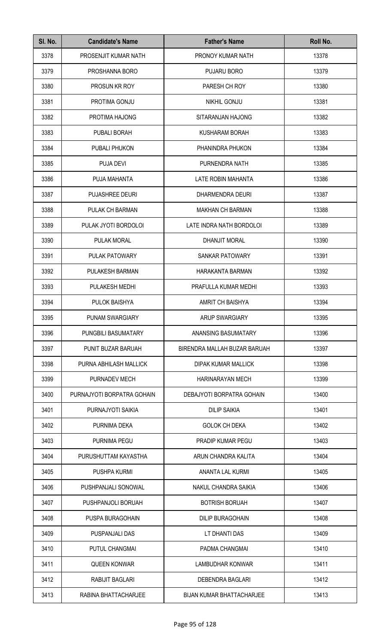| SI. No. | <b>Candidate's Name</b>    | <b>Father's Name</b>             | Roll No. |
|---------|----------------------------|----------------------------------|----------|
| 3378    | PROSENJIT KUMAR NATH       | PRONOY KUMAR NATH                | 13378    |
| 3379    | PROSHANNA BORO             | PUJARU BORO                      | 13379    |
| 3380    | <b>PROSUN KR ROY</b>       | PARESH CH ROY                    | 13380    |
| 3381    | PROTIMA GONJU              | NIKHIL GONJU                     | 13381    |
| 3382    | PROTIMA HAJONG             | SITARANJAN HAJONG                | 13382    |
| 3383    | PUBALI BORAH               | KUSHARAM BORAH                   | 13383    |
| 3384    | PUBALI PHUKON              | PHANINDRA PHUKON                 | 13384    |
| 3385    | <b>PUJA DEVI</b>           | PURNENDRA NATH                   | 13385    |
| 3386    | PUJA MAHANTA               | LATE ROBIN MAHANTA               | 13386    |
| 3387    | PUJASHREE DEURI            | DHARMENDRA DEURI                 | 13387    |
| 3388    | PULAK CH BARMAN            | <b>MAKHAN CH BARMAN</b>          | 13388    |
| 3389    | PULAK JYOTI BORDOLOI       | LATE INDRA NATH BORDOLOI         | 13389    |
| 3390    | PULAK MORAL                | DHANJIT MORAL                    | 13390    |
| 3391    | PULAK PATOWARY             | SANKAR PATOWARY                  | 13391    |
| 3392    | PULAKESH BARMAN            | HARAKANTA BARMAN                 | 13392    |
| 3393    | PULAKESH MEDHI             | PRAFULLA KUMAR MEDHI             | 13393    |
| 3394    | PULOK BAISHYA              | AMRIT CH BAISHYA                 | 13394    |
| 3395    | PUNAM SWARGIARY            | <b>ARUP SWARGIARY</b>            | 13395    |
| 3396    | PUNGBILI BASUMATARY        | ANANSING BASUMATARY              | 13396    |
| 3397    | PUNIT BUZAR BARUAH         | BIRENDRA MALLAH BUZAR BARUAH     | 13397    |
| 3398    | PURNA ABHILASH MALLICK     | DIPAK KUMAR MALLICK              | 13398    |
| 3399    | PURNADEV MECH              | HARINARAYAN MECH                 | 13399    |
| 3400    | PURNAJYOTI BORPATRA GOHAIN | DEBAJYOTI BORPATRA GOHAIN        | 13400    |
| 3401    | PURNAJYOTI SAIKIA          | <b>DILIP SAIKIA</b>              | 13401    |
| 3402    | PURNIMA DEKA               | <b>GOLOK CH DEKA</b>             | 13402    |
| 3403    | PURNIMA PEGU               | PRADIP KUMAR PEGU                | 13403    |
| 3404    | PURUSHUTTAM KAYASTHA       | ARUN CHANDRA KALITA              | 13404    |
| 3405    | PUSHPA KURMI               | ANANTA LAL KURMI                 | 13405    |
| 3406    | PUSHPANJALI SONOWAL        | NAKUL CHANDRA SAIKIA             | 13406    |
| 3407    | PUSHPANJOLI BORUAH         | <b>BOTRISH BORUAH</b>            | 13407    |
| 3408    | PUSPA BURAGOHAIN           | <b>DILIP BURAGOHAIN</b>          | 13408    |
| 3409    | PUSPANJALI DAS             | LT DHANTI DAS                    | 13409    |
| 3410    | PUTUL CHANGMAI             | PADMA CHANGMAI                   | 13410    |
| 3411    | <b>QUEEN KONWAR</b>        | LAMBUDHAR KONWAR                 | 13411    |
| 3412    | RABIJIT BAGLARI            | DEBENDRA BAGLARI                 | 13412    |
| 3413    | RABINA BHATTACHARJEE       | <b>BIJAN KUMAR BHATTACHARJEE</b> | 13413    |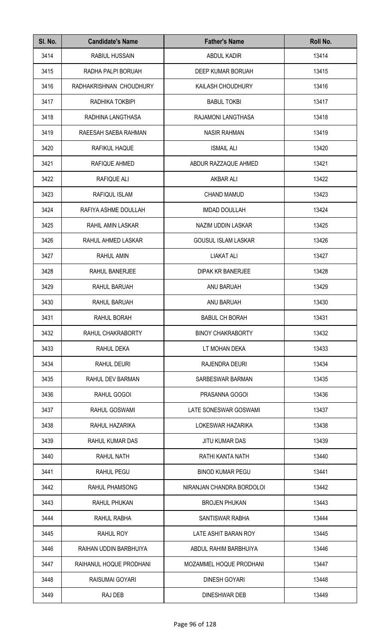| SI. No. | <b>Candidate's Name</b> | <b>Father's Name</b>       | Roll No. |
|---------|-------------------------|----------------------------|----------|
| 3414    | <b>RABIUL HUSSAIN</b>   | ABDUL KADIR                | 13414    |
| 3415    | RADHA PALPI BORUAH      | DEEP KUMAR BORUAH          | 13415    |
| 3416    | RADHAKRISHNAN CHOUDHURY | KAILASH CHOUDHURY          | 13416    |
| 3417    | RADHIKA TOKBIPI         | <b>BABUL TOKBI</b>         | 13417    |
| 3418    | RADHINA LANGTHASA       | RAJAMONI LANGTHASA         | 13418    |
| 3419    | RAEESAH SAEBA RAHMAN    | <b>NASIR RAHMAN</b>        | 13419    |
| 3420    | RAFIKUL HAQUE           | <b>ISMAIL ALI</b>          | 13420    |
| 3421    | RAFIQUE AHMED           | ABDUR RAZZAQUE AHMED       | 13421    |
| 3422    | <b>RAFIQUE ALI</b>      | <b>AKBAR ALI</b>           | 13422    |
| 3423    | RAFIQUL ISLAM           | <b>CHAND MAMUD</b>         | 13423    |
| 3424    | RAFIYA ASHME DOULLAH    | <b>IMDAD DOULLAH</b>       | 13424    |
| 3425    | RAHIL AMIN LASKAR       | NAZIM UDDIN LASKAR         | 13425    |
| 3426    | RAHUL AHMED LASKAR      | <b>GOUSUL ISLAM LASKAR</b> | 13426    |
| 3427    | RAHUL AMIN              | <b>LIAKAT ALI</b>          | 13427    |
| 3428    | RAHUL BANERJEE          | DIPAK KR BANERJEE          | 13428    |
| 3429    | RAHUL BARUAH            | ANU BARUAH                 | 13429    |
| 3430    | RAHUL BARUAH            | ANU BARUAH                 | 13430    |
| 3431    | RAHUL BORAH             | <b>BABUL CH BORAH</b>      | 13431    |
| 3432    | RAHUL CHAKRABORTY       | <b>BINOY CHAKRABORTY</b>   | 13432    |
| 3433    | RAHUL DEKA              | LT MOHAN DEKA              | 13433    |
| 3434    | RAHUL DEURI             | RAJENDRA DEURI             | 13434    |
| 3435    | RAHUL DEV BARMAN        | SARBESWAR BARMAN           | 13435    |
| 3436    | RAHUL GOGOI             | PRASANNA GOGOI             | 13436    |
| 3437    | RAHUL GOSWAMI           | LATE SONESWAR GOSWAMI      | 13437    |
| 3438    | RAHUL HAZARIKA          | LOKESWAR HAZARIKA          | 13438    |
| 3439    | RAHUL KUMAR DAS         | <b>JITU KUMAR DAS</b>      | 13439    |
| 3440    | RAHUL NATH              | RATHI KANTA NATH           | 13440    |
| 3441    | <b>RAHUL PEGU</b>       | <b>BINOD KUMAR PEGU</b>    | 13441    |
| 3442    | <b>RAHUL PHAMSONG</b>   | NIRANJAN CHANDRA BORDOLOI  | 13442    |
| 3443    | RAHUL PHUKAN            | <b>BROJEN PHUKAN</b>       | 13443    |
| 3444    | RAHUL RABHA             | SANTISWAR RABHA            | 13444    |
| 3445    | RAHUL ROY               | LATE ASHIT BARAN ROY       | 13445    |
| 3446    | RAIHAN UDDIN BARBHUIYA  | ABDUL RAHIM BARBHUIYA      | 13446    |
| 3447    | RAIHANUL HOQUE PRODHANI | MOZAMMEL HOQUE PRODHANI    | 13447    |
| 3448    | RAISUMAI GOYARI         | <b>DINESH GOYARI</b>       | 13448    |
| 3449    | RAJ DEB                 | DINESHWAR DEB              | 13449    |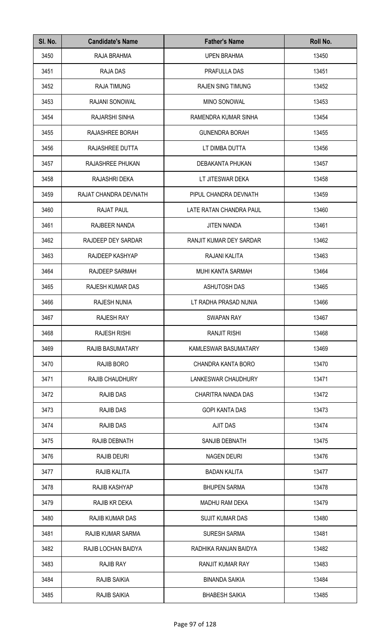| SI. No. | <b>Candidate's Name</b>  | <b>Father's Name</b>       | Roll No. |
|---------|--------------------------|----------------------------|----------|
| 3450    | RAJA BRAHMA              | <b>UPEN BRAHMA</b>         | 13450    |
| 3451    | <b>RAJA DAS</b>          | PRAFULLA DAS               | 13451    |
| 3452    | <b>RAJA TIMUNG</b>       | <b>RAJEN SING TIMUNG</b>   | 13452    |
| 3453    | <b>RAJANI SONOWAL</b>    | MINO SONOWAL               | 13453    |
| 3454    | RAJARSHI SINHA           | RAMENDRA KUMAR SINHA       | 13454    |
| 3455    | RAJASHREE BORAH          | <b>GUNENDRA BORAH</b>      | 13455    |
| 3456    | RAJASHREE DUTTA          | LT DIMBA DUTTA             | 13456    |
| 3457    | RAJASHREE PHUKAN         | DEBAKANTA PHUKAN           | 13457    |
| 3458    | RAJASHRI DEKA            | LT JITESWAR DEKA           | 13458    |
| 3459    | RAJAT CHANDRA DEVNATH    | PIPUL CHANDRA DEVNATH      | 13459    |
| 3460    | <b>RAJAT PAUL</b>        | LATE RATAN CHANDRA PAUL    | 13460    |
| 3461    | RAJBEER NANDA            | <b>JITEN NANDA</b>         | 13461    |
| 3462    | RAJDEEP DEY SARDAR       | RANJIT KUMAR DEY SARDAR    | 13462    |
| 3463    | RAJDEEP KASHYAP          | RAJANI KALITA              | 13463    |
| 3464    | RAJDEEP SARMAH           | <b>MUHI KANTA SARMAH</b>   | 13464    |
| 3465    | RAJESH KUMAR DAS         | <b>ASHUTOSH DAS</b>        | 13465    |
| 3466    | RAJESH NUNIA             | LT RADHA PRASAD NUNIA      | 13466    |
| 3467    | RAJESH RAY               | SWAPAN RAY                 | 13467    |
| 3468    | <b>RAJESH RISHI</b>      | RANJIT RISHI               | 13468    |
| 3469    | <b>RAJIB BASUMATARY</b>  | KAMLESWAR BASUMATARY       | 13469    |
| 3470    | RAJIB BORO               | CHANDRA KANTA BORO         | 13470    |
| 3471    | <b>RAJIB CHAUDHURY</b>   | <b>LANKESWAR CHAUDHURY</b> | 13471    |
| 3472    | <b>RAJIB DAS</b>         | CHARITRA NANDA DAS         | 13472    |
| 3473    | <b>RAJIB DAS</b>         | <b>GOPI KANTA DAS</b>      | 13473    |
| 3474    | <b>RAJIB DAS</b>         | <b>AJIT DAS</b>            | 13474    |
| 3475    | RAJIB DEBNATH            | SANJIB DEBNATH             | 13475    |
| 3476    | <b>RAJIB DEURI</b>       | <b>NAGEN DEURI</b>         | 13476    |
| 3477    | RAJIB KALITA             | <b>BADAN KALITA</b>        | 13477    |
| 3478    | <b>RAJIB KASHYAP</b>     | <b>BHUPEN SARMA</b>        | 13478    |
| 3479    | RAJIB KR DEKA            | <b>MADHU RAM DEKA</b>      | 13479    |
| 3480    | <b>RAJIB KUMAR DAS</b>   | <b>SUJIT KUMAR DAS</b>     | 13480    |
| 3481    | <b>RAJIB KUMAR SARMA</b> | <b>SURESH SARMA</b>        | 13481    |
| 3482    | RAJIB LOCHAN BAIDYA      | RADHIKA RANJAN BAIDYA      | 13482    |
| 3483    | <b>RAJIB RAY</b>         | <b>RANJIT KUMAR RAY</b>    | 13483    |
| 3484    | RAJIB SAIKIA             | <b>BINANDA SAIKIA</b>      | 13484    |
| 3485    | <b>RAJIB SAIKIA</b>      | <b>BHABESH SAIKIA</b>      | 13485    |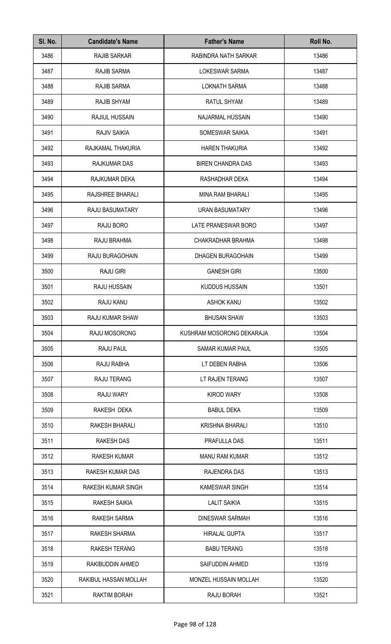| SI. No. | <b>Candidate's Name</b> | <b>Father's Name</b>      | Roll No. |
|---------|-------------------------|---------------------------|----------|
| 3486    | <b>RAJIB SARKAR</b>     | RABINDRA NATH SARKAR      | 13486    |
| 3487    | RAJIB SARMA             | <b>LOKESWAR SARMA</b>     | 13487    |
| 3488    | RAJIB SARMA             | <b>LOKNATH SARMA</b>      | 13488    |
| 3489    | RAJIB SHYAM             | RATUL SHYAM               | 13489    |
| 3490    | <b>RAJIUL HUSSAIN</b>   | NAJARMAL HUSSAIN          | 13490    |
| 3491    | RAJIV SAIKIA            | SOMESWAR SAIKIA           | 13491    |
| 3492    | RAJKAMAL THAKURIA       | <b>HAREN THAKURIA</b>     | 13492    |
| 3493    | RAJKUMAR DAS            | <b>BIREN CHANDRA DAS</b>  | 13493    |
| 3494    | RAJKUMAR DEKA           | RASHADHAR DEKA            | 13494    |
| 3495    | RAJSHREE BHARALI        | <b>MINA RAM BHARALI</b>   | 13495    |
| 3496    | <b>RAJU BASUMATARY</b>  | URAN BASUMATARY           | 13496    |
| 3497    | RAJU BORO               | LATE PRANESWAR BORO       | 13497    |
| 3498    | RAJU BRAHMA             | CHAKRADHAR BRAHMA         | 13498    |
| 3499    | RAJU BURAGOHAIN         | DHAGEN BURAGOHAIN         | 13499    |
| 3500    | <b>RAJU GIRI</b>        | <b>GANESH GIRI</b>        | 13500    |
| 3501    | RAJU HUSSAIN            | <b>KUDDUS HUSSAIN</b>     | 13501    |
| 3502    | RAJU KANU               | <b>ASHOK KANU</b>         | 13502    |
| 3503    | RAJU KUMAR SHAW         | <b>BHUSAN SHAW</b>        | 13503    |
| 3504    | RAJU MOSORONG           | KUSHRAM MOSORONG DEKARAJA | 13504    |
| 3505    | RAJU PAUL               | <b>SAMAR KUMAR PAUL</b>   | 13505    |
| 3506    | RAJU RABHA              | LT DEBEN RABHA            | 13506    |
| 3507    | <b>RAJU TERANG</b>      | LT RAJEN TERANG           | 13507    |
| 3508    | <b>RAJU WARY</b>        | <b>KIROD WARY</b>         | 13508    |
| 3509    | RAKESH DEKA             | <b>BABUL DEKA</b>         | 13509    |
| 3510    | RAKESH BHARALI          | <b>KRISHNA BHARALI</b>    | 13510    |
| 3511    | <b>RAKESH DAS</b>       | PRAFULLA DAS              | 13511    |
| 3512    | <b>RAKESH KUMAR</b>     | <b>MANU RAM KUMAR</b>     | 13512    |
| 3513    | RAKESH KUMAR DAS        | RAJENDRA DAS              | 13513    |
| 3514    | RAKESH KUMAR SINGH      | <b>KAMESWAR SINGH</b>     | 13514    |
| 3515    | <b>RAKESH SAIKIA</b>    | <b>LALIT SAIKIA</b>       | 13515    |
| 3516    | RAKESH SARMA            | <b>DINESWAR SARMAH</b>    | 13516    |
| 3517    | RAKESH SHARMA           | <b>HIRALAL GUPTA</b>      | 13517    |
| 3518    | <b>RAKESH TERANG</b>    | <b>BABU TERANG</b>        | 13518    |
| 3519    | RAKIBUDDIN AHMED        | SAIFUDDIN AHMED           | 13519    |
| 3520    | RAKIBUL HASSAN MOLLAH   | MONZEL HUSSAIN MOLLAH     | 13520    |
| 3521    | RAKTIM BORAH            | RAJU BORAH                | 13521    |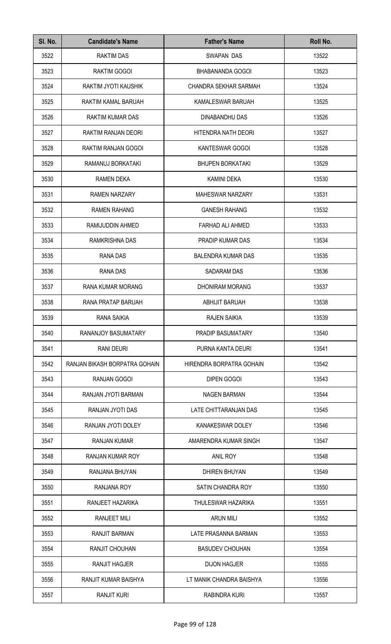| SI. No. | <b>Candidate's Name</b>       | <b>Father's Name</b>      | Roll No. |
|---------|-------------------------------|---------------------------|----------|
| 3522    | <b>RAKTIM DAS</b>             | <b>SWAPAN DAS</b>         | 13522    |
| 3523    | RAKTIM GOGOI                  | BHABANANDA GOGOI          | 13523    |
| 3524    | RAKTIM JYOTI KAUSHIK          | CHANDRA SEKHAR SARMAH     | 13524    |
| 3525    | RAKTIM KAMAL BARUAH           | KAMALESWAR BARUAH         | 13525    |
| 3526    | <b>RAKTIM KUMAR DAS</b>       | DINABANDHU DAS            | 13526    |
| 3527    | RAKTIM RANJAN DEORI           | HITENDRA NATH DEORI       | 13527    |
| 3528    | RAKTIM RANJAN GOGOI           | KANTESWAR GOGOI           | 13528    |
| 3529    | RAMANUJ BORKATAKI             | <b>BHUPEN BORKATAKI</b>   | 13529    |
| 3530    | <b>RAMEN DEKA</b>             | <b>KAMINI DEKA</b>        | 13530    |
| 3531    | <b>RAMEN NARZARY</b>          | <b>MAHESWAR NARZARY</b>   | 13531    |
| 3532    | <b>RAMEN RAHANG</b>           | <b>GANESH RAHANG</b>      | 13532    |
| 3533    | RAMIJUDDIN AHMED              | FARHAD ALI AHMED          | 13533    |
| 3534    | RAMKRISHNA DAS                | PRADIP KUMAR DAS          | 13534    |
| 3535    | RANA DAS                      | <b>BALENDRA KUMAR DAS</b> | 13535    |
| 3536    | RANA DAS                      | SADARAM DAS               | 13536    |
| 3537    | RANA KUMAR MORANG             | <b>DHONIRAM MORANG</b>    | 13537    |
| 3538    | RANA PRATAP BARUAH            | <b>ABHIJIT BARUAH</b>     | 13538    |
| 3539    | RANA SAIKIA                   | <b>RAJEN SAIKIA</b>       | 13539    |
| 3540    | RANANJOY BASUMATARY           | PRADIP BASUMATARY         | 13540    |
| 3541    | <b>RANI DEURI</b>             | PURNA KANTA DEURI         | 13541    |
| 3542    | RANJAN BIKASH BORPATRA GOHAIN | HIRENDRA BORPATRA GOHAIN  | 13542    |
| 3543    | RANJAN GOGOI                  | <b>DIPEN GOGOI</b>        | 13543    |
| 3544    | RANJAN JYOTI BARMAN           | <b>NAGEN BARMAN</b>       | 13544    |
| 3545    | RANJAN JYOTI DAS              | LATE CHITTARANJAN DAS     | 13545    |
| 3546    | RANJAN JYOTI DOLEY            | KANAKESWAR DOLEY          | 13546    |
| 3547    | <b>RANJAN KUMAR</b>           | AMARENDRA KUMAR SINGH     | 13547    |
| 3548    | RANJAN KUMAR ROY              | <b>ANIL ROY</b>           | 13548    |
| 3549    | RANJANA BHUYAN                | <b>DHIREN BHUYAN</b>      | 13549    |
| 3550    | RANJANA ROY                   | SATIN CHANDRA ROY         | 13550    |
| 3551    | RANJEET HAZARIKA              | THULESWAR HAZARIKA        | 13551    |
| 3552    | RANJEET MILI                  | <b>ARUN MILI</b>          | 13552    |
| 3553    | <b>RANJIT BARMAN</b>          | LATE PRASANNA BARMAN      | 13553    |
| 3554    | RANJIT CHOUHAN                | <b>BASUDEV CHOUHAN</b>    | 13554    |
| 3555    | <b>RANJIT HAGJER</b>          | <b>DIJON HAGJER</b>       | 13555    |
| 3556    | RANJIT KUMAR BAISHYA          | LT MANIK CHANDRA BAISHYA  | 13556    |
| 3557    | <b>RANJIT KURI</b>            | RABINDRA KURI             | 13557    |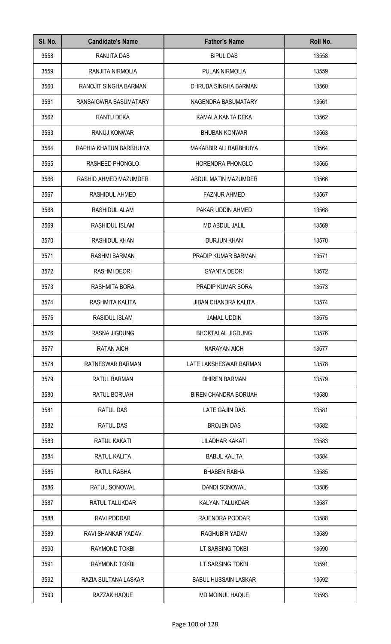| SI. No. | <b>Candidate's Name</b>   | <b>Father's Name</b>        | Roll No. |
|---------|---------------------------|-----------------------------|----------|
| 3558    | RANJITA DAS               | <b>BIPUL DAS</b>            | 13558    |
| 3559    | RANJITA NIRMOLIA          | PULAK NIRMOLIA              | 13559    |
| 3560    | RANOJIT SINGHA BARMAN     | DHRUBA SINGHA BARMAN        | 13560    |
| 3561    | RANSAIGWRA BASUMATARY     | NAGENDRA BASUMATARY         | 13561    |
| 3562    | <b>RANTU DEKA</b>         | KAMALA KANTA DEKA           | 13562    |
| 3563    | RANUJ KONWAR              | <b>BHUBAN KONWAR</b>        | 13563    |
| 3564    | RAPHIA KHATUN BARBHUIYA   | MAKABBIR ALI BARBHUIYA      | 13564    |
| 3565    | RASHEED PHONGLO           | <b>HORENDRA PHONGLO</b>     | 13565    |
| 3566    | RASHID AHMED MAZUMDER     | ABDUL MATIN MAZUMDER        | 13566    |
| 3567    | RASHIDUL AHMED            | <b>FAZNUR AHMED</b>         | 13567    |
| 3568    | RASHIDUL ALAM             | PAKAR UDDIN AHMED           | 13568    |
| 3569    | RASHIDUL ISLAM            | <b>MD ABDUL JALIL</b>       | 13569    |
| 3570    | RASHIDUL KHAN             | <b>DURJUN KHAN</b>          | 13570    |
| 3571    | RASHMI BARMAN             | PRADIP KUMAR BARMAN         | 13571    |
| 3572    | <b>RASHMI DEORI</b>       | <b>GYANTA DEORI</b>         | 13572    |
| 3573    | RASHMITA BORA             | PRADIP KUMAR BORA           | 13573    |
| 3574    | RASHMITA KALITA           | <b>JIBAN CHANDRA KALITA</b> | 13574    |
| 3575    | RASIDUL ISLAM             | JAMAL UDDIN                 | 13575    |
| 3576    | <b>RASNA JIGDUNG</b>      | <b>BHOKTALAL JIGDUNG</b>    | 13576    |
| 3577    | <b>RATAN AICH</b>         | <b>NARAYAN AICH</b>         | 13577    |
| 3578    | RATNESWAR BARMAN          | LATE LAKSHESWAR BARMAN      | 13578    |
| 3579    | <b>RATUL BARMAN</b>       | <b>DHIREN BARMAN</b>        | 13579    |
| 3580    | RATUL BORUAH              | <b>BIREN CHANDRA BORUAH</b> | 13580    |
| 3581    | RATUL DAS                 | LATE GAJIN DAS              | 13581    |
| 3582    | RATUL DAS                 | <b>BROJEN DAS</b>           | 13582    |
| 3583    | RATUL KAKATI              | LILADHAR KAKATI             | 13583    |
| 3584    | RATUL KALITA              | <b>BABUL KALITA</b>         | 13584    |
| 3585    | RATUL RABHA               | <b>BHABEN RABHA</b>         | 13585    |
| 3586    | RATUL SONOWAL             | <b>DANDI SONOWAL</b>        | 13586    |
| 3587    | RATUL TALUKDAR            | KALYAN TALUKDAR             | 13587    |
| 3588    | RAVI PODDAR               | RAJENDRA PODDAR             | 13588    |
| 3589    | <b>RAVI SHANKAR YADAV</b> | RAGHUBIR YADAV              | 13589    |
| 3590    | RAYMOND TOKBI             | LT SARSING TOKBI            | 13590    |
| 3591    | RAYMOND TOKBI             | LT SARSING TOKBI            | 13591    |
| 3592    | RAZIA SULTANA LASKAR      | <b>BABUL HUSSAIN LASKAR</b> | 13592    |
| 3593    | RAZZAK HAQUE              | MD MOINUL HAQUE             | 13593    |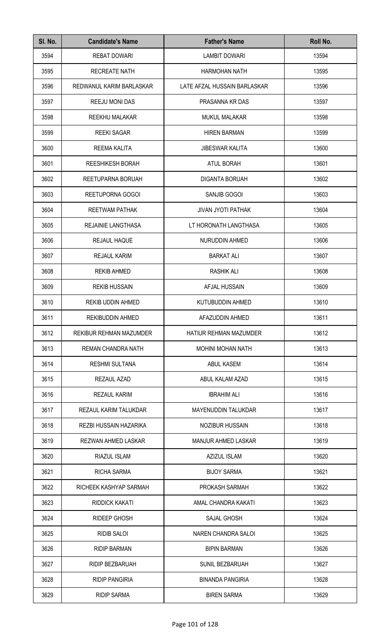| SI. No. | <b>Candidate's Name</b>   | <b>Father's Name</b>         | Roll No. |
|---------|---------------------------|------------------------------|----------|
| 3594    | <b>REBAT DOWARI</b>       | <b>LAMBIT DOWARI</b>         | 13594    |
| 3595    | <b>RECREATE NATH</b>      | <b>HARMOHAN NATH</b>         | 13595    |
| 3596    | REDWANUL KARIM BARLASKAR  | LATE AFZAL HUSSAIN BARLASKAR | 13596    |
| 3597    | REEJU MONI DAS            | PRASANNA KR DAS              | 13597    |
| 3598    | REEKHU MALAKAR            | <b>MUKUL MALAKAR</b>         | 13598    |
| 3599    | <b>REEKI SAGAR</b>        | <b>HIREN BARMAN</b>          | 13599    |
| 3600    | <b>REEMA KALITA</b>       | <b>JIBESWAR KALITA</b>       | 13600    |
| 3601    | <b>REESHIKESH BORAH</b>   | <b>ATUL BORAH</b>            | 13601    |
| 3602    | REETUPARNA BORUAH         | <b>DIGANTA BORUAH</b>        | 13602    |
| 3603    | REETUPORNA GOGOI          | SANJIB GOGOI                 | 13603    |
| 3604    | <b>REETWAM PATHAK</b>     | <b>JIVAN JYOTI PATHAK</b>    | 13604    |
| 3605    | <b>REJAINIE LANGTHASA</b> | LT HORONATH LANGTHASA        | 13605    |
| 3606    | REJAUL HAQUE              | NURUDDIN AHMED               | 13606    |
| 3607    | <b>REJAUL KARIM</b>       | <b>BARKAT ALI</b>            | 13607    |
| 3608    | <b>REKIB AHMED</b>        | <b>RASHIK ALI</b>            | 13608    |
| 3609    | <b>REKIB HUSSAIN</b>      | AFJAL HUSSAIN                | 13609    |
| 3610    | <b>REKIB UDDIN AHMED</b>  | KUTUBUDDIN AHMED             | 13610    |
| 3611    | REKIBUDDIN AHMED          | AFAZUDDIN AHMED              | 13611    |
| 3612    | REKIBUR REHMAN MAZUMDER   | HATIUR REHMAN MAZUMDER       | 13612    |
| 3613    | REMAN CHANDRA NATH        | <b>MOHINI MOHAN NATH</b>     | 13613    |
| 3614    | <b>RESHMI SULTANA</b>     | <b>ABUL KASEM</b>            | 13614    |
| 3615    | REZAUL AZAD               | ABUL KALAM AZAD              | 13615    |
| 3616    | <b>REZAUL KARIM</b>       | <b>IBRAHIM ALI</b>           | 13616    |
| 3617    | REZAUL KARIM TALUKDAR     | <b>MAYENUDDIN TALUKDAR</b>   | 13617    |
| 3618    | REZBI HUSSAIN HAZARIKA    | <b>NOZIBUR HUSSAIN</b>       | 13618    |
| 3619    | REZWAN AHMED LASKAR       | <b>MANJUR AHMED LASKAR</b>   | 13619    |
| 3620    | RIAZUL ISLAM              | AZIZUL ISLAM                 | 13620    |
| 3621    | RICHA SARMA               | <b>BIJOY SARMA</b>           | 13621    |
| 3622    | RICHEEK KASHYAP SARMAH    | PROKASH SARMAH               | 13622    |
| 3623    | RIDDICK KAKATI            | AMAL CHANDRA KAKATI          | 13623    |
| 3624    | RIDEEP GHOSH              | <b>SAJAL GHOSH</b>           | 13624    |
| 3625    | <b>RIDIB SALOI</b>        | <b>NAREN CHANDRA SALOI</b>   | 13625    |
| 3626    | <b>RIDIP BARMAN</b>       | <b>BIPIN BARMAN</b>          | 13626    |
| 3627    | RIDIP BEZBARUAH           | <b>SUNIL BEZBARUAH</b>       | 13627    |
| 3628    | <b>RIDIP PANGIRIA</b>     | <b>BINANDA PANGIRIA</b>      | 13628    |
| 3629    | <b>RIDIP SARMA</b>        | <b>BIREN SARMA</b>           | 13629    |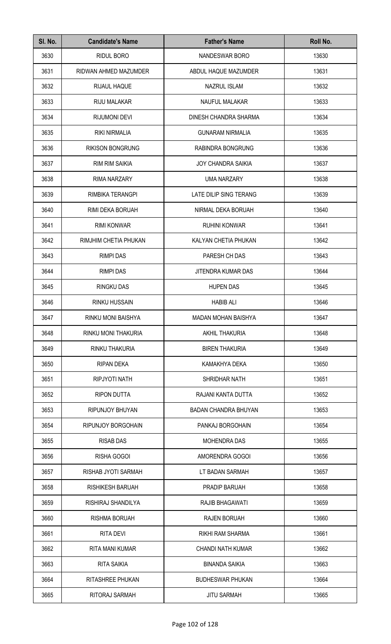| SI. No. | <b>Candidate's Name</b> | <b>Father's Name</b>        | Roll No. |
|---------|-------------------------|-----------------------------|----------|
| 3630    | RIDUL BORO              | <b>NANDESWAR BORO</b>       | 13630    |
| 3631    | RIDWAN AHMED MAZUMDER   | ABDUL HAQUE MAZUMDER        | 13631    |
| 3632    | <b>RIJAUL HAQUE</b>     | <b>NAZRUL ISLAM</b>         | 13632    |
| 3633    | RIJU MALAKAR            | NAUFUL MALAKAR              | 13633    |
| 3634    | <b>RIJUMONI DEVI</b>    | DINESH CHANDRA SHARMA       | 13634    |
| 3635    | <b>RIKI NIRMALIA</b>    | <b>GUNARAM NIRMALIA</b>     | 13635    |
| 3636    | <b>RIKISON BONGRUNG</b> | RABINDRA BONGRUNG           | 13636    |
| 3637    | <b>RIM RIM SAIKIA</b>   | <b>JOY CHANDRA SAIKIA</b>   | 13637    |
| 3638    | RIMA NARZARY            | <b>UMA NARZARY</b>          | 13638    |
| 3639    | RIMBIKA TERANGPI        | LATE DILIP SING TERANG      | 13639    |
| 3640    | RIMI DEKA BORUAH        | NIRMAL DEKA BORUAH          | 13640    |
| 3641    | <b>RIMI KONWAR</b>      | <b>RUHINI KONWAR</b>        | 13641    |
| 3642    | RIMJHIM CHETIA PHUKAN   | KALYAN CHETIA PHUKAN        | 13642    |
| 3643    | <b>RIMPI DAS</b>        | PARESH CH DAS               | 13643    |
| 3644    | <b>RIMPI DAS</b>        | JITENDRA KUMAR DAS          | 13644    |
| 3645    | <b>RINGKU DAS</b>       | <b>HUPEN DAS</b>            | 13645    |
| 3646    | <b>RINKU HUSSAIN</b>    | <b>HABIB ALI</b>            | 13646    |
| 3647    | RINKU MONI BAISHYA      | MADAN MOHAN BAISHYA         | 13647    |
| 3648    | RINKU MONI THAKURIA     | <b>AKHIL THAKURIA</b>       | 13648    |
| 3649    | RINKU THAKURIA          | <b>BIREN THAKURIA</b>       | 13649    |
| 3650    | <b>RIPAN DEKA</b>       | KAMAKHYA DEKA               | 13650    |
| 3651    | RIPJYOTI NATH           | <b>SHRIDHAR NATH</b>        | 13651    |
| 3652    | <b>RIPON DUTTA</b>      | RAJANI KANTA DUTTA          | 13652    |
| 3653    | RIPUNJOY BHUYAN         | <b>BADAN CHANDRA BHUYAN</b> | 13653    |
| 3654    | RIPUNJOY BORGOHAIN      | PANKAJ BORGOHAIN            | 13654    |
| 3655    | <b>RISAB DAS</b>        | <b>MOHENDRA DAS</b>         | 13655    |
| 3656    | RISHA GOGOI             | AMORENDRA GOGOI             | 13656    |
| 3657    | RISHAB JYOTI SARMAH     | LT BADAN SARMAH             | 13657    |
| 3658    | <b>RISHIKESH BARUAH</b> | PRADIP BARUAH               | 13658    |
| 3659    | RISHIRAJ SHANDILYA      | RAJIB BHAGAWATI             | 13659    |
| 3660    | <b>RISHMA BORUAH</b>    | <b>RAJEN BORUAH</b>         | 13660    |
| 3661    | <b>RITA DEVI</b>        | RIKHI RAM SHARMA            | 13661    |
| 3662    | RITA MANI KUMAR         | <b>CHANDI NATH KUMAR</b>    | 13662    |
| 3663    | <b>RITA SAIKIA</b>      | <b>BINANDA SAIKIA</b>       | 13663    |
| 3664    | RITASHREE PHUKAN        | <b>BUDHESWAR PHUKAN</b>     | 13664    |
| 3665    | RITORAJ SARMAH          | <b>JITU SARMAH</b>          | 13665    |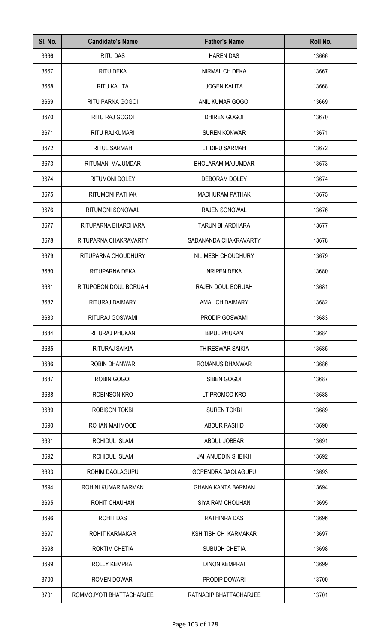| SI. No. | <b>Candidate's Name</b>  | <b>Father's Name</b>      | Roll No. |
|---------|--------------------------|---------------------------|----------|
| 3666    | <b>RITU DAS</b>          | <b>HAREN DAS</b>          | 13666    |
| 3667    | RITU DEKA                | NIRMAL CH DEKA            | 13667    |
| 3668    | RITU KALITA              | <b>JOGEN KALITA</b>       | 13668    |
| 3669    | RITU PARNA GOGOI         | ANIL KUMAR GOGOI          | 13669    |
| 3670    | RITU RAJ GOGOI           | DHIREN GOGOI              | 13670    |
| 3671    | RITU RAJKUMARI           | <b>SUREN KONWAR</b>       | 13671    |
| 3672    | <b>RITUL SARMAH</b>      | LT DIPU SARMAH            | 13672    |
| 3673    | RITUMANI MAJUMDAR        | <b>BHOLARAM MAJUMDAR</b>  | 13673    |
| 3674    | RITUMONI DOLEY           | DEBORAM DOLEY             | 13674    |
| 3675    | <b>RITUMONI PATHAK</b>   | <b>MADHURAM PATHAK</b>    | 13675    |
| 3676    | RITUMONI SONOWAL         | <b>RAJEN SONOWAL</b>      | 13676    |
| 3677    | RITUPARNA BHARDHARA      | <b>TARUN BHARDHARA</b>    | 13677    |
| 3678    | RITUPARNA CHAKRAVARTY    | SADANANDA CHAKRAVARTY     | 13678    |
| 3679    | RITUPARNA CHOUDHURY      | NILIMESH CHOUDHURY        | 13679    |
| 3680    | RITUPARNA DEKA           | NRIPEN DEKA               | 13680    |
| 3681    | RITUPOBON DOUL BORUAH    | RAJEN DOUL BORUAH         | 13681    |
| 3682    | RITURAJ DAIMARY          | AMAL CH DAIMARY           | 13682    |
| 3683    | RITURAJ GOSWAMI          | PRODIP GOSWAMI            | 13683    |
| 3684    | RITURAJ PHUKAN           | <b>BIPUL PHUKAN</b>       | 13684    |
| 3685    | RITURAJ SAIKIA           | THIRESWAR SAIKIA          | 13685    |
| 3686    | <b>ROBIN DHANWAR</b>     | ROMANUS DHANWAR           | 13686    |
| 3687    | ROBIN GOGOI              | SIBEN GOGOI               | 13687    |
| 3688    | <b>ROBINSON KRO</b>      | LT PROMOD KRO             | 13688    |
| 3689    | <b>ROBISON TOKBI</b>     | <b>SUREN TOKBI</b>        | 13689    |
| 3690    | ROHAN MAHMOOD            | ABDUR RASHID              | 13690    |
| 3691    | ROHIDUL ISLAM            | ABDUL JOBBAR              | 13691    |
| 3692    | ROHIDUL ISLAM            | <b>JAHANUDDIN SHEIKH</b>  | 13692    |
| 3693    | ROHIM DAOLAGUPU          | GOPENDRA DAOLAGUPU        | 13693    |
| 3694    | ROHINI KUMAR BARMAN      | <b>GHANA KANTA BARMAN</b> | 13694    |
| 3695    | ROHIT CHAUHAN            | SIYA RAM CHOUHAN          | 13695    |
| 3696    | ROHIT DAS                | RATHINRA DAS              | 13696    |
| 3697    | ROHIT KARMAKAR           | KSHITISH CH KARMAKAR      | 13697    |
| 3698    | <b>ROKTIM CHETIA</b>     | SUBUDH CHETIA             | 13698    |
| 3699    | <b>ROLLY KEMPRAI</b>     | <b>DINON KEMPRAI</b>      | 13699    |
| 3700    | ROMEN DOWARI             | PRODIP DOWARI             | 13700    |
| 3701    | ROMMOJYOTI BHATTACHARJEE | RATNADIP BHATTACHARJEE    | 13701    |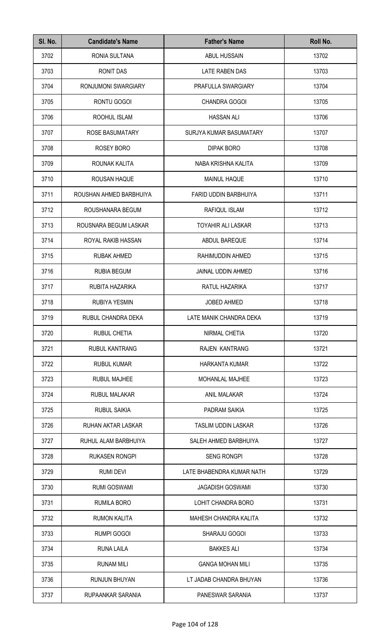| SI. No. | <b>Candidate's Name</b> | <b>Father's Name</b>         | Roll No. |
|---------|-------------------------|------------------------------|----------|
| 3702    | RONIA SULTANA           | ABUL HUSSAIN                 | 13702    |
| 3703    | <b>RONIT DAS</b>        | LATE RABEN DAS               | 13703    |
| 3704    | RONJUMONI SWARGIARY     | PRAFULLA SWARGIARY           | 13704    |
| 3705    | RONTU GOGOI             | <b>CHANDRA GOGOI</b>         | 13705    |
| 3706    | ROOHUL ISLAM            | <b>HASSAN ALI</b>            | 13706    |
| 3707    | <b>ROSE BASUMATARY</b>  | SURJYA KUMAR BASUMATARY      | 13707    |
| 3708    | ROSEY BORO              | <b>DIPAK BORO</b>            | 13708    |
| 3709    | ROUNAK KALITA           | NABA KRISHNA KALITA          | 13709    |
| 3710    | ROUSAN HAQUE            | <b>MAINUL HAQUE</b>          | 13710    |
| 3711    | ROUSHAN AHMED BARBHUIYA | FARID UDDIN BARBHUIYA        | 13711    |
| 3712    | ROUSHANARA BEGUM        | RAFIQUL ISLAM                | 13712    |
| 3713    | ROUSNARA BEGUM LASKAR   | <b>TOYAHIR ALI LASKAR</b>    | 13713    |
| 3714    | ROYAL RAKIB HASSAN      | ABDUL BAREQUE                | 13714    |
| 3715    | <b>RUBAK AHMED</b>      | RAHIMUDDIN AHMED             | 13715    |
| 3716    | <b>RUBIA BEGUM</b>      | JAINAL UDDIN AHMED           | 13716    |
| 3717    | RUBITA HAZARIKA         | RATUL HAZARIKA               | 13717    |
| 3718    | <b>RUBIYA YESMIN</b>    | <b>JOBED AHMED</b>           | 13718    |
| 3719    | RUBUL CHANDRA DEKA      | LATE MANIK CHANDRA DEKA      | 13719    |
| 3720    | <b>RUBUL CHETIA</b>     | NIRMAL CHETIA                | 13720    |
| 3721    | <b>RUBUL KANTRANG</b>   | <b>RAJEN KANTRANG</b>        | 13721    |
| 3722    | <b>RUBUL KUMAR</b>      | <b>HARKANTA KUMAR</b>        | 13722    |
| 3723    | <b>RUBUL MAJHEE</b>     | <b>MOHANLAL MAJHEE</b>       | 13723    |
| 3724    | <b>RUBUL MALAKAR</b>    | <b>ANIL MALAKAR</b>          | 13724    |
| 3725    | <b>RUBUL SAIKIA</b>     | PADRAM SAIKIA                | 13725    |
| 3726    | RUHAN AKTAR LASKAR      | <b>TASLIM UDDIN LASKAR</b>   | 13726    |
| 3727    | RUHUL ALAM BARBHUIYA    | SALEH AHMED BARBHUIYA        | 13727    |
| 3728    | <b>RUKASEN RONGPI</b>   | <b>SENG RONGPI</b>           | 13728    |
| 3729    | <b>RUMI DEVI</b>        | LATE BHABENDRA KUMAR NATH    | 13729    |
| 3730    | <b>RUMI GOSWAMI</b>     | <b>JAGADISH GOSWAMI</b>      | 13730    |
| 3731    | <b>RUMILA BORO</b>      | LOHIT CHANDRA BORO           | 13731    |
| 3732    | <b>RUMON KALITA</b>     | <b>MAHESH CHANDRA KALITA</b> | 13732    |
| 3733    | <b>RUMPI GOGOI</b>      | SHARAJU GOGOI                | 13733    |
| 3734    | <b>RUNA LAILA</b>       | <b>BAKKES ALI</b>            | 13734    |
| 3735    | <b>RUNAM MILI</b>       | <b>GANGA MOHAN MILI</b>      | 13735    |
| 3736    | <b>RUNJUN BHUYAN</b>    | LT JADAB CHANDRA BHUYAN      | 13736    |
| 3737    | RUPAANKAR SARANIA       | PANESWAR SARANIA             | 13737    |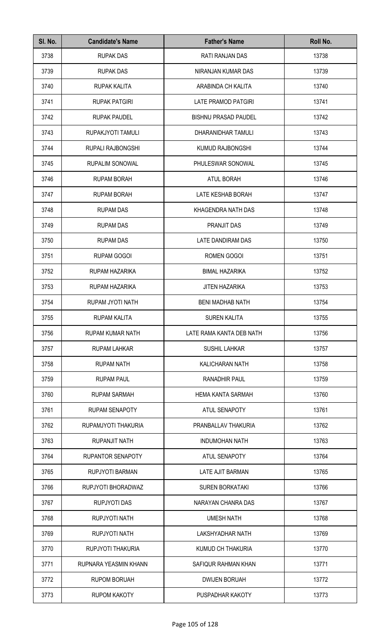| SI. No. | <b>Candidate's Name</b>  | <b>Father's Name</b>        | Roll No. |
|---------|--------------------------|-----------------------------|----------|
| 3738    | <b>RUPAK DAS</b>         | RATI RANJAN DAS             | 13738    |
| 3739    | <b>RUPAK DAS</b>         | NIRANJAN KUMAR DAS          | 13739    |
| 3740    | RUPAK KALITA             | ARABINDA CH KALITA          | 13740    |
| 3741    | <b>RUPAK PATGIRI</b>     | <b>LATE PRAMOD PATGIRI</b>  | 13741    |
| 3742    | <b>RUPAK PAUDEL</b>      | <b>BISHNU PRASAD PAUDEL</b> | 13742    |
| 3743    | RUPAKJYOTI TAMULI        | DHARANIDHAR TAMULI          | 13743    |
| 3744    | RUPALI RAJBONGSHI        | KUMUD RAJBONGSHI            | 13744    |
| 3745    | <b>RUPALIM SONOWAL</b>   | PHULESWAR SONOWAL           | 13745    |
| 3746    | <b>RUPAM BORAH</b>       | <b>ATUL BORAH</b>           | 13746    |
| 3747    | <b>RUPAM BORAH</b>       | LATE KESHAB BORAH           | 13747    |
| 3748    | <b>RUPAM DAS</b>         | KHAGENDRA NATH DAS          | 13748    |
| 3749    | <b>RUPAM DAS</b>         | PRANJIT DAS                 | 13749    |
| 3750    | <b>RUPAM DAS</b>         | LATE DANDIRAM DAS           | 13750    |
| 3751    | <b>RUPAM GOGOI</b>       | ROMEN GOGOI                 | 13751    |
| 3752    | RUPAM HAZARIKA           | <b>BIMAL HAZARIKA</b>       | 13752    |
| 3753    | RUPAM HAZARIKA           | <b>JITEN HAZARIKA</b>       | 13753    |
| 3754    | RUPAM JYOTI NATH         | <b>BENI MADHAB NATH</b>     | 13754    |
| 3755    | RUPAM KALITA             | SUREN KALITA                | 13755    |
| 3756    | <b>RUPAM KUMAR NATH</b>  | LATE RAMA KANTA DEB NATH    | 13756    |
| 3757    | <b>RUPAM LAHKAR</b>      | <b>SUSHIL LAHKAR</b>        | 13757    |
| 3758    | <b>RUPAM NATH</b>        | <b>KALICHARAN NATH</b>      | 13758    |
| 3759    | <b>RUPAM PAUL</b>        | <b>RANADHIR PAUL</b>        | 13759    |
| 3760    | <b>RUPAM SARMAH</b>      | <b>HEMA KANTA SARMAH</b>    | 13760    |
| 3761    | <b>RUPAM SENAPOTY</b>    | ATUL SENAPOTY               | 13761    |
| 3762    | RUPAMJYOTI THAKURIA      | PRANBALLAV THAKURIA         | 13762    |
| 3763    | RUPANJIT NATH            | <b>INDUMOHAN NATH</b>       | 13763    |
| 3764    | <b>RUPANTOR SENAPOTY</b> | ATUL SENAPOTY               | 13764    |
| 3765    | RUPJYOTI BARMAN          | <b>LATE AJIT BARMAN</b>     | 13765    |
| 3766    | RUPJYOTI BHORADWAZ       | <b>SUREN BORKATAKI</b>      | 13766    |
| 3767    | <b>RUPJYOTI DAS</b>      | NARAYAN CHANRA DAS          | 13767    |
| 3768    | RUPJYOTI NATH            | <b>UMESH NATH</b>           | 13768    |
| 3769    | RUPJYOTI NATH            | <b>LAKSHYADHAR NATH</b>     | 13769    |
| 3770    | RUPJYOTI THAKURIA        | KUMUD CH THAKURIA           | 13770    |
| 3771    | RUPNARA YEASMIN KHANN    | SAFIQUR RAHMAN KHAN         | 13771    |
| 3772    | <b>RUPOM BORUAH</b>      | <b>DWIJEN BORUAH</b>        | 13772    |
| 3773    | <b>RUPOM KAKOTY</b>      | PUSPADHAR KAKOTY            | 13773    |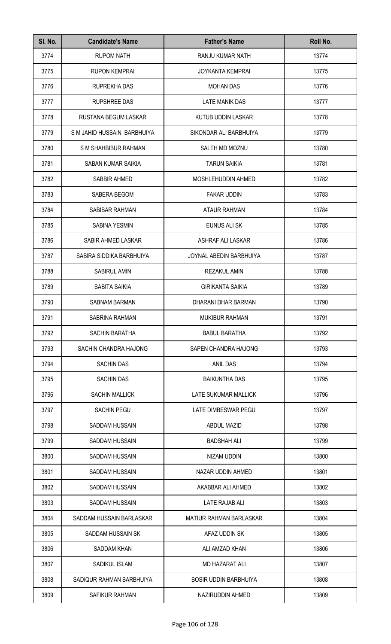| SI. No. | <b>Candidate's Name</b>     | <b>Father's Name</b>           | Roll No. |
|---------|-----------------------------|--------------------------------|----------|
| 3774    | <b>RUPOM NATH</b>           | RANJU KUMAR NATH               | 13774    |
| 3775    | <b>RUPON KEMPRAI</b>        | <b>JOYKANTA KEMPRAI</b>        | 13775    |
| 3776    | RUPREKHA DAS                | <b>MOHAN DAS</b>               | 13776    |
| 3777    | <b>RUPSHREE DAS</b>         | LATE MANIK DAS                 | 13777    |
| 3778    | RUSTANA BEGUM LASKAR        | KUTUB UDDIN LASKAR             | 13778    |
| 3779    | S M JAHID HUSSAIN BARBHUIYA | SIKONDAR ALI BARBHUIYA         | 13779    |
| 3780    | S M SHAHBIBUR RAHMAN        | SALEH MD MOZNU                 | 13780    |
| 3781    | <b>SABAN KUMAR SAIKIA</b>   | <b>TARUN SAIKIA</b>            | 13781    |
| 3782    | SABBIR AHMED                | MOSHLEHUDDIN AHMED             | 13782    |
| 3783    | SABERA BEGOM                | <b>FAKAR UDDIN</b>             | 13783    |
| 3784    | SABIBAR RAHMAN              | <b>ATAUR RAHMAN</b>            | 13784    |
| 3785    | <b>SABINA YESMIN</b>        | EUNUS ALI SK                   | 13785    |
| 3786    | SABIR AHMED LASKAR          | ASHRAF ALI LASKAR              | 13786    |
| 3787    | SABIRA SIDDIKA BARBHUIYA    | JOYNAL ABEDIN BARBHUIYA        | 13787    |
| 3788    | <b>SABIRUL AMIN</b>         | <b>REZAKUL AMIN</b>            | 13788    |
| 3789    | SABITA SAIKIA               | <b>GIRIKANTA SAIKIA</b>        | 13789    |
| 3790    | <b>SABNAM BARMAN</b>        | DHARANI DHAR BARMAN            | 13790    |
| 3791    | SABRINA RAHMAN              | <b>MUKIBUR RAHMAN</b>          | 13791    |
| 3792    | SACHIN BARATHA              | <b>BABUL BARATHA</b>           | 13792    |
| 3793    | SACHIN CHANDRA HAJONG       | SAPEN CHANDRA HAJONG           | 13793    |
| 3794    | <b>SACHIN DAS</b>           | <b>ANIL DAS</b>                | 13794    |
| 3795    | <b>SACHIN DAS</b>           | <b>BAIKUNTHA DAS</b>           | 13795    |
| 3796    | <b>SACHIN MALLICK</b>       | LATE SUKUMAR MALLICK           | 13796    |
| 3797    | <b>SACHIN PEGU</b>          | LATE DIMBESWAR PEGU            | 13797    |
| 3798    | SADDAM HUSSAIN              | <b>ABDUL MAZID</b>             | 13798    |
| 3799    | SADDAM HUSSAIN              | <b>BADSHAH ALI</b>             | 13799    |
| 3800    | SADDAM HUSSAIN              | NIZAM UDDIN                    | 13800    |
| 3801    | SADDAM HUSSAIN              | NAZAR UDDIN AHMED              | 13801    |
| 3802    | SADDAM HUSSAIN              | AKABBAR ALI AHMED              | 13802    |
| 3803    | <b>SADDAM HUSSAIN</b>       | LATE RAJAB ALI                 | 13803    |
| 3804    | SADDAM HUSSAIN BARLASKAR    | <b>MATIUR RAHMAN BARLASKAR</b> | 13804    |
| 3805    | SADDAM HUSSAIN SK           | AFAZ UDDIN SK                  | 13805    |
| 3806    | SADDAM KHAN                 | ALI AMZAD KHAN                 | 13806    |
| 3807    | <b>SADIKUL ISLAM</b>        | <b>MD HAZARAT ALI</b>          | 13807    |
| 3808    | SADIQUR RAHMAN BARBHUIYA    | <b>BOSIR UDDIN BARBHUIYA</b>   | 13808    |
| 3809    | SAFIKUR RAHMAN              | NAZIRUDDIN AHMED               | 13809    |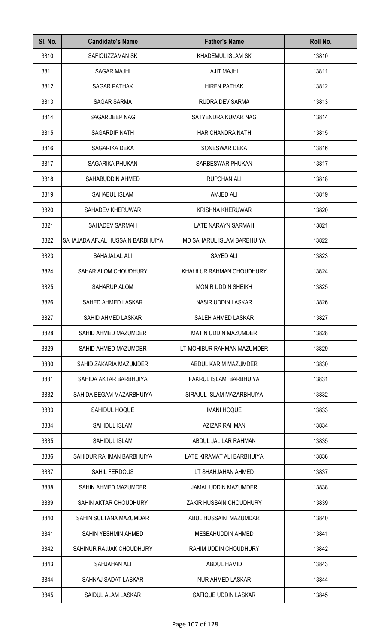| SI. No. | <b>Candidate's Name</b>          | <b>Father's Name</b>        | Roll No. |
|---------|----------------------------------|-----------------------------|----------|
| 3810    | SAFIQUZZAMAN SK                  | KHADEMUL ISLAM SK           | 13810    |
| 3811    | <b>SAGAR MAJHI</b>               | <b>AJIT MAJHI</b>           | 13811    |
| 3812    | <b>SAGAR PATHAK</b>              | <b>HIREN PATHAK</b>         | 13812    |
| 3813    | <b>SAGAR SARMA</b>               | RUDRA DEV SARMA             | 13813    |
| 3814    | SAGARDEEP NAG                    | SATYENDRA KUMAR NAG         | 13814    |
| 3815    | SAGARDIP NATH                    | <b>HARICHANDRA NATH</b>     | 13815    |
| 3816    | SAGARIKA DEKA                    | SONESWAR DEKA               | 13816    |
| 3817    | SAGARIKA PHUKAN                  | SARBESWAR PHUKAN            | 13817    |
| 3818    | SAHABUDDIN AHMED                 | <b>RUPCHAN ALI</b>          | 13818    |
| 3819    | SAHABUL ISLAM                    | AMJED ALI                   | 13819    |
| 3820    | SAHADEV KHERUWAR                 | <b>KRISHNA KHERUWAR</b>     | 13820    |
| 3821    | SAHADEV SARMAH                   | LATE NARAYN SARMAH          | 13821    |
| 3822    | SAHAJADA AFJAL HUSSAIN BARBHUIYA | MD SAHARUL ISLAM BARBHUIYA  | 13822    |
| 3823    | SAHAJALAL ALI                    | SAYED ALI                   | 13823    |
| 3824    | SAHAR ALOM CHOUDHURY             | KHALILUR RAHMAN CHOUDHURY   | 13824    |
| 3825    | SAHARUP ALOM                     | <b>MONIR UDDIN SHEIKH</b>   | 13825    |
| 3826    | SAHED AHMED LASKAR               | NASIR UDDIN LASKAR          | 13826    |
| 3827    | SAHID AHMED LASKAR               | SALEH AHMED LASKAR          | 13827    |
| 3828    | SAHID AHMED MAZUMDER             | <b>MATIN UDDIN MAZUMDER</b> | 13828    |
| 3829    | SAHID AHMED MAZUMDER             | LT MOHIBUR RAHMAN MAZUMDER  | 13829    |
| 3830    | SAHID ZAKARIA MAZUMDER           | ABDUL KARIM MAZUMDER        | 13830    |
| 3831    | SAHIDA AKTAR BARBHUIYA           | FAKRUL ISLAM BARBHUIYA      | 13831    |
| 3832    | SAHIDA BEGAM MAZARBHUIYA         | SIRAJUL ISLAM MAZARBHUIYA   | 13832    |
| 3833    | SAHIDUL HOQUE                    | <b>IMANI HOQUE</b>          | 13833    |
| 3834    | SAHIDUL ISLAM                    | AZIZAR RAHMAN               | 13834    |
| 3835    | SAHIDUL ISLAM                    | ABDUL JALILAR RAHMAN        | 13835    |
| 3836    | SAHIDUR RAHMAN BARBHUIYA         | LATE KIRAMAT ALI BARBHUIYA  | 13836    |
| 3837    | SAHIL FERDOUS                    | LT SHAHJAHAN AHMED          | 13837    |
| 3838    | SAHIN AHMED MAZUMDER             | <b>JAMAL UDDIN MAZUMDER</b> | 13838    |
| 3839    | SAHIN AKTAR CHOUDHURY            | ZAKIR HUSSAIN CHOUDHURY     | 13839    |
| 3840    | SAHIN SULTANA MAZUMDAR           | ABUL HUSSAIN MAZUMDAR       | 13840    |
| 3841    | SAHIN YESHMIN AHMED              | MESBAHUDDIN AHMED           | 13841    |
| 3842    | SAHINUR RAJJAK CHOUDHURY         | RAHIM UDDIN CHOUDHURY       | 13842    |
| 3843    | SAHJAHAN ALI                     | ABDUL HAMID                 | 13843    |
| 3844    | SAHNAJ SADAT LASKAR              | <b>NUR AHMED LASKAR</b>     | 13844    |
| 3845    | SAIDUL ALAM LASKAR               | SAFIQUE UDDIN LASKAR        | 13845    |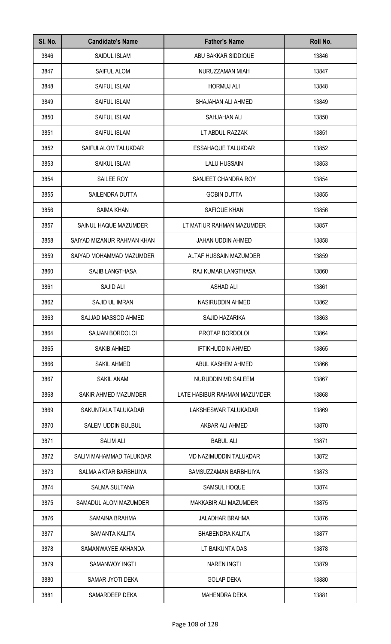| SI. No. | <b>Candidate's Name</b>    | <b>Father's Name</b>         | Roll No. |
|---------|----------------------------|------------------------------|----------|
| 3846    | SAIDUL ISLAM               | ABU BAKKAR SIDDIQUE          | 13846    |
| 3847    | <b>SAIFUL ALOM</b>         | NURUZZAMAN MIAH              | 13847    |
| 3848    | SAIFUL ISLAM               | <b>HORMUJ ALI</b>            | 13848    |
| 3849    | SAIFUL ISLAM               | SHAJAHAN ALI AHMED           | 13849    |
| 3850    | <b>SAIFUL ISLAM</b>        | SAHJAHAN ALI                 | 13850    |
| 3851    | <b>SAIFUL ISLAM</b>        | LT ABDUL RAZZAK              | 13851    |
| 3852    | SAIFULALOM TALUKDAR        | <b>ESSAHAQUE TALUKDAR</b>    | 13852    |
| 3853    | SAIKUL ISLAM               | <b>LALU HUSSAIN</b>          | 13853    |
| 3854    | SAILEE ROY                 | SANJEET CHANDRA ROY          | 13854    |
| 3855    | SAILENDRA DUTTA            | <b>GOBIN DUTTA</b>           | 13855    |
| 3856    | <b>SAIMA KHAN</b>          | SAFIQUE KHAN                 | 13856    |
| 3857    | SAINUL HAQUE MAZUMDER      | LT MATIUR RAHMAN MAZUMDER    | 13857    |
| 3858    | SAIYAD MIZANUR RAHMAN KHAN | <b>JAHAN UDDIN AHMED</b>     | 13858    |
| 3859    | SAIYAD MOHAMMAD MAZUMDER   | ALTAF HUSSAIN MAZUMDER       | 13859    |
| 3860    | SAJIB LANGTHASA            | RAJ KUMAR LANGTHASA          | 13860    |
| 3861    | SAJID ALI                  | <b>ASHAD ALI</b>             | 13861    |
| 3862    | SAJID UL IMRAN             | NASIRUDDIN AHMED             | 13862    |
| 3863    | SAJJAD MASSOD AHMED        | SAJID HAZARIKA               | 13863    |
| 3864    | SAJJAN BORDOLOI            | PROTAP BORDOLOI              | 13864    |
| 3865    | <b>SAKIB AHMED</b>         | <b>IFTIKHUDDIN AHMED</b>     | 13865    |
| 3866    | SAKIL AHMED                | ABUL KASHEM AHMED            | 13866    |
| 3867    | SAKIL ANAM                 | NURUDDIN MD SALEEM           | 13867    |
| 3868    | SAKIR AHMED MAZUMDER       | LATE HABIBUR RAHMAN MAZUMDER | 13868    |
| 3869    | SAKUNTALA TALUKADAR        | LAKSHESWAR TALUKADAR         | 13869    |
| 3870    | SALEM UDDIN BULBUL         | AKBAR ALI AHMED              | 13870    |
| 3871    | <b>SALIM ALI</b>           | <b>BABUL ALI</b>             | 13871    |
| 3872    | SALIM MAHAMMAD TALUKDAR    | MD NAZIMUDDIN TALUKDAR       | 13872    |
| 3873    | SALMA AKTAR BARBHUIYA      | SAMSUZZAMAN BARBHUIYA        | 13873    |
| 3874    | <b>SALMA SULTANA</b>       | <b>SAMSUL HOQUE</b>          | 13874    |
| 3875    | SAMADUL ALOM MAZUMDER      | MAKKABIR ALI MAZUMDER        | 13875    |
| 3876    | SAMAINA BRAHMA             | <b>JALADHAR BRAHMA</b>       | 13876    |
| 3877    | SAMANTA KALITA             | <b>BHABENDRA KALITA</b>      | 13877    |
| 3878    | SAMANWAYEE AKHANDA         | LT BAIKUNTA DAS              | 13878    |
| 3879    | <b>SAMANWOY INGTI</b>      | <b>NAREN INGTI</b>           | 13879    |
| 3880    | SAMAR JYOTI DEKA           | <b>GOLAP DEKA</b>            | 13880    |
| 3881    | SAMARDEEP DEKA             | <b>MAHENDRA DEKA</b>         | 13881    |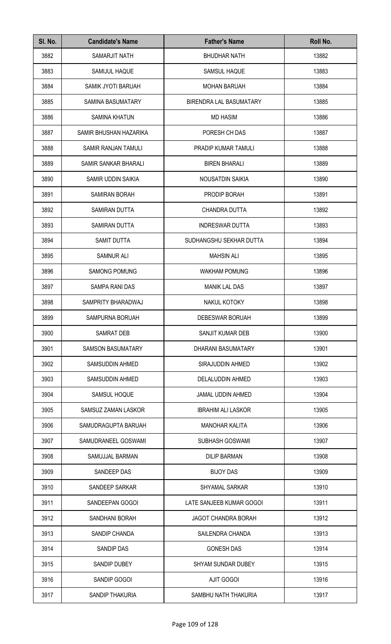| SI. No. | <b>Candidate's Name</b>  | <b>Father's Name</b>       | Roll No. |
|---------|--------------------------|----------------------------|----------|
| 3882    | <b>SAMARJIT NATH</b>     | <b>BHUDHAR NATH</b>        | 13882    |
| 3883    | SAMIJUL HAQUE            | <b>SAMSUL HAQUE</b>        | 13883    |
| 3884    | SAMIK JYOTI BARUAH       | <b>MOHAN BARUAH</b>        | 13884    |
| 3885    | <b>SAMINA BASUMATARY</b> | BIRENDRA LAL BASUMATARY    | 13885    |
| 3886    | <b>SAMINA KHATUN</b>     | <b>MD HASIM</b>            | 13886    |
| 3887    | SAMIR BHUSHAN HAZARIKA   | PORESH CH DAS              | 13887    |
| 3888    | SAMIR RANJAN TAMULI      | PRADIP KUMAR TAMULI        | 13888    |
| 3889    | SAMIR SANKAR BHARALI     | <b>BIREN BHARALI</b>       | 13889    |
| 3890    | SAMIR UDDIN SAIKIA       | NOUSATDIN SAIKIA           | 13890    |
| 3891    | <b>SAMIRAN BORAH</b>     | PRODIP BORAH               | 13891    |
| 3892    | SAMIRAN DUTTA            | <b>CHANDRA DUTTA</b>       | 13892    |
| 3893    | SAMIRAN DUTTA            | <b>INDRESWAR DUTTA</b>     | 13893    |
| 3894    | SAMIT DUTTA              | SUDHANGSHU SEKHAR DUTTA    | 13894    |
| 3895    | <b>SAMNUR ALI</b>        | <b>MAHSIN ALI</b>          | 13895    |
| 3896    | <b>SAMONG POMUNG</b>     | <b>WAKHAM POMUNG</b>       | 13896    |
| 3897    | SAMPA RANI DAS           | <b>MANIK LAL DAS</b>       | 13897    |
| 3898    | SAMPRITY BHARADWAJ       | NAKUL KOTOKY               | 13898    |
| 3899    | SAMPURNA BORUAH          | DEBESWAR BORUAH            | 13899    |
| 3900    | <b>SAMRAT DEB</b>        | SANJIT KUMAR DEB           | 13900    |
| 3901    | <b>SAMSON BASUMATARY</b> | DHARANI BASUMATARY         | 13901    |
| 3902    | SAMSUDDIN AHMED          | SIRAJUDDIN AHMED           | 13902    |
| 3903    | SAMSUDDIN AHMED          | DELALUDDIN AHMED           | 13903    |
| 3904    | SAMSUL HOQUE             | <b>JAMAL UDDIN AHMED</b>   | 13904    |
| 3905    | SAMSUZ ZAMAN LASKOR      | <b>IBRAHIM ALI LASKOR</b>  | 13905    |
| 3906    | SAMUDRAGUPTA BARUAH      | <b>MANOHAR KALITA</b>      | 13906    |
| 3907    | SAMUDRANEEL GOSWAMI      | <b>SUBHASH GOSWAMI</b>     | 13907    |
| 3908    | SAMUJJAL BARMAN          | <b>DILIP BARMAN</b>        | 13908    |
| 3909    | SANDEEP DAS              | <b>BIJOY DAS</b>           | 13909    |
| 3910    | SANDEEP SARKAR           | <b>SHYAMAL SARKAR</b>      | 13910    |
| 3911    | SANDEEPAN GOGOI          | LATE SANJEEB KUMAR GOGOI   | 13911    |
| 3912    | <b>SANDHANI BORAH</b>    | <b>JAGOT CHANDRA BORAH</b> | 13912    |
| 3913    | SANDIP CHANDA            | SAILENDRA CHANDA           | 13913    |
| 3914    | SANDIP DAS               | <b>GONESH DAS</b>          | 13914    |
| 3915    | <b>SANDIP DUBEY</b>      | <b>SHYAM SUNDAR DUBEY</b>  | 13915    |
| 3916    | SANDIP GOGOI             | <b>AJIT GOGOI</b>          | 13916    |
| 3917    | SANDIP THAKURIA          | SAMBHU NATH THAKURIA       | 13917    |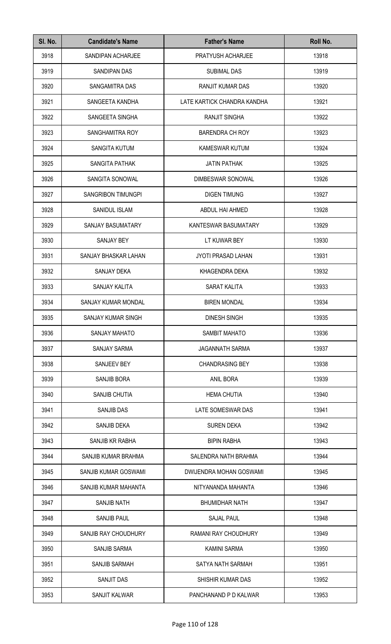| SI. No. | <b>Candidate's Name</b>    | <b>Father's Name</b>        | Roll No. |
|---------|----------------------------|-----------------------------|----------|
| 3918    | SANDIPAN ACHARJEE          | PRATYUSH ACHARJEE           | 13918    |
| 3919    | SANDIPAN DAS               | <b>SUBIMAL DAS</b>          | 13919    |
| 3920    | SANGAMITRA DAS             | <b>RANJIT KUMAR DAS</b>     | 13920    |
| 3921    | SANGEETA KANDHA            | LATE KARTICK CHANDRA KANDHA | 13921    |
| 3922    | SANGEETA SINGHA            | <b>RANJIT SINGHA</b>        | 13922    |
| 3923    | SANGHAMITRA ROY            | <b>BARENDRA CH ROY</b>      | 13923    |
| 3924    | <b>SANGITA KUTUM</b>       | <b>KAMESWAR KUTUM</b>       | 13924    |
| 3925    | SANGITA PATHAK             | <b>JATIN PATHAK</b>         | 13925    |
| 3926    | SANGITA SONOWAL            | DIMBESWAR SONOWAL           | 13926    |
| 3927    | <b>SANGRIBON TIMUNGPI</b>  | <b>DIGEN TIMUNG</b>         | 13927    |
| 3928    | <b>SANIDUL ISLAM</b>       | ABDUL HAI AHMED             | 13928    |
| 3929    | SANJAY BASUMATARY          | KANTESWAR BASUMATARY        | 13929    |
| 3930    | SANJAY BEY                 | LT KUWAR BEY                | 13930    |
| 3931    | SANJAY BHASKAR LAHAN       | <b>JYOTI PRASAD LAHAN</b>   | 13931    |
| 3932    | SANJAY DEKA                | KHAGENDRA DEKA              | 13932    |
| 3933    | SANJAY KALITA              | SARAT KALITA                | 13933    |
| 3934    | <b>SANJAY KUMAR MONDAL</b> | <b>BIREN MONDAL</b>         | 13934    |
| 3935    | SANJAY KUMAR SINGH         | DINESH SINGH                | 13935    |
| 3936    | <b>SANJAY MAHATO</b>       | <b>SAMBIT MAHATO</b>        | 13936    |
| 3937    | <b>SANJAY SARMA</b>        | <b>JAGANNATH SARMA</b>      | 13937    |
| 3938    | SANJEEV BEY                | <b>CHANDRASING BEY</b>      | 13938    |
| 3939    | SANJIB BORA                | ANIL BORA                   | 13939    |
| 3940    | <b>SANJIB CHUTIA</b>       | <b>HEMA CHUTIA</b>          | 13940    |
| 3941    | <b>SANJIB DAS</b>          | LATE SOMESWAR DAS           | 13941    |
| 3942    | SANJIB DEKA                | <b>SUREN DEKA</b>           | 13942    |
| 3943    | SANJIB KR RABHA            | <b>BIPIN RABHA</b>          | 13943    |
| 3944    | SANJIB KUMAR BRAHMA        | SALENDRA NATH BRAHMA        | 13944    |
| 3945    | SANJIB KUMAR GOSWAMI       | DWIJENDRA MOHAN GOSWAMI     | 13945    |
| 3946    | SANJIB KUMAR MAHANTA       | NITYANANDA MAHANTA          | 13946    |
| 3947    | <b>SANJIB NATH</b>         | <b>BHUMIDHAR NATH</b>       | 13947    |
| 3948    | <b>SANJIB PAUL</b>         | <b>SAJAL PAUL</b>           | 13948    |
| 3949    | SANJIB RAY CHOUDHURY       | RAMANI RAY CHOUDHURY        | 13949    |
| 3950    | <b>SANJIB SARMA</b>        | <b>KAMINI SARMA</b>         | 13950    |
| 3951    | <b>SANJIB SARMAH</b>       | SATYA NATH SARMAH           | 13951    |
| 3952    | <b>SANJIT DAS</b>          | SHISHIR KUMAR DAS           | 13952    |
| 3953    | SANJIT KALWAR              | PANCHANAND P D KALWAR       | 13953    |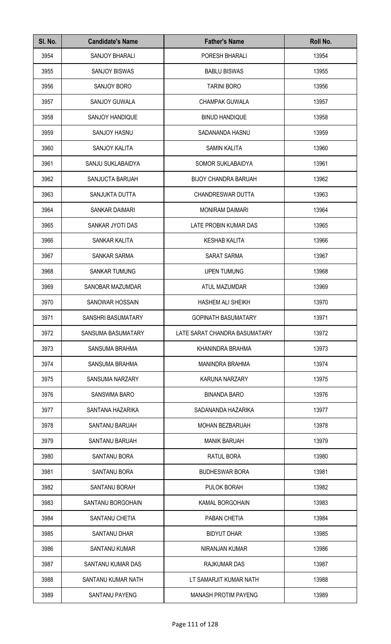| SI. No. | <b>Candidate's Name</b> | <b>Father's Name</b>          | Roll No. |
|---------|-------------------------|-------------------------------|----------|
| 3954    | SANJOY BHARALI          | PORESH BHARALI                | 13954    |
| 3955    | <b>SANJOY BISWAS</b>    | <b>BABLU BISWAS</b>           | 13955    |
| 3956    | SANJOY BORO             | <b>TARINI BORO</b>            | 13956    |
| 3957    | SANJOY GUWALA           | <b>CHAMPAK GUWALA</b>         | 13957    |
| 3958    | SANJOY HANDIQUE         | <b>BINUD HANDIQUE</b>         | 13958    |
| 3959    | <b>SANJOY HASNU</b>     | SADANANDA HASNU               | 13959    |
| 3960    | SANJOY KALITA           | <b>SAMIN KALITA</b>           | 13960    |
| 3961    | SANJU SUKLABAIDYA       | SOMOR SUKLABAIDYA             | 13961    |
| 3962    | SANJUCTA BARUAH         | <b>BIJOY CHANDRA BARUAH</b>   | 13962    |
| 3963    | SANJUKTA DUTTA          | CHANDRESWAR DUTTA             | 13963    |
| 3964    | <b>SANKAR DAIMARI</b>   | <b>MONIRAM DAIMARI</b>        | 13964    |
| 3965    | SANKAR JYOTI DAS        | LATE PROBIN KUMAR DAS         | 13965    |
| 3966    | SANKAR KALITA           | <b>KESHAB KALITA</b>          | 13966    |
| 3967    | <b>SANKAR SARMA</b>     | <b>SARAT SARMA</b>            | 13967    |
| 3968    | <b>SANKAR TUMUNG</b>    | <b>UPEN TUMUNG</b>            | 13968    |
| 3969    | SANOBAR MAZUMDAR        | ATUL MAZUMDAR                 | 13969    |
| 3970    | <b>SANOWAR HOSSAIN</b>  | <b>HASHEM ALI SHEIKH</b>      | 13970    |
| 3971    | SANSHRI BASUMATARY      | <b>GOPINATH BASUMATARY</b>    | 13971    |
| 3972    | SANSUMA BASUMATARY      | LATE SARAT CHANDRA BASUMATARY | 13972    |
| 3973    | SANSUMA BRAHMA          | KHANINDRA BRAHMA              | 13973    |
| 3974    | SANSUMA BRAHMA          | <b>MANINDRA BRAHMA</b>        | 13974    |
| 3975    | SANSUMA NARZARY         | <b>KARUNA NARZARY</b>         | 13975    |
| 3976    | <b>SANSWMA BARO</b>     | <b>BINANDA BARO</b>           | 13976    |
| 3977    | SANTANA HAZARIKA        | SADANANDA HAZARIKA            | 13977    |
| 3978    | <b>SANTANU BARUAH</b>   | <b>MOHAN BEZBARUAH</b>        | 13978    |
| 3979    | <b>SANTANU BARUAH</b>   | <b>MANIK BARUAH</b>           | 13979    |
| 3980    | SANTANU BORA            | RATUL BORA                    | 13980    |
| 3981    | SANTANU BORA            | <b>BUDHESWAR BORA</b>         | 13981    |
| 3982    | SANTANU BORAH           | <b>PULOK BORAH</b>            | 13982    |
| 3983    | SANTANU BORGOHAIN       | <b>KAMAL BORGOHAIN</b>        | 13983    |
| 3984    | SANTANU CHETIA          | PABAN CHETIA                  | 13984    |
| 3985    | SANTANU DHAR            | <b>BIDYUT DHAR</b>            | 13985    |
| 3986    | SANTANU KUMAR           | NIRANJAN KUMAR                | 13986    |
| 3987    | SANTANU KUMAR DAS       | RAJKUMAR DAS                  | 13987    |
| 3988    | SANTANU KUMAR NATH      | LT SAMARJIT KUMAR NATH        | 13988    |
| 3989    | <b>SANTANU PAYENG</b>   | <b>MANASH PROTIM PAYENG</b>   | 13989    |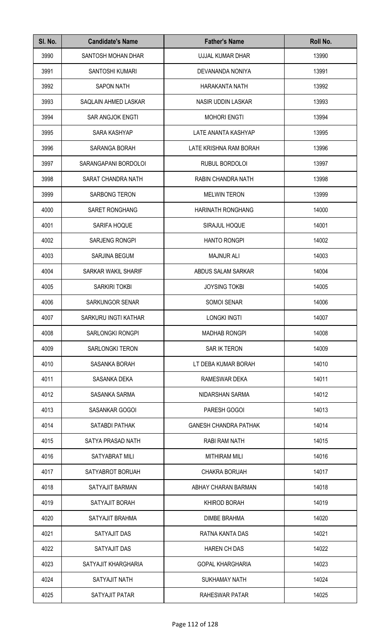| SI. No. | <b>Candidate's Name</b> | <b>Father's Name</b>         | Roll No. |
|---------|-------------------------|------------------------------|----------|
| 3990    | SANTOSH MOHAN DHAR      | UJJAL KUMAR DHAR             | 13990    |
| 3991    | SANTOSHI KUMARI         | DEVANANDA NONIYA             | 13991    |
| 3992    | <b>SAPON NATH</b>       | <b>HARAKANTA NATH</b>        | 13992    |
| 3993    | SAQLAIN AHMED LASKAR    | NASIR UDDIN LASKAR           | 13993    |
| 3994    | <b>SAR ANGJOK ENGTI</b> | <b>MOHORI ENGTI</b>          | 13994    |
| 3995    | SARA KASHYAP            | LATE ANANTA KASHYAP          | 13995    |
| 3996    | SARANGA BORAH           | LATE KRISHNA RAM BORAH       | 13996    |
| 3997    | SARANGAPANI BORDOLOI    | RUBUL BORDOLOI               | 13997    |
| 3998    | SARAT CHANDRA NATH      | RABIN CHANDRA NATH           | 13998    |
| 3999    | <b>SARBONG TERON</b>    | <b>MELWIN TERON</b>          | 13999    |
| 4000    | SARET RONGHANG          | <b>HARINATH RONGHANG</b>     | 14000    |
| 4001    | SARIFA HOQUE            | SIRAJUL HOQUE                | 14001    |
| 4002    | SARJENG RONGPI          | <b>HANTO RONGPI</b>          | 14002    |
| 4003    | SARJINA BEGUM           | <b>MAJNUR ALI</b>            | 14003    |
| 4004    | SARKAR WAKIL SHARIF     | ABDUS SALAM SARKAR           | 14004    |
| 4005    | SARKIRI TOKBI           | <b>JOYSING TOKBI</b>         | 14005    |
| 4006    | <b>SARKUNGOR SENAR</b>  | SOMOI SENAR                  | 14006    |
| 4007    | SARKURU INGTI KATHAR    | <b>LONGKI INGTI</b>          | 14007    |
| 4008    | <b>SARLONGKI RONGPI</b> | <b>MADHAB RONGPI</b>         | 14008    |
| 4009    | <b>SARLONGKI TERON</b>  | SAR IK TERON                 | 14009    |
| 4010    | SASANKA BORAH           | LT DEBA KUMAR BORAH          | 14010    |
| 4011    | SASANKA DEKA            | RAMESWAR DEKA                | 14011    |
| 4012    | SASANKA SARMA           | NIDARSHAN SARMA              | 14012    |
| 4013    | SASANKAR GOGOI          | PARESH GOGOI                 | 14013    |
| 4014    | SATABDI PATHAK          | <b>GANESH CHANDRA PATHAK</b> | 14014    |
| 4015    | SATYA PRASAD NATH       | RABI RAM NATH                | 14015    |
| 4016    | SATYABRAT MILI          | <b>MITHIRAM MILI</b>         | 14016    |
| 4017    | SATYABROT BORUAH        | <b>CHAKRA BORUAH</b>         | 14017    |
| 4018    | SATYAJIT BARMAN         | ABHAY CHARAN BARMAN          | 14018    |
| 4019    | SATYAJIT BORAH          | KHIROD BORAH                 | 14019    |
| 4020    | SATYAJIT BRAHMA         | <b>DIMBE BRAHMA</b>          | 14020    |
| 4021    | SATYAJIT DAS            | RATNA KANTA DAS              | 14021    |
| 4022    | SATYAJIT DAS            | <b>HAREN CH DAS</b>          | 14022    |
| 4023    | SATYAJIT KHARGHARIA     | <b>GOPAL KHARGHARIA</b>      | 14023    |
| 4024    | SATYAJIT NATH           | <b>SUKHAMAY NATH</b>         | 14024    |
| 4025    | SATYAJIT PATAR          | RAHESWAR PATAR               | 14025    |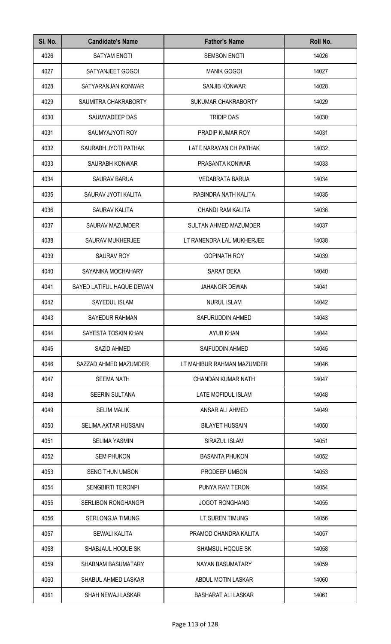| SI. No. | <b>Candidate's Name</b>     | <b>Father's Name</b>         | Roll No. |
|---------|-----------------------------|------------------------------|----------|
| 4026    | <b>SATYAM ENGTI</b>         | <b>SEMSON ENGTI</b>          | 14026    |
| 4027    | SATYANJEET GOGOI            | <b>MANIK GOGOI</b>           | 14027    |
| 4028    | SATYARANJAN KONWAR          | SANJIB KONWAR                | 14028    |
| 4029    | SAUMITRA CHAKRABORTY        | <b>SUKUMAR CHAKRABORTY</b>   | 14029    |
| 4030    | SAUMYADEEP DAS              | <b>TRIDIP DAS</b>            | 14030    |
| 4031    | SAUMYAJYOTI ROY             | PRADIP KUMAR ROY             | 14031    |
| 4032    | SAURABH JYOTI PATHAK        | LATE NARAYAN CH PATHAK       | 14032    |
| 4033    | SAURABH KONWAR              | PRASANTA KONWAR              | 14033    |
| 4034    | <b>SAURAV BARUA</b>         | <b>VEDABRATA BARUA</b>       | 14034    |
| 4035    | SAURAV JYOTI KALITA         | RABINDRA NATH KALITA         | 14035    |
| 4036    | SAURAV KALITA               | <b>CHANDI RAM KALITA</b>     | 14036    |
| 4037    | <b>SAURAV MAZUMDER</b>      | <b>SULTAN AHMED MAZUMDER</b> | 14037    |
| 4038    | SAURAV MUKHERJEE            | LT RANENDRA LAL MUKHERJEE    | 14038    |
| 4039    | <b>SAURAV ROY</b>           | <b>GOPINATH ROY</b>          | 14039    |
| 4040    | SAYANIKA MOCHAHARY          | SARAT DEKA                   | 14040    |
| 4041    | SAYED LATIFUL HAQUE DEWAN   | <b>JAHANGIR DEWAN</b>        | 14041    |
| 4042    | SAYEDUL ISLAM               | <b>NURUL ISLAM</b>           | 14042    |
| 4043    | SAYEDUR RAHMAN              | SAFURUDDIN AHMED             | 14043    |
| 4044    | SAYESTA TOSKIN KHAN         | AYUB KHAN                    | 14044    |
| 4045    | SAZID AHMED                 | SAIFUDDIN AHMED              | 14045    |
| 4046    | SAZZAD AHMED MAZUMDER       | LT MAHIBUR RAHMAN MAZUMDER   | 14046    |
| 4047    | <b>SEEMA NATH</b>           | <b>CHANDAN KUMAR NATH</b>    | 14047    |
| 4048    | <b>SEERIN SULTANA</b>       | <b>LATE MOFIDUL ISLAM</b>    | 14048    |
| 4049    | <b>SELIM MALIK</b>          | ANSAR ALI AHMED              | 14049    |
| 4050    | <b>SELIMA AKTAR HUSSAIN</b> | <b>BILAYET HUSSAIN</b>       | 14050    |
| 4051    | <b>SELIMA YASMIN</b>        | SIRAZUL ISLAM                | 14051    |
| 4052    | <b>SEM PHUKON</b>           | <b>BASANTA PHUKON</b>        | 14052    |
| 4053    | <b>SENG THUN UMBON</b>      | PRODEEP UMBON                | 14053    |
| 4054    | <b>SENGBIRTI TERONPI</b>    | PUNYA RAM TERON              | 14054    |
| 4055    | SERLIBON RONGHANGPI         | <b>JOGOT RONGHANG</b>        | 14055    |
| 4056    | SERLONGJA TIMUNG            | LT SUREN TIMUNG              | 14056    |
| 4057    | <b>SEWALI KALITA</b>        | PRAMOD CHANDRA KALITA        | 14057    |
| 4058    | SHABJAUL HOQUE SK           | <b>SHAMSUL HOQUE SK</b>      | 14058    |
| 4059    | SHABNAM BASUMATARY          | NAYAN BASUMATARY             | 14059    |
| 4060    | SHABUL AHMED LASKAR         | ABDUL MOTIN LASKAR           | 14060    |
| 4061    | SHAH NEWAJ LASKAR           | <b>BASHARAT ALI LASKAR</b>   | 14061    |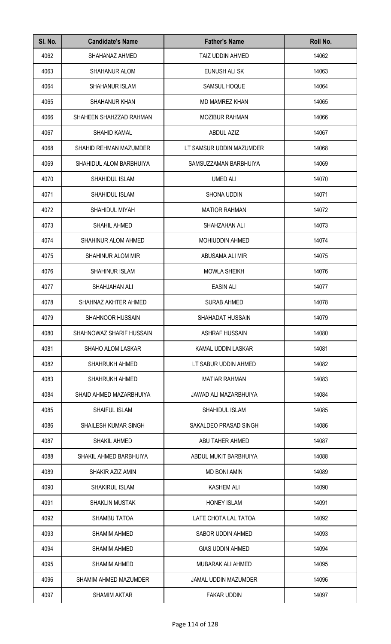| SI. No. | <b>Candidate's Name</b>  | <b>Father's Name</b>         | Roll No. |
|---------|--------------------------|------------------------------|----------|
| 4062    | SHAHANAZ AHMED           | TAIZ UDDIN AHMED             | 14062    |
| 4063    | <b>SHAHANUR ALOM</b>     | EUNUSH ALI SK                | 14063    |
| 4064    | SHAHANUR ISLAM           | SAMSUL HOQUE                 | 14064    |
| 4065    | SHAHANUR KHAN            | <b>MD MAMREZ KHAN</b>        | 14065    |
| 4066    | SHAHEEN SHAHZZAD RAHMAN  | <b>MOZIBUR RAHMAN</b>        | 14066    |
| 4067    | SHAHID KAMAL             | <b>ABDUL AZIZ</b>            | 14067    |
| 4068    | SHAHID REHMAN MAZUMDER   | LT SAMSUR UDDIN MAZUMDER     | 14068    |
| 4069    | SHAHIDUL ALOM BARBHUIYA  | SAMSUZZAMAN BARBHUIYA        | 14069    |
| 4070    | SHAHIDUL ISLAM           | <b>UMED ALI</b>              | 14070    |
| 4071    | SHAHIDUL ISLAM           | <b>SHONA UDDIN</b>           | 14071    |
| 4072    | SHAHIDUL MIYAH           | <b>MATIOR RAHMAN</b>         | 14072    |
| 4073    | SHAHIL AHMED             | SHAHZAHAN ALI                | 14073    |
| 4074    | SHAHINUR ALOM AHMED      | <b>MOHIUDDIN AHMED</b>       | 14074    |
| 4075    | SHAHINUR ALOM MIR        | ABUSAMA ALI MIR              | 14075    |
| 4076    | SHAHINUR ISLAM           | <b>MOWLA SHEIKH</b>          | 14076    |
| 4077    | SHAHJAHAN ALI            | <b>EASIN ALI</b>             | 14077    |
| 4078    | SHAHNAZ AKHTER AHMED     | <b>SURAB AHMED</b>           | 14078    |
| 4079    | SHAHNOOR HUSSAIN         | SHAHADAT HUSSAIN             | 14079    |
| 4080    | SHAHNOWAZ SHARIF HUSSAIN | ASHRAF HUSSAIN               | 14080    |
| 4081    | <b>SHAHO ALOM LASKAR</b> | KAMAL UDDIN LASKAR           | 14081    |
| 4082    | <b>SHAHRUKH AHMED</b>    | LT SABUR UDDIN AHMED         | 14082    |
| 4083    | <b>SHAHRUKH AHMED</b>    | <b>MATIAR RAHMAN</b>         | 14083    |
| 4084    | SHAID AHMED MAZARBHUIYA  | <b>JAWAD ALI MAZARBHUIYA</b> | 14084    |
| 4085    | <b>SHAIFUL ISLAM</b>     | SHAHIDUL ISLAM               | 14085    |
| 4086    | SHAILESH KUMAR SINGH     | SAKALDEO PRASAD SINGH        | 14086    |
| 4087    | SHAKIL AHMED             | ABU TAHER AHMED              | 14087    |
| 4088    | SHAKIL AHMED BARBHUIYA   | ABDUL MUKIT BARBHUIYA        | 14088    |
| 4089    | SHAKIR AZIZ AMIN         | <b>MD BONI AMIN</b>          | 14089    |
| 4090    | SHAKIRUL ISLAM           | <b>KASHEM ALI</b>            | 14090    |
| 4091    | <b>SHAKLIN MUSTAK</b>    | <b>HONEY ISLAM</b>           | 14091    |
| 4092    | <b>SHAMBU TATOA</b>      | LATE CHOTA LAL TATOA         | 14092    |
| 4093    | SHAMIM AHMED             | SABOR UDDIN AHMED            | 14093    |
| 4094    | <b>SHAMIM AHMED</b>      | <b>GIAS UDDIN AHMED</b>      | 14094    |
| 4095    | <b>SHAMIM AHMED</b>      | MUBARAK ALI AHMED            | 14095    |
| 4096    | SHAMIM AHMED MAZUMDER    | JAMAL UDDIN MAZUMDER         | 14096    |
| 4097    | <b>SHAMIM AKTAR</b>      | <b>FAKAR UDDIN</b>           | 14097    |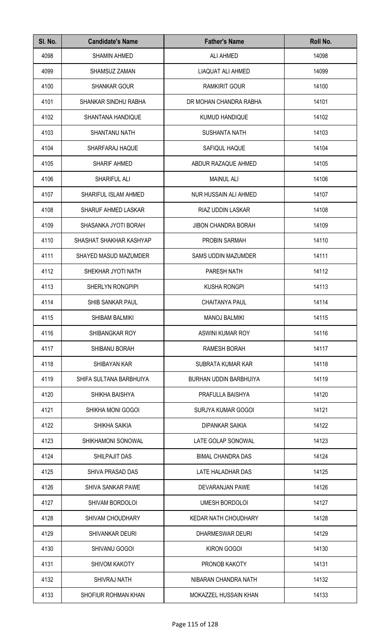| SI. No. | <b>Candidate's Name</b>  | <b>Father's Name</b>       | Roll No. |
|---------|--------------------------|----------------------------|----------|
| 4098    | <b>SHAMIN AHMED</b>      | ALI AHMED                  | 14098    |
| 4099    | <b>SHAMSUZ ZAMAN</b>     | LIAQUAT ALI AHMED          | 14099    |
| 4100    | <b>SHANKAR GOUR</b>      | <b>RAMKIRIT GOUR</b>       | 14100    |
| 4101    | SHANKAR SINDHU RABHA     | DR MOHAN CHANDRA RABHA     | 14101    |
| 4102    | SHANTANA HANDIQUE        | <b>KUMUD HANDIQUE</b>      | 14102    |
| 4103    | SHANTANU NATH            | <b>SUSHANTA NATH</b>       | 14103    |
| 4104    | SHARFARAJ HAQUE          | SAFIQUL HAQUE              | 14104    |
| 4105    | SHARIF AHMED             | ABDUR RAZAQUE AHMED        | 14105    |
| 4106    | SHARIFUL ALI             | <b>MAINUL ALI</b>          | 14106    |
| 4107    | SHARIFUL ISLAM AHMED     | NUR HUSSAIN ALI AHMED      | 14107    |
| 4108    | SHARUF AHMED LASKAR      | RIAZ UDDIN LASKAR          | 14108    |
| 4109    | SHASANKA JYOTI BORAH     | <b>JIBON CHANDRA BORAH</b> | 14109    |
| 4110    | SHASHAT SHAKHAR KASHYAP  | PROBIN SARMAH              | 14110    |
| 4111    | SHAYED MASUD MAZUMDER    | <b>SAMS UDDIN MAZUMDER</b> | 14111    |
| 4112    | SHEKHAR JYOTI NATH       | PARESH NATH                | 14112    |
| 4113    | SHERLYN RONGPIPI         | <b>KUSHA RONGPI</b>        | 14113    |
| 4114    | SHIB SANKAR PAUL         | <b>CHAITANYA PAUL</b>      | 14114    |
| 4115    | SHIBAM BALMIKI           | <b>MANOJ BALMIKI</b>       | 14115    |
| 4116    | SHIBANGKAR ROY           | ASWINI KUMAR ROY           | 14116    |
| 4117    | <b>SHIBANU BORAH</b>     | RAMESH BORAH               | 14117    |
| 4118    | SHIBAYAN KAR             | SUBRATA KUMAR KAR          | 14118    |
| 4119    | SHIFA SULTANA BARBHUIYA  | BURHAN UDDIN BARBHUIYA     | 14119    |
| 4120    | SHIKHA BAISHYA           | PRAFULLA BAISHYA           | 14120    |
| 4121    | SHIKHA MONI GOGOI        | SURJYA KUMAR GOGOI         | 14121    |
| 4122    | SHIKHA SAIKIA            | <b>DIPANKAR SAIKIA</b>     | 14122    |
| 4123    | SHIKHAMONI SONOWAL       | LATE GOLAP SONOWAL         | 14123    |
| 4124    | SHILPAJIT DAS            | <b>BIMAL CHANDRA DAS</b>   | 14124    |
| 4125    | SHIVA PRASAD DAS         | LATE HALADHAR DAS          | 14125    |
| 4126    | <b>SHIVA SANKAR PAWE</b> | DEVARANJAN PAWE            | 14126    |
| 4127    | <b>SHIVAM BORDOLOI</b>   | <b>UMESH BORDOLOI</b>      | 14127    |
| 4128    | <b>SHIVAM CHOUDHARY</b>  | KEDAR NATH CHOUDHARY       | 14128    |
| 4129    | SHIVANKAR DEURI          | DHARMESWAR DEURI           | 14129    |
| 4130    | SHIVANU GOGOI            | <b>KIRON GOGOI</b>         | 14130    |
| 4131    | SHIVOM KAKOTY            | PRONOB KAKOTY              | 14131    |
| 4132    | <b>SHIVRAJ NATH</b>      | NIBARAN CHANDRA NATH       | 14132    |
| 4133    | SHOFIUR ROHMAN KHAN      | MOKAZZEL HUSSAIN KHAN      | 14133    |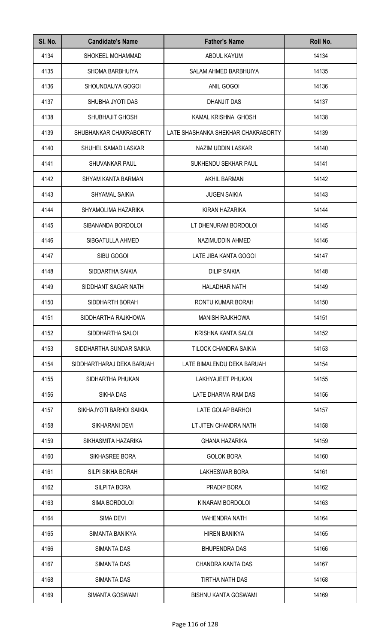| SI. No. | <b>Candidate's Name</b>   | <b>Father's Name</b>               | Roll No. |
|---------|---------------------------|------------------------------------|----------|
| 4134    | SHOKEEL MOHAMMAD          | ABDUL KAYUM                        | 14134    |
| 4135    | SHOMA BARBHUIYA           | SALAM AHMED BARBHUIYA              | 14135    |
| 4136    | SHOUNDAIJYA GOGOI         | ANIL GOGOI                         | 14136    |
| 4137    | SHUBHA JYOTI DAS          | <b>DHANJIT DAS</b>                 | 14137    |
| 4138    | SHUBHAJIT GHOSH           | KAMAL KRISHNA GHOSH                | 14138    |
| 4139    | SHUBHANKAR CHAKRABORTY    | LATE SHASHANKA SHEKHAR CHAKRABORTY | 14139    |
| 4140    | SHUHEL SAMAD LASKAR       | NAZIM UDDIN LASKAR                 | 14140    |
| 4141    | <b>SHUVANKAR PAUL</b>     | SUKHENDU SEKHAR PAUL               | 14141    |
| 4142    | SHYAM KANTA BARMAN        | AKHIL BARMAN                       | 14142    |
| 4143    | SHYAMAL SAIKIA            | <b>JUGEN SAIKIA</b>                | 14143    |
| 4144    | SHYAMOLIMA HAZARIKA       | KIRAN HAZARIKA                     | 14144    |
| 4145    | SIBANANDA BORDOLOI        | LT DHENURAM BORDOLOI               | 14145    |
| 4146    | SIBGATULLA AHMED          | NAZIMUDDIN AHMED                   | 14146    |
| 4147    | SIBU GOGOI                | LATE JIBA KANTA GOGOI              | 14147    |
| 4148    | SIDDARTHA SAIKIA          | <b>DILIP SAIKIA</b>                | 14148    |
| 4149    | SIDDHANT SAGAR NATH       | <b>HALADHAR NATH</b>               | 14149    |
| 4150    | SIDDHARTH BORAH           | RONTU KUMAR BORAH                  | 14150    |
| 4151    | SIDDHARTHA RAJKHOWA       | <b>MANISH RAJKHOWA</b>             | 14151    |
| 4152    | SIDDHARTHA SALOI          | KRISHNA KANTA SALOI                | 14152    |
| 4153    | SIDDHARTHA SUNDAR SAIKIA  | TILOCK CHANDRA SAIKIA              | 14153    |
| 4154    | SIDDHARTHARAJ DEKA BARUAH | LATE BIMALENDU DEKA BARUAH         | 14154    |
| 4155    | SIDHARTHA PHUKAN          | LAKHYAJEET PHUKAN                  | 14155    |
| 4156    | <b>SIKHA DAS</b>          | LATE DHARMA RAM DAS                | 14156    |
| 4157    | SIKHAJYOTI BARHOI SAIKIA  | LATE GOLAP BARHOI                  | 14157    |
| 4158    | SIKHARANI DEVI            | LT JITEN CHANDRA NATH              | 14158    |
| 4159    | SIKHASMITA HAZARIKA       | <b>GHANA HAZARIKA</b>              | 14159    |
| 4160    | SIKHASREE BORA            | <b>GOLOK BORA</b>                  | 14160    |
| 4161    | SILPI SIKHA BORAH         | <b>LAKHESWAR BORA</b>              | 14161    |
| 4162    | <b>SILPITA BORA</b>       | PRADIP BORA                        | 14162    |
| 4163    | SIMA BORDOLOI             | KINARAM BORDOLOI                   | 14163    |
| 4164    | <b>SIMA DEVI</b>          | <b>MAHENDRA NATH</b>               | 14164    |
| 4165    | SIMANTA BANIKYA           | <b>HIREN BANIKYA</b>               | 14165    |
| 4166    | SIMANTA DAS               | <b>BHUPENDRA DAS</b>               | 14166    |
| 4167    | SIMANTA DAS               | CHANDRA KANTA DAS                  | 14167    |
| 4168    | SIMANTA DAS               | <b>TIRTHA NATH DAS</b>             | 14168    |
| 4169    | SIMANTA GOSWAMI           | <b>BISHNU KANTA GOSWAMI</b>        | 14169    |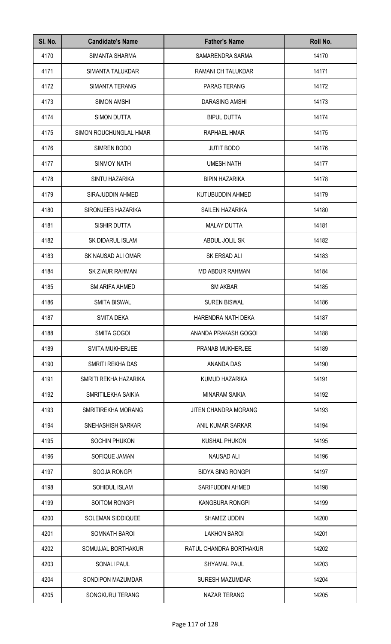| SI. No. | <b>Candidate's Name</b>  | <b>Father's Name</b>     | Roll No. |
|---------|--------------------------|--------------------------|----------|
| 4170    | SIMANTA SHARMA           | SAMARENDRA SARMA         | 14170    |
| 4171    | SIMANTA TALUKDAR         | RAMANI CH TALUKDAR       | 14171    |
| 4172    | SIMANTA TERANG           | PARAG TERANG             | 14172    |
| 4173    | <b>SIMON AMSHI</b>       | <b>DARASING AMSHI</b>    | 14173    |
| 4174    | <b>SIMON DUTTA</b>       | <b>BIPUL DUTTA</b>       | 14174    |
| 4175    | SIMON ROUCHUNGLAL HMAR   | RAPHAEL HMAR             | 14175    |
| 4176    | SIMREN BODO              | <b>JUTIT BODO</b>        | 14176    |
| 4177    | <b>SINMOY NATH</b>       | <b>UMESH NATH</b>        | 14177    |
| 4178    | SINTU HAZARIKA           | <b>BIPIN HAZARIKA</b>    | 14178    |
| 4179    | SIRAJUDDIN AHMED         | KUTUBUDDIN AHMED         | 14179    |
| 4180    | SIRONJEEB HAZARIKA       | <b>SAILEN HAZARIKA</b>   | 14180    |
| 4181    | SISHIR DUTTA             | <b>MALAY DUTTA</b>       | 14181    |
| 4182    | SK DIDARUL ISLAM         | ABDUL JOLIL SK           | 14182    |
| 4183    | SK NAUSAD ALI OMAR       | SK ERSAD ALI             | 14183    |
| 4184    | SK ZIAUR RAHMAN          | <b>MD ABDUR RAHMAN</b>   | 14184    |
| 4185    | <b>SM ARIFA AHMED</b>    | <b>SM AKBAR</b>          | 14185    |
| 4186    | <b>SMITA BISWAL</b>      | <b>SUREN BISWAL</b>      | 14186    |
| 4187    | <b>SMITA DEKA</b>        | HARENDRA NATH DEKA       | 14187    |
| 4188    | <b>SMITA GOGOI</b>       | ANANDA PRAKASH GOGOI     | 14188    |
| 4189    | <b>SMITA MUKHERJEE</b>   | PRANAB MUKHERJEE         | 14189    |
| 4190    | SMRITI REKHA DAS         | ANANDA DAS               | 14190    |
| 4191    | SMRITI REKHA HAZARIKA    | KUMUD HAZARIKA           | 14191    |
| 4192    | SMRITILEKHA SAIKIA       | <b>MINARAM SAIKIA</b>    | 14192    |
| 4193    | SMRITIREKHA MORANG       | JITEN CHANDRA MORANG     | 14193    |
| 4194    | SNEHASHISH SARKAR        | ANIL KUMAR SARKAR        | 14194    |
| 4195    | SOCHIN PHUKON            | <b>KUSHAL PHUKON</b>     | 14195    |
| 4196    | SOFIQUE JAMAN            | <b>NAUSAD ALI</b>        | 14196    |
| 4197    | SOGJA RONGPI             | <b>BIDYA SING RONGPI</b> | 14197    |
| 4198    | SOHIDUL ISLAM            | SARIFUDDIN AHMED         | 14198    |
| 4199    | SOITOM RONGPI            | <b>KANGBURA RONGPI</b>   | 14199    |
| 4200    | <b>SOLEMAN SIDDIQUEE</b> | SHAMEZ UDDIN             | 14200    |
| 4201    | SOMNATH BAROI            | <b>LAKHON BAROI</b>      | 14201    |
| 4202    | SOMUJJAL BORTHAKUR       | RATUL CHANDRA BORTHAKUR  | 14202    |
| 4203    | <b>SONALI PAUL</b>       | <b>SHYAMAL PAUL</b>      | 14203    |
| 4204    | SONDIPON MAZUMDAR        | <b>SURESH MAZUMDAR</b>   | 14204    |
| 4205    | SONGKURU TERANG          | <b>NAZAR TERANG</b>      | 14205    |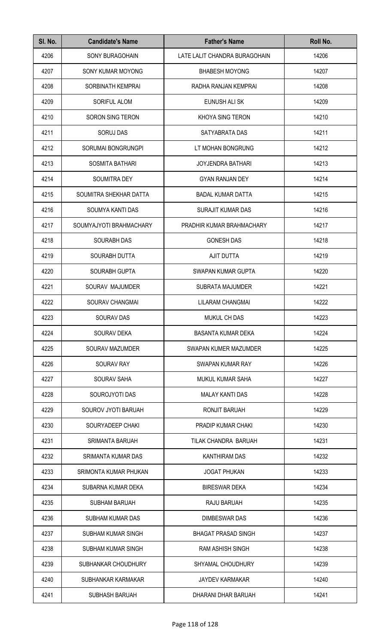| SI. No. | <b>Candidate's Name</b> | <b>Father's Name</b>          | Roll No. |
|---------|-------------------------|-------------------------------|----------|
| 4206    | <b>SONY BURAGOHAIN</b>  | LATE LALIT CHANDRA BURAGOHAIN | 14206    |
| 4207    | SONY KUMAR MOYONG       | <b>BHABESH MOYONG</b>         | 14207    |
| 4208    | SORBINATH KEMPRAI       | RADHA RANJAN KEMPRAI          | 14208    |
| 4209    | SORIFUL ALOM            | EUNUSH ALI SK                 | 14209    |
| 4210    | <b>SORON SING TERON</b> | KHOYA SING TERON              | 14210    |
| 4211    | <b>SORUJ DAS</b>        | SATYABRATA DAS                | 14211    |
| 4212    | SORUMAI BONGRUNGPI      | LT MOHAN BONGRUNG             | 14212    |
| 4213    | <b>SOSMITA BATHARI</b>  | <b>JOYJENDRA BATHARI</b>      | 14213    |
| 4214    | SOUMITRA DEY            | <b>GYAN RANJAN DEY</b>        | 14214    |
| 4215    | SOUMITRA SHEKHAR DATTA  | <b>BADAL KUMAR DATTA</b>      | 14215    |
| 4216    | SOUMYA KANTI DAS        | SURAJIT KUMAR DAS             | 14216    |
| 4217    | SOUMYAJYOTI BRAHMACHARY | PRADHIR KUMAR BRAHMACHARY     | 14217    |
| 4218    | <b>SOURABH DAS</b>      | <b>GONESH DAS</b>             | 14218    |
| 4219    | SOURABH DUTTA           | AJIT DUTTA                    | 14219    |
| 4220    | SOURABH GUPTA           | SWAPAN KUMAR GUPTA            | 14220    |
| 4221    | SOURAV MAJUMDER         | SUBRATA MAJUMDER              | 14221    |
| 4222    | SOURAV CHANGMAI         | LILARAM CHANGMAI              | 14222    |
| 4223    | SOURAV DAS              | <b>MUKUL CH DAS</b>           | 14223    |
| 4224    | <b>SOURAV DEKA</b>      | <b>BASANTA KUMAR DEKA</b>     | 14224    |
| 4225    | <b>SOURAV MAZUMDER</b>  | SWAPAN KUMER MAZUMDER         | 14225    |
| 4226    | <b>SOURAV RAY</b>       | SWAPAN KUMAR RAY              | 14226    |
| 4227    | <b>SOURAV SAHA</b>      | MUKUL KUMAR SAHA              | 14227    |
| 4228    | SOUROJYOTI DAS          | <b>MALAY KANTI DAS</b>        | 14228    |
| 4229    | SOUROV JYOTI BARUAH     | RONJIT BARUAH                 | 14229    |
| 4230    | SOURYADEEP CHAKI        | <b>PRADIP KUMAR CHAKI</b>     | 14230    |
| 4231    | <b>SRIMANTA BARUAH</b>  | TILAK CHANDRA BARUAH          | 14231    |
| 4232    | SRIMANTA KUMAR DAS      | KANTHIRAM DAS                 | 14232    |
| 4233    | SRIMONTA KUMAR PHUKAN   | <b>JOGAT PHUKAN</b>           | 14233    |
| 4234    | SUBARNA KUMAR DEKA      | <b>BIRESWAR DEKA</b>          | 14234    |
| 4235    | <b>SUBHAM BARUAH</b>    | RAJU BARUAH                   | 14235    |
| 4236    | SUBHAM KUMAR DAS        | DIMBESWAR DAS                 | 14236    |
| 4237    | SUBHAM KUMAR SINGH      | <b>BHAGAT PRASAD SINGH</b>    | 14237    |
| 4238    | SUBHAM KUMAR SINGH      | <b>RAM ASHISH SINGH</b>       | 14238    |
| 4239    | SUBHANKAR CHOUDHURY     | SHYAMAL CHOUDHURY             | 14239    |
| 4240    | SUBHANKAR KARMAKAR      | <b>JAYDEV KARMAKAR</b>        | 14240    |
| 4241    | SUBHASH BARUAH          | DHARANI DHAR BARUAH           | 14241    |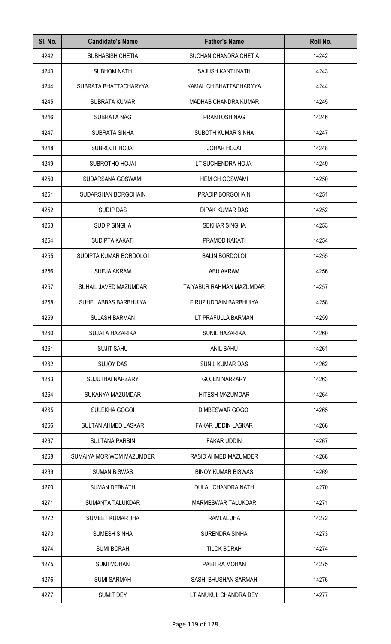| SI. No. | <b>Candidate's Name</b>    | <b>Father's Name</b>        | Roll No. |
|---------|----------------------------|-----------------------------|----------|
| 4242    | SUBHASISH CHETIA           | SUCHAN CHANDRA CHETIA       | 14242    |
| 4243    | <b>SUBHOM NATH</b>         | SAJUSH KANTI NATH           | 14243    |
| 4244    | SUBRATA BHATTACHARYYA      | KAMAL CH BHATTACHARYYA      | 14244    |
| 4245    | <b>SUBRATA KUMAR</b>       | <b>MADHAB CHANDRA KUMAR</b> | 14245    |
| 4246    | SUBRATA NAG                | PRANTOSH NAG                | 14246    |
| 4247    | <b>SUBRATA SINHA</b>       | SUBOTH KUMAR SINHA          | 14247    |
| 4248    | <b>SUBROJIT HOJAI</b>      | <b>JOHAR HOJAI</b>          | 14248    |
| 4249    | SUBROTHO HOJAI             | LT SUCHENDRA HOJAI          | 14249    |
| 4250    | SUDARSANA GOSWAMI          | <b>HEM CH GOSWAMI</b>       | 14250    |
| 4251    | SUDARSHAN BORGOHAIN        | PRADIP BORGOHAIN            | 14251    |
| 4252    | <b>SUDIP DAS</b>           | DIPAK KUMAR DAS             | 14252    |
| 4253    | <b>SUDIP SINGHA</b>        | <b>SEKHAR SINGHA</b>        | 14253    |
| 4254    | SUDIPTA KAKATI             | PRAMOD KAKATI               | 14254    |
| 4255    | SUDIPTA KUMAR BORDOLOI     | <b>BALIN BORDOLOI</b>       | 14255    |
| 4256    | <b>SUEJA AKRAM</b>         | ABU AKRAM                   | 14256    |
| 4257    | SUHAIL JAVED MAZUMDAR      | TAIYABUR RAHMAN MAZUMDAR    | 14257    |
| 4258    | SUHEL ABBAS BARBHUIYA      | FIRUZ UDDAIN BARBHUIYA      | 14258    |
| 4259    | <b>SUJASH BARMAN</b>       | LT PRAFULLA BARMAN          | 14259    |
| 4260    | SUJATA HAZARIKA            | <b>SUNIL HAZARIKA</b>       | 14260    |
| 4261    | <b>SUJIT SAHU</b>          | <b>ANIL SAHU</b>            | 14261    |
| 4262    | <b>SUJOY DAS</b>           | <b>SUNIL KUMAR DAS</b>      | 14262    |
| 4263    | <b>SUJUTHAI NARZARY</b>    | <b>GOJEN NARZARY</b>        | 14263    |
| 4264    | SUKANYA MAZUMDAR           | <b>HITESH MAZUMDAR</b>      | 14264    |
| 4265    | SULEKHA GOGOI              | <b>DIMBESWAR GOGOI</b>      | 14265    |
| 4266    | <b>SULTAN AHMED LASKAR</b> | <b>FAKAR UDDIN LASKAR</b>   | 14266    |
| 4267    | <b>SULTANA PARBIN</b>      | <b>FAKAR UDDIN</b>          | 14267    |
| 4268    | SUMAIYA MORIWOM MAZUMDER   | RASID AHMED MAZUMDER        | 14268    |
| 4269    | <b>SUMAN BISWAS</b>        | <b>BINOY KUMAR BISWAS</b>   | 14269    |
| 4270    | <b>SUMAN DEBNATH</b>       | DULAL CHANDRA NATH          | 14270    |
| 4271    | SUMANTA TALUKDAR           | <b>MARMESWAR TALUKDAR</b>   | 14271    |
| 4272    | SUMEET KUMAR JHA           | RAMLAL JHA                  | 14272    |
| 4273    | <b>SUMESH SINHA</b>        | <b>SURENDRA SINHA</b>       | 14273    |
| 4274    | <b>SUMI BORAH</b>          | <b>TILOK BORAH</b>          | 14274    |
| 4275    | <b>SUMI MOHAN</b>          | PABITRA MOHAN               | 14275    |
| 4276    | <b>SUMI SARMAH</b>         | SASHI BHUSHAN SARMAH        | 14276    |
| 4277    | <b>SUMIT DEY</b>           | LT ANUKUL CHANDRA DEY       | 14277    |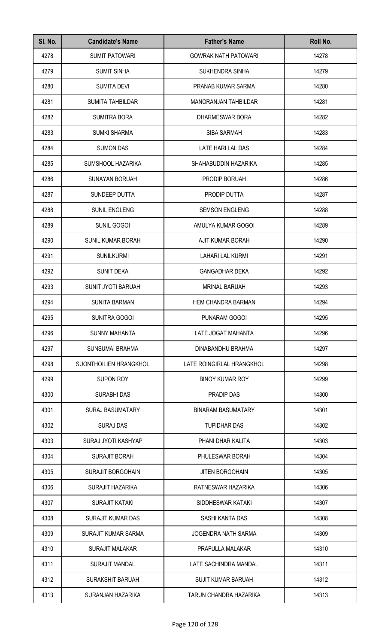| SI. No. | <b>Candidate's Name</b>  | <b>Father's Name</b>        | Roll No. |
|---------|--------------------------|-----------------------------|----------|
| 4278    | <b>SUMIT PATOWARI</b>    | <b>GOWRAK NATH PATOWARI</b> | 14278    |
| 4279    | <b>SUMIT SINHA</b>       | <b>SUKHENDRA SINHA</b>      | 14279    |
| 4280    | <b>SUMITA DEVI</b>       | PRANAB KUMAR SARMA          | 14280    |
| 4281    | <b>SUMITA TAHBILDAR</b>  | <b>MANORANJAN TAHBILDAR</b> | 14281    |
| 4282    | <b>SUMITRA BORA</b>      | DHARMESWAR BORA             | 14282    |
| 4283    | <b>SUMKI SHARMA</b>      | <b>SIBA SARMAH</b>          | 14283    |
| 4284    | <b>SUMON DAS</b>         | LATE HARI LAL DAS           | 14284    |
| 4285    | SUMSHOOL HAZARIKA        | SHAHABUDDIN HAZARIKA        | 14285    |
| 4286    | <b>SUNAYAN BORUAH</b>    | PRODIP BORUAH               | 14286    |
| 4287    | SUNDEEP DUTTA            | PRODIP DUTTA                | 14287    |
| 4288    | SUNIL ENGLENG            | <b>SEMSON ENGLENG</b>       | 14288    |
| 4289    | SUNIL GOGOI              | AMULYA KUMAR GOGOI          | 14289    |
| 4290    | SUNIL KUMAR BORAH        | AJIT KUMAR BORAH            | 14290    |
| 4291    | <b>SUNILKURMI</b>        | <b>LAHARI LAL KURMI</b>     | 14291    |
| 4292    | <b>SUNIT DEKA</b>        | <b>GANGADHAR DEKA</b>       | 14292    |
| 4293    | SUNIT JYOTI BARUAH       | <b>MRINAL BARUAH</b>        | 14293    |
| 4294    | <b>SUNITA BARMAN</b>     | <b>HEM CHANDRA BARMAN</b>   | 14294    |
| 4295    | SUNITRA GOGOI            | PUNARAM GOGOI               | 14295    |
| 4296    | <b>SUNNY MAHANTA</b>     | LATE JOGAT MAHANTA          | 14296    |
| 4297    | SUNSUMAI BRAHMA          | DINABANDHU BRAHMA           | 14297    |
| 4298    | SUONTHOILIEN HRANGKHOL   | LATE ROINGIRLAL HRANGKHOL   | 14298    |
| 4299    | <b>SUPON ROY</b>         | <b>BINOY KUMAR ROY</b>      | 14299    |
| 4300    | <b>SURABHI DAS</b>       | <b>PRADIP DAS</b>           | 14300    |
| 4301    | <b>SURAJ BASUMATARY</b>  | <b>BINARAM BASUMATARY</b>   | 14301    |
| 4302    | <b>SURAJ DAS</b>         | <b>TUPIDHAR DAS</b>         | 14302    |
| 4303    | SURAJ JYOTI KASHYAP      | PHANI DHAR KALITA           | 14303    |
| 4304    | <b>SURAJIT BORAH</b>     | PHULESWAR BORAH             | 14304    |
| 4305    | <b>SURAJIT BORGOHAIN</b> | <b>JITEN BORGOHAIN</b>      | 14305    |
| 4306    | <b>SURAJIT HAZARIKA</b>  | RATNESWAR HAZARIKA          | 14306    |
| 4307    | <b>SURAJIT KATAKI</b>    | SIDDHESWAR KATAKI           | 14307    |
| 4308    | <b>SURAJIT KUMAR DAS</b> | SASHI KANTA DAS             | 14308    |
| 4309    | SURAJIT KUMAR SARMA      | <b>JOGENDRA NATH SARMA</b>  | 14309    |
| 4310    | <b>SURAJIT MALAKAR</b>   | PRAFULLA MALAKAR            | 14310    |
| 4311    | <b>SURAJIT MANDAL</b>    | LATE SACHINDRA MANDAL       | 14311    |
| 4312    | <b>SURAKSHIT BARUAH</b>  | <b>SUJIT KUMAR BARUAH</b>   | 14312    |
| 4313    | SURANJAN HAZARIKA        | TARUN CHANDRA HAZARIKA      | 14313    |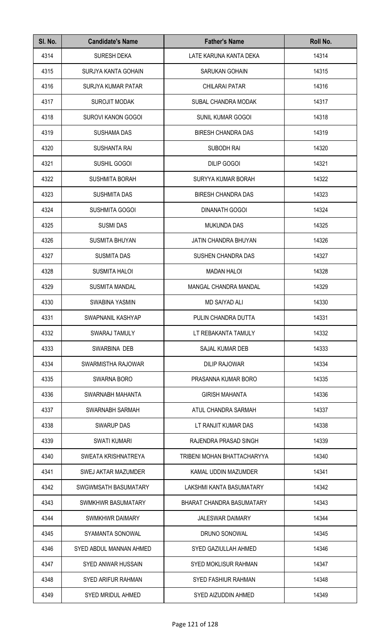| SI. No. | <b>Candidate's Name</b>   | <b>Father's Name</b>        | Roll No. |
|---------|---------------------------|-----------------------------|----------|
| 4314    | <b>SURESH DEKA</b>        | LATE KARUNA KANTA DEKA      | 14314    |
| 4315    | SURJYA KANTA GOHAIN       | <b>SARUKAN GOHAIN</b>       | 14315    |
| 4316    | SURJYA KUMAR PATAR        | <b>CHILARAI PATAR</b>       | 14316    |
| 4317    | <b>SUROJIT MODAK</b>      | SUBAL CHANDRA MODAK         | 14317    |
| 4318    | SUROVI KANON GOGOI        | <b>SUNIL KUMAR GOGOI</b>    | 14318    |
| 4319    | <b>SUSHAMA DAS</b>        | <b>BIRESH CHANDRA DAS</b>   | 14319    |
| 4320    | <b>SUSHANTA RAI</b>       | SUBODH RAI                  | 14320    |
| 4321    | SUSHIL GOGOI              | <b>DILIP GOGOI</b>          | 14321    |
| 4322    | <b>SUSHMITA BORAH</b>     | SURYYA KUMAR BORAH          | 14322    |
| 4323    | <b>SUSHMITA DAS</b>       | <b>BIRESH CHANDRA DAS</b>   | 14323    |
| 4324    | SUSHMITA GOGOI            | <b>DINANATH GOGOI</b>       | 14324    |
| 4325    | <b>SUSMI DAS</b>          | <b>MUKUNDA DAS</b>          | 14325    |
| 4326    | <b>SUSMITA BHUYAN</b>     | JATIN CHANDRA BHUYAN        | 14326    |
| 4327    | <b>SUSMITA DAS</b>        | SUSHEN CHANDRA DAS          | 14327    |
| 4328    | <b>SUSMITA HALOI</b>      | <b>MADAN HALOI</b>          | 14328    |
| 4329    | <b>SUSMITA MANDAL</b>     | MANGAL CHANDRA MANDAL       | 14329    |
| 4330    | <b>SWABINA YASMIN</b>     | <b>MD SAIYAD ALI</b>        | 14330    |
| 4331    | SWAPNANIL KASHYAP         | PULIN CHANDRA DUTTA         | 14331    |
| 4332    | SWARAJ TAMULY             | LT REBAKANTA TAMULY         | 14332    |
| 4333    | SWARBINA DEB              | SAJAL KUMAR DEB             | 14333    |
| 4334    | SWARMISTHA RAJOWAR        | <b>DILIP RAJOWAR</b>        | 14334    |
| 4335    | <b>SWARNA BORO</b>        | PRASANNA KUMAR BORO         | 14335    |
| 4336    | SWARNABH MAHANTA          | <b>GIRISH MAHANTA</b>       | 14336    |
| 4337    | SWARNABH SARMAH           | ATUL CHANDRA SARMAH         | 14337    |
| 4338    | <b>SWARUP DAS</b>         | LT RANJIT KUMAR DAS         | 14338    |
| 4339    | <b>SWATI KUMARI</b>       | RAJENDRA PRASAD SINGH       | 14339    |
| 4340    | SWEATA KRISHNATREYA       | TRIBENI MOHAN BHATTACHARYYA | 14340    |
| 4341    | SWEJ AKTAR MAZUMDER       | KAMAL UDDIN MAZUMDER        | 14341    |
| 4342    | SWGWMSATH BASUMATARY      | LAKSHMI KANTA BASUMATARY    | 14342    |
| 4343    | SWMKHWR BASUMATARY        | BHARAT CHANDRA BASUMATARY   | 14343    |
| 4344    | SWMKHWR DAIMARY           | <b>JALESWAR DAIMARY</b>     | 14344    |
| 4345    | SYAMANTA SONOWAL          | DRUNO SONOWAL               | 14345    |
| 4346    | SYED ABDUL MANNAN AHMED   | SYED GAZIULLAH AHMED        | 14346    |
| 4347    | <b>SYED ANWAR HUSSAIN</b> | <b>SYED MOKLISUR RAHMAN</b> | 14347    |
| 4348    | SYED ARIFUR RAHMAN        | <b>SYED FASHIUR RAHMAN</b>  | 14348    |
| 4349    | <b>SYED MRIDUL AHMED</b>  | SYED AIZUDDIN AHMED         | 14349    |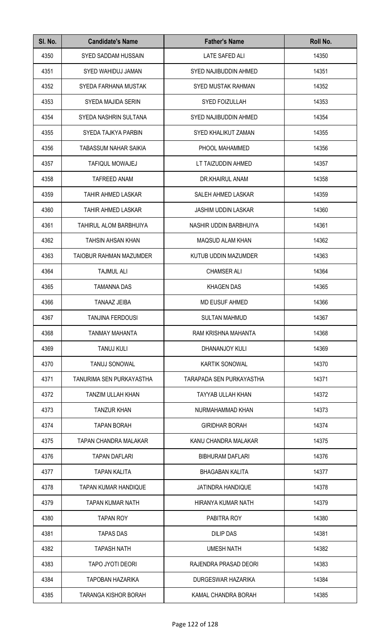| SI. No. | <b>Candidate's Name</b>      | <b>Father's Name</b>         | Roll No. |
|---------|------------------------------|------------------------------|----------|
| 4350    | <b>SYED SADDAM HUSSAIN</b>   | <b>LATE SAFED ALI</b>        | 14350    |
| 4351    | SYED WAHIDUJ JAMAN           | <b>SYED NAJIBUDDIN AHMED</b> | 14351    |
| 4352    | SYEDA FARHANA MUSTAK         | SYED MUSTAK RAHMAN           | 14352    |
| 4353    | SYEDA MAJIDA SERIN           | <b>SYED FOIZULLAH</b>        | 14353    |
| 4354    | SYEDA NASHRIN SULTANA        | SYED NAJIBUDDIN AHMED        | 14354    |
| 4355    | SYEDA TAJKYA PARBIN          | SYED KHALIKUT ZAMAN          | 14355    |
| 4356    | <b>TABASSUM NAHAR SAIKIA</b> | PHOOL MAHAMMED               | 14356    |
| 4357    | <b>TAFIQUL MOWAJEJ</b>       | LT TAIZUDDIN AHMED           | 14357    |
| 4358    | <b>TAFREED ANAM</b>          | DR.KHAIRUL ANAM              | 14358    |
| 4359    | <b>TAHIR AHMED LASKAR</b>    | SALEH AHMED LASKAR           | 14359    |
| 4360    | <b>TAHIR AHMED LASKAR</b>    | <b>JASHIM UDDIN LASKAR</b>   | 14360    |
| 4361    | TAHIRUL ALOM BARBHUIYA       | NASHIR UDDIN BARBHUIYA       | 14361    |
| 4362    | <b>TAHSIN AHSAN KHAN</b>     | <b>MAQSUD ALAM KHAN</b>      | 14362    |
| 4363    | TAIOBUR RAHMAN MAZUMDER      | KUTUB UDDIN MAZUMDER         | 14363    |
| 4364    | <b>TAJMUL ALI</b>            | <b>CHAMSER ALI</b>           | 14364    |
| 4365    | <b>TAMANNA DAS</b>           | <b>KHAGEN DAS</b>            | 14365    |
| 4366    | TANAAZ JEIBA                 | <b>MD EUSUF AHMED</b>        | 14366    |
| 4367    | TANJINA FERDOUSI             | SULTAN MAHMUD                | 14367    |
| 4368    | TANMAY MAHANTA               | RAM KRISHNA MAHANTA          | 14368    |
| 4369    | <b>TANUJ KULI</b>            | DHANANJOY KULI               | 14369    |
| 4370    | <b>TANUJ SONOWAL</b>         | <b>KARTIK SONOWAL</b>        | 14370    |
| 4371    | TANURIMA SEN PURKAYASTHA     | TARAPADA SEN PURKAYASTHA     | 14371    |
| 4372    | TANZIM ULLAH KHAN            | <b>TAYYAB ULLAH KHAN</b>     | 14372    |
| 4373    | <b>TANZUR KHAN</b>           | NURMAHAMMAD KHAN             | 14373    |
| 4374    | <b>TAPAN BORAH</b>           | <b>GIRIDHAR BORAH</b>        | 14374    |
| 4375    | TAPAN CHANDRA MALAKAR        | KANU CHANDRA MALAKAR         | 14375    |
| 4376    | <b>TAPAN DAFLARI</b>         | <b>BIBHURAM DAFLARI</b>      | 14376    |
| 4377    | <b>TAPAN KALITA</b>          | <b>BHAGABAN KALITA</b>       | 14377    |
| 4378    | <b>TAPAN KUMAR HANDIQUE</b>  | <b>JATINDRA HANDIQUE</b>     | 14378    |
| 4379    | TAPAN KUMAR NATH             | HIRANYA KUMAR NATH           | 14379    |
| 4380    | <b>TAPAN ROY</b>             | PABITRA ROY                  | 14380    |
| 4381    | <b>TAPAS DAS</b>             | DILIP DAS                    | 14381    |
| 4382    | <b>TAPASH NATH</b>           | <b>UMESH NATH</b>            | 14382    |
| 4383    | TAPO JYOTI DEORI             | RAJENDRA PRASAD DEORI        | 14383    |
| 4384    | <b>TAPOBAN HAZARIKA</b>      | DURGESWAR HAZARIKA           | 14384    |
| 4385    | <b>TARANGA KISHOR BORAH</b>  | KAMAL CHANDRA BORAH          | 14385    |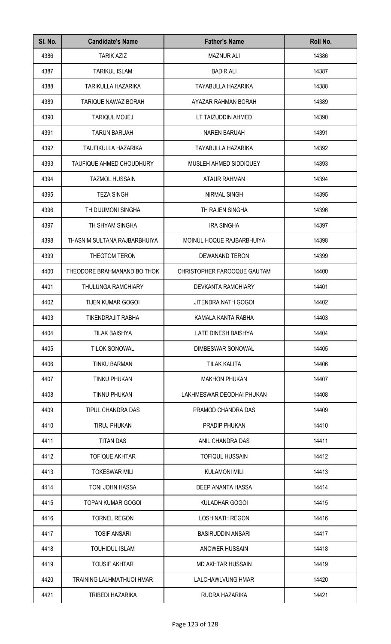| SI. No. | <b>Candidate's Name</b>         | <b>Father's Name</b>        | Roll No. |
|---------|---------------------------------|-----------------------------|----------|
| 4386    | <b>TARIK AZIZ</b>               | <b>MAZNUR ALI</b>           | 14386    |
| 4387    | <b>TARIKUL ISLAM</b>            | <b>BADIR ALI</b>            | 14387    |
| 4388    | TARIKULLA HAZARIKA              | TAYABULLA HAZARIKA          | 14388    |
| 4389    | <b>TARIQUE NAWAZ BORAH</b>      | AYAZAR RAHMAN BORAH         | 14389    |
| 4390    | <b>TARIQUL MOJEJ</b>            | LT TAIZUDDIN AHMED          | 14390    |
| 4391    | <b>TARUN BARUAH</b>             | <b>NAREN BARUAH</b>         | 14391    |
| 4392    | TAUFIKULLA HAZARIKA             | TAYABULLA HAZARIKA          | 14392    |
| 4393    | <b>TAUFIQUE AHMED CHOUDHURY</b> | MUSLEH AHMED SIDDIQUEY      | 14393    |
| 4394    | <b>TAZMOL HUSSAIN</b>           | <b>ATAUR RAHMAN</b>         | 14394    |
| 4395    | <b>TEZA SINGH</b>               | <b>NIRMAL SINGH</b>         | 14395    |
| 4396    | TH DIJUMONI SINGHA              | TH RAJEN SINGHA             | 14396    |
| 4397    | TH SHYAM SINGHA                 | <b>IRA SINGHA</b>           | 14397    |
| 4398    | THASNIM SULTANA RAJBARBHUIYA    | MOINUL HOQUE RAJBARBHUIYA   | 14398    |
| 4399    | THEGTOM TERON                   | DEWANAND TERON              | 14399    |
| 4400    | THEODORE BRAHMANAND BOITHOK     | CHRISTOPHER FAROOQUE GAUTAM | 14400    |
| 4401    | THULUNGA RAMCHIARY              | DEVKANTA RAMCHIARY          | 14401    |
| 4402    | <b>TIJEN KUMAR GOGOI</b>        | <b>JITENDRA NATH GOGOI</b>  | 14402    |
| 4403    | TIKENDRAJIT RABHA               | KAMALA KANTA RABHA          | 14403    |
| 4404    | <b>TILAK BAISHYA</b>            | LATE DINESH BAISHYA         | 14404    |
| 4405    | <b>TILOK SONOWAL</b>            | DIMBESWAR SONOWAL           | 14405    |
| 4406    | <b>TINKU BARMAN</b>             | <b>TILAK KALITA</b>         | 14406    |
| 4407    | <b>TINKU PHUKAN</b>             | <b>MAKHON PHUKAN</b>        | 14407    |
| 4408    | TINNU PHUKAN                    | LAKHMESWAR DEODHAI PHUKAN   | 14408    |
| 4409    | TIPUL CHANDRA DAS               | PRAMOD CHANDRA DAS          | 14409    |
| 4410    | <b>TIRUJ PHUKAN</b>             | <b>PRADIP PHUKAN</b>        | 14410    |
| 4411    | <b>TITAN DAS</b>                | ANIL CHANDRA DAS            | 14411    |
| 4412    | <b>TOFIQUE AKHTAR</b>           | <b>TOFIQUL HUSSAIN</b>      | 14412    |
| 4413    | <b>TOKESWAR MILI</b>            | <b>KULAMONI MILI</b>        | 14413    |
| 4414    | <b>TONI JOHN HASSA</b>          | DEEP ANANTA HASSA           | 14414    |
| 4415    | TOPAN KUMAR GOGOI               | KULADHAR GOGOI              | 14415    |
| 4416    | <b>TORNEL REGON</b>             | <b>LOSHINATH REGON</b>      | 14416    |
| 4417    | <b>TOSIF ANSARI</b>             | <b>BASIRUDDIN ANSARI</b>    | 14417    |
| 4418    | <b>TOUHIDUL ISLAM</b>           | <b>ANOWER HUSSAIN</b>       | 14418    |
| 4419    | <b>TOUSIF AKHTAR</b>            | <b>MD AKHTAR HUSSAIN</b>    | 14419    |
| 4420    | TRAINING LALHMATHUOI HMAR       | LALCHAWLVUNG HMAR           | 14420    |
| 4421    | TRIBEDI HAZARIKA                | RUDRA HAZARIKA              | 14421    |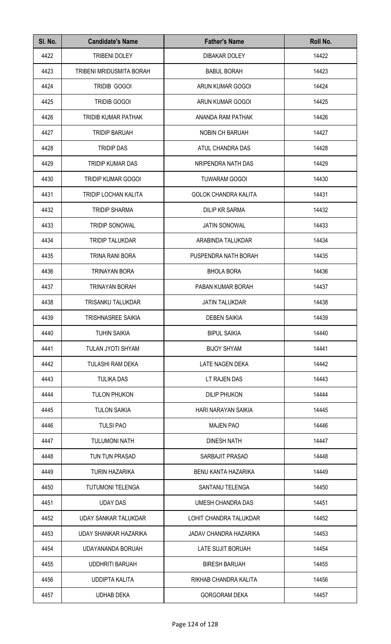| SI. No. | <b>Candidate's Name</b>     | <b>Father's Name</b>          | Roll No. |
|---------|-----------------------------|-------------------------------|----------|
| 4422    | <b>TRIBENI DOLEY</b>        | <b>DIBAKAR DOLEY</b>          | 14422    |
| 4423    | TRIBENI MRIDUSMITA BORAH    | <b>BABUL BORAH</b>            | 14423    |
| 4424    | TRIDIB GOGOI                | ARUN KUMAR GOGOI              | 14424    |
| 4425    | <b>TRIDIB GOGOI</b>         | ARUN KUMAR GOGOI              | 14425    |
| 4426    | TRIDIB KUMAR PATHAK         | ANANDA RAM PATHAK             | 14426    |
| 4427    | <b>TRIDIP BARUAH</b>        | <b>NOBIN CH BARUAH</b>        | 14427    |
| 4428    | <b>TRIDIP DAS</b>           | ATUL CHANDRA DAS              | 14428    |
| 4429    | <b>TRIDIP KUMAR DAS</b>     | NRIPENDRA NATH DAS            | 14429    |
| 4430    | TRIDIP KUMAR GOGOI          | <b>TUWARAM GOGOI</b>          | 14430    |
| 4431    | <b>TRIDIP LOCHAN KALITA</b> | <b>GOLOK CHANDRA KALITA</b>   | 14431    |
| 4432    | <b>TRIDIP SHARMA</b>        | <b>DILIP KR SARMA</b>         | 14432    |
| 4433    | <b>TRIDIP SONOWAL</b>       | <b>JATIN SONOWAL</b>          | 14433    |
| 4434    | <b>TRIDIP TALUKDAR</b>      | ARABINDA TALUKDAR             | 14434    |
| 4435    | TRINA RANI BORA             | PUSPENDRA NATH BORAH          | 14435    |
| 4436    | TRINAYAN BORA               | <b>BHOLA BORA</b>             | 14436    |
| 4437    | TRINAYAN BORAH              | PABAN KUMAR BORAH             | 14437    |
| 4438    | <b>TRISANKU TALUKDAR</b>    | <b>JATIN TALUKDAR</b>         | 14438    |
| 4439    | TRISHNASREE SAIKIA          | <b>DEBEN SAIKIA</b>           | 14439    |
| 4440    | <b>TUHIN SAIKIA</b>         | <b>BIPUL SAIKIA</b>           | 14440    |
| 4441    | TULAN JYOTI SHYAM           | <b>BIJOY SHYAM</b>            | 14441    |
| 4442    | TULASHI RAM DEKA            | LATE NAGEN DEKA               | 14442    |
| 4443    | <b>TULIKA DAS</b>           | LT RAJEN DAS                  | 14443    |
| 4444    | <b>TULON PHUKON</b>         | <b>DILIP PHUKON</b>           | 14444    |
| 4445    | <b>TULON SAIKIA</b>         | HARI NARAYAN SAIKIA           | 14445    |
| 4446    | <b>TULSI PAO</b>            | <b>MAJEN PAO</b>              | 14446    |
| 4447    | <b>TULUMONI NATH</b>        | <b>DINESH NATH</b>            | 14447    |
| 4448    | TUN TUN PRASAD              | SARBAJIT PRASAD               | 14448    |
| 4449    | <b>TURIN HAZARIKA</b>       | BENU KANTA HAZARIKA           | 14449    |
| 4450    | <b>TUTUMONI TELENGA</b>     | SANTANU TELENGA               | 14450    |
| 4451    | <b>UDAY DAS</b>             | UMESH CHANDRA DAS             | 14451    |
| 4452    | <b>UDAY SANKAR TALUKDAR</b> | LOHIT CHANDRA TALUKDAR        | 14452    |
| 4453    | UDAY SHANKAR HAZARIKA       | <b>JADAV CHANDRA HAZARIKA</b> | 14453    |
| 4454    | UDAYANANDA BORUAH           | LATE SUJIT BORUAH             | 14454    |
| 4455    | <b>UDDHRITI BARUAH</b>      | <b>BIRESH BARUAH</b>          | 14455    |
| 4456    | <b>UDDIPTA KALITA</b>       | RIKHAB CHANDRA KALITA         | 14456    |
| 4457    | <b>UDHAB DEKA</b>           | <b>GORGORAM DEKA</b>          | 14457    |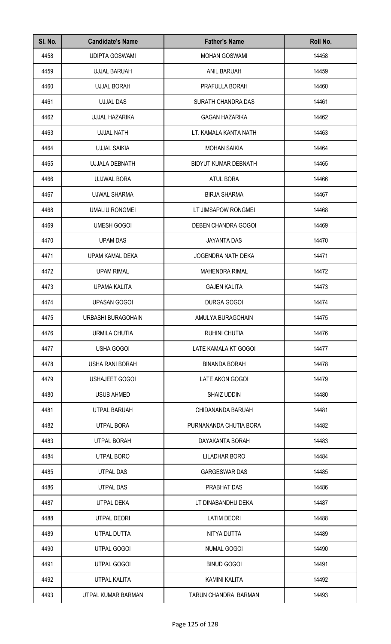| SI. No. | <b>Candidate's Name</b> | <b>Father's Name</b>        | Roll No. |
|---------|-------------------------|-----------------------------|----------|
| 4458    | <b>UDIPTA GOSWAMI</b>   | <b>MOHAN GOSWAMI</b>        | 14458    |
| 4459    | <b>UJJAL BARUAH</b>     | <b>ANIL BARUAH</b>          | 14459    |
| 4460    | <b>UJJAL BORAH</b>      | PRAFULLA BORAH              | 14460    |
| 4461    | <b>UJJAL DAS</b>        | SURATH CHANDRA DAS          | 14461    |
| 4462    | <b>UJJAL HAZARIKA</b>   | <b>GAGAN HAZARIKA</b>       | 14462    |
| 4463    | <b>UJJAL NATH</b>       | LT. KAMALA KANTA NATH       | 14463    |
| 4464    | <b>UJJAL SAIKIA</b>     | <b>MOHAN SAIKIA</b>         | 14464    |
| 4465    | <b>UJJALA DEBNATH</b>   | <b>BIDYUT KUMAR DEBNATH</b> | 14465    |
| 4466    | UJJWAL BORA             | <b>ATUL BORA</b>            | 14466    |
| 4467    | <b>UJWAL SHARMA</b>     | <b>BIRJA SHARMA</b>         | 14467    |
| 4468    | <b>UMALIU RONGMEI</b>   | LT JIMSAPOW RONGMEI         | 14468    |
| 4469    | <b>UMESH GOGOI</b>      | DEBEN CHANDRA GOGOI         | 14469    |
| 4470    | <b>UPAM DAS</b>         | <b>JAYANTA DAS</b>          | 14470    |
| 4471    | UPAM KAMAL DEKA         | JOGENDRA NATH DEKA          | 14471    |
| 4472    | <b>UPAM RIMAL</b>       | <b>MAHENDRA RIMAL</b>       | 14472    |
| 4473    | <b>UPAMA KALITA</b>     | <b>GAJEN KALITA</b>         | 14473    |
| 4474    | <b>UPASAN GOGOI</b>     | DURGA GOGOI                 | 14474    |
| 4475    | URBASHI BURAGOHAIN      | AMULYA BURAGOHAIN           | 14475    |
| 4476    | URMILA CHUTIA           | <b>RUHINI CHUTIA</b>        | 14476    |
| 4477    | USHA GOGOI              | LATE KAMALA KT GOGOI        | 14477    |
| 4478    | USHA RANI BORAH         | <b>BINANDA BORAH</b>        | 14478    |
| 4479    | <b>USHAJEET GOGOI</b>   | LATE AKON GOGOI             | 14479    |
| 4480    | <b>USUB AHMED</b>       | SHAIZ UDDIN                 | 14480    |
| 4481    | UTPAL BARUAH            | CHIDANANDA BARUAH           | 14481    |
| 4482    | <b>UTPAL BORA</b>       | PURNANANDA CHUTIA BORA      | 14482    |
| 4483    | <b>UTPAL BORAH</b>      | DAYAKANTA BORAH             | 14483    |
| 4484    | UTPAL BORO              | <b>LILADHAR BORO</b>        | 14484    |
| 4485    | UTPAL DAS               | <b>GARGESWAR DAS</b>        | 14485    |
| 4486    | <b>UTPAL DAS</b>        | PRABHAT DAS                 | 14486    |
| 4487    | UTPAL DEKA              | LT DINABANDHU DEKA          | 14487    |
| 4488    | UTPAL DEORI             | <b>LATIM DEORI</b>          | 14488    |
| 4489    | UTPAL DUTTA             | NITYA DUTTA                 | 14489    |
| 4490    | <b>UTPAL GOGOI</b>      | <b>NUMAL GOGOI</b>          | 14490    |
| 4491    | <b>UTPAL GOGOI</b>      | <b>BINUD GOGOI</b>          | 14491    |
| 4492    | <b>UTPAL KALITA</b>     | KAMINI KALITA               | 14492    |
| 4493    | UTPAL KUMAR BARMAN      | TARUN CHANDRA BARMAN        | 14493    |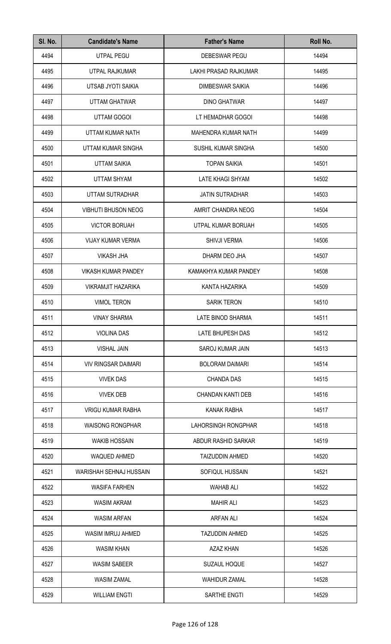| SI. No. | <b>Candidate's Name</b>    | <b>Father's Name</b>     | Roll No. |
|---------|----------------------------|--------------------------|----------|
| 4494    | UTPAL PEGU                 | DEBESWAR PEGU            | 14494    |
| 4495    | UTPAL RAJKUMAR             | LAKHI PRASAD RAJKUMAR    | 14495    |
| 4496    | UTSAB JYOTI SAIKIA         | DIMBESWAR SAIKIA         | 14496    |
| 4497    | UTTAM GHATWAR              | <b>DINO GHATWAR</b>      | 14497    |
| 4498    | UTTAM GOGOI                | LT HEMADHAR GOGOI        | 14498    |
| 4499    | UTTAM KUMAR NATH           | MAHENDRA KUMAR NATH      | 14499    |
| 4500    | UTTAM KUMAR SINGHA         | SUSHIL KUMAR SINGHA      | 14500    |
| 4501    | <b>UTTAM SAIKIA</b>        | <b>TOPAN SAIKIA</b>      | 14501    |
| 4502    | <b>UTTAM SHYAM</b>         | <b>LATE KHAGI SHYAM</b>  | 14502    |
| 4503    | UTTAM SUTRADHAR            | <b>JATIN SUTRADHAR</b>   | 14503    |
| 4504    | <b>VIBHUTI BHUSON NEOG</b> | AMRIT CHANDRA NEOG       | 14504    |
| 4505    | <b>VICTOR BORUAH</b>       | UTPAL KUMAR BORUAH       | 14505    |
| 4506    | <b>VIJAY KUMAR VERMA</b>   | SHIVJI VERMA             | 14506    |
| 4507    | <b>VIKASH JHA</b>          | DHARM DEO JHA            | 14507    |
| 4508    | <b>VIKASH KUMAR PANDEY</b> | KAMAKHYA KUMAR PANDEY    | 14508    |
| 4509    | <b>VIKRAMJIT HAZARIKA</b>  | KANTA HAZARIKA           | 14509    |
| 4510    | <b>VIMOL TERON</b>         | <b>SARIK TERON</b>       | 14510    |
| 4511    | <b>VINAY SHARMA</b>        | LATE BINOD SHARMA        | 14511    |
| 4512    | <b>VIOLINA DAS</b>         | LATE BHUPESH DAS         | 14512    |
| 4513    | <b>VISHAL JAIN</b>         | SAROJ KUMAR JAIN         | 14513    |
| 4514    | <b>VIV RINGSAR DAIMARI</b> | <b>BOLORAM DAIMARI</b>   | 14514    |
| 4515    | <b>VIVEK DAS</b>           | <b>CHANDA DAS</b>        | 14515    |
| 4516    | <b>VIVEK DEB</b>           | <b>CHANDAN KANTI DEB</b> | 14516    |
| 4517    | <b>VRIGU KUMAR RABHA</b>   | KANAK RABHA              | 14517    |
| 4518    | <b>WAISONG RONGPHAR</b>    | LAHORSINGH RONGPHAR      | 14518    |
| 4519    | <b>WAKIB HOSSAIN</b>       | ABDUR RASHID SARKAR      | 14519    |
| 4520    | <b>WAQUED AHMED</b>        | <b>TAIZUDDIN AHMED</b>   | 14520    |
| 4521    | WARISHAH SEHNAJ HUSSAIN    | SOFIQUL HUSSAIN          | 14521    |
| 4522    | <b>WASIFA FARHEN</b>       | <b>WAHAB ALI</b>         | 14522    |
| 4523    | <b>WASIM AKRAM</b>         | <b>MAHIR ALI</b>         | 14523    |
| 4524    | <b>WASIM ARFAN</b>         | <b>ARFAN ALI</b>         | 14524    |
| 4525    | WASIM IMRUJ AHMED          | <b>TAZUDDIN AHMED</b>    | 14525    |
| 4526    | <b>WASIM KHAN</b>          | <b>AZAZ KHAN</b>         | 14526    |
| 4527    | <b>WASIM SABEER</b>        | <b>SUZAUL HOQUE</b>      | 14527    |
| 4528    | <b>WASIM ZAMAL</b>         | <b>WAHIDUR ZAMAL</b>     | 14528    |
| 4529    | <b>WILLIAM ENGTI</b>       | SARTHE ENGTI             | 14529    |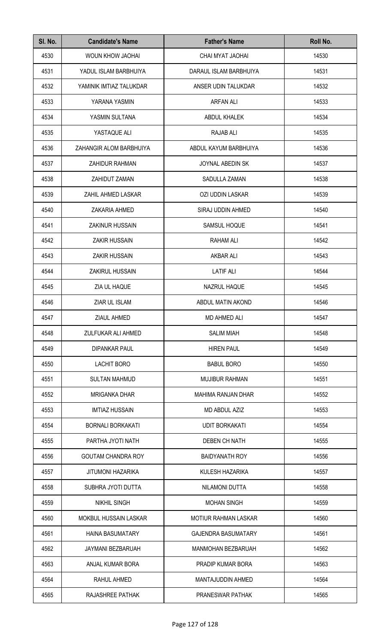| SI. No. | <b>Candidate's Name</b>      | <b>Father's Name</b>        | Roll No. |
|---------|------------------------------|-----------------------------|----------|
| 4530    | WOUN KHOW JAOHAI             | CHAI MYAT JAOHAI            | 14530    |
| 4531    | YADUL ISLAM BARBHUIYA        | DARAUL ISLAM BARBHUIYA      | 14531    |
| 4532    | YAMINIK IMTIAZ TALUKDAR      | ANSER UDIN TALUKDAR         | 14532    |
| 4533    | YARANA YASMIN                | <b>ARFAN ALI</b>            | 14533    |
| 4534    | YASMIN SULTANA               | ABDUL KHALEK                | 14534    |
| 4535    | YASTAQUE ALI                 | <b>RAJAB ALI</b>            | 14535    |
| 4536    | ZAHANGIR ALOM BARBHUIYA      | ABDUL KAYUM BARBHUIYA       | 14536    |
| 4537    | <b>ZAHIDUR RAHMAN</b>        | <b>JOYNAL ABEDIN SK</b>     | 14537    |
| 4538    | ZAHIDUT ZAMAN                | <b>SADULLA ZAMAN</b>        | 14538    |
| 4539    | ZAHIL AHMED LASKAR           | OZI UDDIN LASKAR            | 14539    |
| 4540    | ZAKARIA AHMED                | SIRAJ UDDIN AHMED           | 14540    |
| 4541    | <b>ZAKINUR HUSSAIN</b>       | SAMSUL HOQUE                | 14541    |
| 4542    | <b>ZAKIR HUSSAIN</b>         | RAHAM ALI                   | 14542    |
| 4543    | <b>ZAKIR HUSSAIN</b>         | <b>AKBAR ALI</b>            | 14543    |
| 4544    | ZAKIRUL HUSSAIN              | <b>LATIF ALI</b>            | 14544    |
| 4545    | ZIA UL HAQUE                 | NAZRUL HAQUE                | 14545    |
| 4546    | ZIAR UL ISLAM                | ABDUL MATIN AKOND           | 14546    |
| 4547    | ZIAUL AHMED                  | MD AHMED ALI                | 14547    |
| 4548    | ZULFUKAR ALI AHMED           | <b>SALIM MIAH</b>           | 14548    |
| 4549    | <b>DIPANKAR PAUL</b>         | <b>HIREN PAUL</b>           | 14549    |
| 4550    | <b>LACHIT BORO</b>           | <b>BABUL BORO</b>           | 14550    |
| 4551    | <b>SULTAN MAHMUD</b>         | <b>MUJIBUR RAHMAN</b>       | 14551    |
| 4552    | <b>MRIGANKA DHAR</b>         | MAHIMA RANJAN DHAR          | 14552    |
| 4553    | <b>IMTIAZ HUSSAIN</b>        | MD ABDUL AZIZ               | 14553    |
| 4554    | <b>BORNALI BORKAKATI</b>     | <b>UDIT BORKAKATI</b>       | 14554    |
| 4555    | PARTHA JYOTI NATH            | <b>DEBEN CH NATH</b>        | 14555    |
| 4556    | <b>GOUTAM CHANDRA ROY</b>    | <b>BAIDYANATH ROY</b>       | 14556    |
| 4557    | <b>JITUMONI HAZARIKA</b>     | KULESH HAZARIKA             | 14557    |
| 4558    | SUBHRA JYOTI DUTTA           | NILAMONI DUTTA              | 14558    |
| 4559    | <b>NIKHIL SINGH</b>          | <b>MOHAN SINGH</b>          | 14559    |
| 4560    | <b>MOKBUL HUSSAIN LASKAR</b> | <b>MOTIUR RAHMAN LASKAR</b> | 14560    |
| 4561    | <b>HAINA BASUMATARY</b>      | <b>GAJENDRA BASUMATARY</b>  | 14561    |
| 4562    | JAYMANI BEZBARUAH            | MANMOHAN BEZBARUAH          | 14562    |
| 4563    | ANJAL KUMAR BORA             | PRADIP KUMAR BORA           | 14563    |
| 4564    | RAHUL AHMED                  | MANTAJUDDIN AHMED           | 14564    |
| 4565    | RAJASHREE PATHAK             | PRANESWAR PATHAK            | 14565    |